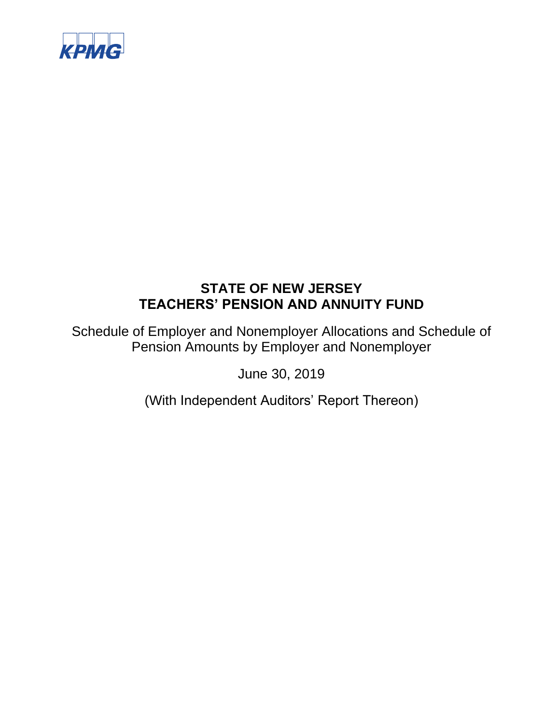

Schedule of Employer and Nonemployer Allocations and Schedule of Pension Amounts by Employer and Nonemployer

June 30, 2019

(With Independent Auditors' Report Thereon)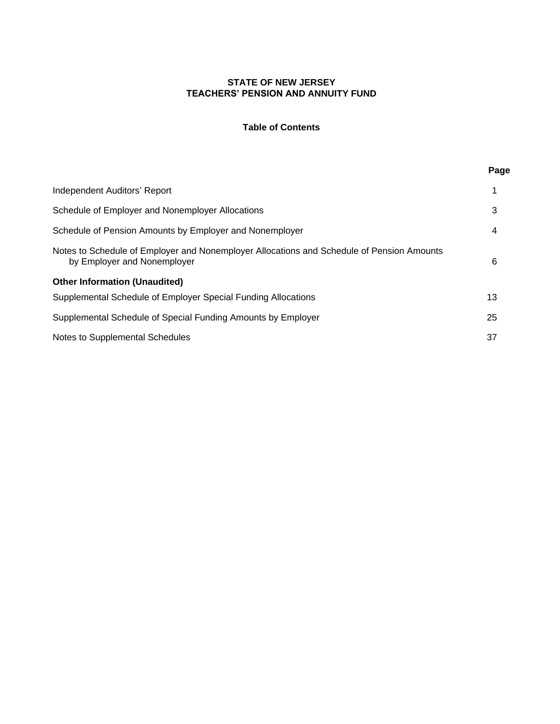# **Table of Contents**

**Page**

| Independent Auditors' Report                                                                                             |    |  |
|--------------------------------------------------------------------------------------------------------------------------|----|--|
| Schedule of Employer and Nonemployer Allocations                                                                         | 3  |  |
| Schedule of Pension Amounts by Employer and Nonemployer                                                                  | 4  |  |
| Notes to Schedule of Employer and Nonemployer Allocations and Schedule of Pension Amounts<br>by Employer and Nonemployer | 6  |  |
| <b>Other Information (Unaudited)</b>                                                                                     |    |  |
| Supplemental Schedule of Employer Special Funding Allocations                                                            | 13 |  |
| Supplemental Schedule of Special Funding Amounts by Employer                                                             | 25 |  |
| Notes to Supplemental Schedules                                                                                          | 37 |  |
|                                                                                                                          |    |  |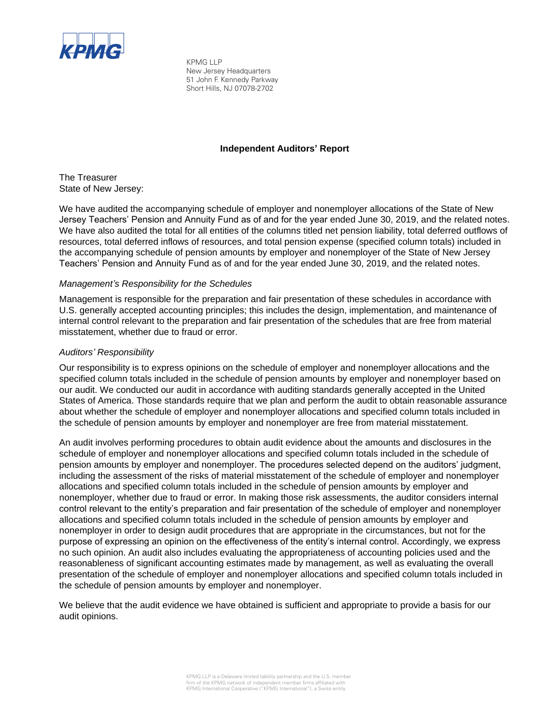

KPMG LLP New Jersey Headquarters 51 John F. Kennedy Parkway Short Hills, NJ 07078-2702

### **Independent Auditors' Report**

The Treasurer State of New Jersey:

We have audited the accompanying schedule of employer and nonemployer allocations of the State of New Jersey Teachers' Pension and Annuity Fund as of and for the year ended June 30, 2019, and the related notes. We have also audited the total for all entities of the columns titled net pension liability, total deferred outflows of resources, total deferred inflows of resources, and total pension expense (specified column totals) included in the accompanying schedule of pension amounts by employer and nonemployer of the State of New Jersey Teachers' Pension and Annuity Fund as of and for the year ended June 30, 2019, and the related notes.

### *Management's Responsibility for the Schedules*

Management is responsible for the preparation and fair presentation of these schedules in accordance with U.S. generally accepted accounting principles; this includes the design, implementation, and maintenance of internal control relevant to the preparation and fair presentation of the schedules that are free from material misstatement, whether due to fraud or error.

### *Auditors' Responsibility*

Our responsibility is to express opinions on the schedule of employer and nonemployer allocations and the specified column totals included in the schedule of pension amounts by employer and nonemployer based on our audit. We conducted our audit in accordance with auditing standards generally accepted in the United States of America. Those standards require that we plan and perform the audit to obtain reasonable assurance about whether the schedule of employer and nonemployer allocations and specified column totals included in the schedule of pension amounts by employer and nonemployer are free from material misstatement.

An audit involves performing procedures to obtain audit evidence about the amounts and disclosures in the schedule of employer and nonemployer allocations and specified column totals included in the schedule of pension amounts by employer and nonemployer. The procedures selected depend on the auditors' judgment, including the assessment of the risks of material misstatement of the schedule of employer and nonemployer allocations and specified column totals included in the schedule of pension amounts by employer and nonemployer, whether due to fraud or error. In making those risk assessments, the auditor considers internal control relevant to the entity's preparation and fair presentation of the schedule of employer and nonemployer allocations and specified column totals included in the schedule of pension amounts by employer and nonemployer in order to design audit procedures that are appropriate in the circumstances, but not for the purpose of expressing an opinion on the effectiveness of the entity's internal control. Accordingly, we express no such opinion. An audit also includes evaluating the appropriateness of accounting policies used and the reasonableness of significant accounting estimates made by management, as well as evaluating the overall presentation of the schedule of employer and nonemployer allocations and specified column totals included in the schedule of pension amounts by employer and nonemployer.

We believe that the audit evidence we have obtained is sufficient and appropriate to provide a basis for our audit opinions.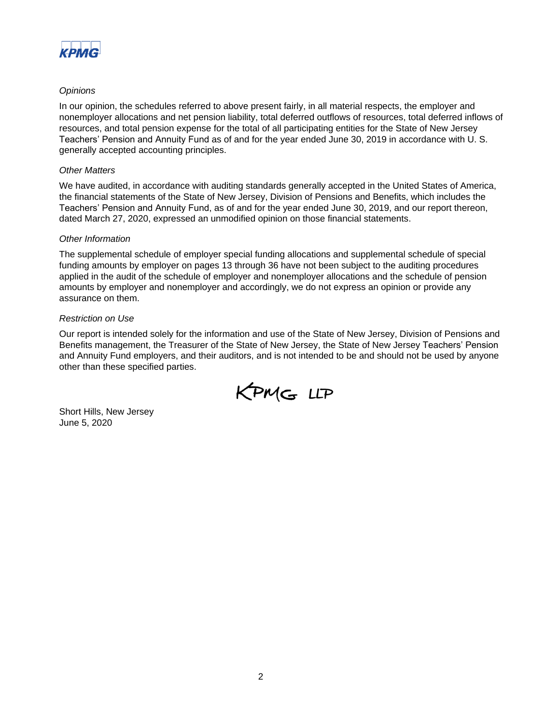

### *Opinions*

In our opinion, the schedules referred to above present fairly, in all material respects, the employer and nonemployer allocations and net pension liability, total deferred outflows of resources, total deferred inflows of resources, and total pension expense for the total of all participating entities for the State of New Jersey Teachers' Pension and Annuity Fund as of and for the year ended June 30, 2019 in accordance with U. S. generally accepted accounting principles.

### *Other Matters*

We have audited, in accordance with auditing standards generally accepted in the United States of America, the financial statements of the State of New Jersey, Division of Pensions and Benefits, which includes the Teachers' Pension and Annuity Fund, as of and for the year ended June 30, 2019, and our report thereon, dated March 27, 2020, expressed an unmodified opinion on those financial statements.

### *Other Information*

The supplemental schedule of employer special funding allocations and supplemental schedule of special funding amounts by employer on pages 13 through 36 have not been subject to the auditing procedures applied in the audit of the schedule of employer and nonemployer allocations and the schedule of pension amounts by employer and nonemployer and accordingly, we do not express an opinion or provide any assurance on them.

### *Restriction on Use*

Our report is intended solely for the information and use of the State of New Jersey, Division of Pensions and Benefits management, the Treasurer of the State of New Jersey, the State of New Jersey Teachers' Pension and Annuity Fund employers, and their auditors, and is not intended to be and should not be used by anyone other than these specified parties.



Short Hills, New Jersey June 5, 2020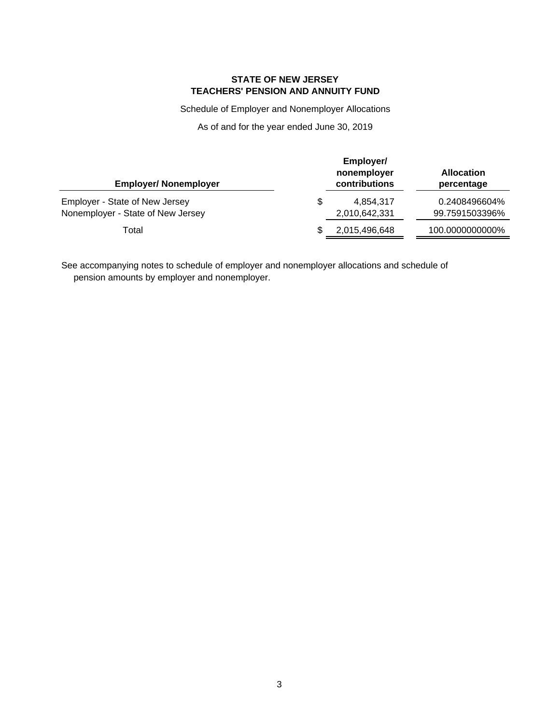Schedule of Employer and Nonemployer Allocations

As of and for the year ended June 30, 2019

| <b>Employer/ Nonemployer</b>                                        | Employer/<br>nonemployer<br>contributions | <b>Allocation</b><br>percentage |
|---------------------------------------------------------------------|-------------------------------------------|---------------------------------|
| Employer - State of New Jersey<br>Nonemployer - State of New Jersey | \$<br>4,854,317<br>2,010,642,331          | 0.2408496604%<br>99.7591503396% |
| Total                                                               | 2,015,496,648                             | 100.0000000000%                 |

See accompanying notes to schedule of employer and nonemployer allocations and schedule of pension amounts by employer and nonemployer.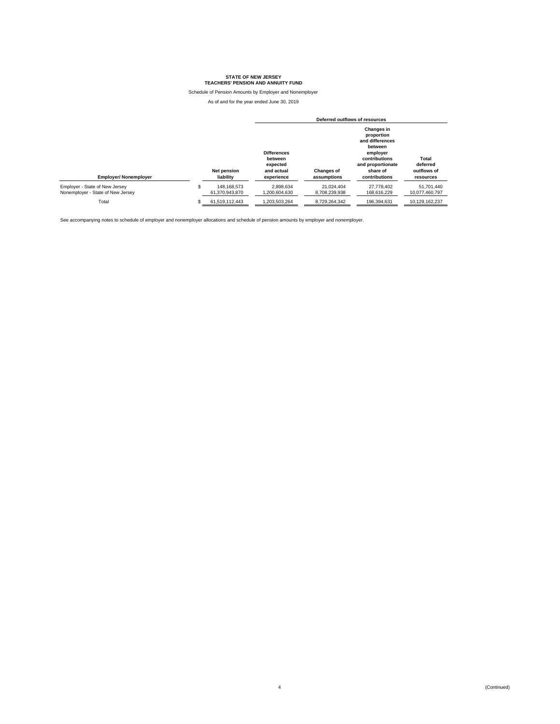Schedule of Pension Amounts by Employer and Nonemployer

As of and for the year ended June 30, 2019

|                                                                     |                                     | Deferred outflows of resources                                        |                                  |                                                                                                                                              |                                               |
|---------------------------------------------------------------------|-------------------------------------|-----------------------------------------------------------------------|----------------------------------|----------------------------------------------------------------------------------------------------------------------------------------------|-----------------------------------------------|
| <b>Employer/ Nonemployer</b>                                        | <b>Net pension</b><br>liability     | <b>Differences</b><br>between<br>expected<br>and actual<br>experience | <b>Changes of</b><br>assumptions | <b>Changes in</b><br>proportion<br>and differences<br>between<br>employer<br>contributions<br>and proportionate<br>share of<br>contributions | Total<br>deferred<br>outflows of<br>resources |
| Employer - State of New Jersey<br>Nonemplover - State of New Jersey | \$<br>148.168.573<br>61.370.943.870 | 2.898.634<br>1.200.604.630                                            | 21.024.404<br>8.708.239.938      | 27.778.402<br>168.616.229                                                                                                                    | 51.701.440<br>10.077.460.797                  |
| Total                                                               | 61.519.112.443                      | 1.203.503.264                                                         | 8.729.264.342                    | 196.394.631                                                                                                                                  | 10.129.162.237                                |

See accompanying notes to schedule of employer and nonemployer allocations and schedule of pension amounts by employer and nonemployer.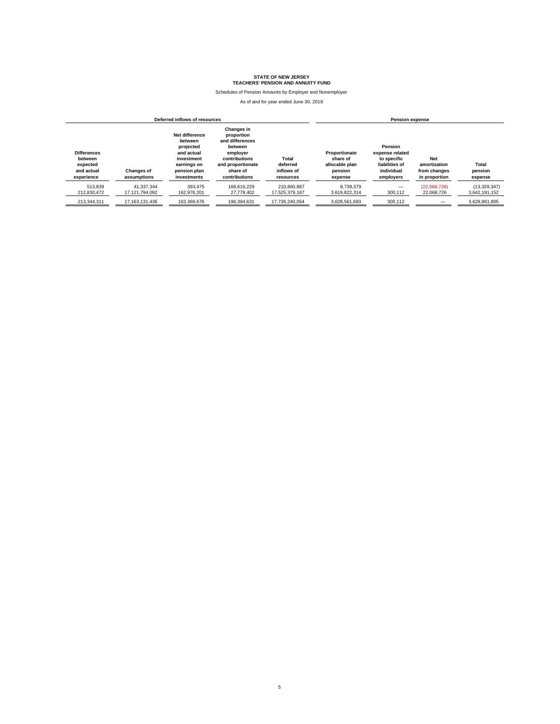Schedules of Pension Amounts by Employer and Nonemployer

| Deferred inflows of resources                                         |                                  |                                                                                                                  |                                                                                                                                              |                                              |                                                                   | <b>Pension expense</b>                                                                 |                                                             |                               |
|-----------------------------------------------------------------------|----------------------------------|------------------------------------------------------------------------------------------------------------------|----------------------------------------------------------------------------------------------------------------------------------------------|----------------------------------------------|-------------------------------------------------------------------|----------------------------------------------------------------------------------------|-------------------------------------------------------------|-------------------------------|
| <b>Differences</b><br>between<br>expected<br>and actual<br>experience | <b>Changes of</b><br>assumptions | Net difference<br>between<br>projected<br>and actual<br>investment<br>earnings on<br>pension plan<br>investments | <b>Changes in</b><br>proportion<br>and differences<br>between<br>employer<br>contributions<br>and proportionate<br>share of<br>contributions | Total<br>deferred<br>inflows of<br>resources | Proportionate<br>share of<br>allocable plan<br>pension<br>expense | Pension<br>expense related<br>to specific<br>liabilities of<br>individual<br>employers | <b>Net</b><br>amortization<br>from changes<br>in proportion | Total<br>pension<br>expense   |
| 513.839<br>212.830.472                                                | 41.337.344<br>17.121.794.092     | 393,475<br>162.976.201                                                                                           | 168.616.229<br>27,778,402                                                                                                                    | 210.860.887<br>17.525.379.167                | 8.739.379<br>3.619.822.314                                        | 300,112                                                                                | (22.068.726)<br>22,068,726                                  | (13,329,347)<br>3,642,191,152 |
| 213,344,311                                                           | 17, 163, 131, 436                | 163,369,676                                                                                                      | 196,394,631                                                                                                                                  | 17,736,240,054                               | 3,628,561,693                                                     | 300,112                                                                                |                                                             | 3,628,861,805                 |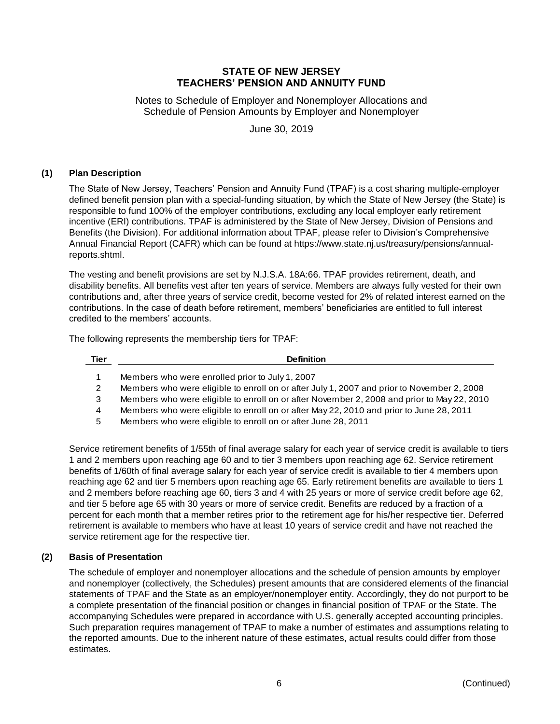Notes to Schedule of Employer and Nonemployer Allocations and Schedule of Pension Amounts by Employer and Nonemployer

June 30, 2019

### **(1) Plan Description**

The State of New Jersey, Teachers' Pension and Annuity Fund (TPAF) is a cost sharing multiple-employer defined benefit pension plan with a special-funding situation, by which the State of New Jersey (the State) is responsible to fund 100% of the employer contributions, excluding any local employer early retirement incentive (ERI) contributions. TPAF is administered by the State of New Jersey, Division of Pensions and Benefits (the Division). For additional information about TPAF, please refer to Division's Comprehensive Annual Financial Report (CAFR) which can be found at https://www.state.nj.us/treasury/pensions/annualreports.shtml.

The vesting and benefit provisions are set by N.J.S.A. 18A:66. TPAF provides retirement, death, and disability benefits. All benefits vest after ten years of service. Members are always fully vested for their own contributions and, after three years of service credit, become vested for 2% of related interest earned on the contributions. In the case of death before retirement, members' beneficiaries are entitled to full interest credited to the members' accounts.

The following represents the membership tiers for TPAF:

| Tier | <b>Definition</b>                                                                          |
|------|--------------------------------------------------------------------------------------------|
| 1    | Members who were enrolled prior to July 1, 2007                                            |
| 2    | Members who were eligible to enroll on or after July 1, 2007 and prior to November 2, 2008 |
| 3    | Members who were eligible to enroll on or after November 2, 2008 and prior to May 22, 2010 |
| 4    | Members who were eligible to enroll on or after May 22, 2010 and prior to June 28, 2011    |
| 5    | Members who were eligible to enroll on or after June 28, 2011                              |

Service retirement benefits of 1/55th of final average salary for each year of service credit is available to tiers 1 and 2 members upon reaching age 60 and to tier 3 members upon reaching age 62. Service retirement benefits of 1/60th of final average salary for each year of service credit is available to tier 4 members upon reaching age 62 and tier 5 members upon reaching age 65. Early retirement benefits are available to tiers 1 and 2 members before reaching age 60, tiers 3 and 4 with 25 years or more of service credit before age 62, and tier 5 before age 65 with 30 years or more of service credit. Benefits are reduced by a fraction of a percent for each month that a member retires prior to the retirement age for his/her respective tier. Deferred retirement is available to members who have at least 10 years of service credit and have not reached the service retirement age for the respective tier.

# **(2) Basis of Presentation**

The schedule of employer and nonemployer allocations and the schedule of pension amounts by employer and nonemployer (collectively, the Schedules) present amounts that are considered elements of the financial statements of TPAF and the State as an employer/nonemployer entity. Accordingly, they do not purport to be a complete presentation of the financial position or changes in financial position of TPAF or the State. The accompanying Schedules were prepared in accordance with U.S. generally accepted accounting principles. Such preparation requires management of TPAF to make a number of estimates and assumptions relating to the reported amounts. Due to the inherent nature of these estimates, actual results could differ from those estimates.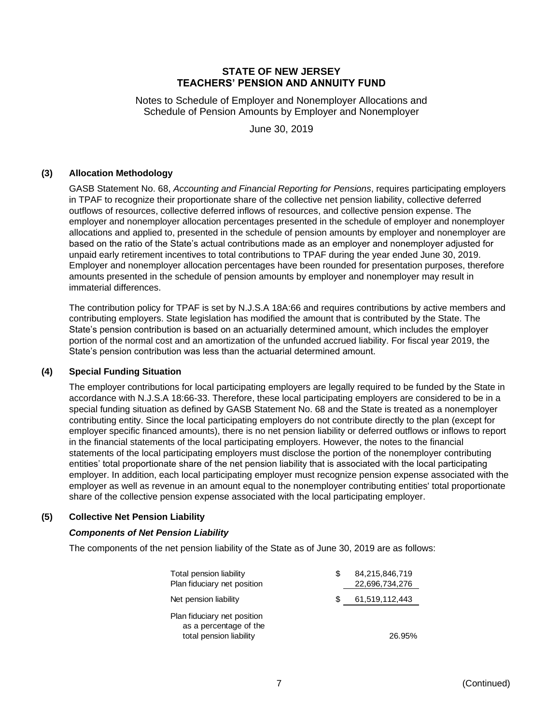Notes to Schedule of Employer and Nonemployer Allocations and Schedule of Pension Amounts by Employer and Nonemployer

June 30, 2019

### **(3) Allocation Methodology**

GASB Statement No. 68, *Accounting and Financial Reporting for Pensions*, requires participating employers in TPAF to recognize their proportionate share of the collective net pension liability, collective deferred outflows of resources, collective deferred inflows of resources, and collective pension expense. The employer and nonemployer allocation percentages presented in the schedule of employer and nonemployer allocations and applied to, presented in the schedule of pension amounts by employer and nonemployer are based on the ratio of the State's actual contributions made as an employer and nonemployer adjusted for unpaid early retirement incentives to total contributions to TPAF during the year ended June 30, 2019. Employer and nonemployer allocation percentages have been rounded for presentation purposes, therefore amounts presented in the schedule of pension amounts by employer and nonemployer may result in immaterial differences.

The contribution policy for TPAF is set by N.J.S.A 18A:66 and requires contributions by active members and contributing employers. State legislation has modified the amount that is contributed by the State. The State's pension contribution is based on an actuarially determined amount, which includes the employer portion of the normal cost and an amortization of the unfunded accrued liability. For fiscal year 2019, the State's pension contribution was less than the actuarial determined amount.

### **(4) Special Funding Situation**

The employer contributions for local participating employers are legally required to be funded by the State in accordance with N.J.S.A 18:66-33. Therefore, these local participating employers are considered to be in a special funding situation as defined by GASB Statement No. 68 and the State is treated as a nonemployer contributing entity. Since the local participating employers do not contribute directly to the plan (except for employer specific financed amounts), there is no net pension liability or deferred outflows or inflows to report in the financial statements of the local participating employers. However, the notes to the financial statements of the local participating employers must disclose the portion of the nonemployer contributing entities' total proportionate share of the net pension liability that is associated with the local participating employer. In addition, each local participating employer must recognize pension expense associated with the employer as well as revenue in an amount equal to the nonemployer contributing entities' total proportionate share of the collective pension expense associated with the local participating employer.

# **(5) Collective Net Pension Liability**

# *Components of Net Pension Liability*

The components of the net pension liability of the State as of June 30, 2019 are as follows:

| Total pension liability<br>Plan fiduciary net position                           | S | 84,215,846,719<br>22,696,734,276 |
|----------------------------------------------------------------------------------|---|----------------------------------|
| Net pension liability                                                            | S | 61,519,112,443                   |
| Plan fiduciary net position<br>as a percentage of the<br>total pension liability |   | 26.95%                           |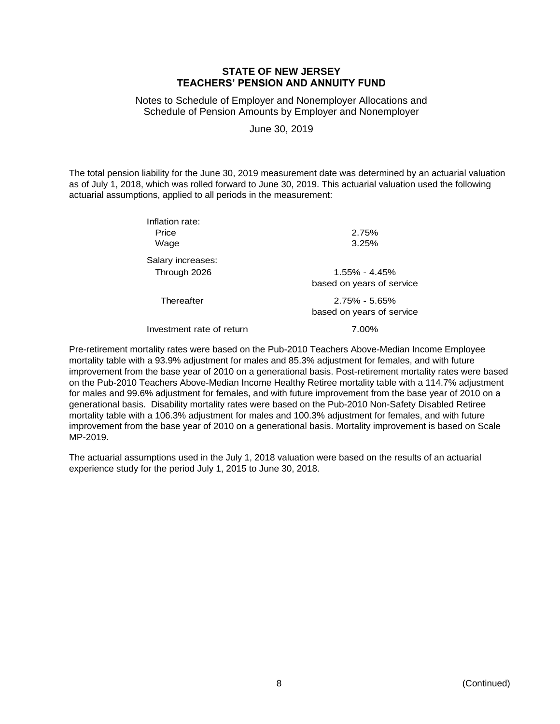Notes to Schedule of Employer and Nonemployer Allocations and Schedule of Pension Amounts by Employer and Nonemployer

June 30, 2019

The total pension liability for the June 30, 2019 measurement date was determined by an actuarial valuation as of July 1, 2018, which was rolled forward to June 30, 2019. This actuarial valuation used the following actuarial assumptions, applied to all periods in the measurement:

| Inflation rate:<br>Price<br>Wage  | 2.75%<br>3.25%                                 |
|-----------------------------------|------------------------------------------------|
| Salary increases:<br>Through 2026 | $1.55\% - 4.45\%$<br>based on years of service |
| Thereafter                        | $2.75\% - 5.65\%$<br>based on years of service |

Investment rate of return 1.00%

Pre-retirement mortality rates were based on the Pub-2010 Teachers Above-Median Income Employee mortality table with a 93.9% adjustment for males and 85.3% adjustment for females, and with future improvement from the base year of 2010 on a generational basis. Post-retirement mortality rates were based on the Pub-2010 Teachers Above-Median Income Healthy Retiree mortality table with a 114.7% adjustment for males and 99.6% adjustment for females, and with future improvement from the base year of 2010 on a generational basis. Disability mortality rates were based on the Pub-2010 Non-Safety Disabled Retiree mortality table with a 106.3% adjustment for males and 100.3% adjustment for females, and with future improvement from the base year of 2010 on a generational basis. Mortality improvement is based on Scale MP-2019.

The actuarial assumptions used in the July 1, 2018 valuation were based on the results of an actuarial experience study for the period July 1, 2015 to June 30, 2018.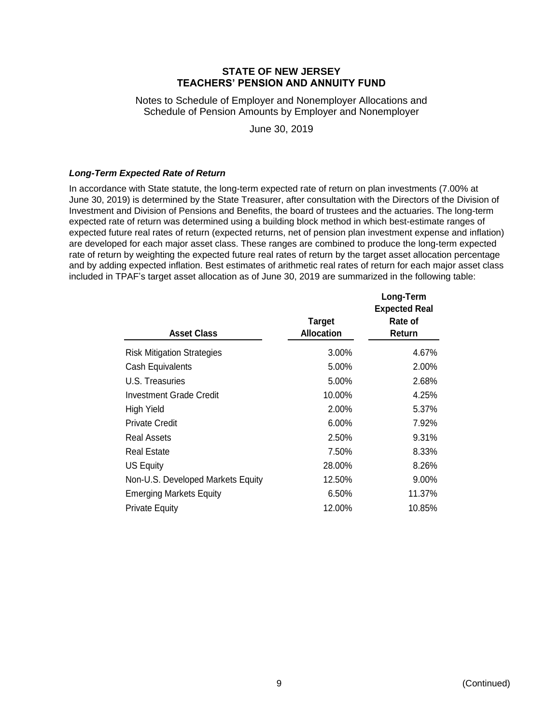Notes to Schedule of Employer and Nonemployer Allocations and Schedule of Pension Amounts by Employer and Nonemployer

June 30, 2019

### *Long-Term Expected Rate of Return*

In accordance with State statute, the long-term expected rate of return on plan investments (7.00% at June 30, 2019) is determined by the State Treasurer, after consultation with the Directors of the Division of Investment and Division of Pensions and Benefits, the board of trustees and the actuaries. The long-term expected rate of return was determined using a building block method in which best-estimate ranges of expected future real rates of return (expected returns, net of pension plan investment expense and inflation) are developed for each major asset class. These ranges are combined to produce the long-term expected rate of return by weighting the expected future real rates of return by the target asset allocation percentage and by adding expected inflation. Best estimates of arithmetic real rates of return for each major asset class included in TPAF's target asset allocation as of June 30, 2019 are summarized in the following table:

| <b>Asset Class</b>                | <b>Target</b><br><b>Allocation</b> | Long-Term<br><b>Expected Real</b><br>Rate of<br><b>Return</b> |
|-----------------------------------|------------------------------------|---------------------------------------------------------------|
| <b>Risk Mitigation Strategies</b> | $3.00\%$                           | 4.67%                                                         |
| Cash Equivalents                  | 5.00%                              | 2.00%                                                         |
| U.S. Treasuries                   | 5.00%                              | 2.68%                                                         |
| Investment Grade Credit           | 10.00%                             | 4.25%                                                         |
| High Yield                        | 2.00%                              | 5.37%                                                         |
| <b>Private Credit</b>             | 6.00%                              | 7.92%                                                         |
| Real Assets                       | 2.50%                              | 9.31%                                                         |
| <b>Real Estate</b>                | 7.50%                              | 8.33%                                                         |
| US Equity                         | 28.00%                             | 8.26%                                                         |
| Non-U.S. Developed Markets Equity | 12.50%                             | $9.00\%$                                                      |
| <b>Emerging Markets Equity</b>    | 6.50%                              | 11.37%                                                        |
| <b>Private Equity</b>             | 12.00%                             | 10.85%                                                        |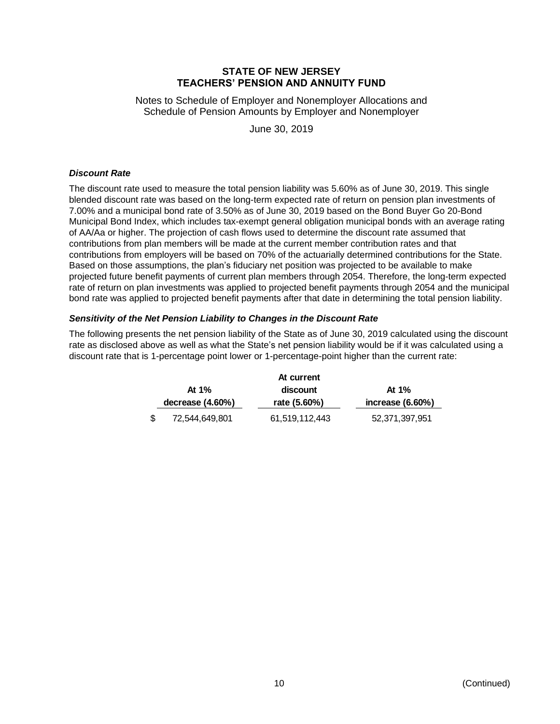Notes to Schedule of Employer and Nonemployer Allocations and Schedule of Pension Amounts by Employer and Nonemployer

June 30, 2019

### *Discount Rate*

The discount rate used to measure the total pension liability was 5.60% as of June 30, 2019. This single blended discount rate was based on the long-term expected rate of return on pension plan investments of 7.00% and a municipal bond rate of 3.50% as of June 30, 2019 based on the Bond Buyer Go 20-Bond Municipal Bond Index, which includes tax-exempt general obligation municipal bonds with an average rating of AA/Aa or higher. The projection of cash flows used to determine the discount rate assumed that contributions from plan members will be made at the current member contribution rates and that contributions from employers will be based on 70% of the actuarially determined contributions for the State. Based on those assumptions, the plan's fiduciary net position was projected to be available to make projected future benefit payments of current plan members through 2054. Therefore, the long-term expected rate of return on plan investments was applied to projected benefit payments through 2054 and the municipal bond rate was applied to projected benefit payments after that date in determining the total pension liability.

### *Sensitivity of the Net Pension Liability to Changes in the Discount Rate*

The following presents the net pension liability of the State as of June 30, 2019 calculated using the discount rate as disclosed above as well as what the State's net pension liability would be if it was calculated using a discount rate that is 1-percentage point lower or 1-percentage-point higher than the current rate:

|    |                    | At current     |                     |
|----|--------------------|----------------|---------------------|
|    | At $1\%$           | discount       | At $1\%$            |
|    | decrease $(4.60%)$ | rate (5.60%)   | increase $(6.60\%)$ |
| S. | 72,544,649,801     | 61,519,112,443 | 52,371,397,951      |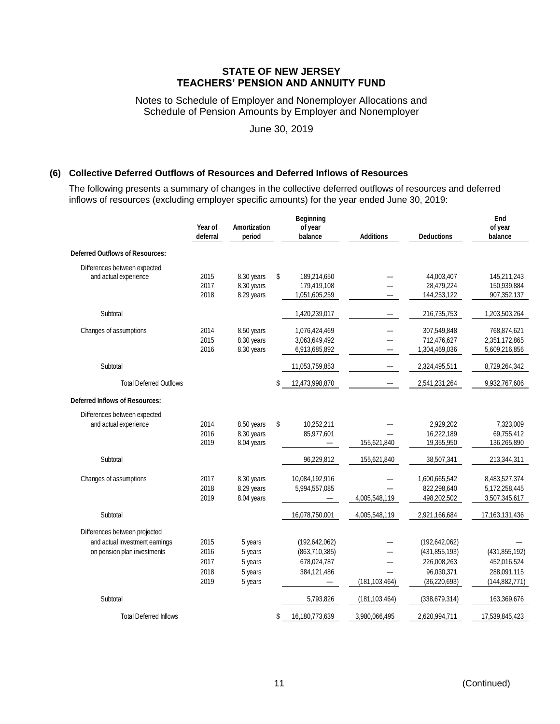Notes to Schedule of Employer and Nonemployer Allocations and Schedule of Pension Amounts by Employer and Nonemployer

June 30, 2019

### **(6) Collective Deferred Outflows of Resources and Deferred Inflows of Resources**

The following presents a summary of changes in the collective deferred outflows of resources and deferred inflows of resources (excluding employer specific amounts) for the year ended June 30, 2019:

|                                                                                                | Year of<br>deferral                  | Amortization<br>period                              | <b>Beginning</b><br>of year<br>balance                         | <b>Additions</b> | <b>Deductions</b>                                                               | End<br>of year<br>balance                                        |
|------------------------------------------------------------------------------------------------|--------------------------------------|-----------------------------------------------------|----------------------------------------------------------------|------------------|---------------------------------------------------------------------------------|------------------------------------------------------------------|
| <b>Deferred Outflows of Resources:</b>                                                         |                                      |                                                     |                                                                |                  |                                                                                 |                                                                  |
| Differences between expected<br>and actual experience                                          | 2015<br>2017<br>2018                 | 8.30 years<br>8.30 years<br>8.29 years              | \$<br>189,214,650<br>179,419,108<br>1,051,605,259              |                  | 44,003,407<br>28,479,224<br>144,253,122                                         | 145,211,243<br>150,939,884<br>907,352,137                        |
| Subtotal                                                                                       |                                      |                                                     | 1,420,239,017                                                  |                  | 216,735,753                                                                     | 1,203,503,264                                                    |
| Changes of assumptions                                                                         | 2014<br>2015<br>2016                 | 8.50 years<br>8.30 years<br>8.30 years              | 1,076,424,469<br>3,063,649,492<br>6,913,685,892                |                  | 307,549,848<br>712,476,627<br>1,304,469,036                                     | 768,874,621<br>2,351,172,865<br>5,609,216,856                    |
| Subtotal                                                                                       |                                      |                                                     | 11,053,759,853                                                 |                  | 2,324,495,511                                                                   | 8,729,264,342                                                    |
| <b>Total Deferred Outflows</b>                                                                 |                                      |                                                     | \$<br>12,473,998,870                                           |                  | 2,541,231,264                                                                   | 9,932,767,606                                                    |
| <b>Deferred Inflows of Resources:</b>                                                          |                                      |                                                     |                                                                |                  |                                                                                 |                                                                  |
| Differences between expected<br>and actual experience                                          | 2014<br>2016<br>2019                 | 8.50 years<br>8.30 years<br>8.04 years              | \$<br>10,252,211<br>85,977,601                                 | 155,621,840      | 2,929,202<br>16,222,189<br>19,355,950                                           | 7,323,009<br>69,755,412<br>136,265,890                           |
| Subtotal                                                                                       |                                      |                                                     | 96,229,812                                                     | 155,621,840      | 38,507,341                                                                      | 213,344,311                                                      |
| Changes of assumptions                                                                         | 2017<br>2018<br>2019                 | 8.30 years<br>8.29 years<br>8.04 years              | 10,084,192,916<br>5,994,557,085                                | 4,005,548,119    | 1,600,665,542<br>822,298,640<br>498,202,502                                     | 8,483,527,374<br>5,172,258,445<br>3,507,345,617                  |
| Subtotal                                                                                       |                                      |                                                     | 16,078,750,001                                                 | 4,005,548,119    | 2,921,166,684                                                                   | 17, 163, 131, 436                                                |
| Differences between projected<br>and actual investment earnings<br>on pension plan investments | 2015<br>2016<br>2017<br>2018<br>2019 | 5 years<br>5 years<br>5 years<br>5 years<br>5 years | (192, 642, 062)<br>(863,710,385)<br>678,024,787<br>384,121,486 | (181, 103, 464)  | (192, 642, 062)<br>(431.855.193)<br>226,008,263<br>96,030,371<br>(36, 220, 693) | (431, 855, 192)<br>452,016,524<br>288,091,115<br>(144, 882, 771) |
| Subtotal                                                                                       |                                      |                                                     | 5,793,826                                                      | (181, 103, 464)  | (338, 679, 314)                                                                 | 163,369,676                                                      |
| <b>Total Deferred Inflows</b>                                                                  |                                      |                                                     | \$<br>16,180,773,639                                           | 3,980,066,495    | 2,620,994,711                                                                   | 17,539,845,423                                                   |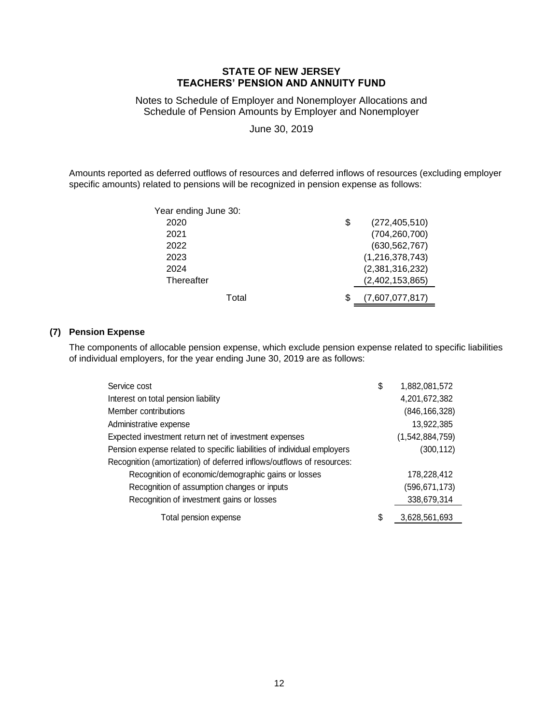Notes to Schedule of Employer and Nonemployer Allocations and Schedule of Pension Amounts by Employer and Nonemployer

June 30, 2019

Amounts reported as deferred outflows of resources and deferred inflows of resources (excluding employer specific amounts) related to pensions will be recognized in pension expense as follows:

| Year ending June 30: |                       |
|----------------------|-----------------------|
| 2020                 | \$<br>(272, 405, 510) |
| 2021                 | (704, 260, 700)       |
| 2022                 | (630, 562, 767)       |
| 2023                 | (1,216,378,743)       |
| 2024                 | (2,381,316,232)       |
| Thereafter           | (2,402,153,865)       |
| Total                | (7,607,077,817)       |

# **(7) Pension Expense**

The components of allocable pension expense, which exclude pension expense related to specific liabilities of individual employers, for the year ending June 30, 2019 are as follows:

| Service cost                                                            | \$ | 1,882,081,572   |
|-------------------------------------------------------------------------|----|-----------------|
| Interest on total pension liability                                     |    | 4,201,672,382   |
| Member contributions                                                    |    | (846, 166, 328) |
| Administrative expense                                                  |    | 13,922,385      |
| Expected investment return net of investment expenses                   |    | (1,542,884,759) |
| Pension expense related to specific liabilities of individual employers |    | (300, 112)      |
| Recognition (amortization) of deferred inflows/outflows of resources:   |    |                 |
| Recognition of economic/demographic gains or losses                     |    | 178,228,412     |
| Recognition of assumption changes or inputs                             |    | (596,671,173)   |
| Recognition of investment gains or losses                               |    | 338,679,314     |
| Total pension expense                                                   | S  | 3,628,561,693   |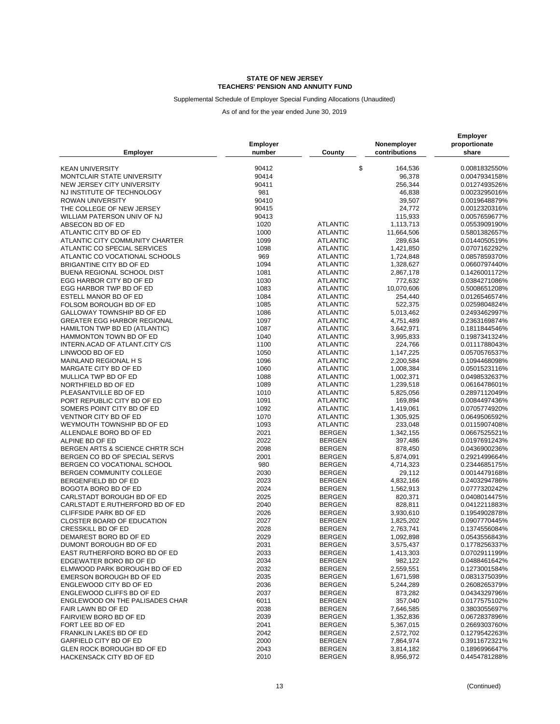Supplemental Schedule of Employer Special Funding Allocations (Unaudited)

| <b>Employer</b>                    | <b>Employer</b><br>number | County          | Nonemployer<br>contributions | <b>Employer</b><br>proportionate<br>share |
|------------------------------------|---------------------------|-----------------|------------------------------|-------------------------------------------|
| <b>KEAN UNIVERSITY</b>             | 90412                     | \$              | 164,536                      | 0.0081832550%                             |
| MONTCLAIR STATE UNIVERSITY         | 90414                     |                 | 96,378                       | 0.0047934158%                             |
| NEW JERSEY CITY UNIVERSITY         | 90411                     |                 | 256,344                      | 0.0127493526%                             |
| NJ INSTITUTE OF TECHNOLOGY         | 981                       |                 | 46,838                       | 0.0023295016%                             |
| ROWAN UNIVERSITY                   | 90410                     |                 | 39,507                       | 0.0019648879%                             |
| THE COLLEGE OF NEW JERSEY          | 90415                     |                 | 24,772                       | 0.0012320316%                             |
| WILLIAM PATERSON UNIV OF NJ        | 90413                     |                 | 115,933                      | 0.0057659677%                             |
| ABSECON BD OF ED                   | 1020                      | <b>ATLANTIC</b> | 1,113,713                    | 0.0553909190%                             |
| ATLANTIC CITY BD OF ED             | 1000                      | <b>ATLANTIC</b> | 11,664,506                   | 0.5801382657%                             |
| ATLANTIC CITY COMMUNITY CHARTER    | 1099                      | <b>ATLANTIC</b> | 289,634                      | 0.0144050519%                             |
| ATLANTIC CO SPECIAL SERVICES       | 1098                      | <b>ATLANTIC</b> | 1,421,850                    | 0.0707162292%                             |
| ATLANTIC CO VOCATIONAL SCHOOLS     | 969                       | <b>ATLANTIC</b> | 1,724,848                    | 0.0857859370%                             |
| BRIGANTINE CITY BD OF ED           | 1094                      | <b>ATLANTIC</b> | 1,328,627                    | 0.0660797440%                             |
| BUENA REGIONAL SCHOOL DIST         | 1081                      | <b>ATLANTIC</b> | 2,867,178                    | 0.1426001172%                             |
| EGG HARBOR CITY BD OF ED           | 1030                      | <b>ATLANTIC</b> | 772,632                      | 0.0384271086%                             |
| EGG HARBOR TWP BD OF ED            | 1083                      | <b>ATLANTIC</b> | 10,070,606                   | 0.5008651208%                             |
| ESTELL MANOR BD OF ED              | 1084                      | <b>ATLANTIC</b> | 254,440                      | 0.0126546574%                             |
| FOLSOM BOROUGH BD OF ED            | 1085                      | <b>ATLANTIC</b> | 522,375                      | 0.0259804824%                             |
| GALLOWAY TOWNSHIP BD OF ED         | 1086                      | <b>ATLANTIC</b> | 5,013,462                    | 0.2493462997%                             |
| <b>GREATER EGG HARBOR REGIONAL</b> | 1097                      | <b>ATLANTIC</b> | 4,751,489                    | 0.2363169874%                             |
| HAMILTON TWP BD ED (ATLANTIC)      | 1087                      | <b>ATLANTIC</b> | 3,642,971                    | 0.1811844546%                             |
| HAMMONTON TOWN BD OF ED            | 1040                      | <b>ATLANTIC</b> | 3,995,833                    | 0.1987341324%                             |
| INTERN.ACAD OF ATLANT.CITY C/S     | 1100                      | <b>ATLANTIC</b> | 224,766                      | 0.0111788043%                             |
| LINWOOD BD OF ED                   | 1050                      | <b>ATLANTIC</b> | 1,147,225                    | 0.0570576537%                             |
| MAINLAND REGIONAL H S              | 1096                      | <b>ATLANTIC</b> | 2,200,584                    | 0.1094468098%                             |
| MARGATE CITY BD OF ED              | 1060                      | <b>ATLANTIC</b> | 1,008,384                    | 0.0501523116%                             |
| MULLICA TWP BD OF ED               | 1088                      | <b>ATLANTIC</b> | 1,002,371                    | 0.0498532637%                             |
| NORTHFIELD BD OF ED                | 1089                      | <b>ATLANTIC</b> | 1,239,518                    | 0.0616478601%                             |
| PLEASANTVILLE BD OF ED             | 1010                      | <b>ATLANTIC</b> | 5,825,056                    | 0.2897112049%                             |
| PORT REPUBLIC CITY BD OF ED        | 1091                      | <b>ATLANTIC</b> | 169,894                      | 0.0084497436%                             |
| SOMERS POINT CITY BD OF ED         | 1092                      | <b>ATLANTIC</b> | 1,419,061                    | 0.0705774920%                             |
| VENTNOR CITY BD OF ED              | 1070                      | <b>ATLANTIC</b> | 1,305,925                    | 0.0649506592%                             |
| WEYMOUTH TOWNSHIP BD OF ED         | 1093                      | <b>ATLANTIC</b> | 233,048                      | 0.0115907408%                             |
| ALLENDALE BORO BD OF ED            | 2021                      | <b>BERGEN</b>   | 1,342,155                    | 0.0667525521%                             |
| ALPINE BD OF ED                    | 2022                      | <b>BERGEN</b>   | 397,486                      | 0.0197691243%                             |
| BERGEN ARTS & SCIENCE CHRTR SCH    | 2098                      | <b>BERGEN</b>   | 878,450                      | 0.0436900236%                             |
| BERGEN CO BD OF SPECIAL SERVS      | 2001                      | <b>BERGEN</b>   | 5,874,091                    | 0.2921499664%                             |
| BERGEN CO VOCATIONAL SCHOOL        | 980                       | <b>BERGEN</b>   | 4,714,323                    | 0.2344685175%                             |
| BERGEN COMMUNITY COLLEGE           | 2030                      | <b>BERGEN</b>   | 29,112                       | 0.0014479168%                             |
| BERGENFIELD BD OF ED               | 2023                      | <b>BERGEN</b>   | 4,832,166                    | 0.2403294786%                             |
| BOGOTA BORO BD OF ED               | 2024                      | <b>BERGEN</b>   | 1,562,913                    | 0.0777320242%                             |
| CARLSTADT BOROUGH BD OF ED         | 2025                      | <b>BERGEN</b>   | 820,371                      | 0.0408014475%                             |
| CARLSTADT E.RUTHERFORD BD OF ED    | 2040                      | <b>BERGEN</b>   | 828,811                      | 0.0412211883%                             |
| <b>CLIFFSIDE PARK BD OF ED</b>     | 2026                      | <b>BERGEN</b>   | 3,930,610                    | 0.1954902878%                             |
| <b>CLOSTER BOARD OF EDUCATION</b>  | 2027                      | <b>BERGEN</b>   | 1,825,202                    | 0.0907770445%                             |
| CRESSKILL BD OF ED                 | 2028                      | <b>BERGEN</b>   | 2,763,741                    | 0.1374556084%                             |
| DEMAREST BORO BD OF ED             | 2029                      | <b>BERGEN</b>   | 1,092,898                    | 0.0543556843%                             |
| DUMONT BOROUGH BD OF ED            | 2031                      | <b>BERGEN</b>   | 3,575,437                    | 0.1778256337%                             |
| EAST RUTHERFORD BORO BD OF ED      | 2033                      | <b>BERGEN</b>   | 1,413,303                    | 0.0702911199%                             |
| EDGEWATER BORO BD OF ED            | 2034                      | <b>BERGEN</b>   | 982,122                      | 0.0488461642%                             |
| ELMWOOD PARK BOROUGH BD OF ED      | 2032                      | <b>BERGEN</b>   | 2,559,551                    | 0.1273001584%                             |
| EMERSON BOROUGH BD OF ED           | 2035                      | <b>BERGEN</b>   | 1,671,598                    | 0.0831375039%                             |
| ENGLEWOOD CITY BD OF ED            | 2036                      | <b>BERGEN</b>   | 5,244,289                    | 0.2608265379%                             |
| ENGLEWOOD CLIFFS BD OF ED          | 2037                      | <b>BERGEN</b>   | 873,282                      | 0.0434329796%                             |
| ENGLEWOOD ON THE PALISADES CHAR    | 6011                      | <b>BERGEN</b>   | 357,040                      | 0.0177575102%                             |
| FAIR LAWN BD OF ED                 | 2038                      | <b>BERGEN</b>   | 7,646,585                    | 0.3803055697%                             |
| FAIRVIEW BORO BD OF ED             | 2039                      | <b>BERGEN</b>   | 1,352,836                    | 0.0672837896%                             |
| FORT LEE BD OF ED                  | 2041                      | <b>BERGEN</b>   | 5,367,015                    | 0.2669303760%                             |
| FRANKLIN LAKES BD OF ED            | 2042                      | <b>BERGEN</b>   | 2,572,702                    | 0.1279542263%                             |
| <b>GARFIELD CITY BD OF ED</b>      | 2000                      | <b>BERGEN</b>   | 7,864,974                    | 0.3911672321%                             |
| GLEN ROCK BOROUGH BD OF ED         | 2043                      | <b>BERGEN</b>   | 3,814,182                    | 0.1896996647%                             |
| HACKENSACK CITY BD OF ED           | 2010                      | <b>BERGEN</b>   | 8,956,972                    | 0.4454781288%                             |
|                                    |                           |                 |                              |                                           |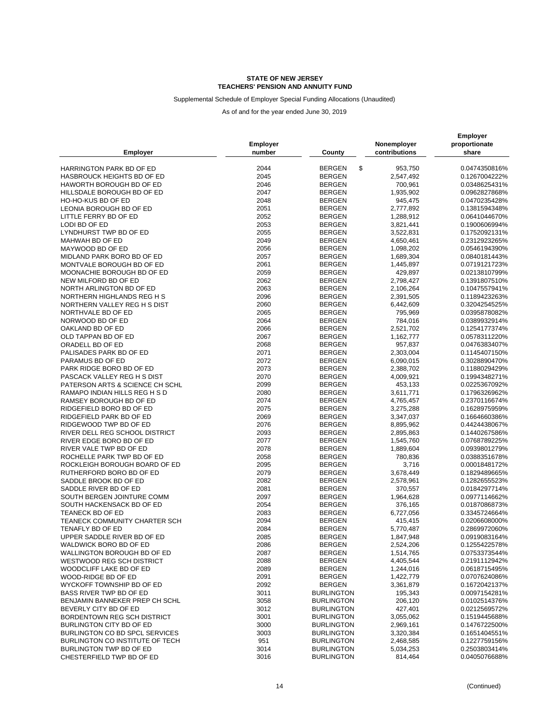Supplemental Schedule of Employer Special Funding Allocations (Unaudited)

| <b>Employer</b>                                    | Employer<br>number | County              | Nonemployer<br>contributions | <b>Employer</b><br>proportionate<br>share |
|----------------------------------------------------|--------------------|---------------------|------------------------------|-------------------------------------------|
| HARRINGTON PARK BD OF ED                           | 2044               | \$<br><b>BERGEN</b> | 953,750                      | 0.0474350816%                             |
| <b>HASBROUCK HEIGHTS BD OF ED</b>                  | 2045               | <b>BERGEN</b>       | 2,547,492                    | 0.1267004222%                             |
| <b>HAWORTH BOROUGH BD OF ED</b>                    | 2046               | <b>BERGEN</b>       | 700,961                      | 0.0348625431%                             |
| HILLSDALE BOROUGH BD OF ED                         | 2047               | <b>BERGEN</b>       | 1,935,902                    | 0.0962827868%                             |
| HO-HO-KUS BD OF ED                                 | 2048               | <b>BERGEN</b>       | 945,475                      | 0.0470235428%                             |
| LEONIA BOROUGH BD OF ED                            | 2051               | <b>BERGEN</b>       | 2,777,892                    | 0.1381594348%                             |
| LITTLE FERRY BD OF ED                              | 2052               | <b>BERGEN</b>       | 1,288,912                    | 0.0641044670%                             |
| LODI BD OF ED                                      | 2053               | <b>BERGEN</b>       | 3,821,441                    | 0.1900606994%                             |
| LYNDHURST TWP BD OF ED                             | 2055               | <b>BERGEN</b>       | 3,522,831                    | 0.1752092131%                             |
| MAHWAH BD OF ED                                    | 2049               | <b>BERGEN</b>       | 4,650,461                    | 0.2312923265%                             |
| MAYWOOD BD OF ED                                   | 2056               | <b>BERGEN</b>       | 1,098,202                    | 0.0546194390%                             |
| MIDLAND PARK BORO BD OF ED                         | 2057               | <b>BERGEN</b>       | 1,689,304                    | 0.0840181443%                             |
| MONTVALE BOROUGH BD OF ED                          | 2061               | <b>BERGEN</b>       | 1,445,897                    | 0.0719121723%                             |
| MOONACHIE BOROUGH BD OF ED                         | 2059               | <b>BERGEN</b>       | 429,897                      | 0.0213810799%                             |
| NEW MILFORD BD OF ED                               | 2062               | <b>BERGEN</b>       | 2,798,427                    | 0.1391807510%                             |
| NORTH ARLINGTON BD OF ED                           | 2063               | <b>BERGEN</b>       | 2,106,264                    | 0.1047557941%                             |
| NORTHERN HIGHLANDS REG H S                         | 2096               | <b>BERGEN</b>       |                              | 0.1189423263%                             |
|                                                    | 2060               | <b>BERGEN</b>       | 2,391,505                    |                                           |
| NORTHERN VALLEY REG H S DIST<br>NORTHVALE BD OF ED |                    |                     | 6,442,609                    | 0.3204254525%                             |
|                                                    | 2065               | <b>BERGEN</b>       | 795,969                      | 0.0395878082%                             |
| NORWOOD BD OF ED                                   | 2064               | <b>BERGEN</b>       | 784,016                      | 0.0389932914%                             |
| OAKLAND BD OF ED                                   | 2066               | <b>BERGEN</b>       | 2,521,702                    | 0.1254177374%                             |
| OLD TAPPAN BD OF ED                                | 2067               | <b>BERGEN</b>       | 1,162,777                    | 0.0578311220%                             |
| ORADELL BD OF ED                                   | 2068               | <b>BERGEN</b>       | 957,837                      | 0.0476383407%                             |
| PALISADES PARK BD OF ED                            | 2071               | <b>BERGEN</b>       | 2,303,004                    | 0.1145407150%                             |
| PARAMUS BD OF ED                                   | 2072               | <b>BERGEN</b>       | 6,090,015                    | 0.3028890470%                             |
| PARK RIDGE BORO BD OF ED                           | 2073               | <b>BERGEN</b>       | 2,388,702                    | 0.1188029429%                             |
| PASCACK VALLEY REG H S DIST                        | 2070               | <b>BERGEN</b>       | 4,009,921                    | 0.1994348271%                             |
| PATERSON ARTS & SCIENCE CH SCHL                    | 2099               | <b>BERGEN</b>       | 453,133                      | 0.0225367092%                             |
| RAMAPO INDIAN HILLS REG H S D                      | 2080               | <b>BERGEN</b>       | 3,611,771                    | 0.1796326962%                             |
| RAMSEY BOROUGH BD OF ED                            | 2074               | <b>BERGEN</b>       | 4,765,457                    | 0.2370116674%                             |
| RIDGEFIELD BORO BD OF ED                           | 2075               | <b>BERGEN</b>       | 3,275,288                    | 0.1628975959%                             |
| RIDGEFIELD PARK BD OF ED                           | 2069               | <b>BERGEN</b>       | 3,347,037                    | 0.1664660386%                             |
| RIDGEWOOD TWP BD OF ED                             | 2076               | <b>BERGEN</b>       | 8,895,962                    | 0.4424438067%                             |
| RIVER DELL REG SCHOOL DISTRICT                     | 2093               | <b>BERGEN</b>       | 2,895,863                    | 0.1440267586%                             |
| RIVER EDGE BORO BD OF ED                           | 2077               | <b>BERGEN</b>       | 1,545,760                    | 0.0768789225%                             |
| RIVER VALE TWP BD OF ED                            | 2078               | <b>BERGEN</b>       | 1,889,604                    | 0.0939801279%                             |
| ROCHELLE PARK TWP BD OF ED                         | 2058               | <b>BERGEN</b>       | 780,836                      | 0.0388351678%                             |
| ROCKLEIGH BOROUGH BOARD OF ED                      | 2095               | <b>BERGEN</b>       | 3,716                        | 0.0001848172%                             |
| RUTHERFORD BORO BD OF ED                           | 2079               | <b>BERGEN</b>       | 3,678,449                    | 0.1829489665%                             |
| SADDLE BROOK BD OF ED                              | 2082               | <b>BERGEN</b>       | 2,578,961                    | 0.1282655523%                             |
| SADDLE RIVER BD OF ED                              | 2081               | <b>BERGEN</b>       | 370,557                      | 0.0184297714%                             |
| SOUTH BERGEN JOINTURE COMM                         | 2097               | <b>BERGEN</b>       | 1,964,628                    | 0.0977114662%                             |
| SOUTH HACKENSACK BD OF ED                          | 2054               | <b>BERGEN</b>       | 376,165                      | 0.0187086873%                             |
| TEANECK BD OF ED                                   | 2083               | <b>BERGEN</b>       | 6,727,056                    | 0.3345724664%                             |
| TEANECK COMMUNITY CHARTER SCH                      | 2094               | <b>BERGEN</b>       | 415,415                      | 0.0206608000%                             |
| TENAFLY BD OF ED                                   | 2084               | <b>BERGEN</b>       | 5,770,487                    | 0.2869972060%                             |
| UPPER SADDLE RIVER BD OF ED                        | 2085               | <b>BERGEN</b>       | 1,847,948                    | 0.0919083164%                             |
| WALDWICK BORO BD OF ED                             | 2086               | <b>BERGEN</b>       | 2,524,206                    | 0.1255422578%                             |
| WALLINGTON BOROUGH BD OF ED                        | 2087               | <b>BERGEN</b>       | 1,514,765                    | 0.0753373544%                             |
| WESTWOOD REG SCH DISTRICT                          | 2088               | <b>BERGEN</b>       | 4,405,544                    | 0.2191112942%                             |
| WOODCLIFF LAKE BD OF ED                            | 2089               | <b>BERGEN</b>       | 1,244,016                    | 0.0618715495%                             |
| WOOD-RIDGE BD OF ED                                | 2091               | <b>BERGEN</b>       | 1,422,779                    | 0.0707624086%                             |
| WYCKOFF TOWNSHIP BD OF ED                          | 2092               | <b>BERGEN</b>       | 3,361,879                    | 0.1672042137%                             |
| BASS RIVER TWP BD OF ED                            | 3011               | <b>BURLINGTON</b>   | 195,343                      | 0.0097154281%                             |
| BENJAMIN BANNEKER PREP CH SCHL                     | 3058               | <b>BURLINGTON</b>   | 206,120                      | 0.0102514376%                             |
| BEVERLY CITY BD OF ED                              | 3012               | <b>BURLINGTON</b>   | 427,401                      | 0.0212569572%                             |
| BORDENTOWN REG SCH DISTRICT                        | 3001               | <b>BURLINGTON</b>   | 3,055,062                    | 0.1519445688%                             |
| BURLINGTON CITY BD OF ED                           | 3000               | <b>BURLINGTON</b>   | 2,969,161                    | 0.1476722500%                             |
| BURLINGTON CO BD SPCL SERVICES                     | 3003               | <b>BURLINGTON</b>   | 3,320,384                    | 0.1651404551%                             |
| BURLINGTON CO INSTITUTE OF TECH                    | 951                | <b>BURLINGTON</b>   | 2,468,585                    | 0.1227759156%                             |
| BURLINGTON TWP BD OF ED                            | 3014               | <b>BURLINGTON</b>   | 5,034,253                    | 0.2503803414%                             |
| CHESTERFIELD TWP BD OF ED                          | 3016               | <b>BURLINGTON</b>   | 814,464                      | 0.0405076688%                             |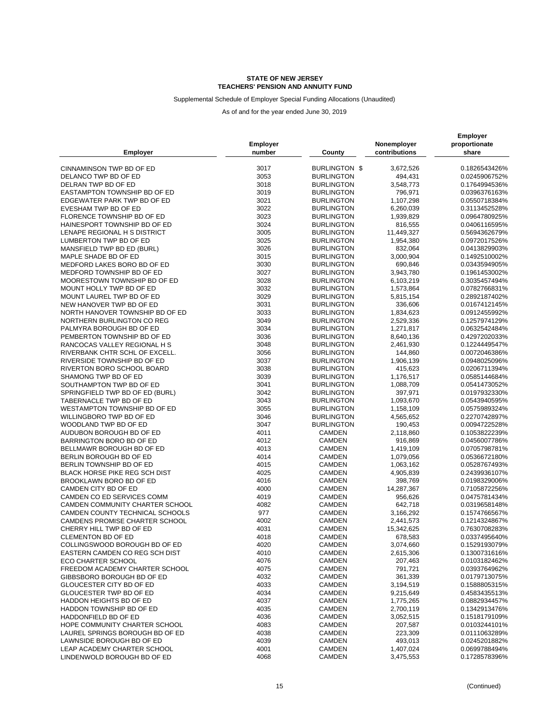### Supplemental Schedule of Employer Special Funding Allocations (Unaudited)

| CINNAMINSON TWP BD OF ED<br>3017<br>BURLINGTON \$<br>3,672,526<br>0.1826543426%<br>DELANCO TWP BD OF ED<br>3053<br><b>BURLINGTON</b><br>494,431<br>0.0245906752%<br>DELRAN TWP BD OF ED<br>3018<br><b>BURLINGTON</b><br>3,548,773<br>0.1764994536%<br>3019<br><b>BURLINGTON</b><br>796,971<br>0.0396376163%<br>EASTAMPTON TOWNSHIP BD OF ED<br>3021<br>EDGEWATER PARK TWP BD OF ED<br><b>BURLINGTON</b><br>1,107,298<br>0.0550718384%<br>3022<br>EVESHAM TWP BD OF ED<br><b>BURLINGTON</b><br>6,260,039<br>0.3113452528%<br>FLORENCE TOWNSHIP BD OF ED<br>3023<br><b>BURLINGTON</b><br>1,939,829<br>0.0964780925%<br>HAINESPORT TOWNSHIP BD OF ED<br>3024<br><b>BURLINGTON</b><br>816,555<br>0.0406116595%<br>LENAPE REGIONAL H S DISTRICT<br>3005<br><b>BURLINGTON</b><br>11,449,327<br>0.5694362679%<br>3025<br><b>BURLINGTON</b><br>0.0972017526%<br>LUMBERTON TWP BD OF ED<br>1,954,380<br>3026<br>MANSFIELD TWP BD ED (BURL)<br><b>BURLINGTON</b><br>832,064<br>0.0413829903%<br>3015<br><b>BURLINGTON</b><br>3,000,904<br>0.1492510002%<br>MAPLE SHADE BD OF ED<br>MEDFORD LAKES BORO BD OF ED<br>3030<br><b>BURLINGTON</b><br>690,846<br>0.0343594905%<br>MEDFORD TOWNSHIP BD OF ED<br>3027<br><b>BURLINGTON</b><br>3,943,780<br>0.1961453002%<br>3028<br><b>BURLINGTON</b><br>MOORESTOWN TOWNSHIP BD OF ED<br>6,103,219<br>0.3035457494%<br>MOUNT HOLLY TWP BD OF ED<br>3032<br><b>BURLINGTON</b><br>1,573,864<br>0.0782766831%<br>3029<br>MOUNT LAUREL TWP BD OF ED<br><b>BURLINGTON</b><br>0.2892187402%<br>5,815,154<br>3031<br><b>BURLINGTON</b><br>336,606<br>0.0167412145%<br>NEW HANOVER TWP BD OF ED<br>3033<br>NORTH HANOVER TOWNSHIP BD OF ED<br><b>BURLINGTON</b><br>1,834,623<br>0.0912455992%<br>NORTHERN BURLINGTON CO REG<br>3049<br><b>BURLINGTON</b><br>2,529,336<br>0.1257974129%<br>3034<br><b>BURLINGTON</b><br>PALMYRA BOROUGH BD OF ED<br>1,271,817<br>0.0632542484%<br>PEMBERTON TOWNSHIP BD OF ED<br>3036<br><b>BURLINGTON</b><br>0.4297202033%<br>8,640,136<br>3048<br>RANCOCAS VALLEY REGIONAL H S<br><b>BURLINGTON</b><br>2,461,930<br>0.1224449547%<br>RIVERBANK CHTR SCHL OF EXCELL.<br>3056<br><b>BURLINGTON</b><br>144,860<br>0.0072046386%<br>RIVERSIDE TOWNSHIP BD OF ED<br>3037<br><b>BURLINGTON</b><br>1,906,139<br>0.0948025096%<br>3038<br><b>BURLINGTON</b><br>415,623<br>RIVERTON BORO SCHOOL BOARD<br>0.0206711394%<br>SHAMONG TWP BD OF ED<br>3039<br><b>BURLINGTON</b><br>1,176,517<br>0.0585144684%<br>SOUTHAMPTON TWP BD OF ED<br>3041<br>0.0541473052%<br><b>BURLINGTON</b><br>1,088,709<br>3042<br><b>BURLINGTON</b><br>397,971<br>0.0197932330%<br>SPRINGFIELD TWP BD OF ED (BURL)<br>TABERNACLE TWP BD OF ED<br>3043<br><b>BURLINGTON</b><br>1,093,670<br>0.0543940595%<br>WESTAMPTON TOWNSHIP BD OF ED<br>3055<br><b>BURLINGTON</b><br>0.0575989324%<br>1,158,109<br>3046<br><b>BURLINGTON</b><br>0.2270742897%<br>WILLINGBORO TWP BD OF ED<br>4,565,652<br>WOODLAND TWP BD OF ED<br>3047<br><b>BURLINGTON</b><br>0.0094722528%<br>190,453<br>AUDUBON BOROUGH BD OF ED<br>4011<br>CAMDEN<br>2,118,860<br>0.1053822239%<br>4012<br><b>CAMDEN</b><br>916,869<br>0.0456007786%<br>BARRINGTON BORO BD OF ED<br>4013<br>BELLMAWR BOROUGH BD OF ED<br>CAMDEN<br>1,419,109<br>0.0705798781%<br>BERLIN BOROUGH BD OF ED<br>4014<br><b>CAMDEN</b><br>1,079,056<br>0.0536672180%<br>BERLIN TOWNSHIP BD OF ED<br>4015<br><b>CAMDEN</b><br>1,063,162<br>0.0528767493%<br><b>BLACK HORSE PIKE REG SCH DIST</b><br>4025<br>CAMDEN<br>0.2439936107%<br>4,905,839<br>4016<br>BROOKLAWN BORO BD OF ED<br>CAMDEN<br>398,769<br>0.0198329006%<br>CAMDEN CITY BD OF ED<br>4000<br><b>CAMDEN</b><br>14,287,367<br>0.7105872256%<br>CAMDEN CO ED SERVICES COMM<br>4019<br><b>CAMDEN</b><br>956,626<br>0.0475781434%<br>4082<br><b>CAMDEN</b><br>642,718<br>0.0319658148%<br>CAMDEN COMMUNITY CHARTER SCHOOL<br>CAMDEN COUNTY TECHNICAL SCHOOLS<br>977<br><b>CAMDEN</b><br>3,166,292<br>0.1574766567%<br>CAMDENS PROMISE CHARTER SCHOOL<br>4002<br>CAMDEN<br>2,441,573<br>0.1214324867%<br>4031<br><b>CAMDEN</b><br>15,342,625<br>0.7630708283%<br>CHERRY HILL TWP BD OF ED<br>4018<br>CAMDEN<br>678,583<br>0.0337495640%<br><b>CLEMENTON BD OF ED</b><br>COLLINGSWOOD BOROUGH BD OF ED<br>CAMDEN<br>4020<br>3,074,660<br>0.1529193079%<br>EASTERN CAMDEN CO REG SCH DIST<br>4010<br>CAMDEN<br>2,615,306<br>0.1300731616%<br>4076<br><b>ECO CHARTER SCHOOL</b><br>CAMDEN<br>207,463<br>0.0103182462%<br>4075<br>791,721<br>FREEDOM ACADEMY CHARTER SCHOOL<br>CAMDEN<br>0.0393764962%<br>GIBBSBORO BOROUGH BD OF ED<br>4032<br><b>CAMDEN</b><br>361,339<br>0.0179713075%<br>GLOUCESTER CITY BD OF ED<br>4033<br>CAMDEN<br>3,194,519<br>0.1588805315%<br>GLOUCESTER TWP BD OF ED<br>4034<br>CAMDEN<br>9,215,649<br>0.4583435513%<br>4037<br>HADDON HEIGHTS BD OF ED<br>CAMDEN<br>0.0882934457%<br>1,775,265<br>HADDON TOWNSHIP BD OF ED<br>4035<br>CAMDEN<br>0.1342913476%<br>2,700,119<br>4036<br>CAMDEN<br>0.1518179109%<br>HADDONFIELD BD OF ED<br>3,052,515<br>HOPE COMMUNITY CHARTER SCHOOL<br>4083<br>CAMDEN<br>207,587<br>0.0103244101%<br>LAUREL SPRINGS BOROUGH BD OF ED<br>4038<br>CAMDEN<br>223,309<br>0.0111063289%<br>4039<br>CAMDEN<br>493,013<br>LAWNSIDE BOROUGH BD OF ED<br>0.0245201882%<br>LEAP ACADEMY CHARTER SCHOOL<br>4001<br><b>CAMDEN</b><br>1,407,024<br>0.0699788494%<br>LINDENWOLD BOROUGH BD OF ED<br>4068<br>CAMDEN<br>3,475,553<br>0.1728578396% | <b>Employer</b> | Employer<br>number | County | Nonemployer<br>contributions | <b>Employer</b><br>proportionate<br>share |
|-----------------------------------------------------------------------------------------------------------------------------------------------------------------------------------------------------------------------------------------------------------------------------------------------------------------------------------------------------------------------------------------------------------------------------------------------------------------------------------------------------------------------------------------------------------------------------------------------------------------------------------------------------------------------------------------------------------------------------------------------------------------------------------------------------------------------------------------------------------------------------------------------------------------------------------------------------------------------------------------------------------------------------------------------------------------------------------------------------------------------------------------------------------------------------------------------------------------------------------------------------------------------------------------------------------------------------------------------------------------------------------------------------------------------------------------------------------------------------------------------------------------------------------------------------------------------------------------------------------------------------------------------------------------------------------------------------------------------------------------------------------------------------------------------------------------------------------------------------------------------------------------------------------------------------------------------------------------------------------------------------------------------------------------------------------------------------------------------------------------------------------------------------------------------------------------------------------------------------------------------------------------------------------------------------------------------------------------------------------------------------------------------------------------------------------------------------------------------------------------------------------------------------------------------------------------------------------------------------------------------------------------------------------------------------------------------------------------------------------------------------------------------------------------------------------------------------------------------------------------------------------------------------------------------------------------------------------------------------------------------------------------------------------------------------------------------------------------------------------------------------------------------------------------------------------------------------------------------------------------------------------------------------------------------------------------------------------------------------------------------------------------------------------------------------------------------------------------------------------------------------------------------------------------------------------------------------------------------------------------------------------------------------------------------------------------------------------------------------------------------------------------------------------------------------------------------------------------------------------------------------------------------------------------------------------------------------------------------------------------------------------------------------------------------------------------------------------------------------------------------------------------------------------------------------------------------------------------------------------------------------------------------------------------------------------------------------------------------------------------------------------------------------------------------------------------------------------------------------------------------------------------------------------------------------------------------------------------------------------------------------------------------------------------------------------------------------------------------------------------------------------------------------------------------------------------------------------------------------------------------------------------------------------------------------------------------------------------------------------------------------------------------------------------------------------------------------------------------------------------------------------------------------------------------------------------------------------------------------------------------------------------------------------------------------------------------------------------------------------------------------------------------------------------|-----------------|--------------------|--------|------------------------------|-------------------------------------------|
|                                                                                                                                                                                                                                                                                                                                                                                                                                                                                                                                                                                                                                                                                                                                                                                                                                                                                                                                                                                                                                                                                                                                                                                                                                                                                                                                                                                                                                                                                                                                                                                                                                                                                                                                                                                                                                                                                                                                                                                                                                                                                                                                                                                                                                                                                                                                                                                                                                                                                                                                                                                                                                                                                                                                                                                                                                                                                                                                                                                                                                                                                                                                                                                                                                                                                                                                                                                                                                                                                                                                                                                                                                                                                                                                                                                                                                                                                                                                                                                                                                                                                                                                                                                                                                                                                                                                                                                                                                                                                                                                                                                                                                                                                                                                                                                                                                                                                                                                                                                                                                                                                                                                                                                                                                                                                                                                                                                                                 |                 |                    |        |                              |                                           |
|                                                                                                                                                                                                                                                                                                                                                                                                                                                                                                                                                                                                                                                                                                                                                                                                                                                                                                                                                                                                                                                                                                                                                                                                                                                                                                                                                                                                                                                                                                                                                                                                                                                                                                                                                                                                                                                                                                                                                                                                                                                                                                                                                                                                                                                                                                                                                                                                                                                                                                                                                                                                                                                                                                                                                                                                                                                                                                                                                                                                                                                                                                                                                                                                                                                                                                                                                                                                                                                                                                                                                                                                                                                                                                                                                                                                                                                                                                                                                                                                                                                                                                                                                                                                                                                                                                                                                                                                                                                                                                                                                                                                                                                                                                                                                                                                                                                                                                                                                                                                                                                                                                                                                                                                                                                                                                                                                                                                                 |                 |                    |        |                              |                                           |
|                                                                                                                                                                                                                                                                                                                                                                                                                                                                                                                                                                                                                                                                                                                                                                                                                                                                                                                                                                                                                                                                                                                                                                                                                                                                                                                                                                                                                                                                                                                                                                                                                                                                                                                                                                                                                                                                                                                                                                                                                                                                                                                                                                                                                                                                                                                                                                                                                                                                                                                                                                                                                                                                                                                                                                                                                                                                                                                                                                                                                                                                                                                                                                                                                                                                                                                                                                                                                                                                                                                                                                                                                                                                                                                                                                                                                                                                                                                                                                                                                                                                                                                                                                                                                                                                                                                                                                                                                                                                                                                                                                                                                                                                                                                                                                                                                                                                                                                                                                                                                                                                                                                                                                                                                                                                                                                                                                                                                 |                 |                    |        |                              |                                           |
|                                                                                                                                                                                                                                                                                                                                                                                                                                                                                                                                                                                                                                                                                                                                                                                                                                                                                                                                                                                                                                                                                                                                                                                                                                                                                                                                                                                                                                                                                                                                                                                                                                                                                                                                                                                                                                                                                                                                                                                                                                                                                                                                                                                                                                                                                                                                                                                                                                                                                                                                                                                                                                                                                                                                                                                                                                                                                                                                                                                                                                                                                                                                                                                                                                                                                                                                                                                                                                                                                                                                                                                                                                                                                                                                                                                                                                                                                                                                                                                                                                                                                                                                                                                                                                                                                                                                                                                                                                                                                                                                                                                                                                                                                                                                                                                                                                                                                                                                                                                                                                                                                                                                                                                                                                                                                                                                                                                                                 |                 |                    |        |                              |                                           |
|                                                                                                                                                                                                                                                                                                                                                                                                                                                                                                                                                                                                                                                                                                                                                                                                                                                                                                                                                                                                                                                                                                                                                                                                                                                                                                                                                                                                                                                                                                                                                                                                                                                                                                                                                                                                                                                                                                                                                                                                                                                                                                                                                                                                                                                                                                                                                                                                                                                                                                                                                                                                                                                                                                                                                                                                                                                                                                                                                                                                                                                                                                                                                                                                                                                                                                                                                                                                                                                                                                                                                                                                                                                                                                                                                                                                                                                                                                                                                                                                                                                                                                                                                                                                                                                                                                                                                                                                                                                                                                                                                                                                                                                                                                                                                                                                                                                                                                                                                                                                                                                                                                                                                                                                                                                                                                                                                                                                                 |                 |                    |        |                              |                                           |
|                                                                                                                                                                                                                                                                                                                                                                                                                                                                                                                                                                                                                                                                                                                                                                                                                                                                                                                                                                                                                                                                                                                                                                                                                                                                                                                                                                                                                                                                                                                                                                                                                                                                                                                                                                                                                                                                                                                                                                                                                                                                                                                                                                                                                                                                                                                                                                                                                                                                                                                                                                                                                                                                                                                                                                                                                                                                                                                                                                                                                                                                                                                                                                                                                                                                                                                                                                                                                                                                                                                                                                                                                                                                                                                                                                                                                                                                                                                                                                                                                                                                                                                                                                                                                                                                                                                                                                                                                                                                                                                                                                                                                                                                                                                                                                                                                                                                                                                                                                                                                                                                                                                                                                                                                                                                                                                                                                                                                 |                 |                    |        |                              |                                           |
|                                                                                                                                                                                                                                                                                                                                                                                                                                                                                                                                                                                                                                                                                                                                                                                                                                                                                                                                                                                                                                                                                                                                                                                                                                                                                                                                                                                                                                                                                                                                                                                                                                                                                                                                                                                                                                                                                                                                                                                                                                                                                                                                                                                                                                                                                                                                                                                                                                                                                                                                                                                                                                                                                                                                                                                                                                                                                                                                                                                                                                                                                                                                                                                                                                                                                                                                                                                                                                                                                                                                                                                                                                                                                                                                                                                                                                                                                                                                                                                                                                                                                                                                                                                                                                                                                                                                                                                                                                                                                                                                                                                                                                                                                                                                                                                                                                                                                                                                                                                                                                                                                                                                                                                                                                                                                                                                                                                                                 |                 |                    |        |                              |                                           |
|                                                                                                                                                                                                                                                                                                                                                                                                                                                                                                                                                                                                                                                                                                                                                                                                                                                                                                                                                                                                                                                                                                                                                                                                                                                                                                                                                                                                                                                                                                                                                                                                                                                                                                                                                                                                                                                                                                                                                                                                                                                                                                                                                                                                                                                                                                                                                                                                                                                                                                                                                                                                                                                                                                                                                                                                                                                                                                                                                                                                                                                                                                                                                                                                                                                                                                                                                                                                                                                                                                                                                                                                                                                                                                                                                                                                                                                                                                                                                                                                                                                                                                                                                                                                                                                                                                                                                                                                                                                                                                                                                                                                                                                                                                                                                                                                                                                                                                                                                                                                                                                                                                                                                                                                                                                                                                                                                                                                                 |                 |                    |        |                              |                                           |
|                                                                                                                                                                                                                                                                                                                                                                                                                                                                                                                                                                                                                                                                                                                                                                                                                                                                                                                                                                                                                                                                                                                                                                                                                                                                                                                                                                                                                                                                                                                                                                                                                                                                                                                                                                                                                                                                                                                                                                                                                                                                                                                                                                                                                                                                                                                                                                                                                                                                                                                                                                                                                                                                                                                                                                                                                                                                                                                                                                                                                                                                                                                                                                                                                                                                                                                                                                                                                                                                                                                                                                                                                                                                                                                                                                                                                                                                                                                                                                                                                                                                                                                                                                                                                                                                                                                                                                                                                                                                                                                                                                                                                                                                                                                                                                                                                                                                                                                                                                                                                                                                                                                                                                                                                                                                                                                                                                                                                 |                 |                    |        |                              |                                           |
|                                                                                                                                                                                                                                                                                                                                                                                                                                                                                                                                                                                                                                                                                                                                                                                                                                                                                                                                                                                                                                                                                                                                                                                                                                                                                                                                                                                                                                                                                                                                                                                                                                                                                                                                                                                                                                                                                                                                                                                                                                                                                                                                                                                                                                                                                                                                                                                                                                                                                                                                                                                                                                                                                                                                                                                                                                                                                                                                                                                                                                                                                                                                                                                                                                                                                                                                                                                                                                                                                                                                                                                                                                                                                                                                                                                                                                                                                                                                                                                                                                                                                                                                                                                                                                                                                                                                                                                                                                                                                                                                                                                                                                                                                                                                                                                                                                                                                                                                                                                                                                                                                                                                                                                                                                                                                                                                                                                                                 |                 |                    |        |                              |                                           |
|                                                                                                                                                                                                                                                                                                                                                                                                                                                                                                                                                                                                                                                                                                                                                                                                                                                                                                                                                                                                                                                                                                                                                                                                                                                                                                                                                                                                                                                                                                                                                                                                                                                                                                                                                                                                                                                                                                                                                                                                                                                                                                                                                                                                                                                                                                                                                                                                                                                                                                                                                                                                                                                                                                                                                                                                                                                                                                                                                                                                                                                                                                                                                                                                                                                                                                                                                                                                                                                                                                                                                                                                                                                                                                                                                                                                                                                                                                                                                                                                                                                                                                                                                                                                                                                                                                                                                                                                                                                                                                                                                                                                                                                                                                                                                                                                                                                                                                                                                                                                                                                                                                                                                                                                                                                                                                                                                                                                                 |                 |                    |        |                              |                                           |
|                                                                                                                                                                                                                                                                                                                                                                                                                                                                                                                                                                                                                                                                                                                                                                                                                                                                                                                                                                                                                                                                                                                                                                                                                                                                                                                                                                                                                                                                                                                                                                                                                                                                                                                                                                                                                                                                                                                                                                                                                                                                                                                                                                                                                                                                                                                                                                                                                                                                                                                                                                                                                                                                                                                                                                                                                                                                                                                                                                                                                                                                                                                                                                                                                                                                                                                                                                                                                                                                                                                                                                                                                                                                                                                                                                                                                                                                                                                                                                                                                                                                                                                                                                                                                                                                                                                                                                                                                                                                                                                                                                                                                                                                                                                                                                                                                                                                                                                                                                                                                                                                                                                                                                                                                                                                                                                                                                                                                 |                 |                    |        |                              |                                           |
|                                                                                                                                                                                                                                                                                                                                                                                                                                                                                                                                                                                                                                                                                                                                                                                                                                                                                                                                                                                                                                                                                                                                                                                                                                                                                                                                                                                                                                                                                                                                                                                                                                                                                                                                                                                                                                                                                                                                                                                                                                                                                                                                                                                                                                                                                                                                                                                                                                                                                                                                                                                                                                                                                                                                                                                                                                                                                                                                                                                                                                                                                                                                                                                                                                                                                                                                                                                                                                                                                                                                                                                                                                                                                                                                                                                                                                                                                                                                                                                                                                                                                                                                                                                                                                                                                                                                                                                                                                                                                                                                                                                                                                                                                                                                                                                                                                                                                                                                                                                                                                                                                                                                                                                                                                                                                                                                                                                                                 |                 |                    |        |                              |                                           |
|                                                                                                                                                                                                                                                                                                                                                                                                                                                                                                                                                                                                                                                                                                                                                                                                                                                                                                                                                                                                                                                                                                                                                                                                                                                                                                                                                                                                                                                                                                                                                                                                                                                                                                                                                                                                                                                                                                                                                                                                                                                                                                                                                                                                                                                                                                                                                                                                                                                                                                                                                                                                                                                                                                                                                                                                                                                                                                                                                                                                                                                                                                                                                                                                                                                                                                                                                                                                                                                                                                                                                                                                                                                                                                                                                                                                                                                                                                                                                                                                                                                                                                                                                                                                                                                                                                                                                                                                                                                                                                                                                                                                                                                                                                                                                                                                                                                                                                                                                                                                                                                                                                                                                                                                                                                                                                                                                                                                                 |                 |                    |        |                              |                                           |
|                                                                                                                                                                                                                                                                                                                                                                                                                                                                                                                                                                                                                                                                                                                                                                                                                                                                                                                                                                                                                                                                                                                                                                                                                                                                                                                                                                                                                                                                                                                                                                                                                                                                                                                                                                                                                                                                                                                                                                                                                                                                                                                                                                                                                                                                                                                                                                                                                                                                                                                                                                                                                                                                                                                                                                                                                                                                                                                                                                                                                                                                                                                                                                                                                                                                                                                                                                                                                                                                                                                                                                                                                                                                                                                                                                                                                                                                                                                                                                                                                                                                                                                                                                                                                                                                                                                                                                                                                                                                                                                                                                                                                                                                                                                                                                                                                                                                                                                                                                                                                                                                                                                                                                                                                                                                                                                                                                                                                 |                 |                    |        |                              |                                           |
|                                                                                                                                                                                                                                                                                                                                                                                                                                                                                                                                                                                                                                                                                                                                                                                                                                                                                                                                                                                                                                                                                                                                                                                                                                                                                                                                                                                                                                                                                                                                                                                                                                                                                                                                                                                                                                                                                                                                                                                                                                                                                                                                                                                                                                                                                                                                                                                                                                                                                                                                                                                                                                                                                                                                                                                                                                                                                                                                                                                                                                                                                                                                                                                                                                                                                                                                                                                                                                                                                                                                                                                                                                                                                                                                                                                                                                                                                                                                                                                                                                                                                                                                                                                                                                                                                                                                                                                                                                                                                                                                                                                                                                                                                                                                                                                                                                                                                                                                                                                                                                                                                                                                                                                                                                                                                                                                                                                                                 |                 |                    |        |                              |                                           |
|                                                                                                                                                                                                                                                                                                                                                                                                                                                                                                                                                                                                                                                                                                                                                                                                                                                                                                                                                                                                                                                                                                                                                                                                                                                                                                                                                                                                                                                                                                                                                                                                                                                                                                                                                                                                                                                                                                                                                                                                                                                                                                                                                                                                                                                                                                                                                                                                                                                                                                                                                                                                                                                                                                                                                                                                                                                                                                                                                                                                                                                                                                                                                                                                                                                                                                                                                                                                                                                                                                                                                                                                                                                                                                                                                                                                                                                                                                                                                                                                                                                                                                                                                                                                                                                                                                                                                                                                                                                                                                                                                                                                                                                                                                                                                                                                                                                                                                                                                                                                                                                                                                                                                                                                                                                                                                                                                                                                                 |                 |                    |        |                              |                                           |
|                                                                                                                                                                                                                                                                                                                                                                                                                                                                                                                                                                                                                                                                                                                                                                                                                                                                                                                                                                                                                                                                                                                                                                                                                                                                                                                                                                                                                                                                                                                                                                                                                                                                                                                                                                                                                                                                                                                                                                                                                                                                                                                                                                                                                                                                                                                                                                                                                                                                                                                                                                                                                                                                                                                                                                                                                                                                                                                                                                                                                                                                                                                                                                                                                                                                                                                                                                                                                                                                                                                                                                                                                                                                                                                                                                                                                                                                                                                                                                                                                                                                                                                                                                                                                                                                                                                                                                                                                                                                                                                                                                                                                                                                                                                                                                                                                                                                                                                                                                                                                                                                                                                                                                                                                                                                                                                                                                                                                 |                 |                    |        |                              |                                           |
|                                                                                                                                                                                                                                                                                                                                                                                                                                                                                                                                                                                                                                                                                                                                                                                                                                                                                                                                                                                                                                                                                                                                                                                                                                                                                                                                                                                                                                                                                                                                                                                                                                                                                                                                                                                                                                                                                                                                                                                                                                                                                                                                                                                                                                                                                                                                                                                                                                                                                                                                                                                                                                                                                                                                                                                                                                                                                                                                                                                                                                                                                                                                                                                                                                                                                                                                                                                                                                                                                                                                                                                                                                                                                                                                                                                                                                                                                                                                                                                                                                                                                                                                                                                                                                                                                                                                                                                                                                                                                                                                                                                                                                                                                                                                                                                                                                                                                                                                                                                                                                                                                                                                                                                                                                                                                                                                                                                                                 |                 |                    |        |                              |                                           |
|                                                                                                                                                                                                                                                                                                                                                                                                                                                                                                                                                                                                                                                                                                                                                                                                                                                                                                                                                                                                                                                                                                                                                                                                                                                                                                                                                                                                                                                                                                                                                                                                                                                                                                                                                                                                                                                                                                                                                                                                                                                                                                                                                                                                                                                                                                                                                                                                                                                                                                                                                                                                                                                                                                                                                                                                                                                                                                                                                                                                                                                                                                                                                                                                                                                                                                                                                                                                                                                                                                                                                                                                                                                                                                                                                                                                                                                                                                                                                                                                                                                                                                                                                                                                                                                                                                                                                                                                                                                                                                                                                                                                                                                                                                                                                                                                                                                                                                                                                                                                                                                                                                                                                                                                                                                                                                                                                                                                                 |                 |                    |        |                              |                                           |
|                                                                                                                                                                                                                                                                                                                                                                                                                                                                                                                                                                                                                                                                                                                                                                                                                                                                                                                                                                                                                                                                                                                                                                                                                                                                                                                                                                                                                                                                                                                                                                                                                                                                                                                                                                                                                                                                                                                                                                                                                                                                                                                                                                                                                                                                                                                                                                                                                                                                                                                                                                                                                                                                                                                                                                                                                                                                                                                                                                                                                                                                                                                                                                                                                                                                                                                                                                                                                                                                                                                                                                                                                                                                                                                                                                                                                                                                                                                                                                                                                                                                                                                                                                                                                                                                                                                                                                                                                                                                                                                                                                                                                                                                                                                                                                                                                                                                                                                                                                                                                                                                                                                                                                                                                                                                                                                                                                                                                 |                 |                    |        |                              |                                           |
|                                                                                                                                                                                                                                                                                                                                                                                                                                                                                                                                                                                                                                                                                                                                                                                                                                                                                                                                                                                                                                                                                                                                                                                                                                                                                                                                                                                                                                                                                                                                                                                                                                                                                                                                                                                                                                                                                                                                                                                                                                                                                                                                                                                                                                                                                                                                                                                                                                                                                                                                                                                                                                                                                                                                                                                                                                                                                                                                                                                                                                                                                                                                                                                                                                                                                                                                                                                                                                                                                                                                                                                                                                                                                                                                                                                                                                                                                                                                                                                                                                                                                                                                                                                                                                                                                                                                                                                                                                                                                                                                                                                                                                                                                                                                                                                                                                                                                                                                                                                                                                                                                                                                                                                                                                                                                                                                                                                                                 |                 |                    |        |                              |                                           |
|                                                                                                                                                                                                                                                                                                                                                                                                                                                                                                                                                                                                                                                                                                                                                                                                                                                                                                                                                                                                                                                                                                                                                                                                                                                                                                                                                                                                                                                                                                                                                                                                                                                                                                                                                                                                                                                                                                                                                                                                                                                                                                                                                                                                                                                                                                                                                                                                                                                                                                                                                                                                                                                                                                                                                                                                                                                                                                                                                                                                                                                                                                                                                                                                                                                                                                                                                                                                                                                                                                                                                                                                                                                                                                                                                                                                                                                                                                                                                                                                                                                                                                                                                                                                                                                                                                                                                                                                                                                                                                                                                                                                                                                                                                                                                                                                                                                                                                                                                                                                                                                                                                                                                                                                                                                                                                                                                                                                                 |                 |                    |        |                              |                                           |
|                                                                                                                                                                                                                                                                                                                                                                                                                                                                                                                                                                                                                                                                                                                                                                                                                                                                                                                                                                                                                                                                                                                                                                                                                                                                                                                                                                                                                                                                                                                                                                                                                                                                                                                                                                                                                                                                                                                                                                                                                                                                                                                                                                                                                                                                                                                                                                                                                                                                                                                                                                                                                                                                                                                                                                                                                                                                                                                                                                                                                                                                                                                                                                                                                                                                                                                                                                                                                                                                                                                                                                                                                                                                                                                                                                                                                                                                                                                                                                                                                                                                                                                                                                                                                                                                                                                                                                                                                                                                                                                                                                                                                                                                                                                                                                                                                                                                                                                                                                                                                                                                                                                                                                                                                                                                                                                                                                                                                 |                 |                    |        |                              |                                           |
|                                                                                                                                                                                                                                                                                                                                                                                                                                                                                                                                                                                                                                                                                                                                                                                                                                                                                                                                                                                                                                                                                                                                                                                                                                                                                                                                                                                                                                                                                                                                                                                                                                                                                                                                                                                                                                                                                                                                                                                                                                                                                                                                                                                                                                                                                                                                                                                                                                                                                                                                                                                                                                                                                                                                                                                                                                                                                                                                                                                                                                                                                                                                                                                                                                                                                                                                                                                                                                                                                                                                                                                                                                                                                                                                                                                                                                                                                                                                                                                                                                                                                                                                                                                                                                                                                                                                                                                                                                                                                                                                                                                                                                                                                                                                                                                                                                                                                                                                                                                                                                                                                                                                                                                                                                                                                                                                                                                                                 |                 |                    |        |                              |                                           |
|                                                                                                                                                                                                                                                                                                                                                                                                                                                                                                                                                                                                                                                                                                                                                                                                                                                                                                                                                                                                                                                                                                                                                                                                                                                                                                                                                                                                                                                                                                                                                                                                                                                                                                                                                                                                                                                                                                                                                                                                                                                                                                                                                                                                                                                                                                                                                                                                                                                                                                                                                                                                                                                                                                                                                                                                                                                                                                                                                                                                                                                                                                                                                                                                                                                                                                                                                                                                                                                                                                                                                                                                                                                                                                                                                                                                                                                                                                                                                                                                                                                                                                                                                                                                                                                                                                                                                                                                                                                                                                                                                                                                                                                                                                                                                                                                                                                                                                                                                                                                                                                                                                                                                                                                                                                                                                                                                                                                                 |                 |                    |        |                              |                                           |
|                                                                                                                                                                                                                                                                                                                                                                                                                                                                                                                                                                                                                                                                                                                                                                                                                                                                                                                                                                                                                                                                                                                                                                                                                                                                                                                                                                                                                                                                                                                                                                                                                                                                                                                                                                                                                                                                                                                                                                                                                                                                                                                                                                                                                                                                                                                                                                                                                                                                                                                                                                                                                                                                                                                                                                                                                                                                                                                                                                                                                                                                                                                                                                                                                                                                                                                                                                                                                                                                                                                                                                                                                                                                                                                                                                                                                                                                                                                                                                                                                                                                                                                                                                                                                                                                                                                                                                                                                                                                                                                                                                                                                                                                                                                                                                                                                                                                                                                                                                                                                                                                                                                                                                                                                                                                                                                                                                                                                 |                 |                    |        |                              |                                           |
|                                                                                                                                                                                                                                                                                                                                                                                                                                                                                                                                                                                                                                                                                                                                                                                                                                                                                                                                                                                                                                                                                                                                                                                                                                                                                                                                                                                                                                                                                                                                                                                                                                                                                                                                                                                                                                                                                                                                                                                                                                                                                                                                                                                                                                                                                                                                                                                                                                                                                                                                                                                                                                                                                                                                                                                                                                                                                                                                                                                                                                                                                                                                                                                                                                                                                                                                                                                                                                                                                                                                                                                                                                                                                                                                                                                                                                                                                                                                                                                                                                                                                                                                                                                                                                                                                                                                                                                                                                                                                                                                                                                                                                                                                                                                                                                                                                                                                                                                                                                                                                                                                                                                                                                                                                                                                                                                                                                                                 |                 |                    |        |                              |                                           |
|                                                                                                                                                                                                                                                                                                                                                                                                                                                                                                                                                                                                                                                                                                                                                                                                                                                                                                                                                                                                                                                                                                                                                                                                                                                                                                                                                                                                                                                                                                                                                                                                                                                                                                                                                                                                                                                                                                                                                                                                                                                                                                                                                                                                                                                                                                                                                                                                                                                                                                                                                                                                                                                                                                                                                                                                                                                                                                                                                                                                                                                                                                                                                                                                                                                                                                                                                                                                                                                                                                                                                                                                                                                                                                                                                                                                                                                                                                                                                                                                                                                                                                                                                                                                                                                                                                                                                                                                                                                                                                                                                                                                                                                                                                                                                                                                                                                                                                                                                                                                                                                                                                                                                                                                                                                                                                                                                                                                                 |                 |                    |        |                              |                                           |
|                                                                                                                                                                                                                                                                                                                                                                                                                                                                                                                                                                                                                                                                                                                                                                                                                                                                                                                                                                                                                                                                                                                                                                                                                                                                                                                                                                                                                                                                                                                                                                                                                                                                                                                                                                                                                                                                                                                                                                                                                                                                                                                                                                                                                                                                                                                                                                                                                                                                                                                                                                                                                                                                                                                                                                                                                                                                                                                                                                                                                                                                                                                                                                                                                                                                                                                                                                                                                                                                                                                                                                                                                                                                                                                                                                                                                                                                                                                                                                                                                                                                                                                                                                                                                                                                                                                                                                                                                                                                                                                                                                                                                                                                                                                                                                                                                                                                                                                                                                                                                                                                                                                                                                                                                                                                                                                                                                                                                 |                 |                    |        |                              |                                           |
|                                                                                                                                                                                                                                                                                                                                                                                                                                                                                                                                                                                                                                                                                                                                                                                                                                                                                                                                                                                                                                                                                                                                                                                                                                                                                                                                                                                                                                                                                                                                                                                                                                                                                                                                                                                                                                                                                                                                                                                                                                                                                                                                                                                                                                                                                                                                                                                                                                                                                                                                                                                                                                                                                                                                                                                                                                                                                                                                                                                                                                                                                                                                                                                                                                                                                                                                                                                                                                                                                                                                                                                                                                                                                                                                                                                                                                                                                                                                                                                                                                                                                                                                                                                                                                                                                                                                                                                                                                                                                                                                                                                                                                                                                                                                                                                                                                                                                                                                                                                                                                                                                                                                                                                                                                                                                                                                                                                                                 |                 |                    |        |                              |                                           |
|                                                                                                                                                                                                                                                                                                                                                                                                                                                                                                                                                                                                                                                                                                                                                                                                                                                                                                                                                                                                                                                                                                                                                                                                                                                                                                                                                                                                                                                                                                                                                                                                                                                                                                                                                                                                                                                                                                                                                                                                                                                                                                                                                                                                                                                                                                                                                                                                                                                                                                                                                                                                                                                                                                                                                                                                                                                                                                                                                                                                                                                                                                                                                                                                                                                                                                                                                                                                                                                                                                                                                                                                                                                                                                                                                                                                                                                                                                                                                                                                                                                                                                                                                                                                                                                                                                                                                                                                                                                                                                                                                                                                                                                                                                                                                                                                                                                                                                                                                                                                                                                                                                                                                                                                                                                                                                                                                                                                                 |                 |                    |        |                              |                                           |
|                                                                                                                                                                                                                                                                                                                                                                                                                                                                                                                                                                                                                                                                                                                                                                                                                                                                                                                                                                                                                                                                                                                                                                                                                                                                                                                                                                                                                                                                                                                                                                                                                                                                                                                                                                                                                                                                                                                                                                                                                                                                                                                                                                                                                                                                                                                                                                                                                                                                                                                                                                                                                                                                                                                                                                                                                                                                                                                                                                                                                                                                                                                                                                                                                                                                                                                                                                                                                                                                                                                                                                                                                                                                                                                                                                                                                                                                                                                                                                                                                                                                                                                                                                                                                                                                                                                                                                                                                                                                                                                                                                                                                                                                                                                                                                                                                                                                                                                                                                                                                                                                                                                                                                                                                                                                                                                                                                                                                 |                 |                    |        |                              |                                           |
|                                                                                                                                                                                                                                                                                                                                                                                                                                                                                                                                                                                                                                                                                                                                                                                                                                                                                                                                                                                                                                                                                                                                                                                                                                                                                                                                                                                                                                                                                                                                                                                                                                                                                                                                                                                                                                                                                                                                                                                                                                                                                                                                                                                                                                                                                                                                                                                                                                                                                                                                                                                                                                                                                                                                                                                                                                                                                                                                                                                                                                                                                                                                                                                                                                                                                                                                                                                                                                                                                                                                                                                                                                                                                                                                                                                                                                                                                                                                                                                                                                                                                                                                                                                                                                                                                                                                                                                                                                                                                                                                                                                                                                                                                                                                                                                                                                                                                                                                                                                                                                                                                                                                                                                                                                                                                                                                                                                                                 |                 |                    |        |                              |                                           |
|                                                                                                                                                                                                                                                                                                                                                                                                                                                                                                                                                                                                                                                                                                                                                                                                                                                                                                                                                                                                                                                                                                                                                                                                                                                                                                                                                                                                                                                                                                                                                                                                                                                                                                                                                                                                                                                                                                                                                                                                                                                                                                                                                                                                                                                                                                                                                                                                                                                                                                                                                                                                                                                                                                                                                                                                                                                                                                                                                                                                                                                                                                                                                                                                                                                                                                                                                                                                                                                                                                                                                                                                                                                                                                                                                                                                                                                                                                                                                                                                                                                                                                                                                                                                                                                                                                                                                                                                                                                                                                                                                                                                                                                                                                                                                                                                                                                                                                                                                                                                                                                                                                                                                                                                                                                                                                                                                                                                                 |                 |                    |        |                              |                                           |
|                                                                                                                                                                                                                                                                                                                                                                                                                                                                                                                                                                                                                                                                                                                                                                                                                                                                                                                                                                                                                                                                                                                                                                                                                                                                                                                                                                                                                                                                                                                                                                                                                                                                                                                                                                                                                                                                                                                                                                                                                                                                                                                                                                                                                                                                                                                                                                                                                                                                                                                                                                                                                                                                                                                                                                                                                                                                                                                                                                                                                                                                                                                                                                                                                                                                                                                                                                                                                                                                                                                                                                                                                                                                                                                                                                                                                                                                                                                                                                                                                                                                                                                                                                                                                                                                                                                                                                                                                                                                                                                                                                                                                                                                                                                                                                                                                                                                                                                                                                                                                                                                                                                                                                                                                                                                                                                                                                                                                 |                 |                    |        |                              |                                           |
|                                                                                                                                                                                                                                                                                                                                                                                                                                                                                                                                                                                                                                                                                                                                                                                                                                                                                                                                                                                                                                                                                                                                                                                                                                                                                                                                                                                                                                                                                                                                                                                                                                                                                                                                                                                                                                                                                                                                                                                                                                                                                                                                                                                                                                                                                                                                                                                                                                                                                                                                                                                                                                                                                                                                                                                                                                                                                                                                                                                                                                                                                                                                                                                                                                                                                                                                                                                                                                                                                                                                                                                                                                                                                                                                                                                                                                                                                                                                                                                                                                                                                                                                                                                                                                                                                                                                                                                                                                                                                                                                                                                                                                                                                                                                                                                                                                                                                                                                                                                                                                                                                                                                                                                                                                                                                                                                                                                                                 |                 |                    |        |                              |                                           |
|                                                                                                                                                                                                                                                                                                                                                                                                                                                                                                                                                                                                                                                                                                                                                                                                                                                                                                                                                                                                                                                                                                                                                                                                                                                                                                                                                                                                                                                                                                                                                                                                                                                                                                                                                                                                                                                                                                                                                                                                                                                                                                                                                                                                                                                                                                                                                                                                                                                                                                                                                                                                                                                                                                                                                                                                                                                                                                                                                                                                                                                                                                                                                                                                                                                                                                                                                                                                                                                                                                                                                                                                                                                                                                                                                                                                                                                                                                                                                                                                                                                                                                                                                                                                                                                                                                                                                                                                                                                                                                                                                                                                                                                                                                                                                                                                                                                                                                                                                                                                                                                                                                                                                                                                                                                                                                                                                                                                                 |                 |                    |        |                              |                                           |
|                                                                                                                                                                                                                                                                                                                                                                                                                                                                                                                                                                                                                                                                                                                                                                                                                                                                                                                                                                                                                                                                                                                                                                                                                                                                                                                                                                                                                                                                                                                                                                                                                                                                                                                                                                                                                                                                                                                                                                                                                                                                                                                                                                                                                                                                                                                                                                                                                                                                                                                                                                                                                                                                                                                                                                                                                                                                                                                                                                                                                                                                                                                                                                                                                                                                                                                                                                                                                                                                                                                                                                                                                                                                                                                                                                                                                                                                                                                                                                                                                                                                                                                                                                                                                                                                                                                                                                                                                                                                                                                                                                                                                                                                                                                                                                                                                                                                                                                                                                                                                                                                                                                                                                                                                                                                                                                                                                                                                 |                 |                    |        |                              |                                           |
|                                                                                                                                                                                                                                                                                                                                                                                                                                                                                                                                                                                                                                                                                                                                                                                                                                                                                                                                                                                                                                                                                                                                                                                                                                                                                                                                                                                                                                                                                                                                                                                                                                                                                                                                                                                                                                                                                                                                                                                                                                                                                                                                                                                                                                                                                                                                                                                                                                                                                                                                                                                                                                                                                                                                                                                                                                                                                                                                                                                                                                                                                                                                                                                                                                                                                                                                                                                                                                                                                                                                                                                                                                                                                                                                                                                                                                                                                                                                                                                                                                                                                                                                                                                                                                                                                                                                                                                                                                                                                                                                                                                                                                                                                                                                                                                                                                                                                                                                                                                                                                                                                                                                                                                                                                                                                                                                                                                                                 |                 |                    |        |                              |                                           |
|                                                                                                                                                                                                                                                                                                                                                                                                                                                                                                                                                                                                                                                                                                                                                                                                                                                                                                                                                                                                                                                                                                                                                                                                                                                                                                                                                                                                                                                                                                                                                                                                                                                                                                                                                                                                                                                                                                                                                                                                                                                                                                                                                                                                                                                                                                                                                                                                                                                                                                                                                                                                                                                                                                                                                                                                                                                                                                                                                                                                                                                                                                                                                                                                                                                                                                                                                                                                                                                                                                                                                                                                                                                                                                                                                                                                                                                                                                                                                                                                                                                                                                                                                                                                                                                                                                                                                                                                                                                                                                                                                                                                                                                                                                                                                                                                                                                                                                                                                                                                                                                                                                                                                                                                                                                                                                                                                                                                                 |                 |                    |        |                              |                                           |
|                                                                                                                                                                                                                                                                                                                                                                                                                                                                                                                                                                                                                                                                                                                                                                                                                                                                                                                                                                                                                                                                                                                                                                                                                                                                                                                                                                                                                                                                                                                                                                                                                                                                                                                                                                                                                                                                                                                                                                                                                                                                                                                                                                                                                                                                                                                                                                                                                                                                                                                                                                                                                                                                                                                                                                                                                                                                                                                                                                                                                                                                                                                                                                                                                                                                                                                                                                                                                                                                                                                                                                                                                                                                                                                                                                                                                                                                                                                                                                                                                                                                                                                                                                                                                                                                                                                                                                                                                                                                                                                                                                                                                                                                                                                                                                                                                                                                                                                                                                                                                                                                                                                                                                                                                                                                                                                                                                                                                 |                 |                    |        |                              |                                           |
|                                                                                                                                                                                                                                                                                                                                                                                                                                                                                                                                                                                                                                                                                                                                                                                                                                                                                                                                                                                                                                                                                                                                                                                                                                                                                                                                                                                                                                                                                                                                                                                                                                                                                                                                                                                                                                                                                                                                                                                                                                                                                                                                                                                                                                                                                                                                                                                                                                                                                                                                                                                                                                                                                                                                                                                                                                                                                                                                                                                                                                                                                                                                                                                                                                                                                                                                                                                                                                                                                                                                                                                                                                                                                                                                                                                                                                                                                                                                                                                                                                                                                                                                                                                                                                                                                                                                                                                                                                                                                                                                                                                                                                                                                                                                                                                                                                                                                                                                                                                                                                                                                                                                                                                                                                                                                                                                                                                                                 |                 |                    |        |                              |                                           |
|                                                                                                                                                                                                                                                                                                                                                                                                                                                                                                                                                                                                                                                                                                                                                                                                                                                                                                                                                                                                                                                                                                                                                                                                                                                                                                                                                                                                                                                                                                                                                                                                                                                                                                                                                                                                                                                                                                                                                                                                                                                                                                                                                                                                                                                                                                                                                                                                                                                                                                                                                                                                                                                                                                                                                                                                                                                                                                                                                                                                                                                                                                                                                                                                                                                                                                                                                                                                                                                                                                                                                                                                                                                                                                                                                                                                                                                                                                                                                                                                                                                                                                                                                                                                                                                                                                                                                                                                                                                                                                                                                                                                                                                                                                                                                                                                                                                                                                                                                                                                                                                                                                                                                                                                                                                                                                                                                                                                                 |                 |                    |        |                              |                                           |
|                                                                                                                                                                                                                                                                                                                                                                                                                                                                                                                                                                                                                                                                                                                                                                                                                                                                                                                                                                                                                                                                                                                                                                                                                                                                                                                                                                                                                                                                                                                                                                                                                                                                                                                                                                                                                                                                                                                                                                                                                                                                                                                                                                                                                                                                                                                                                                                                                                                                                                                                                                                                                                                                                                                                                                                                                                                                                                                                                                                                                                                                                                                                                                                                                                                                                                                                                                                                                                                                                                                                                                                                                                                                                                                                                                                                                                                                                                                                                                                                                                                                                                                                                                                                                                                                                                                                                                                                                                                                                                                                                                                                                                                                                                                                                                                                                                                                                                                                                                                                                                                                                                                                                                                                                                                                                                                                                                                                                 |                 |                    |        |                              |                                           |
|                                                                                                                                                                                                                                                                                                                                                                                                                                                                                                                                                                                                                                                                                                                                                                                                                                                                                                                                                                                                                                                                                                                                                                                                                                                                                                                                                                                                                                                                                                                                                                                                                                                                                                                                                                                                                                                                                                                                                                                                                                                                                                                                                                                                                                                                                                                                                                                                                                                                                                                                                                                                                                                                                                                                                                                                                                                                                                                                                                                                                                                                                                                                                                                                                                                                                                                                                                                                                                                                                                                                                                                                                                                                                                                                                                                                                                                                                                                                                                                                                                                                                                                                                                                                                                                                                                                                                                                                                                                                                                                                                                                                                                                                                                                                                                                                                                                                                                                                                                                                                                                                                                                                                                                                                                                                                                                                                                                                                 |                 |                    |        |                              |                                           |
|                                                                                                                                                                                                                                                                                                                                                                                                                                                                                                                                                                                                                                                                                                                                                                                                                                                                                                                                                                                                                                                                                                                                                                                                                                                                                                                                                                                                                                                                                                                                                                                                                                                                                                                                                                                                                                                                                                                                                                                                                                                                                                                                                                                                                                                                                                                                                                                                                                                                                                                                                                                                                                                                                                                                                                                                                                                                                                                                                                                                                                                                                                                                                                                                                                                                                                                                                                                                                                                                                                                                                                                                                                                                                                                                                                                                                                                                                                                                                                                                                                                                                                                                                                                                                                                                                                                                                                                                                                                                                                                                                                                                                                                                                                                                                                                                                                                                                                                                                                                                                                                                                                                                                                                                                                                                                                                                                                                                                 |                 |                    |        |                              |                                           |
|                                                                                                                                                                                                                                                                                                                                                                                                                                                                                                                                                                                                                                                                                                                                                                                                                                                                                                                                                                                                                                                                                                                                                                                                                                                                                                                                                                                                                                                                                                                                                                                                                                                                                                                                                                                                                                                                                                                                                                                                                                                                                                                                                                                                                                                                                                                                                                                                                                                                                                                                                                                                                                                                                                                                                                                                                                                                                                                                                                                                                                                                                                                                                                                                                                                                                                                                                                                                                                                                                                                                                                                                                                                                                                                                                                                                                                                                                                                                                                                                                                                                                                                                                                                                                                                                                                                                                                                                                                                                                                                                                                                                                                                                                                                                                                                                                                                                                                                                                                                                                                                                                                                                                                                                                                                                                                                                                                                                                 |                 |                    |        |                              |                                           |
|                                                                                                                                                                                                                                                                                                                                                                                                                                                                                                                                                                                                                                                                                                                                                                                                                                                                                                                                                                                                                                                                                                                                                                                                                                                                                                                                                                                                                                                                                                                                                                                                                                                                                                                                                                                                                                                                                                                                                                                                                                                                                                                                                                                                                                                                                                                                                                                                                                                                                                                                                                                                                                                                                                                                                                                                                                                                                                                                                                                                                                                                                                                                                                                                                                                                                                                                                                                                                                                                                                                                                                                                                                                                                                                                                                                                                                                                                                                                                                                                                                                                                                                                                                                                                                                                                                                                                                                                                                                                                                                                                                                                                                                                                                                                                                                                                                                                                                                                                                                                                                                                                                                                                                                                                                                                                                                                                                                                                 |                 |                    |        |                              |                                           |
|                                                                                                                                                                                                                                                                                                                                                                                                                                                                                                                                                                                                                                                                                                                                                                                                                                                                                                                                                                                                                                                                                                                                                                                                                                                                                                                                                                                                                                                                                                                                                                                                                                                                                                                                                                                                                                                                                                                                                                                                                                                                                                                                                                                                                                                                                                                                                                                                                                                                                                                                                                                                                                                                                                                                                                                                                                                                                                                                                                                                                                                                                                                                                                                                                                                                                                                                                                                                                                                                                                                                                                                                                                                                                                                                                                                                                                                                                                                                                                                                                                                                                                                                                                                                                                                                                                                                                                                                                                                                                                                                                                                                                                                                                                                                                                                                                                                                                                                                                                                                                                                                                                                                                                                                                                                                                                                                                                                                                 |                 |                    |        |                              |                                           |
|                                                                                                                                                                                                                                                                                                                                                                                                                                                                                                                                                                                                                                                                                                                                                                                                                                                                                                                                                                                                                                                                                                                                                                                                                                                                                                                                                                                                                                                                                                                                                                                                                                                                                                                                                                                                                                                                                                                                                                                                                                                                                                                                                                                                                                                                                                                                                                                                                                                                                                                                                                                                                                                                                                                                                                                                                                                                                                                                                                                                                                                                                                                                                                                                                                                                                                                                                                                                                                                                                                                                                                                                                                                                                                                                                                                                                                                                                                                                                                                                                                                                                                                                                                                                                                                                                                                                                                                                                                                                                                                                                                                                                                                                                                                                                                                                                                                                                                                                                                                                                                                                                                                                                                                                                                                                                                                                                                                                                 |                 |                    |        |                              |                                           |
|                                                                                                                                                                                                                                                                                                                                                                                                                                                                                                                                                                                                                                                                                                                                                                                                                                                                                                                                                                                                                                                                                                                                                                                                                                                                                                                                                                                                                                                                                                                                                                                                                                                                                                                                                                                                                                                                                                                                                                                                                                                                                                                                                                                                                                                                                                                                                                                                                                                                                                                                                                                                                                                                                                                                                                                                                                                                                                                                                                                                                                                                                                                                                                                                                                                                                                                                                                                                                                                                                                                                                                                                                                                                                                                                                                                                                                                                                                                                                                                                                                                                                                                                                                                                                                                                                                                                                                                                                                                                                                                                                                                                                                                                                                                                                                                                                                                                                                                                                                                                                                                                                                                                                                                                                                                                                                                                                                                                                 |                 |                    |        |                              |                                           |
|                                                                                                                                                                                                                                                                                                                                                                                                                                                                                                                                                                                                                                                                                                                                                                                                                                                                                                                                                                                                                                                                                                                                                                                                                                                                                                                                                                                                                                                                                                                                                                                                                                                                                                                                                                                                                                                                                                                                                                                                                                                                                                                                                                                                                                                                                                                                                                                                                                                                                                                                                                                                                                                                                                                                                                                                                                                                                                                                                                                                                                                                                                                                                                                                                                                                                                                                                                                                                                                                                                                                                                                                                                                                                                                                                                                                                                                                                                                                                                                                                                                                                                                                                                                                                                                                                                                                                                                                                                                                                                                                                                                                                                                                                                                                                                                                                                                                                                                                                                                                                                                                                                                                                                                                                                                                                                                                                                                                                 |                 |                    |        |                              |                                           |
|                                                                                                                                                                                                                                                                                                                                                                                                                                                                                                                                                                                                                                                                                                                                                                                                                                                                                                                                                                                                                                                                                                                                                                                                                                                                                                                                                                                                                                                                                                                                                                                                                                                                                                                                                                                                                                                                                                                                                                                                                                                                                                                                                                                                                                                                                                                                                                                                                                                                                                                                                                                                                                                                                                                                                                                                                                                                                                                                                                                                                                                                                                                                                                                                                                                                                                                                                                                                                                                                                                                                                                                                                                                                                                                                                                                                                                                                                                                                                                                                                                                                                                                                                                                                                                                                                                                                                                                                                                                                                                                                                                                                                                                                                                                                                                                                                                                                                                                                                                                                                                                                                                                                                                                                                                                                                                                                                                                                                 |                 |                    |        |                              |                                           |
|                                                                                                                                                                                                                                                                                                                                                                                                                                                                                                                                                                                                                                                                                                                                                                                                                                                                                                                                                                                                                                                                                                                                                                                                                                                                                                                                                                                                                                                                                                                                                                                                                                                                                                                                                                                                                                                                                                                                                                                                                                                                                                                                                                                                                                                                                                                                                                                                                                                                                                                                                                                                                                                                                                                                                                                                                                                                                                                                                                                                                                                                                                                                                                                                                                                                                                                                                                                                                                                                                                                                                                                                                                                                                                                                                                                                                                                                                                                                                                                                                                                                                                                                                                                                                                                                                                                                                                                                                                                                                                                                                                                                                                                                                                                                                                                                                                                                                                                                                                                                                                                                                                                                                                                                                                                                                                                                                                                                                 |                 |                    |        |                              |                                           |
|                                                                                                                                                                                                                                                                                                                                                                                                                                                                                                                                                                                                                                                                                                                                                                                                                                                                                                                                                                                                                                                                                                                                                                                                                                                                                                                                                                                                                                                                                                                                                                                                                                                                                                                                                                                                                                                                                                                                                                                                                                                                                                                                                                                                                                                                                                                                                                                                                                                                                                                                                                                                                                                                                                                                                                                                                                                                                                                                                                                                                                                                                                                                                                                                                                                                                                                                                                                                                                                                                                                                                                                                                                                                                                                                                                                                                                                                                                                                                                                                                                                                                                                                                                                                                                                                                                                                                                                                                                                                                                                                                                                                                                                                                                                                                                                                                                                                                                                                                                                                                                                                                                                                                                                                                                                                                                                                                                                                                 |                 |                    |        |                              |                                           |
|                                                                                                                                                                                                                                                                                                                                                                                                                                                                                                                                                                                                                                                                                                                                                                                                                                                                                                                                                                                                                                                                                                                                                                                                                                                                                                                                                                                                                                                                                                                                                                                                                                                                                                                                                                                                                                                                                                                                                                                                                                                                                                                                                                                                                                                                                                                                                                                                                                                                                                                                                                                                                                                                                                                                                                                                                                                                                                                                                                                                                                                                                                                                                                                                                                                                                                                                                                                                                                                                                                                                                                                                                                                                                                                                                                                                                                                                                                                                                                                                                                                                                                                                                                                                                                                                                                                                                                                                                                                                                                                                                                                                                                                                                                                                                                                                                                                                                                                                                                                                                                                                                                                                                                                                                                                                                                                                                                                                                 |                 |                    |        |                              |                                           |
|                                                                                                                                                                                                                                                                                                                                                                                                                                                                                                                                                                                                                                                                                                                                                                                                                                                                                                                                                                                                                                                                                                                                                                                                                                                                                                                                                                                                                                                                                                                                                                                                                                                                                                                                                                                                                                                                                                                                                                                                                                                                                                                                                                                                                                                                                                                                                                                                                                                                                                                                                                                                                                                                                                                                                                                                                                                                                                                                                                                                                                                                                                                                                                                                                                                                                                                                                                                                                                                                                                                                                                                                                                                                                                                                                                                                                                                                                                                                                                                                                                                                                                                                                                                                                                                                                                                                                                                                                                                                                                                                                                                                                                                                                                                                                                                                                                                                                                                                                                                                                                                                                                                                                                                                                                                                                                                                                                                                                 |                 |                    |        |                              |                                           |
|                                                                                                                                                                                                                                                                                                                                                                                                                                                                                                                                                                                                                                                                                                                                                                                                                                                                                                                                                                                                                                                                                                                                                                                                                                                                                                                                                                                                                                                                                                                                                                                                                                                                                                                                                                                                                                                                                                                                                                                                                                                                                                                                                                                                                                                                                                                                                                                                                                                                                                                                                                                                                                                                                                                                                                                                                                                                                                                                                                                                                                                                                                                                                                                                                                                                                                                                                                                                                                                                                                                                                                                                                                                                                                                                                                                                                                                                                                                                                                                                                                                                                                                                                                                                                                                                                                                                                                                                                                                                                                                                                                                                                                                                                                                                                                                                                                                                                                                                                                                                                                                                                                                                                                                                                                                                                                                                                                                                                 |                 |                    |        |                              |                                           |
|                                                                                                                                                                                                                                                                                                                                                                                                                                                                                                                                                                                                                                                                                                                                                                                                                                                                                                                                                                                                                                                                                                                                                                                                                                                                                                                                                                                                                                                                                                                                                                                                                                                                                                                                                                                                                                                                                                                                                                                                                                                                                                                                                                                                                                                                                                                                                                                                                                                                                                                                                                                                                                                                                                                                                                                                                                                                                                                                                                                                                                                                                                                                                                                                                                                                                                                                                                                                                                                                                                                                                                                                                                                                                                                                                                                                                                                                                                                                                                                                                                                                                                                                                                                                                                                                                                                                                                                                                                                                                                                                                                                                                                                                                                                                                                                                                                                                                                                                                                                                                                                                                                                                                                                                                                                                                                                                                                                                                 |                 |                    |        |                              |                                           |
|                                                                                                                                                                                                                                                                                                                                                                                                                                                                                                                                                                                                                                                                                                                                                                                                                                                                                                                                                                                                                                                                                                                                                                                                                                                                                                                                                                                                                                                                                                                                                                                                                                                                                                                                                                                                                                                                                                                                                                                                                                                                                                                                                                                                                                                                                                                                                                                                                                                                                                                                                                                                                                                                                                                                                                                                                                                                                                                                                                                                                                                                                                                                                                                                                                                                                                                                                                                                                                                                                                                                                                                                                                                                                                                                                                                                                                                                                                                                                                                                                                                                                                                                                                                                                                                                                                                                                                                                                                                                                                                                                                                                                                                                                                                                                                                                                                                                                                                                                                                                                                                                                                                                                                                                                                                                                                                                                                                                                 |                 |                    |        |                              |                                           |
|                                                                                                                                                                                                                                                                                                                                                                                                                                                                                                                                                                                                                                                                                                                                                                                                                                                                                                                                                                                                                                                                                                                                                                                                                                                                                                                                                                                                                                                                                                                                                                                                                                                                                                                                                                                                                                                                                                                                                                                                                                                                                                                                                                                                                                                                                                                                                                                                                                                                                                                                                                                                                                                                                                                                                                                                                                                                                                                                                                                                                                                                                                                                                                                                                                                                                                                                                                                                                                                                                                                                                                                                                                                                                                                                                                                                                                                                                                                                                                                                                                                                                                                                                                                                                                                                                                                                                                                                                                                                                                                                                                                                                                                                                                                                                                                                                                                                                                                                                                                                                                                                                                                                                                                                                                                                                                                                                                                                                 |                 |                    |        |                              |                                           |
|                                                                                                                                                                                                                                                                                                                                                                                                                                                                                                                                                                                                                                                                                                                                                                                                                                                                                                                                                                                                                                                                                                                                                                                                                                                                                                                                                                                                                                                                                                                                                                                                                                                                                                                                                                                                                                                                                                                                                                                                                                                                                                                                                                                                                                                                                                                                                                                                                                                                                                                                                                                                                                                                                                                                                                                                                                                                                                                                                                                                                                                                                                                                                                                                                                                                                                                                                                                                                                                                                                                                                                                                                                                                                                                                                                                                                                                                                                                                                                                                                                                                                                                                                                                                                                                                                                                                                                                                                                                                                                                                                                                                                                                                                                                                                                                                                                                                                                                                                                                                                                                                                                                                                                                                                                                                                                                                                                                                                 |                 |                    |        |                              |                                           |
|                                                                                                                                                                                                                                                                                                                                                                                                                                                                                                                                                                                                                                                                                                                                                                                                                                                                                                                                                                                                                                                                                                                                                                                                                                                                                                                                                                                                                                                                                                                                                                                                                                                                                                                                                                                                                                                                                                                                                                                                                                                                                                                                                                                                                                                                                                                                                                                                                                                                                                                                                                                                                                                                                                                                                                                                                                                                                                                                                                                                                                                                                                                                                                                                                                                                                                                                                                                                                                                                                                                                                                                                                                                                                                                                                                                                                                                                                                                                                                                                                                                                                                                                                                                                                                                                                                                                                                                                                                                                                                                                                                                                                                                                                                                                                                                                                                                                                                                                                                                                                                                                                                                                                                                                                                                                                                                                                                                                                 |                 |                    |        |                              |                                           |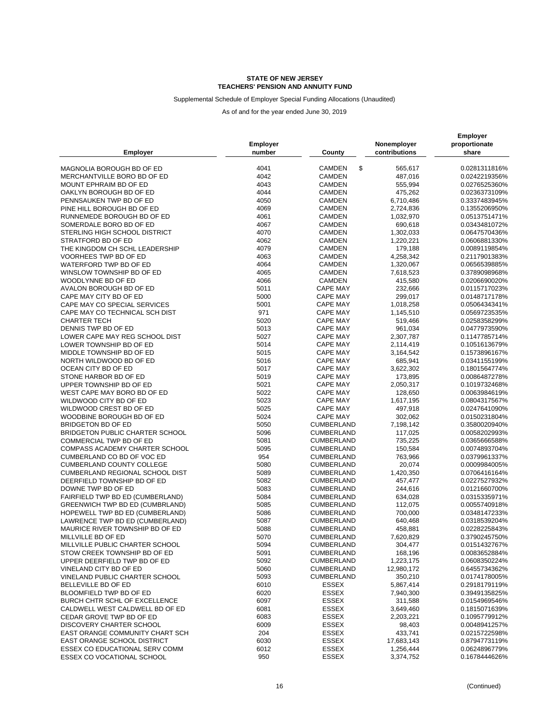Supplemental Schedule of Employer Special Funding Allocations (Unaudited)

| Employer                               | Employer<br>number | County                       | Nonemployer<br>contributions | <b>Employer</b><br>proportionate<br>share |
|----------------------------------------|--------------------|------------------------------|------------------------------|-------------------------------------------|
| MAGNOLIA BOROUGH BD OF ED              | 4041               | \$<br>CAMDEN                 | 565,617                      | 0.0281311816%                             |
| MERCHANTVILLE BORO BD OF ED            | 4042               | <b>CAMDEN</b>                | 487,016                      | 0.0242219356%                             |
| MOUNT EPHRAIM BD OF ED                 | 4043               | <b>CAMDEN</b>                | 555,994                      | 0.0276525360%                             |
| OAKLYN BOROUGH BD OF ED                | 4044               | <b>CAMDEN</b>                | 475,262                      | 0.0236373109%                             |
| PENNSAUKEN TWP BD OF ED                | 4050               | <b>CAMDEN</b>                | 6,710,486                    | 0.3337483945%                             |
| PINE HILL BOROUGH BD OF ED             | 4069               | <b>CAMDEN</b>                | 2,724,836                    | 0.1355206950%                             |
| RUNNEMEDE BOROUGH BD OF ED             | 4061               | <b>CAMDEN</b>                | 1,032,970                    | 0.0513751471%                             |
| SOMERDALE BORO BD OF ED                | 4067               | <b>CAMDEN</b>                | 690,618                      | 0.0343481072%                             |
| STERLING HIGH SCHOOL DISTRICT          | 4070               | <b>CAMDEN</b>                | 1,302,033                    | 0.0647570436%                             |
| STRATFORD BD OF ED                     | 4062               | CAMDEN                       | 1,220,221                    | 0.0606881330%                             |
| THE KINGDOM CH SCHL LEADERSHIP         | 4079               | <b>CAMDEN</b>                |                              | 0.0089119854%                             |
|                                        | 4063               |                              | 179,188                      |                                           |
| VOORHEES TWP BD OF ED                  |                    | CAMDEN                       | 4,258,342                    | 0.2117901383%                             |
| WATERFORD TWP BD OF ED                 | 4064               | <b>CAMDEN</b>                | 1,320,067                    | 0.0656539885%                             |
| WINSLOW TOWNSHIP BD OF ED              | 4065               | CAMDEN                       | 7,618,523                    | 0.3789098968%                             |
| WOODLYNNE BD OF ED                     | 4066               | CAMDEN                       | 415,580                      | 0.0206690020%                             |
| AVALON BOROUGH BD OF ED                | 5011               | <b>CAPE MAY</b>              | 232,666                      | 0.0115717023%                             |
| CAPE MAY CITY BD OF ED                 | 5000               | <b>CAPE MAY</b>              | 299,017                      | 0.0148717178%                             |
| CAPE MAY CO SPECIAL SERVICES           | 5001               | <b>CAPE MAY</b>              | 1,018,258                    | 0.0506434341%                             |
| CAPE MAY CO TECHNICAL SCH DIST         | 971                | <b>CAPE MAY</b>              | 1,145,510                    | 0.0569723535%                             |
| <b>CHARTER TECH</b>                    | 5020               | <b>CAPE MAY</b>              | 519,466                      | 0.0258358299%                             |
| DENNIS TWP BD OF ED                    | 5013               | <b>CAPE MAY</b>              | 961,034                      | 0.0477973590%                             |
| LOWER CAPE MAY REG SCHOOL DIST         | 5027               | <b>CAPE MAY</b>              | 2,307,787                    | 0.1147785714%                             |
| LOWER TOWNSHIP BD OF ED                | 5014               | <b>CAPE MAY</b>              | 2,114,419                    | 0.1051613679%                             |
| MIDDLE TOWNSHIP BD OF ED               | 5015               | <b>CAPE MAY</b>              | 3,164,542                    | 0.1573896167%                             |
| NORTH WILDWOOD BD OF ED                | 5016               | CAPE MAY                     | 685,941                      | 0.0341155199%                             |
| OCEAN CITY BD OF ED                    | 5017               | <b>CAPE MAY</b>              | 3,622,302                    | 0.1801564774%                             |
| STONE HARBOR BD OF ED                  | 5019               | <b>CAPE MAY</b>              | 173,895                      | 0.0086487278%                             |
| UPPER TOWNSHIP BD OF ED                | 5021               | <b>CAPE MAY</b>              | 2,050,317                    | 0.1019732468%                             |
| WEST CAPE MAY BORO BD OF ED            | 5022               | <b>CAPE MAY</b>              | 128,650                      | 0.0063984619%                             |
| WILDWOOD CITY BD OF ED                 | 5023               | <b>CAPE MAY</b>              | 1,617,195                    | 0.0804317567%                             |
| WILDWOOD CREST BD OF ED                | 5025               | <b>CAPE MAY</b>              | 497,918                      | 0.0247641090%                             |
| WOODBINE BOROUGH BD OF ED              | 5024               | <b>CAPE MAY</b>              | 302,062                      | 0.0150231804%                             |
| BRIDGETON BD OF ED                     | 5050               | CUMBERLAND                   | 7,198,142                    | 0.3580020940%                             |
| <b>BRIDGETON PUBLIC CHARTER SCHOOL</b> | 5096               | CUMBERLAND                   | 117,025                      | 0.0058202993%                             |
| COMMERCIAL TWP BD OF ED                | 5081               | CUMBERLAND                   | 735,225                      | 0.0365666588%                             |
| <b>COMPASS ACADEMY CHARTER SCHOOL</b>  | 5095               | CUMBERLAND                   | 150,584                      | 0.0074893704%                             |
| CUMBERLAND CO BD OF VOC ED             | 954                | CUMBERLAND                   | 763,966                      | 0.0379961337%                             |
| <b>CUMBERLAND COUNTY COLLEGE</b>       | 5080               | CUMBERLAND                   | 20,074                       | 0.0009984005%                             |
| CUMBERLAND REGIONAL SCHOOL DIST        | 5089               | CUMBERLAND                   | 1,420,350                    | 0.0706416164%                             |
| DEERFIELD TOWNSHIP BD OF ED            | 5082               | CUMBERLAND                   | 457,477                      | 0.0227527932%                             |
| DOWNE TWP BD OF ED                     | 5083               | CUMBERLAND                   | 244,616                      | 0.0121660700%                             |
| FAIRFIELD TWP BD ED (CUMBERLAND)       | 5084               | CUMBERLAND                   | 634,028                      | 0.0315335971%                             |
| <b>GREENWICH TWP BD ED (CUMBRLAND)</b> | 5085               | CUMBERLAND                   | 112,075                      | 0.0055740918%                             |
| HOPEWELL TWP BD ED (CUMBERLAND)        | 5086               | CUMBERLAND                   | 700,000                      | 0.0348147233%                             |
| LAWRENCE TWP BD ED (CUMBERLAND)        | 5087               | CUMBERLAND                   | 640,468                      | 0.0318539204%                             |
| MAURICE RIVER TOWNSHIP BD OF ED        | 5088               | CUMBERLAND                   | 458,881                      | 0.0228225843%                             |
| MILLVILLE BD OF ED                     | 5070               | CUMBERLAND                   | 7,620,829                    | 0.3790245750%                             |
| MILLVILLE PUBLIC CHARTER SCHOOL        | 5094               | CUMBERLAND                   | 304,477                      | 0.0151432767%                             |
| STOW CREEK TOWNSHIP BD OF ED           | 5091               | CUMBERLAND                   | 168,196                      | 0.0083652884%                             |
| UPPER DEERFIELD TWP BD OF ED           | 5092               | CUMBERLAND                   | 1,223,175                    | 0.0608350224%                             |
| VINELAND CITY BD OF ED                 | 5060               | <b>CUMBERLAND</b>            | 12,980,172                   | 0.6455734362%                             |
| VINELAND PUBLIC CHARTER SCHOOL         | 5093               | CUMBERLAND                   | 350,210                      | 0.0174178005%                             |
| BELLEVILLE BD OF ED                    | 6010               | ESSEX                        | 5,867,414                    | 0.2918179119%                             |
| BLOOMFIELD TWP BD OF ED                | 6020               | <b>ESSEX</b>                 | 7,940,300                    | 0.3949135825%                             |
| BURCH CHTR SCHL OF EXCELLENCE          | 6097               | ESSEX                        |                              |                                           |
|                                        |                    |                              | 311,588                      | 0.0154969546%                             |
| CALDWELL WEST CALDWELL BD OF ED        | 6081               | <b>ESSEX</b><br><b>ESSEX</b> | 3,649,460                    | 0.1815071639%                             |
| CEDAR GROVE TWP BD OF ED               | 6083               |                              | 2,203,221                    | 0.1095779912%                             |
| DISCOVERY CHARTER SCHOOL               | 6009               | ESSEX                        | 98,403                       | 0.0048941257%                             |
| EAST ORANGE COMMUNITY CHART SCH        | 204                | ESSEX                        | 433,741                      | 0.0215722598%                             |
| <b>EAST ORANGE SCHOOL DISTRICT</b>     | 6030               | ESSEX                        | 17,683,143                   | 0.8794773119%                             |
| ESSEX CO EDUCATIONAL SERV COMM         | 6012               | ESSEX                        | 1,256,444                    | 0.0624896779%                             |
| ESSEX CO VOCATIONAL SCHOOL             | 950                | ESSEX                        | 3,374,752                    | 0.1678444626%                             |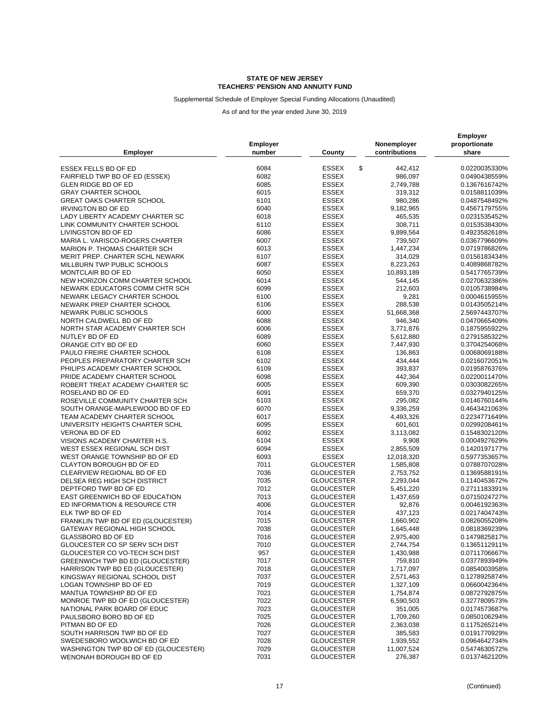### Supplemental Schedule of Employer Special Funding Allocations (Unaudited)

|                                      |                 |                    |               | <b>Employer</b> |  |
|--------------------------------------|-----------------|--------------------|---------------|-----------------|--|
| <b>Employer</b>                      | <b>Employer</b> |                    | Nonemployer   | proportionate   |  |
|                                      | number          | County             | contributions | share           |  |
|                                      |                 |                    |               |                 |  |
| ESSEX FELLS BD OF ED                 | 6084            | \$<br><b>ESSEX</b> | 442,412       | 0.0220035330%   |  |
| FAIRFIELD TWP BD OF ED (ESSEX)       | 6082            | ESSEX              | 986,097       | 0.0490438559%   |  |
| GLEN RIDGE BD OF ED                  | 6085            | ESSEX              | 2,749,788     | 0.1367616742%   |  |
| <b>GRAY CHARTER SCHOOL</b>           | 6015            | ESSEX              | 319,312       | 0.0158811039%   |  |
| GREAT OAKS CHARTER SCHOOL            | 6101            | <b>ESSEX</b>       | 980,286       | 0.0487548492%   |  |
| <b>IRVINGTON BD OF ED</b>            | 6040            | <b>ESSEX</b>       | 9,182,965     | 0.4567179755%   |  |
| LADY LIBERTY ACADEMY CHARTER SC      | 6018            | <b>ESSEX</b>       | 465,535       | 0.0231535452%   |  |
| LINK COMMUNITY CHARTER SCHOOL        | 6110            | <b>ESSEX</b>       | 308,711       | 0.0153538430%   |  |
| LIVINGSTON BD OF ED                  | 6086            | <b>ESSEX</b>       | 9,899,564     | 0.4923582618%   |  |
| MARIA L. VARISCO-ROGERS CHARTER      | 6007            | <b>ESSEX</b>       | 739,507       | 0.0367796609%   |  |
| <b>MARION P. THOMAS CHARTER SCH</b>  | 6013            | ESSEX              | 1,447,234     | 0.0719786826%   |  |
| MERIT PREP. CHARTER SCHL NEWARK      | 6107            | <b>ESSEX</b>       | 314,029       | 0.0156183434%   |  |
| MILLBURN TWP PUBLIC SCHOOLS          | 6087            | ESSEX              | 8,223,263     | 0.4089868782%   |  |
| MONTCLAIR BD OF ED                   | 6050            | <b>ESSEX</b>       | 10,893,189    | 0.5417765739%   |  |
| NEW HORIZON COMM CHARTER SCHOOL      | 6014            | ESSEX              | 544,145       | 0.0270632386%   |  |
| NEWARK EDUCATORS COMM CHTR SCH       | 6099            | <b>ESSEX</b>       | 212,603       | 0.0105738984%   |  |
| NEWARK LEGACY CHARTER SCHOOL         | 6100            | <b>ESSEX</b>       | 9,281         | 0.0004615955%   |  |
| NEWARK PREP CHARTER SCHOOL           | 6106            | <b>ESSEX</b>       | 288,538       | 0.0143505214%   |  |
| NEWARK PUBLIC SCHOOLS                | 6000            | <b>ESSEX</b>       | 51,668,368    | 2.5697443707%   |  |
| NORTH CALDWELL BD OF ED              | 6088            | <b>ESSEX</b>       | 946,340       | 0.0470665409%   |  |
| NORTH STAR ACADEMY CHARTER SCH       | 6006            | ESSEX              | 3,771,876     | 0.1875955922%   |  |
| NUTLEY BD OF ED                      | 6089            | ESSEX              | 5,612,880     | 0.2791585322%   |  |
| ORANGE CITY BD OF ED                 | 6060            | <b>ESSEX</b>       | 7,447,930     | 0.3704254068%   |  |
| PAULO FREIRE CHARTER SCHOOL          | 6108            | ESSEX              | 136,863       | 0.0068069188%   |  |
| PEOPLES PREPARATORY CHARTER SCH      | 6102            | <b>ESSEX</b>       | 434,444       | 0.0216072051%   |  |
| PHILIPS ACADEMY CHARTER SCHOOL       | 6109            | ESSEX              | 393,837       | 0.0195876376%   |  |
| PRIDE ACADEMY CHARTER SCHOOL         | 6098            | <b>ESSEX</b>       | 442,364       | 0.0220011470%   |  |
| ROBERT TREAT ACADEMY CHARTER SC      | 6005            | ESSEX              | 609,390       | 0.0303082265%   |  |
| ROSELAND BD OF ED                    | 6091            | ESSEX              | 659,370       | 0.0327940125%   |  |
| ROSEVILLE COMMUNITY CHARTER SCH      | 6103            | <b>ESSEX</b>       | 295,082       | 0.0146760144%   |  |
| SOUTH ORANGE-MAPLEWOOD BD OF ED      | 6070            | <b>ESSEX</b>       | 9,336,259     | 0.4643421063%   |  |
| TEAM ACADEMY CHARTER SCHOOL          | 6017            | <b>ESSEX</b>       | 4,493,326     | 0.2234771649%   |  |
| UNIVERSITY HEIGHTS CHARTER SCHL      | 6095            | <b>ESSEX</b>       | 601,601       | 0.0299208461%   |  |
| VERONA BD OF ED                      | 6092            | <b>ESSEX</b>       | 3,113,082     | 0.1548302120%   |  |
| VISIONS ACADEMY CHARTER H.S.         | 6104            | ESSEX              | 9,908         | 0.0004927629%   |  |
| WEST ESSEX REGIONAL SCH DIST         | 6094            | ESSEX              | 2,855,509     | 0.1420197177%   |  |
| WEST ORANGE TOWNSHIP BD OF ED        | 6093            | <b>ESSEX</b>       | 12,018,320    | 0.5977353657%   |  |
| CLAYTON BOROUGH BD OF ED             | 7011            | <b>GLOUCESTER</b>  | 1,585,808     | 0.0788707028%   |  |
| CLEARVIEW REGIONAL BD OF ED          | 7036            | <b>GLOUCESTER</b>  | 2,753,752     | 0.1369588191%   |  |
| DELSEA REG HIGH SCH DISTRICT         | 7035            | <b>GLOUCESTER</b>  | 2,293,044     | 0.1140453672%   |  |
| DEPTFORD TWP BD OF ED                | 7012            | <b>GLOUCESTER</b>  | 5,451,220     | 0.2711183391%   |  |
| EAST GREENWICH BD OF EDUCATION       | 7013            | <b>GLOUCESTER</b>  | 1,437,659     | 0.0715024727%   |  |
| ED INFORMATION & RESOURCE CTR        | 4006            | <b>GLOUCESTER</b>  | 92,876        | 0.0046192363%   |  |
| ELK TWP BD OF ED                     | 7014            | <b>GLOUCESTER</b>  | 437,123       | 0.0217404743%   |  |
| FRANKLIN TWP BD OF ED (GLOUCESTER)   | 7015            | <b>GLOUCESTER</b>  | 1,660,902     | 0.0826055208%   |  |
| GATEWAY REGIONAL HIGH SCHOOL         | 7038            | <b>GLOUCESTER</b>  | 1,645,448     | 0.0818369239%   |  |
| <b>GLASSBORO BD OF ED</b>            | 7016            | <b>GLOUCESTER</b>  | 2,975,400     | 0.1479825817%   |  |
| GLOUCESTER CO SP SERV SCH DIST       | 7010            | <b>GLOUCESTER</b>  | 2,744,754     | 0.1365112911%   |  |
| GLOUCESTER CO VO-TECH SCH DIST       | 957             | <b>GLOUCESTER</b>  | 1,430,988     | 0.0711706667%   |  |
| GREENWICH TWP BD ED (GLOUCESTER)     | 7017            | <b>GLOUCESTER</b>  | 759,810       | 0.0377893949%   |  |
| HARRISON TWP BD ED (GLOUCESTER)      | 7018            | <b>GLOUCESTER</b>  | 1,717,097     | 0.0854003958%   |  |
| KINGSWAY REGIONAL SCHOOL DIST        | 7037            | <b>GLOUCESTER</b>  | 2,571,463     | 0.1278925874%   |  |
| LOGAN TOWNSHIP BD OF ED              | 7019            | <b>GLOUCESTER</b>  | 1,327,109     | 0.0660042364%   |  |
| MANTUA TOWNSHIP BD OF ED             | 7021            | <b>GLOUCESTER</b>  | 1,754,874     | 0.0872792875%   |  |
| MONROE TWP BD OF ED (GLOUCESTER)     | 7022            | <b>GLOUCESTER</b>  | 6,590,503     | 0.3277809573%   |  |
| NATIONAL PARK BOARD OF EDUC          | 7023            | <b>GLOUCESTER</b>  | 351,005       | 0.0174573687%   |  |
| PAULSBORO BORO BD OF ED              | 7025            | <b>GLOUCESTER</b>  | 1,709,260     | 0.0850106294%   |  |
| PITMAN BD OF ED                      | 7026            | <b>GLOUCESTER</b>  | 2,363,038     | 0.1175265214%   |  |
| SOUTH HARRISON TWP BD OF ED          | 7027            | <b>GLOUCESTER</b>  | 385,583       | 0.0191770929%   |  |
| SWEDESBORO WOOLWICH BD OF ED         | 7028            | <b>GLOUCESTER</b>  | 1,939,552     | 0.0964642734%   |  |
| WASHINGTON TWP BD OF ED (GLOUCESTER) | 7029            | <b>GLOUCESTER</b>  | 11,007,524    | 0.5474630572%   |  |
| WENONAH BOROUGH BD OF ED             | 7031            | <b>GLOUCESTER</b>  | 276,387       | 0.0137462120%   |  |
|                                      |                 |                    |               |                 |  |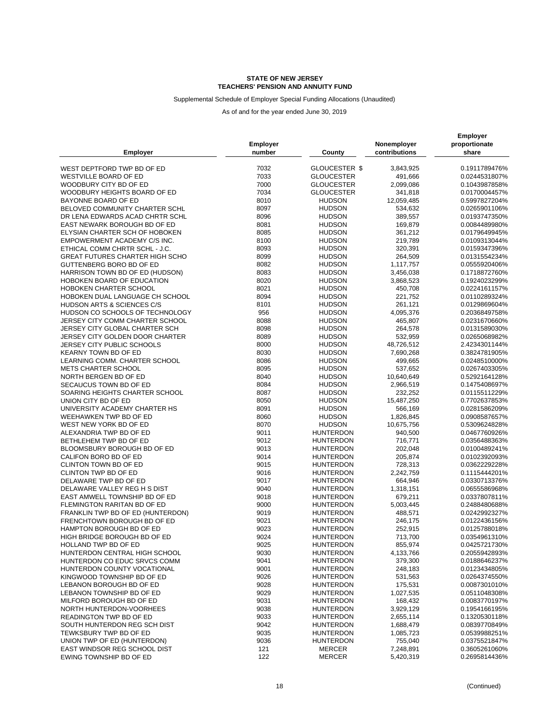### Supplemental Schedule of Employer Special Funding Allocations (Unaudited)

| WEST DEPTFORD TWP BD OF ED<br>7032<br>GLOUCESTER \$<br>3,843,925<br>0.1911789476%<br>WESTVILLE BOARD OF ED<br>7033<br><b>GLOUCESTER</b><br>491,666<br>0.0244531807%<br>WOODBURY CITY BD OF ED<br>7000<br><b>GLOUCESTER</b><br>2,099,086<br>0.1043987858%<br>7034<br><b>GLOUCESTER</b><br>341,818<br>WOODBURY HEIGHTS BOARD OF ED<br>0.0170004457%<br>8010<br>BAYONNE BOARD OF ED<br><b>HUDSON</b><br>0.5997827204%<br>12,059,485<br>BELOVED COMMUNITY CHARTER SCHL<br>8097<br><b>HUDSON</b><br>534,632<br>0.0265901106%<br>8096<br><b>HUDSON</b><br>389,557<br>0.0193747350%<br>DR LENA EDWARDS ACAD CHRTR SCHL<br>EAST NEWARK BOROUGH BD OF ED<br>8081<br><b>HUDSON</b><br>169,879<br>0.0084489980%<br>8085<br>361,212<br>ELYSIAN CHARTER SCH OF HOBOKEN<br><b>HUDSON</b><br>0.0179649945%<br>8100<br><b>HUDSON</b><br>219,789<br>EMPOWERMENT ACADEMY C/S INC.<br>0.0109313044%<br>8093<br>ETHICAL COMM CHRTR SCHL - J.C.<br><b>HUDSON</b><br>320,391<br>0.0159347396%<br><b>GREAT FUTURES CHARTER HIGH SCHO</b><br>8099<br><b>HUDSON</b><br>264,509<br>0.0131554234%<br>GUTTENBERG BORO BD OF ED<br>8082<br><b>HUDSON</b><br>1,117,757<br>0.0555920406%<br>HARRISON TOWN BD OF ED (HUDSON)<br>8083<br><b>HUDSON</b><br>3,456,038<br>0.1718872760%<br>8020<br><b>HUDSON</b><br>HOBOKEN BOARD OF EDUCATION<br>3,868,523<br>0.1924023299%<br>HOBOKEN CHARTER SCHOOL<br>8021<br><b>HUDSON</b><br>450,708<br>0.0224161157%<br>8094<br>HOBOKEN DUAL LANGUAGE CH SCHOOL<br><b>HUDSON</b><br>221,752<br>0.0110289324%<br>8101<br><b>HUDSON</b><br>261,121<br>0.0129869604%<br><b>HUDSON ARTS &amp; SCIENCES C/S</b><br>956<br>HUDSON CO SCHOOLS OF TECHNOLOGY<br><b>HUDSON</b><br>4,095,376<br>0.2036849758%<br>JERSEY CITY COMM CHARTER SCHOOL<br>8088<br><b>HUDSON</b><br>465,807<br>0.0231670660%<br>8098<br><b>HUDSON</b><br>264,578<br>JERSEY CITY GLOBAL CHARTER SCH<br>0.0131589030%<br>JERSEY CITY GOLDEN DOOR CHARTER<br>8089<br><b>HUDSON</b><br>532,959<br>0.0265068982%<br>8000<br><b>JERSEY CITY PUBLIC SCHOOLS</b><br><b>HUDSON</b><br>48,726,512<br>2.4234301144%<br><b>KEARNY TOWN BD OF ED</b><br>8030<br><b>HUDSON</b><br>7,690,268<br>0.3824781905%<br>LEARNING COMM. CHARTER SCHOOL<br>8086<br><b>HUDSON</b><br>499,665<br>0.0248510000%<br>8095<br><b>HUDSON</b><br>537,652<br><b>METS CHARTER SCHOOL</b><br>0.0267403305%<br>NORTH BERGEN BD OF ED<br>8040<br><b>HUDSON</b><br>10,640,649<br>0.5292164128%<br>SECAUCUS TOWN BD OF ED<br>8084<br><b>HUDSON</b><br>2,966,519<br>0.1475408697%<br>8087<br><b>HUDSON</b><br>SOARING HEIGHTS CHARTER SCHOOL<br>232,252<br>0.0115511229%<br>8050<br>UNION CITY BD OF ED<br><b>HUDSON</b><br>15,487,250<br>0.7702637853%<br>8091<br>UNIVERSITY ACADEMY CHARTER HS<br><b>HUDSON</b><br>566,169<br>0.0281586209%<br>8060<br><b>HUDSON</b><br>1,826,845<br>0.0908587657%<br>WEEHAWKEN TWP BD OF ED<br>WEST NEW YORK BD OF ED<br>8070<br><b>HUDSON</b><br>10,675,756<br>0.5309624828%<br>ALEXANDRIA TWP BD OF ED<br>9011<br><b>HUNTERDON</b><br>940,500<br>0.0467760926%<br>9012<br><b>HUNTERDON</b><br>716,771<br>0.0356488363%<br>BETHLEHEM TWP BD OF ED<br>BLOOMSBURY BOROUGH BD OF ED<br>9013<br><b>HUNTERDON</b><br>202,048<br>0.0100489241%<br>9014<br><b>HUNTERDON</b><br>205,874<br>0.0102392093%<br>CALIFON BORO BD OF ED<br>CLINTON TOWN BD OF ED<br>9015<br><b>HUNTERDON</b><br>728,313<br>0.0362229228%<br>CLINTON TWP BD OF ED<br>9016<br>2,242,759<br>0.1115444201%<br><b>HUNTERDON</b><br>DELAWARE TWP BD OF ED<br>9017<br><b>HUNTERDON</b><br>664,946<br>0.0330713376%<br>DELAWARE VALLEY REG H S DIST<br>9040<br><b>HUNTERDON</b><br>0.0655586968%<br>1,318,151<br>EAST AMWELL TOWNSHIP BD OF ED<br>9018<br>0.0337807811%<br><b>HUNTERDON</b><br>679,211<br>9000<br><b>HUNTERDON</b><br>0.2488480688%<br>FLEMINGTON RARITAN BD OF ED<br>5,003,445<br>FRANKLIN TWP BD OF ED (HUNTERDON)<br>9019<br><b>HUNTERDON</b><br>0.0242992327%<br>488,571<br>FRENCHTOWN BOROUGH BD OF ED<br>9021<br><b>HUNTERDON</b><br>0.0122436156%<br>246,175<br>9023<br><b>HUNTERDON</b><br>252,915<br>0.0125788018%<br>HAMPTON BOROUGH BD OF ED<br>9024<br><b>HUNTERDON</b><br>713,700<br>HIGH BRIDGE BOROUGH BD OF ED<br>0.0354961310%<br>HOLLAND TWP BD OF ED<br>9025<br><b>HUNTERDON</b><br>855,974<br>0.0425721730%<br>HUNTERDON CENTRAL HIGH SCHOOL<br>9030<br><b>HUNTERDON</b><br>4,133,766<br>0.2055942893%<br>HUNTERDON CO EDUC SRVCS COMM<br>9041<br>379,300<br><b>HUNTERDON</b><br>0.0188646237%<br>248,183<br>HUNTERDON COUNTY VOCATIONAL<br>9001<br><b>HUNTERDON</b><br>0.0123434805%<br>KINGWOOD TOWNSHIP BD OF ED<br>9026<br><b>HUNTERDON</b><br>531,563<br>0.0264374550%<br>LEBANON BOROUGH BD OF ED<br>175,531<br>9028<br><b>HUNTERDON</b><br>0.0087301010%<br>9029<br>LEBANON TOWNSHIP BD OF ED<br><b>HUNTERDON</b><br>1,027,535<br>0.0511048308%<br>MILFORD BOROUGH BD OF ED<br>9031<br>168,432<br><b>HUNTERDON</b><br>0.0083770197%<br>NORTH HUNTERDON-VOORHEES<br>9038<br><b>HUNTERDON</b><br>3,929,129<br>0.1954166195%<br>9033<br><b>HUNTERDON</b><br>0.1320530118%<br>READINGTON TWP BD OF ED<br>2,655,114<br>SOUTH HUNTERDON REG SCH DIST<br>9042<br><b>HUNTERDON</b><br>0.0839770849%<br>1,688,479<br>TEWKSBURY TWP BD OF ED<br>9035<br><b>HUNTERDON</b><br>1,085,723<br>0.0539988251%<br>9036<br><b>HUNTERDON</b><br>UNION TWP OF ED (HUNTERDON)<br>755,040<br>0.0375521847%<br>EAST WINDSOR REG SCHOOL DIST<br>121<br><b>MERCER</b><br>0.3605261060%<br>7,248,891<br>122<br><b>MERCER</b><br>5,420,319<br>0.2695814436%<br>EWING TOWNSHIP BD OF ED | <b>Employer</b> | <b>Employer</b><br>number | County | Nonemployer<br>contributions | <b>Employer</b><br>proportionate<br>share |
|-------------------------------------------------------------------------------------------------------------------------------------------------------------------------------------------------------------------------------------------------------------------------------------------------------------------------------------------------------------------------------------------------------------------------------------------------------------------------------------------------------------------------------------------------------------------------------------------------------------------------------------------------------------------------------------------------------------------------------------------------------------------------------------------------------------------------------------------------------------------------------------------------------------------------------------------------------------------------------------------------------------------------------------------------------------------------------------------------------------------------------------------------------------------------------------------------------------------------------------------------------------------------------------------------------------------------------------------------------------------------------------------------------------------------------------------------------------------------------------------------------------------------------------------------------------------------------------------------------------------------------------------------------------------------------------------------------------------------------------------------------------------------------------------------------------------------------------------------------------------------------------------------------------------------------------------------------------------------------------------------------------------------------------------------------------------------------------------------------------------------------------------------------------------------------------------------------------------------------------------------------------------------------------------------------------------------------------------------------------------------------------------------------------------------------------------------------------------------------------------------------------------------------------------------------------------------------------------------------------------------------------------------------------------------------------------------------------------------------------------------------------------------------------------------------------------------------------------------------------------------------------------------------------------------------------------------------------------------------------------------------------------------------------------------------------------------------------------------------------------------------------------------------------------------------------------------------------------------------------------------------------------------------------------------------------------------------------------------------------------------------------------------------------------------------------------------------------------------------------------------------------------------------------------------------------------------------------------------------------------------------------------------------------------------------------------------------------------------------------------------------------------------------------------------------------------------------------------------------------------------------------------------------------------------------------------------------------------------------------------------------------------------------------------------------------------------------------------------------------------------------------------------------------------------------------------------------------------------------------------------------------------------------------------------------------------------------------------------------------------------------------------------------------------------------------------------------------------------------------------------------------------------------------------------------------------------------------------------------------------------------------------------------------------------------------------------------------------------------------------------------------------------------------------------------------------------------------------------------------------------------------------------------------------------------------------------------------------------------------------------------------------------------------------------------------------------------------------------------------------------------------------------------------------------------------------------------------------------------------------------------------------------------------------------------------------------------------------------------------------------------------------------------------------------------------------------------------------------------------------------------------------------------|-----------------|---------------------------|--------|------------------------------|-------------------------------------------|
|                                                                                                                                                                                                                                                                                                                                                                                                                                                                                                                                                                                                                                                                                                                                                                                                                                                                                                                                                                                                                                                                                                                                                                                                                                                                                                                                                                                                                                                                                                                                                                                                                                                                                                                                                                                                                                                                                                                                                                                                                                                                                                                                                                                                                                                                                                                                                                                                                                                                                                                                                                                                                                                                                                                                                                                                                                                                                                                                                                                                                                                                                                                                                                                                                                                                                                                                                                                                                                                                                                                                                                                                                                                                                                                                                                                                                                                                                                                                                                                                                                                                                                                                                                                                                                                                                                                                                                                                                                                                                                                                                                                                                                                                                                                                                                                                                                                                                                                                                                                                                                                                                                                                                                                                                                                                                                                                                                                                                                                                                                                               |                 |                           |        |                              |                                           |
|                                                                                                                                                                                                                                                                                                                                                                                                                                                                                                                                                                                                                                                                                                                                                                                                                                                                                                                                                                                                                                                                                                                                                                                                                                                                                                                                                                                                                                                                                                                                                                                                                                                                                                                                                                                                                                                                                                                                                                                                                                                                                                                                                                                                                                                                                                                                                                                                                                                                                                                                                                                                                                                                                                                                                                                                                                                                                                                                                                                                                                                                                                                                                                                                                                                                                                                                                                                                                                                                                                                                                                                                                                                                                                                                                                                                                                                                                                                                                                                                                                                                                                                                                                                                                                                                                                                                                                                                                                                                                                                                                                                                                                                                                                                                                                                                                                                                                                                                                                                                                                                                                                                                                                                                                                                                                                                                                                                                                                                                                                                               |                 |                           |        |                              |                                           |
|                                                                                                                                                                                                                                                                                                                                                                                                                                                                                                                                                                                                                                                                                                                                                                                                                                                                                                                                                                                                                                                                                                                                                                                                                                                                                                                                                                                                                                                                                                                                                                                                                                                                                                                                                                                                                                                                                                                                                                                                                                                                                                                                                                                                                                                                                                                                                                                                                                                                                                                                                                                                                                                                                                                                                                                                                                                                                                                                                                                                                                                                                                                                                                                                                                                                                                                                                                                                                                                                                                                                                                                                                                                                                                                                                                                                                                                                                                                                                                                                                                                                                                                                                                                                                                                                                                                                                                                                                                                                                                                                                                                                                                                                                                                                                                                                                                                                                                                                                                                                                                                                                                                                                                                                                                                                                                                                                                                                                                                                                                                               |                 |                           |        |                              |                                           |
|                                                                                                                                                                                                                                                                                                                                                                                                                                                                                                                                                                                                                                                                                                                                                                                                                                                                                                                                                                                                                                                                                                                                                                                                                                                                                                                                                                                                                                                                                                                                                                                                                                                                                                                                                                                                                                                                                                                                                                                                                                                                                                                                                                                                                                                                                                                                                                                                                                                                                                                                                                                                                                                                                                                                                                                                                                                                                                                                                                                                                                                                                                                                                                                                                                                                                                                                                                                                                                                                                                                                                                                                                                                                                                                                                                                                                                                                                                                                                                                                                                                                                                                                                                                                                                                                                                                                                                                                                                                                                                                                                                                                                                                                                                                                                                                                                                                                                                                                                                                                                                                                                                                                                                                                                                                                                                                                                                                                                                                                                                                               |                 |                           |        |                              |                                           |
|                                                                                                                                                                                                                                                                                                                                                                                                                                                                                                                                                                                                                                                                                                                                                                                                                                                                                                                                                                                                                                                                                                                                                                                                                                                                                                                                                                                                                                                                                                                                                                                                                                                                                                                                                                                                                                                                                                                                                                                                                                                                                                                                                                                                                                                                                                                                                                                                                                                                                                                                                                                                                                                                                                                                                                                                                                                                                                                                                                                                                                                                                                                                                                                                                                                                                                                                                                                                                                                                                                                                                                                                                                                                                                                                                                                                                                                                                                                                                                                                                                                                                                                                                                                                                                                                                                                                                                                                                                                                                                                                                                                                                                                                                                                                                                                                                                                                                                                                                                                                                                                                                                                                                                                                                                                                                                                                                                                                                                                                                                                               |                 |                           |        |                              |                                           |
|                                                                                                                                                                                                                                                                                                                                                                                                                                                                                                                                                                                                                                                                                                                                                                                                                                                                                                                                                                                                                                                                                                                                                                                                                                                                                                                                                                                                                                                                                                                                                                                                                                                                                                                                                                                                                                                                                                                                                                                                                                                                                                                                                                                                                                                                                                                                                                                                                                                                                                                                                                                                                                                                                                                                                                                                                                                                                                                                                                                                                                                                                                                                                                                                                                                                                                                                                                                                                                                                                                                                                                                                                                                                                                                                                                                                                                                                                                                                                                                                                                                                                                                                                                                                                                                                                                                                                                                                                                                                                                                                                                                                                                                                                                                                                                                                                                                                                                                                                                                                                                                                                                                                                                                                                                                                                                                                                                                                                                                                                                                               |                 |                           |        |                              |                                           |
|                                                                                                                                                                                                                                                                                                                                                                                                                                                                                                                                                                                                                                                                                                                                                                                                                                                                                                                                                                                                                                                                                                                                                                                                                                                                                                                                                                                                                                                                                                                                                                                                                                                                                                                                                                                                                                                                                                                                                                                                                                                                                                                                                                                                                                                                                                                                                                                                                                                                                                                                                                                                                                                                                                                                                                                                                                                                                                                                                                                                                                                                                                                                                                                                                                                                                                                                                                                                                                                                                                                                                                                                                                                                                                                                                                                                                                                                                                                                                                                                                                                                                                                                                                                                                                                                                                                                                                                                                                                                                                                                                                                                                                                                                                                                                                                                                                                                                                                                                                                                                                                                                                                                                                                                                                                                                                                                                                                                                                                                                                                               |                 |                           |        |                              |                                           |
|                                                                                                                                                                                                                                                                                                                                                                                                                                                                                                                                                                                                                                                                                                                                                                                                                                                                                                                                                                                                                                                                                                                                                                                                                                                                                                                                                                                                                                                                                                                                                                                                                                                                                                                                                                                                                                                                                                                                                                                                                                                                                                                                                                                                                                                                                                                                                                                                                                                                                                                                                                                                                                                                                                                                                                                                                                                                                                                                                                                                                                                                                                                                                                                                                                                                                                                                                                                                                                                                                                                                                                                                                                                                                                                                                                                                                                                                                                                                                                                                                                                                                                                                                                                                                                                                                                                                                                                                                                                                                                                                                                                                                                                                                                                                                                                                                                                                                                                                                                                                                                                                                                                                                                                                                                                                                                                                                                                                                                                                                                                               |                 |                           |        |                              |                                           |
|                                                                                                                                                                                                                                                                                                                                                                                                                                                                                                                                                                                                                                                                                                                                                                                                                                                                                                                                                                                                                                                                                                                                                                                                                                                                                                                                                                                                                                                                                                                                                                                                                                                                                                                                                                                                                                                                                                                                                                                                                                                                                                                                                                                                                                                                                                                                                                                                                                                                                                                                                                                                                                                                                                                                                                                                                                                                                                                                                                                                                                                                                                                                                                                                                                                                                                                                                                                                                                                                                                                                                                                                                                                                                                                                                                                                                                                                                                                                                                                                                                                                                                                                                                                                                                                                                                                                                                                                                                                                                                                                                                                                                                                                                                                                                                                                                                                                                                                                                                                                                                                                                                                                                                                                                                                                                                                                                                                                                                                                                                                               |                 |                           |        |                              |                                           |
|                                                                                                                                                                                                                                                                                                                                                                                                                                                                                                                                                                                                                                                                                                                                                                                                                                                                                                                                                                                                                                                                                                                                                                                                                                                                                                                                                                                                                                                                                                                                                                                                                                                                                                                                                                                                                                                                                                                                                                                                                                                                                                                                                                                                                                                                                                                                                                                                                                                                                                                                                                                                                                                                                                                                                                                                                                                                                                                                                                                                                                                                                                                                                                                                                                                                                                                                                                                                                                                                                                                                                                                                                                                                                                                                                                                                                                                                                                                                                                                                                                                                                                                                                                                                                                                                                                                                                                                                                                                                                                                                                                                                                                                                                                                                                                                                                                                                                                                                                                                                                                                                                                                                                                                                                                                                                                                                                                                                                                                                                                                               |                 |                           |        |                              |                                           |
|                                                                                                                                                                                                                                                                                                                                                                                                                                                                                                                                                                                                                                                                                                                                                                                                                                                                                                                                                                                                                                                                                                                                                                                                                                                                                                                                                                                                                                                                                                                                                                                                                                                                                                                                                                                                                                                                                                                                                                                                                                                                                                                                                                                                                                                                                                                                                                                                                                                                                                                                                                                                                                                                                                                                                                                                                                                                                                                                                                                                                                                                                                                                                                                                                                                                                                                                                                                                                                                                                                                                                                                                                                                                                                                                                                                                                                                                                                                                                                                                                                                                                                                                                                                                                                                                                                                                                                                                                                                                                                                                                                                                                                                                                                                                                                                                                                                                                                                                                                                                                                                                                                                                                                                                                                                                                                                                                                                                                                                                                                                               |                 |                           |        |                              |                                           |
|                                                                                                                                                                                                                                                                                                                                                                                                                                                                                                                                                                                                                                                                                                                                                                                                                                                                                                                                                                                                                                                                                                                                                                                                                                                                                                                                                                                                                                                                                                                                                                                                                                                                                                                                                                                                                                                                                                                                                                                                                                                                                                                                                                                                                                                                                                                                                                                                                                                                                                                                                                                                                                                                                                                                                                                                                                                                                                                                                                                                                                                                                                                                                                                                                                                                                                                                                                                                                                                                                                                                                                                                                                                                                                                                                                                                                                                                                                                                                                                                                                                                                                                                                                                                                                                                                                                                                                                                                                                                                                                                                                                                                                                                                                                                                                                                                                                                                                                                                                                                                                                                                                                                                                                                                                                                                                                                                                                                                                                                                                                               |                 |                           |        |                              |                                           |
|                                                                                                                                                                                                                                                                                                                                                                                                                                                                                                                                                                                                                                                                                                                                                                                                                                                                                                                                                                                                                                                                                                                                                                                                                                                                                                                                                                                                                                                                                                                                                                                                                                                                                                                                                                                                                                                                                                                                                                                                                                                                                                                                                                                                                                                                                                                                                                                                                                                                                                                                                                                                                                                                                                                                                                                                                                                                                                                                                                                                                                                                                                                                                                                                                                                                                                                                                                                                                                                                                                                                                                                                                                                                                                                                                                                                                                                                                                                                                                                                                                                                                                                                                                                                                                                                                                                                                                                                                                                                                                                                                                                                                                                                                                                                                                                                                                                                                                                                                                                                                                                                                                                                                                                                                                                                                                                                                                                                                                                                                                                               |                 |                           |        |                              |                                           |
|                                                                                                                                                                                                                                                                                                                                                                                                                                                                                                                                                                                                                                                                                                                                                                                                                                                                                                                                                                                                                                                                                                                                                                                                                                                                                                                                                                                                                                                                                                                                                                                                                                                                                                                                                                                                                                                                                                                                                                                                                                                                                                                                                                                                                                                                                                                                                                                                                                                                                                                                                                                                                                                                                                                                                                                                                                                                                                                                                                                                                                                                                                                                                                                                                                                                                                                                                                                                                                                                                                                                                                                                                                                                                                                                                                                                                                                                                                                                                                                                                                                                                                                                                                                                                                                                                                                                                                                                                                                                                                                                                                                                                                                                                                                                                                                                                                                                                                                                                                                                                                                                                                                                                                                                                                                                                                                                                                                                                                                                                                                               |                 |                           |        |                              |                                           |
|                                                                                                                                                                                                                                                                                                                                                                                                                                                                                                                                                                                                                                                                                                                                                                                                                                                                                                                                                                                                                                                                                                                                                                                                                                                                                                                                                                                                                                                                                                                                                                                                                                                                                                                                                                                                                                                                                                                                                                                                                                                                                                                                                                                                                                                                                                                                                                                                                                                                                                                                                                                                                                                                                                                                                                                                                                                                                                                                                                                                                                                                                                                                                                                                                                                                                                                                                                                                                                                                                                                                                                                                                                                                                                                                                                                                                                                                                                                                                                                                                                                                                                                                                                                                                                                                                                                                                                                                                                                                                                                                                                                                                                                                                                                                                                                                                                                                                                                                                                                                                                                                                                                                                                                                                                                                                                                                                                                                                                                                                                                               |                 |                           |        |                              |                                           |
|                                                                                                                                                                                                                                                                                                                                                                                                                                                                                                                                                                                                                                                                                                                                                                                                                                                                                                                                                                                                                                                                                                                                                                                                                                                                                                                                                                                                                                                                                                                                                                                                                                                                                                                                                                                                                                                                                                                                                                                                                                                                                                                                                                                                                                                                                                                                                                                                                                                                                                                                                                                                                                                                                                                                                                                                                                                                                                                                                                                                                                                                                                                                                                                                                                                                                                                                                                                                                                                                                                                                                                                                                                                                                                                                                                                                                                                                                                                                                                                                                                                                                                                                                                                                                                                                                                                                                                                                                                                                                                                                                                                                                                                                                                                                                                                                                                                                                                                                                                                                                                                                                                                                                                                                                                                                                                                                                                                                                                                                                                                               |                 |                           |        |                              |                                           |
|                                                                                                                                                                                                                                                                                                                                                                                                                                                                                                                                                                                                                                                                                                                                                                                                                                                                                                                                                                                                                                                                                                                                                                                                                                                                                                                                                                                                                                                                                                                                                                                                                                                                                                                                                                                                                                                                                                                                                                                                                                                                                                                                                                                                                                                                                                                                                                                                                                                                                                                                                                                                                                                                                                                                                                                                                                                                                                                                                                                                                                                                                                                                                                                                                                                                                                                                                                                                                                                                                                                                                                                                                                                                                                                                                                                                                                                                                                                                                                                                                                                                                                                                                                                                                                                                                                                                                                                                                                                                                                                                                                                                                                                                                                                                                                                                                                                                                                                                                                                                                                                                                                                                                                                                                                                                                                                                                                                                                                                                                                                               |                 |                           |        |                              |                                           |
|                                                                                                                                                                                                                                                                                                                                                                                                                                                                                                                                                                                                                                                                                                                                                                                                                                                                                                                                                                                                                                                                                                                                                                                                                                                                                                                                                                                                                                                                                                                                                                                                                                                                                                                                                                                                                                                                                                                                                                                                                                                                                                                                                                                                                                                                                                                                                                                                                                                                                                                                                                                                                                                                                                                                                                                                                                                                                                                                                                                                                                                                                                                                                                                                                                                                                                                                                                                                                                                                                                                                                                                                                                                                                                                                                                                                                                                                                                                                                                                                                                                                                                                                                                                                                                                                                                                                                                                                                                                                                                                                                                                                                                                                                                                                                                                                                                                                                                                                                                                                                                                                                                                                                                                                                                                                                                                                                                                                                                                                                                                               |                 |                           |        |                              |                                           |
|                                                                                                                                                                                                                                                                                                                                                                                                                                                                                                                                                                                                                                                                                                                                                                                                                                                                                                                                                                                                                                                                                                                                                                                                                                                                                                                                                                                                                                                                                                                                                                                                                                                                                                                                                                                                                                                                                                                                                                                                                                                                                                                                                                                                                                                                                                                                                                                                                                                                                                                                                                                                                                                                                                                                                                                                                                                                                                                                                                                                                                                                                                                                                                                                                                                                                                                                                                                                                                                                                                                                                                                                                                                                                                                                                                                                                                                                                                                                                                                                                                                                                                                                                                                                                                                                                                                                                                                                                                                                                                                                                                                                                                                                                                                                                                                                                                                                                                                                                                                                                                                                                                                                                                                                                                                                                                                                                                                                                                                                                                                               |                 |                           |        |                              |                                           |
|                                                                                                                                                                                                                                                                                                                                                                                                                                                                                                                                                                                                                                                                                                                                                                                                                                                                                                                                                                                                                                                                                                                                                                                                                                                                                                                                                                                                                                                                                                                                                                                                                                                                                                                                                                                                                                                                                                                                                                                                                                                                                                                                                                                                                                                                                                                                                                                                                                                                                                                                                                                                                                                                                                                                                                                                                                                                                                                                                                                                                                                                                                                                                                                                                                                                                                                                                                                                                                                                                                                                                                                                                                                                                                                                                                                                                                                                                                                                                                                                                                                                                                                                                                                                                                                                                                                                                                                                                                                                                                                                                                                                                                                                                                                                                                                                                                                                                                                                                                                                                                                                                                                                                                                                                                                                                                                                                                                                                                                                                                                               |                 |                           |        |                              |                                           |
|                                                                                                                                                                                                                                                                                                                                                                                                                                                                                                                                                                                                                                                                                                                                                                                                                                                                                                                                                                                                                                                                                                                                                                                                                                                                                                                                                                                                                                                                                                                                                                                                                                                                                                                                                                                                                                                                                                                                                                                                                                                                                                                                                                                                                                                                                                                                                                                                                                                                                                                                                                                                                                                                                                                                                                                                                                                                                                                                                                                                                                                                                                                                                                                                                                                                                                                                                                                                                                                                                                                                                                                                                                                                                                                                                                                                                                                                                                                                                                                                                                                                                                                                                                                                                                                                                                                                                                                                                                                                                                                                                                                                                                                                                                                                                                                                                                                                                                                                                                                                                                                                                                                                                                                                                                                                                                                                                                                                                                                                                                                               |                 |                           |        |                              |                                           |
|                                                                                                                                                                                                                                                                                                                                                                                                                                                                                                                                                                                                                                                                                                                                                                                                                                                                                                                                                                                                                                                                                                                                                                                                                                                                                                                                                                                                                                                                                                                                                                                                                                                                                                                                                                                                                                                                                                                                                                                                                                                                                                                                                                                                                                                                                                                                                                                                                                                                                                                                                                                                                                                                                                                                                                                                                                                                                                                                                                                                                                                                                                                                                                                                                                                                                                                                                                                                                                                                                                                                                                                                                                                                                                                                                                                                                                                                                                                                                                                                                                                                                                                                                                                                                                                                                                                                                                                                                                                                                                                                                                                                                                                                                                                                                                                                                                                                                                                                                                                                                                                                                                                                                                                                                                                                                                                                                                                                                                                                                                                               |                 |                           |        |                              |                                           |
|                                                                                                                                                                                                                                                                                                                                                                                                                                                                                                                                                                                                                                                                                                                                                                                                                                                                                                                                                                                                                                                                                                                                                                                                                                                                                                                                                                                                                                                                                                                                                                                                                                                                                                                                                                                                                                                                                                                                                                                                                                                                                                                                                                                                                                                                                                                                                                                                                                                                                                                                                                                                                                                                                                                                                                                                                                                                                                                                                                                                                                                                                                                                                                                                                                                                                                                                                                                                                                                                                                                                                                                                                                                                                                                                                                                                                                                                                                                                                                                                                                                                                                                                                                                                                                                                                                                                                                                                                                                                                                                                                                                                                                                                                                                                                                                                                                                                                                                                                                                                                                                                                                                                                                                                                                                                                                                                                                                                                                                                                                                               |                 |                           |        |                              |                                           |
|                                                                                                                                                                                                                                                                                                                                                                                                                                                                                                                                                                                                                                                                                                                                                                                                                                                                                                                                                                                                                                                                                                                                                                                                                                                                                                                                                                                                                                                                                                                                                                                                                                                                                                                                                                                                                                                                                                                                                                                                                                                                                                                                                                                                                                                                                                                                                                                                                                                                                                                                                                                                                                                                                                                                                                                                                                                                                                                                                                                                                                                                                                                                                                                                                                                                                                                                                                                                                                                                                                                                                                                                                                                                                                                                                                                                                                                                                                                                                                                                                                                                                                                                                                                                                                                                                                                                                                                                                                                                                                                                                                                                                                                                                                                                                                                                                                                                                                                                                                                                                                                                                                                                                                                                                                                                                                                                                                                                                                                                                                                               |                 |                           |        |                              |                                           |
|                                                                                                                                                                                                                                                                                                                                                                                                                                                                                                                                                                                                                                                                                                                                                                                                                                                                                                                                                                                                                                                                                                                                                                                                                                                                                                                                                                                                                                                                                                                                                                                                                                                                                                                                                                                                                                                                                                                                                                                                                                                                                                                                                                                                                                                                                                                                                                                                                                                                                                                                                                                                                                                                                                                                                                                                                                                                                                                                                                                                                                                                                                                                                                                                                                                                                                                                                                                                                                                                                                                                                                                                                                                                                                                                                                                                                                                                                                                                                                                                                                                                                                                                                                                                                                                                                                                                                                                                                                                                                                                                                                                                                                                                                                                                                                                                                                                                                                                                                                                                                                                                                                                                                                                                                                                                                                                                                                                                                                                                                                                               |                 |                           |        |                              |                                           |
|                                                                                                                                                                                                                                                                                                                                                                                                                                                                                                                                                                                                                                                                                                                                                                                                                                                                                                                                                                                                                                                                                                                                                                                                                                                                                                                                                                                                                                                                                                                                                                                                                                                                                                                                                                                                                                                                                                                                                                                                                                                                                                                                                                                                                                                                                                                                                                                                                                                                                                                                                                                                                                                                                                                                                                                                                                                                                                                                                                                                                                                                                                                                                                                                                                                                                                                                                                                                                                                                                                                                                                                                                                                                                                                                                                                                                                                                                                                                                                                                                                                                                                                                                                                                                                                                                                                                                                                                                                                                                                                                                                                                                                                                                                                                                                                                                                                                                                                                                                                                                                                                                                                                                                                                                                                                                                                                                                                                                                                                                                                               |                 |                           |        |                              |                                           |
|                                                                                                                                                                                                                                                                                                                                                                                                                                                                                                                                                                                                                                                                                                                                                                                                                                                                                                                                                                                                                                                                                                                                                                                                                                                                                                                                                                                                                                                                                                                                                                                                                                                                                                                                                                                                                                                                                                                                                                                                                                                                                                                                                                                                                                                                                                                                                                                                                                                                                                                                                                                                                                                                                                                                                                                                                                                                                                                                                                                                                                                                                                                                                                                                                                                                                                                                                                                                                                                                                                                                                                                                                                                                                                                                                                                                                                                                                                                                                                                                                                                                                                                                                                                                                                                                                                                                                                                                                                                                                                                                                                                                                                                                                                                                                                                                                                                                                                                                                                                                                                                                                                                                                                                                                                                                                                                                                                                                                                                                                                                               |                 |                           |        |                              |                                           |
|                                                                                                                                                                                                                                                                                                                                                                                                                                                                                                                                                                                                                                                                                                                                                                                                                                                                                                                                                                                                                                                                                                                                                                                                                                                                                                                                                                                                                                                                                                                                                                                                                                                                                                                                                                                                                                                                                                                                                                                                                                                                                                                                                                                                                                                                                                                                                                                                                                                                                                                                                                                                                                                                                                                                                                                                                                                                                                                                                                                                                                                                                                                                                                                                                                                                                                                                                                                                                                                                                                                                                                                                                                                                                                                                                                                                                                                                                                                                                                                                                                                                                                                                                                                                                                                                                                                                                                                                                                                                                                                                                                                                                                                                                                                                                                                                                                                                                                                                                                                                                                                                                                                                                                                                                                                                                                                                                                                                                                                                                                                               |                 |                           |        |                              |                                           |
|                                                                                                                                                                                                                                                                                                                                                                                                                                                                                                                                                                                                                                                                                                                                                                                                                                                                                                                                                                                                                                                                                                                                                                                                                                                                                                                                                                                                                                                                                                                                                                                                                                                                                                                                                                                                                                                                                                                                                                                                                                                                                                                                                                                                                                                                                                                                                                                                                                                                                                                                                                                                                                                                                                                                                                                                                                                                                                                                                                                                                                                                                                                                                                                                                                                                                                                                                                                                                                                                                                                                                                                                                                                                                                                                                                                                                                                                                                                                                                                                                                                                                                                                                                                                                                                                                                                                                                                                                                                                                                                                                                                                                                                                                                                                                                                                                                                                                                                                                                                                                                                                                                                                                                                                                                                                                                                                                                                                                                                                                                                               |                 |                           |        |                              |                                           |
|                                                                                                                                                                                                                                                                                                                                                                                                                                                                                                                                                                                                                                                                                                                                                                                                                                                                                                                                                                                                                                                                                                                                                                                                                                                                                                                                                                                                                                                                                                                                                                                                                                                                                                                                                                                                                                                                                                                                                                                                                                                                                                                                                                                                                                                                                                                                                                                                                                                                                                                                                                                                                                                                                                                                                                                                                                                                                                                                                                                                                                                                                                                                                                                                                                                                                                                                                                                                                                                                                                                                                                                                                                                                                                                                                                                                                                                                                                                                                                                                                                                                                                                                                                                                                                                                                                                                                                                                                                                                                                                                                                                                                                                                                                                                                                                                                                                                                                                                                                                                                                                                                                                                                                                                                                                                                                                                                                                                                                                                                                                               |                 |                           |        |                              |                                           |
|                                                                                                                                                                                                                                                                                                                                                                                                                                                                                                                                                                                                                                                                                                                                                                                                                                                                                                                                                                                                                                                                                                                                                                                                                                                                                                                                                                                                                                                                                                                                                                                                                                                                                                                                                                                                                                                                                                                                                                                                                                                                                                                                                                                                                                                                                                                                                                                                                                                                                                                                                                                                                                                                                                                                                                                                                                                                                                                                                                                                                                                                                                                                                                                                                                                                                                                                                                                                                                                                                                                                                                                                                                                                                                                                                                                                                                                                                                                                                                                                                                                                                                                                                                                                                                                                                                                                                                                                                                                                                                                                                                                                                                                                                                                                                                                                                                                                                                                                                                                                                                                                                                                                                                                                                                                                                                                                                                                                                                                                                                                               |                 |                           |        |                              |                                           |
|                                                                                                                                                                                                                                                                                                                                                                                                                                                                                                                                                                                                                                                                                                                                                                                                                                                                                                                                                                                                                                                                                                                                                                                                                                                                                                                                                                                                                                                                                                                                                                                                                                                                                                                                                                                                                                                                                                                                                                                                                                                                                                                                                                                                                                                                                                                                                                                                                                                                                                                                                                                                                                                                                                                                                                                                                                                                                                                                                                                                                                                                                                                                                                                                                                                                                                                                                                                                                                                                                                                                                                                                                                                                                                                                                                                                                                                                                                                                                                                                                                                                                                                                                                                                                                                                                                                                                                                                                                                                                                                                                                                                                                                                                                                                                                                                                                                                                                                                                                                                                                                                                                                                                                                                                                                                                                                                                                                                                                                                                                                               |                 |                           |        |                              |                                           |
|                                                                                                                                                                                                                                                                                                                                                                                                                                                                                                                                                                                                                                                                                                                                                                                                                                                                                                                                                                                                                                                                                                                                                                                                                                                                                                                                                                                                                                                                                                                                                                                                                                                                                                                                                                                                                                                                                                                                                                                                                                                                                                                                                                                                                                                                                                                                                                                                                                                                                                                                                                                                                                                                                                                                                                                                                                                                                                                                                                                                                                                                                                                                                                                                                                                                                                                                                                                                                                                                                                                                                                                                                                                                                                                                                                                                                                                                                                                                                                                                                                                                                                                                                                                                                                                                                                                                                                                                                                                                                                                                                                                                                                                                                                                                                                                                                                                                                                                                                                                                                                                                                                                                                                                                                                                                                                                                                                                                                                                                                                                               |                 |                           |        |                              |                                           |
|                                                                                                                                                                                                                                                                                                                                                                                                                                                                                                                                                                                                                                                                                                                                                                                                                                                                                                                                                                                                                                                                                                                                                                                                                                                                                                                                                                                                                                                                                                                                                                                                                                                                                                                                                                                                                                                                                                                                                                                                                                                                                                                                                                                                                                                                                                                                                                                                                                                                                                                                                                                                                                                                                                                                                                                                                                                                                                                                                                                                                                                                                                                                                                                                                                                                                                                                                                                                                                                                                                                                                                                                                                                                                                                                                                                                                                                                                                                                                                                                                                                                                                                                                                                                                                                                                                                                                                                                                                                                                                                                                                                                                                                                                                                                                                                                                                                                                                                                                                                                                                                                                                                                                                                                                                                                                                                                                                                                                                                                                                                               |                 |                           |        |                              |                                           |
|                                                                                                                                                                                                                                                                                                                                                                                                                                                                                                                                                                                                                                                                                                                                                                                                                                                                                                                                                                                                                                                                                                                                                                                                                                                                                                                                                                                                                                                                                                                                                                                                                                                                                                                                                                                                                                                                                                                                                                                                                                                                                                                                                                                                                                                                                                                                                                                                                                                                                                                                                                                                                                                                                                                                                                                                                                                                                                                                                                                                                                                                                                                                                                                                                                                                                                                                                                                                                                                                                                                                                                                                                                                                                                                                                                                                                                                                                                                                                                                                                                                                                                                                                                                                                                                                                                                                                                                                                                                                                                                                                                                                                                                                                                                                                                                                                                                                                                                                                                                                                                                                                                                                                                                                                                                                                                                                                                                                                                                                                                                               |                 |                           |        |                              |                                           |
|                                                                                                                                                                                                                                                                                                                                                                                                                                                                                                                                                                                                                                                                                                                                                                                                                                                                                                                                                                                                                                                                                                                                                                                                                                                                                                                                                                                                                                                                                                                                                                                                                                                                                                                                                                                                                                                                                                                                                                                                                                                                                                                                                                                                                                                                                                                                                                                                                                                                                                                                                                                                                                                                                                                                                                                                                                                                                                                                                                                                                                                                                                                                                                                                                                                                                                                                                                                                                                                                                                                                                                                                                                                                                                                                                                                                                                                                                                                                                                                                                                                                                                                                                                                                                                                                                                                                                                                                                                                                                                                                                                                                                                                                                                                                                                                                                                                                                                                                                                                                                                                                                                                                                                                                                                                                                                                                                                                                                                                                                                                               |                 |                           |        |                              |                                           |
|                                                                                                                                                                                                                                                                                                                                                                                                                                                                                                                                                                                                                                                                                                                                                                                                                                                                                                                                                                                                                                                                                                                                                                                                                                                                                                                                                                                                                                                                                                                                                                                                                                                                                                                                                                                                                                                                                                                                                                                                                                                                                                                                                                                                                                                                                                                                                                                                                                                                                                                                                                                                                                                                                                                                                                                                                                                                                                                                                                                                                                                                                                                                                                                                                                                                                                                                                                                                                                                                                                                                                                                                                                                                                                                                                                                                                                                                                                                                                                                                                                                                                                                                                                                                                                                                                                                                                                                                                                                                                                                                                                                                                                                                                                                                                                                                                                                                                                                                                                                                                                                                                                                                                                                                                                                                                                                                                                                                                                                                                                                               |                 |                           |        |                              |                                           |
|                                                                                                                                                                                                                                                                                                                                                                                                                                                                                                                                                                                                                                                                                                                                                                                                                                                                                                                                                                                                                                                                                                                                                                                                                                                                                                                                                                                                                                                                                                                                                                                                                                                                                                                                                                                                                                                                                                                                                                                                                                                                                                                                                                                                                                                                                                                                                                                                                                                                                                                                                                                                                                                                                                                                                                                                                                                                                                                                                                                                                                                                                                                                                                                                                                                                                                                                                                                                                                                                                                                                                                                                                                                                                                                                                                                                                                                                                                                                                                                                                                                                                                                                                                                                                                                                                                                                                                                                                                                                                                                                                                                                                                                                                                                                                                                                                                                                                                                                                                                                                                                                                                                                                                                                                                                                                                                                                                                                                                                                                                                               |                 |                           |        |                              |                                           |
|                                                                                                                                                                                                                                                                                                                                                                                                                                                                                                                                                                                                                                                                                                                                                                                                                                                                                                                                                                                                                                                                                                                                                                                                                                                                                                                                                                                                                                                                                                                                                                                                                                                                                                                                                                                                                                                                                                                                                                                                                                                                                                                                                                                                                                                                                                                                                                                                                                                                                                                                                                                                                                                                                                                                                                                                                                                                                                                                                                                                                                                                                                                                                                                                                                                                                                                                                                                                                                                                                                                                                                                                                                                                                                                                                                                                                                                                                                                                                                                                                                                                                                                                                                                                                                                                                                                                                                                                                                                                                                                                                                                                                                                                                                                                                                                                                                                                                                                                                                                                                                                                                                                                                                                                                                                                                                                                                                                                                                                                                                                               |                 |                           |        |                              |                                           |
|                                                                                                                                                                                                                                                                                                                                                                                                                                                                                                                                                                                                                                                                                                                                                                                                                                                                                                                                                                                                                                                                                                                                                                                                                                                                                                                                                                                                                                                                                                                                                                                                                                                                                                                                                                                                                                                                                                                                                                                                                                                                                                                                                                                                                                                                                                                                                                                                                                                                                                                                                                                                                                                                                                                                                                                                                                                                                                                                                                                                                                                                                                                                                                                                                                                                                                                                                                                                                                                                                                                                                                                                                                                                                                                                                                                                                                                                                                                                                                                                                                                                                                                                                                                                                                                                                                                                                                                                                                                                                                                                                                                                                                                                                                                                                                                                                                                                                                                                                                                                                                                                                                                                                                                                                                                                                                                                                                                                                                                                                                                               |                 |                           |        |                              |                                           |
|                                                                                                                                                                                                                                                                                                                                                                                                                                                                                                                                                                                                                                                                                                                                                                                                                                                                                                                                                                                                                                                                                                                                                                                                                                                                                                                                                                                                                                                                                                                                                                                                                                                                                                                                                                                                                                                                                                                                                                                                                                                                                                                                                                                                                                                                                                                                                                                                                                                                                                                                                                                                                                                                                                                                                                                                                                                                                                                                                                                                                                                                                                                                                                                                                                                                                                                                                                                                                                                                                                                                                                                                                                                                                                                                                                                                                                                                                                                                                                                                                                                                                                                                                                                                                                                                                                                                                                                                                                                                                                                                                                                                                                                                                                                                                                                                                                                                                                                                                                                                                                                                                                                                                                                                                                                                                                                                                                                                                                                                                                                               |                 |                           |        |                              |                                           |
|                                                                                                                                                                                                                                                                                                                                                                                                                                                                                                                                                                                                                                                                                                                                                                                                                                                                                                                                                                                                                                                                                                                                                                                                                                                                                                                                                                                                                                                                                                                                                                                                                                                                                                                                                                                                                                                                                                                                                                                                                                                                                                                                                                                                                                                                                                                                                                                                                                                                                                                                                                                                                                                                                                                                                                                                                                                                                                                                                                                                                                                                                                                                                                                                                                                                                                                                                                                                                                                                                                                                                                                                                                                                                                                                                                                                                                                                                                                                                                                                                                                                                                                                                                                                                                                                                                                                                                                                                                                                                                                                                                                                                                                                                                                                                                                                                                                                                                                                                                                                                                                                                                                                                                                                                                                                                                                                                                                                                                                                                                                               |                 |                           |        |                              |                                           |
|                                                                                                                                                                                                                                                                                                                                                                                                                                                                                                                                                                                                                                                                                                                                                                                                                                                                                                                                                                                                                                                                                                                                                                                                                                                                                                                                                                                                                                                                                                                                                                                                                                                                                                                                                                                                                                                                                                                                                                                                                                                                                                                                                                                                                                                                                                                                                                                                                                                                                                                                                                                                                                                                                                                                                                                                                                                                                                                                                                                                                                                                                                                                                                                                                                                                                                                                                                                                                                                                                                                                                                                                                                                                                                                                                                                                                                                                                                                                                                                                                                                                                                                                                                                                                                                                                                                                                                                                                                                                                                                                                                                                                                                                                                                                                                                                                                                                                                                                                                                                                                                                                                                                                                                                                                                                                                                                                                                                                                                                                                                               |                 |                           |        |                              |                                           |
|                                                                                                                                                                                                                                                                                                                                                                                                                                                                                                                                                                                                                                                                                                                                                                                                                                                                                                                                                                                                                                                                                                                                                                                                                                                                                                                                                                                                                                                                                                                                                                                                                                                                                                                                                                                                                                                                                                                                                                                                                                                                                                                                                                                                                                                                                                                                                                                                                                                                                                                                                                                                                                                                                                                                                                                                                                                                                                                                                                                                                                                                                                                                                                                                                                                                                                                                                                                                                                                                                                                                                                                                                                                                                                                                                                                                                                                                                                                                                                                                                                                                                                                                                                                                                                                                                                                                                                                                                                                                                                                                                                                                                                                                                                                                                                                                                                                                                                                                                                                                                                                                                                                                                                                                                                                                                                                                                                                                                                                                                                                               |                 |                           |        |                              |                                           |
|                                                                                                                                                                                                                                                                                                                                                                                                                                                                                                                                                                                                                                                                                                                                                                                                                                                                                                                                                                                                                                                                                                                                                                                                                                                                                                                                                                                                                                                                                                                                                                                                                                                                                                                                                                                                                                                                                                                                                                                                                                                                                                                                                                                                                                                                                                                                                                                                                                                                                                                                                                                                                                                                                                                                                                                                                                                                                                                                                                                                                                                                                                                                                                                                                                                                                                                                                                                                                                                                                                                                                                                                                                                                                                                                                                                                                                                                                                                                                                                                                                                                                                                                                                                                                                                                                                                                                                                                                                                                                                                                                                                                                                                                                                                                                                                                                                                                                                                                                                                                                                                                                                                                                                                                                                                                                                                                                                                                                                                                                                                               |                 |                           |        |                              |                                           |
|                                                                                                                                                                                                                                                                                                                                                                                                                                                                                                                                                                                                                                                                                                                                                                                                                                                                                                                                                                                                                                                                                                                                                                                                                                                                                                                                                                                                                                                                                                                                                                                                                                                                                                                                                                                                                                                                                                                                                                                                                                                                                                                                                                                                                                                                                                                                                                                                                                                                                                                                                                                                                                                                                                                                                                                                                                                                                                                                                                                                                                                                                                                                                                                                                                                                                                                                                                                                                                                                                                                                                                                                                                                                                                                                                                                                                                                                                                                                                                                                                                                                                                                                                                                                                                                                                                                                                                                                                                                                                                                                                                                                                                                                                                                                                                                                                                                                                                                                                                                                                                                                                                                                                                                                                                                                                                                                                                                                                                                                                                                               |                 |                           |        |                              |                                           |
|                                                                                                                                                                                                                                                                                                                                                                                                                                                                                                                                                                                                                                                                                                                                                                                                                                                                                                                                                                                                                                                                                                                                                                                                                                                                                                                                                                                                                                                                                                                                                                                                                                                                                                                                                                                                                                                                                                                                                                                                                                                                                                                                                                                                                                                                                                                                                                                                                                                                                                                                                                                                                                                                                                                                                                                                                                                                                                                                                                                                                                                                                                                                                                                                                                                                                                                                                                                                                                                                                                                                                                                                                                                                                                                                                                                                                                                                                                                                                                                                                                                                                                                                                                                                                                                                                                                                                                                                                                                                                                                                                                                                                                                                                                                                                                                                                                                                                                                                                                                                                                                                                                                                                                                                                                                                                                                                                                                                                                                                                                                               |                 |                           |        |                              |                                           |
|                                                                                                                                                                                                                                                                                                                                                                                                                                                                                                                                                                                                                                                                                                                                                                                                                                                                                                                                                                                                                                                                                                                                                                                                                                                                                                                                                                                                                                                                                                                                                                                                                                                                                                                                                                                                                                                                                                                                                                                                                                                                                                                                                                                                                                                                                                                                                                                                                                                                                                                                                                                                                                                                                                                                                                                                                                                                                                                                                                                                                                                                                                                                                                                                                                                                                                                                                                                                                                                                                                                                                                                                                                                                                                                                                                                                                                                                                                                                                                                                                                                                                                                                                                                                                                                                                                                                                                                                                                                                                                                                                                                                                                                                                                                                                                                                                                                                                                                                                                                                                                                                                                                                                                                                                                                                                                                                                                                                                                                                                                                               |                 |                           |        |                              |                                           |
|                                                                                                                                                                                                                                                                                                                                                                                                                                                                                                                                                                                                                                                                                                                                                                                                                                                                                                                                                                                                                                                                                                                                                                                                                                                                                                                                                                                                                                                                                                                                                                                                                                                                                                                                                                                                                                                                                                                                                                                                                                                                                                                                                                                                                                                                                                                                                                                                                                                                                                                                                                                                                                                                                                                                                                                                                                                                                                                                                                                                                                                                                                                                                                                                                                                                                                                                                                                                                                                                                                                                                                                                                                                                                                                                                                                                                                                                                                                                                                                                                                                                                                                                                                                                                                                                                                                                                                                                                                                                                                                                                                                                                                                                                                                                                                                                                                                                                                                                                                                                                                                                                                                                                                                                                                                                                                                                                                                                                                                                                                                               |                 |                           |        |                              |                                           |
|                                                                                                                                                                                                                                                                                                                                                                                                                                                                                                                                                                                                                                                                                                                                                                                                                                                                                                                                                                                                                                                                                                                                                                                                                                                                                                                                                                                                                                                                                                                                                                                                                                                                                                                                                                                                                                                                                                                                                                                                                                                                                                                                                                                                                                                                                                                                                                                                                                                                                                                                                                                                                                                                                                                                                                                                                                                                                                                                                                                                                                                                                                                                                                                                                                                                                                                                                                                                                                                                                                                                                                                                                                                                                                                                                                                                                                                                                                                                                                                                                                                                                                                                                                                                                                                                                                                                                                                                                                                                                                                                                                                                                                                                                                                                                                                                                                                                                                                                                                                                                                                                                                                                                                                                                                                                                                                                                                                                                                                                                                                               |                 |                           |        |                              |                                           |
|                                                                                                                                                                                                                                                                                                                                                                                                                                                                                                                                                                                                                                                                                                                                                                                                                                                                                                                                                                                                                                                                                                                                                                                                                                                                                                                                                                                                                                                                                                                                                                                                                                                                                                                                                                                                                                                                                                                                                                                                                                                                                                                                                                                                                                                                                                                                                                                                                                                                                                                                                                                                                                                                                                                                                                                                                                                                                                                                                                                                                                                                                                                                                                                                                                                                                                                                                                                                                                                                                                                                                                                                                                                                                                                                                                                                                                                                                                                                                                                                                                                                                                                                                                                                                                                                                                                                                                                                                                                                                                                                                                                                                                                                                                                                                                                                                                                                                                                                                                                                                                                                                                                                                                                                                                                                                                                                                                                                                                                                                                                               |                 |                           |        |                              |                                           |
|                                                                                                                                                                                                                                                                                                                                                                                                                                                                                                                                                                                                                                                                                                                                                                                                                                                                                                                                                                                                                                                                                                                                                                                                                                                                                                                                                                                                                                                                                                                                                                                                                                                                                                                                                                                                                                                                                                                                                                                                                                                                                                                                                                                                                                                                                                                                                                                                                                                                                                                                                                                                                                                                                                                                                                                                                                                                                                                                                                                                                                                                                                                                                                                                                                                                                                                                                                                                                                                                                                                                                                                                                                                                                                                                                                                                                                                                                                                                                                                                                                                                                                                                                                                                                                                                                                                                                                                                                                                                                                                                                                                                                                                                                                                                                                                                                                                                                                                                                                                                                                                                                                                                                                                                                                                                                                                                                                                                                                                                                                                               |                 |                           |        |                              |                                           |
|                                                                                                                                                                                                                                                                                                                                                                                                                                                                                                                                                                                                                                                                                                                                                                                                                                                                                                                                                                                                                                                                                                                                                                                                                                                                                                                                                                                                                                                                                                                                                                                                                                                                                                                                                                                                                                                                                                                                                                                                                                                                                                                                                                                                                                                                                                                                                                                                                                                                                                                                                                                                                                                                                                                                                                                                                                                                                                                                                                                                                                                                                                                                                                                                                                                                                                                                                                                                                                                                                                                                                                                                                                                                                                                                                                                                                                                                                                                                                                                                                                                                                                                                                                                                                                                                                                                                                                                                                                                                                                                                                                                                                                                                                                                                                                                                                                                                                                                                                                                                                                                                                                                                                                                                                                                                                                                                                                                                                                                                                                                               |                 |                           |        |                              |                                           |
|                                                                                                                                                                                                                                                                                                                                                                                                                                                                                                                                                                                                                                                                                                                                                                                                                                                                                                                                                                                                                                                                                                                                                                                                                                                                                                                                                                                                                                                                                                                                                                                                                                                                                                                                                                                                                                                                                                                                                                                                                                                                                                                                                                                                                                                                                                                                                                                                                                                                                                                                                                                                                                                                                                                                                                                                                                                                                                                                                                                                                                                                                                                                                                                                                                                                                                                                                                                                                                                                                                                                                                                                                                                                                                                                                                                                                                                                                                                                                                                                                                                                                                                                                                                                                                                                                                                                                                                                                                                                                                                                                                                                                                                                                                                                                                                                                                                                                                                                                                                                                                                                                                                                                                                                                                                                                                                                                                                                                                                                                                                               |                 |                           |        |                              |                                           |
|                                                                                                                                                                                                                                                                                                                                                                                                                                                                                                                                                                                                                                                                                                                                                                                                                                                                                                                                                                                                                                                                                                                                                                                                                                                                                                                                                                                                                                                                                                                                                                                                                                                                                                                                                                                                                                                                                                                                                                                                                                                                                                                                                                                                                                                                                                                                                                                                                                                                                                                                                                                                                                                                                                                                                                                                                                                                                                                                                                                                                                                                                                                                                                                                                                                                                                                                                                                                                                                                                                                                                                                                                                                                                                                                                                                                                                                                                                                                                                                                                                                                                                                                                                                                                                                                                                                                                                                                                                                                                                                                                                                                                                                                                                                                                                                                                                                                                                                                                                                                                                                                                                                                                                                                                                                                                                                                                                                                                                                                                                                               |                 |                           |        |                              |                                           |
|                                                                                                                                                                                                                                                                                                                                                                                                                                                                                                                                                                                                                                                                                                                                                                                                                                                                                                                                                                                                                                                                                                                                                                                                                                                                                                                                                                                                                                                                                                                                                                                                                                                                                                                                                                                                                                                                                                                                                                                                                                                                                                                                                                                                                                                                                                                                                                                                                                                                                                                                                                                                                                                                                                                                                                                                                                                                                                                                                                                                                                                                                                                                                                                                                                                                                                                                                                                                                                                                                                                                                                                                                                                                                                                                                                                                                                                                                                                                                                                                                                                                                                                                                                                                                                                                                                                                                                                                                                                                                                                                                                                                                                                                                                                                                                                                                                                                                                                                                                                                                                                                                                                                                                                                                                                                                                                                                                                                                                                                                                                               |                 |                           |        |                              |                                           |
|                                                                                                                                                                                                                                                                                                                                                                                                                                                                                                                                                                                                                                                                                                                                                                                                                                                                                                                                                                                                                                                                                                                                                                                                                                                                                                                                                                                                                                                                                                                                                                                                                                                                                                                                                                                                                                                                                                                                                                                                                                                                                                                                                                                                                                                                                                                                                                                                                                                                                                                                                                                                                                                                                                                                                                                                                                                                                                                                                                                                                                                                                                                                                                                                                                                                                                                                                                                                                                                                                                                                                                                                                                                                                                                                                                                                                                                                                                                                                                                                                                                                                                                                                                                                                                                                                                                                                                                                                                                                                                                                                                                                                                                                                                                                                                                                                                                                                                                                                                                                                                                                                                                                                                                                                                                                                                                                                                                                                                                                                                                               |                 |                           |        |                              |                                           |
|                                                                                                                                                                                                                                                                                                                                                                                                                                                                                                                                                                                                                                                                                                                                                                                                                                                                                                                                                                                                                                                                                                                                                                                                                                                                                                                                                                                                                                                                                                                                                                                                                                                                                                                                                                                                                                                                                                                                                                                                                                                                                                                                                                                                                                                                                                                                                                                                                                                                                                                                                                                                                                                                                                                                                                                                                                                                                                                                                                                                                                                                                                                                                                                                                                                                                                                                                                                                                                                                                                                                                                                                                                                                                                                                                                                                                                                                                                                                                                                                                                                                                                                                                                                                                                                                                                                                                                                                                                                                                                                                                                                                                                                                                                                                                                                                                                                                                                                                                                                                                                                                                                                                                                                                                                                                                                                                                                                                                                                                                                                               |                 |                           |        |                              |                                           |
|                                                                                                                                                                                                                                                                                                                                                                                                                                                                                                                                                                                                                                                                                                                                                                                                                                                                                                                                                                                                                                                                                                                                                                                                                                                                                                                                                                                                                                                                                                                                                                                                                                                                                                                                                                                                                                                                                                                                                                                                                                                                                                                                                                                                                                                                                                                                                                                                                                                                                                                                                                                                                                                                                                                                                                                                                                                                                                                                                                                                                                                                                                                                                                                                                                                                                                                                                                                                                                                                                                                                                                                                                                                                                                                                                                                                                                                                                                                                                                                                                                                                                                                                                                                                                                                                                                                                                                                                                                                                                                                                                                                                                                                                                                                                                                                                                                                                                                                                                                                                                                                                                                                                                                                                                                                                                                                                                                                                                                                                                                                               |                 |                           |        |                              |                                           |
|                                                                                                                                                                                                                                                                                                                                                                                                                                                                                                                                                                                                                                                                                                                                                                                                                                                                                                                                                                                                                                                                                                                                                                                                                                                                                                                                                                                                                                                                                                                                                                                                                                                                                                                                                                                                                                                                                                                                                                                                                                                                                                                                                                                                                                                                                                                                                                                                                                                                                                                                                                                                                                                                                                                                                                                                                                                                                                                                                                                                                                                                                                                                                                                                                                                                                                                                                                                                                                                                                                                                                                                                                                                                                                                                                                                                                                                                                                                                                                                                                                                                                                                                                                                                                                                                                                                                                                                                                                                                                                                                                                                                                                                                                                                                                                                                                                                                                                                                                                                                                                                                                                                                                                                                                                                                                                                                                                                                                                                                                                                               |                 |                           |        |                              |                                           |
|                                                                                                                                                                                                                                                                                                                                                                                                                                                                                                                                                                                                                                                                                                                                                                                                                                                                                                                                                                                                                                                                                                                                                                                                                                                                                                                                                                                                                                                                                                                                                                                                                                                                                                                                                                                                                                                                                                                                                                                                                                                                                                                                                                                                                                                                                                                                                                                                                                                                                                                                                                                                                                                                                                                                                                                                                                                                                                                                                                                                                                                                                                                                                                                                                                                                                                                                                                                                                                                                                                                                                                                                                                                                                                                                                                                                                                                                                                                                                                                                                                                                                                                                                                                                                                                                                                                                                                                                                                                                                                                                                                                                                                                                                                                                                                                                                                                                                                                                                                                                                                                                                                                                                                                                                                                                                                                                                                                                                                                                                                                               |                 |                           |        |                              |                                           |
|                                                                                                                                                                                                                                                                                                                                                                                                                                                                                                                                                                                                                                                                                                                                                                                                                                                                                                                                                                                                                                                                                                                                                                                                                                                                                                                                                                                                                                                                                                                                                                                                                                                                                                                                                                                                                                                                                                                                                                                                                                                                                                                                                                                                                                                                                                                                                                                                                                                                                                                                                                                                                                                                                                                                                                                                                                                                                                                                                                                                                                                                                                                                                                                                                                                                                                                                                                                                                                                                                                                                                                                                                                                                                                                                                                                                                                                                                                                                                                                                                                                                                                                                                                                                                                                                                                                                                                                                                                                                                                                                                                                                                                                                                                                                                                                                                                                                                                                                                                                                                                                                                                                                                                                                                                                                                                                                                                                                                                                                                                                               |                 |                           |        |                              |                                           |
|                                                                                                                                                                                                                                                                                                                                                                                                                                                                                                                                                                                                                                                                                                                                                                                                                                                                                                                                                                                                                                                                                                                                                                                                                                                                                                                                                                                                                                                                                                                                                                                                                                                                                                                                                                                                                                                                                                                                                                                                                                                                                                                                                                                                                                                                                                                                                                                                                                                                                                                                                                                                                                                                                                                                                                                                                                                                                                                                                                                                                                                                                                                                                                                                                                                                                                                                                                                                                                                                                                                                                                                                                                                                                                                                                                                                                                                                                                                                                                                                                                                                                                                                                                                                                                                                                                                                                                                                                                                                                                                                                                                                                                                                                                                                                                                                                                                                                                                                                                                                                                                                                                                                                                                                                                                                                                                                                                                                                                                                                                                               |                 |                           |        |                              |                                           |
|                                                                                                                                                                                                                                                                                                                                                                                                                                                                                                                                                                                                                                                                                                                                                                                                                                                                                                                                                                                                                                                                                                                                                                                                                                                                                                                                                                                                                                                                                                                                                                                                                                                                                                                                                                                                                                                                                                                                                                                                                                                                                                                                                                                                                                                                                                                                                                                                                                                                                                                                                                                                                                                                                                                                                                                                                                                                                                                                                                                                                                                                                                                                                                                                                                                                                                                                                                                                                                                                                                                                                                                                                                                                                                                                                                                                                                                                                                                                                                                                                                                                                                                                                                                                                                                                                                                                                                                                                                                                                                                                                                                                                                                                                                                                                                                                                                                                                                                                                                                                                                                                                                                                                                                                                                                                                                                                                                                                                                                                                                                               |                 |                           |        |                              |                                           |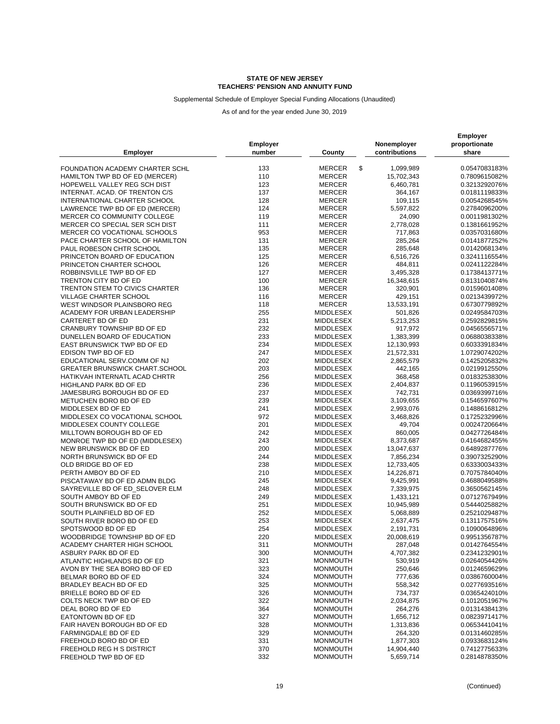Supplemental Schedule of Employer Special Funding Allocations (Unaudited)

| <b>Employer</b>                       | Employer<br>number | County              | Nonemployer<br>contributions | <b>Employer</b><br>proportionate<br>share |
|---------------------------------------|--------------------|---------------------|------------------------------|-------------------------------------------|
| FOUNDATION ACADEMY CHARTER SCHL       | 133                | \$<br><b>MERCER</b> | 1,099,989                    | 0.0547083183%                             |
| HAMILTON TWP BD OF ED (MERCER)        | 110                | <b>MERCER</b>       | 15,702,343                   | 0.7809615082%                             |
| HOPEWELL VALLEY REG SCH DIST          | 123                | <b>MERCER</b>       | 6,460,781                    | 0.3213292076%                             |
| INTERNAT. ACAD. OF TRENTON C/S        | 137                | <b>MERCER</b>       | 364,167                      | 0.0181119833%                             |
| INTERNATIONAL CHARTER SCHOOL          | 128                | <b>MERCER</b>       | 109,115                      | 0.0054268545%                             |
| LAWRENCE TWP BD OF ED (MERCER)        | 124                | <b>MERCER</b>       | 5,597,822                    | 0.2784096200%                             |
| MERCER CO COMMUNITY COLLEGE           | 119                | <b>MERCER</b>       | 24,090                       | 0.0011981302%                             |
| MERCER CO SPECIAL SER SCH DIST        | 111                | <b>MERCER</b>       | 2,778,028                    | 0.1381661952%                             |
| MERCER CO VOCATIONAL SCHOOLS          | 953                | <b>MERCER</b>       | 717,863                      | 0.0357031680%                             |
| PACE CHARTER SCHOOL OF HAMILTON       | 131                | <b>MERCER</b>       | 285,264                      | 0.0141877252%                             |
| PAUL ROBESON CHTR SCHOOL              | 135                | <b>MERCER</b>       | 285,648                      | 0.0142068134%                             |
| PRINCETON BOARD OF EDUCATION          | 125                | <b>MERCER</b>       | 6,516,726                    | 0.3241116554%                             |
| PRINCETON CHARTER SCHOOL              | 126                | <b>MERCER</b>       | 484,811                      | 0.0241122284%                             |
| ROBBINSVILLE TWP BD OF ED             | 127                | <b>MERCER</b>       | 3,495,328                    | 0.1738413771%                             |
| TRENTON CITY BD OF ED                 | 100                | <b>MERCER</b>       | 16,348,615                   | 0.8131040874%                             |
| TRENTON STEM TO CIVICS CHARTER        | 136                | <b>MERCER</b>       | 320,901                      | 0.0159601408%                             |
| VILLAGE CHARTER SCHOOL                | 116                | <b>MERCER</b>       | 429,151                      | 0.0213439972%                             |
| WEST WINDSOR PLAINSBORO REG           | 118                | <b>MERCER</b>       | 13,533,191                   | 0.6730779892%                             |
| ACADEMY FOR URBAN LEADERSHIP          | 255                | <b>MIDDLESEX</b>    | 501,826                      | 0.0249584703%                             |
| CARTERET BD OF ED                     | 231                | MIDDLESEX           |                              | 0.2592829815%                             |
|                                       | 232                |                     | 5,213,253                    |                                           |
| CRANBURY TOWNSHIP BD OF ED            |                    | MIDDLESEX           | 917,972                      | 0.0456556571%                             |
| DUNELLEN BOARD OF EDUCATION           | 233                | MIDDLESEX           | 1,383,399                    | 0.0688038338%                             |
| EAST BRUNSWICK TWP BD OF ED           | 234                | MIDDLESEX           | 12,130,993                   | 0.6033391834%                             |
| EDISON TWP BD OF ED                   | 247                | MIDDLESEX           | 21,572,331                   | 1.0729074202%                             |
| EDUCATIONAL SERV.COMM OF NJ           | 202                | MIDDLESEX           | 2,865,579                    | 0.1425205832%                             |
| <b>GREATER BRUNSWICK CHART.SCHOOL</b> | 203                | <b>MIDDLESEX</b>    | 442,165                      | 0.0219912550%                             |
| HATIKVAH INTERNATL ACAD CHRTR         | 256                | <b>MIDDLESEX</b>    | 368,458                      | 0.0183253830%                             |
| HIGHLAND PARK BD OF ED                | 236                | <b>MIDDLESEX</b>    | 2,404,837                    | 0.1196053915%                             |
| JAMESBURG BOROUGH BD OF ED            | 237                | MIDDLESEX           | 742,731                      | 0.0369399716%                             |
| METUCHEN BORO BD OF ED                | 239                | MIDDLESEX           | 3,109,655                    | 0.1546597607%                             |
| MIDDLESEX BD OF ED                    | 241                | MIDDLESEX           | 2,993,076                    | 0.1488616812%                             |
| MIDDLESEX CO VOCATIONAL SCHOOL        | 972                | MIDDLESEX           | 3,468,826                    | 0.1725232996%                             |
| MIDDLESEX COUNTY COLLEGE              | 201                | MIDDLESEX           | 49,704                       | 0.0024720664%                             |
| MILLTOWN BOROUGH BD OF ED             | 242                | MIDDLESEX           | 860,005                      | 0.0427726484%                             |
| MONROE TWP BD OF ED (MIDDLESEX)       | 243                | MIDDLESEX           | 8,373,687                    | 0.4164682455%                             |
| NEW BRUNSWICK BD OF ED                | 200<br>244         | MIDDLESEX           | 13,047,637                   | 0.6489287776%                             |
| NORTH BRUNSWICK BD OF ED              |                    | MIDDLESEX           | 7,856,234                    | 0.3907325290%                             |
| OLD BRIDGE BD OF ED                   | 238                | MIDDLESEX           | 12,733,405                   | 0.6333003433%                             |
| PERTH AMBOY BD OF ED                  | 210                | <b>MIDDLESEX</b>    | 14,226,871                   | 0.7075784040%                             |
| PISCATAWAY BD OF ED ADMN BLDG         | 245                | MIDDLESEX           | 9,425,991                    | 0.4688049588%                             |
| SAYREVILLE BD OF ED SELOVER ELM       | 248                | MIDDLESEX           | 7,339,975                    | 0.3650562145%                             |
| SOUTH AMBOY BD OF ED                  | 249                | MIDDLESEX           | 1,433,121                    | 0.0712767949%                             |
| SOUTH BRUNSWICK BD OF ED              | 251                | MIDDLESEX           | 10,945,989                   | 0.5444025882%                             |
| SOUTH PLAINFIELD BD OF ED             | 252                | <b>MIDDLESEX</b>    | 5,068,889                    | 0.2521029487%                             |
| SOUTH RIVER BORO BD OF ED             | 253                | <b>MIDDLESEX</b>    | 2,637,475                    | 0.1311757516%                             |
| SPOTSWOOD BD OF ED                    | 254                | MIDDLESEX           | 2,191,731                    | 0.1090064896%                             |
| WOODBRIDGE TOWNSHIP BD OF ED          | 220                | <b>MIDDLESEX</b>    | 20,008,619                   | 0.9951356787%                             |
| ACADEMY CHARTER HIGH SCHOOL           | 311                | <b>MONMOUTH</b>     | 287,048                      | 0.0142764554%                             |
| ASBURY PARK BD OF ED                  | 300                | <b>MONMOUTH</b>     | 4,707,382                    | 0.2341232901%                             |
| ATLANTIC HIGHLANDS BD OF ED           | 321                | <b>MONMOUTH</b>     | 530,919                      | 0.0264054426%                             |
| AVON BY THE SEA BORO BD OF ED         | 323                | <b>MONMOUTH</b>     | 250,646                      | 0.0124659629%                             |
| BELMAR BORO BD OF ED                  | 324                | <b>MONMOUTH</b>     | 777,636                      | 0.0386760004%                             |
| BRADLEY BEACH BD OF ED                | 325                | <b>MONMOUTH</b>     | 558,342                      | 0.0277693516%                             |
| BRIELLE BORO BD OF ED                 | 326                | <b>MONMOUTH</b>     | 734,737                      | 0.0365424010%                             |
| COLTS NECK TWP BD OF ED               | 322                | <b>MONMOUTH</b>     | 2,034,875                    | 0.1012051967%                             |
| DEAL BORO BD OF ED                    | 364                | <b>MONMOUTH</b>     | 264,276                      | 0.0131438413%                             |
| EATONTOWN BD OF ED                    | 327                | <b>MONMOUTH</b>     | 1,656,712                    | 0.0823971417%                             |
| FAIR HAVEN BOROUGH BD OF ED           | 328                | <b>MONMOUTH</b>     | 1,313,836                    | 0.0653441041%                             |
| FARMINGDALE BD OF ED                  | 329                | <b>MONMOUTH</b>     | 264,320                      | 0.0131460285%                             |
| FREEHOLD BORO BD OF ED                | 331                | <b>MONMOUTH</b>     | 1,877,303                    | 0.0933683124%                             |
| FREEHOLD REG H S DISTRICT             | 370                | <b>MONMOUTH</b>     | 14,904,440                   | 0.7412775633%                             |
| FREEHOLD TWP BD OF ED                 | 332                | <b>MONMOUTH</b>     | 5,659,714                    | 0.2814878350%                             |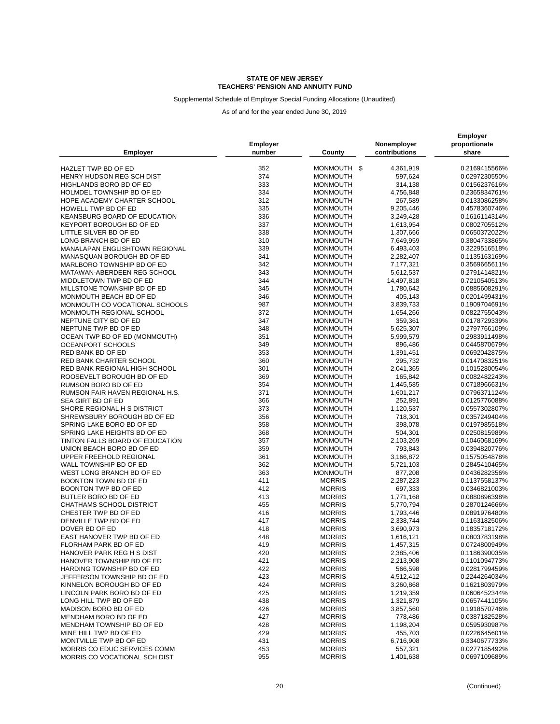### Supplemental Schedule of Employer Special Funding Allocations (Unaudited)

|                                                        |                 |                 |                        | <b>Employer</b>                |
|--------------------------------------------------------|-----------------|-----------------|------------------------|--------------------------------|
|                                                        | <b>Employer</b> |                 | Nonemployer            | proportionate                  |
| <b>Employer</b>                                        | number          | County          | contributions          | share                          |
| HAZLET TWP BD OF ED                                    | 352             | MONMOUTH \$     | 4,361,919              | 0.2169415566%                  |
| HENRY HUDSON REG SCH DIST                              | 374             | <b>MONMOUTH</b> | 597,624                | 0.0297230550%                  |
| HIGHLANDS BORO BD OF ED                                | 333             | <b>MONMOUTH</b> | 314,138                | 0.0156237616%                  |
| HOLMDEL TOWNSHIP BD OF ED                              | 334             | <b>MONMOUTH</b> | 4,756,848              | 0.2365834761%                  |
| HOPE ACADEMY CHARTER SCHOOL                            | 312             | <b>MONMOUTH</b> | 267,589                | 0.0133086258%                  |
| HOWELL TWP BD OF ED                                    | 335             | <b>MONMOUTH</b> | 9,205,446              | 0.4578360746%                  |
| KEANSBURG BOARD OF EDUCATION                           | 336             | <b>MONMOUTH</b> | 3,249,428              | 0.1616114314%                  |
|                                                        | 337             |                 |                        |                                |
| KEYPORT BOROUGH BD OF ED                               |                 | <b>MONMOUTH</b> | 1,613,954              | 0.0802705512%                  |
| LITTLE SILVER BD OF ED                                 | 338             | <b>MONMOUTH</b> | 1,307,666              | 0.0650372022%                  |
| LONG BRANCH BD OF ED                                   | 310             | <b>MONMOUTH</b> | 7,649,959              | 0.3804733865%                  |
| MANALAPAN ENGLISHTOWN REGIONAL                         | 339             | <b>MONMOUTH</b> | 6,493,403              | 0.3229516518%                  |
| MANASQUAN BOROUGH BD OF ED                             | 341             | <b>MONMOUTH</b> | 2,282,407              | 0.1135163169%                  |
| MARLBORO TOWNSHIP BD OF ED                             | 342             | <b>MONMOUTH</b> | 7,177,321              | 0.3569665611%                  |
| MATAWAN-ABERDEEN REG SCHOOL                            | 343             | <b>MONMOUTH</b> | 5,612,537              | 0.2791414821%                  |
| MIDDLETOWN TWP BD OF ED                                | 344             | <b>MONMOUTH</b> | 14,497,818             | 0.7210540513%                  |
| MILLSTONE TOWNSHIP BD OF ED                            | 345             | <b>MONMOUTH</b> | 1,780,642              | 0.0885608291%                  |
| MONMOUTH BEACH BD OF ED                                | 346             | <b>MONMOUTH</b> | 405,143                | 0.0201499431%                  |
| MONMOUTH CO VOCATIONAL SCHOOLS                         | 987             | <b>MONMOUTH</b> | 3,839,733              | 0.1909704691%                  |
| MONMOUTH REGIONAL SCHOOL                               | 372             | <b>MONMOUTH</b> | 1,654,266              | 0.0822755043%                  |
| NEPTUNE CITY BD OF ED                                  | 347             | <b>MONMOUTH</b> | 359,361                | 0.0178729339%                  |
| NEPTUNE TWP BD OF ED                                   | 348             | <b>MONMOUTH</b> | 5,625,307              | 0.2797766109%                  |
| OCEAN TWP BD OF ED (MONMOUTH)                          | 351             | <b>MONMOUTH</b> | 5,999,579              | 0.2983911498%                  |
| <b>OCEANPORT SCHOOLS</b>                               | 349             | <b>MONMOUTH</b> | 896,486                | 0.0445870679%                  |
| RED BANK BD OF ED                                      | 353             | <b>MONMOUTH</b> | 1,391,451              | 0.0692042875%                  |
| RED BANK CHARTER SCHOOL                                | 360             | <b>MONMOUTH</b> | 295,732                | 0.0147083251%                  |
| RED BANK REGIONAL HIGH SCHOOL                          | 301             | <b>MONMOUTH</b> | 2,041,365              | 0.1015280054%                  |
| ROOSEVELT BOROUGH BD OF ED                             | 369             | <b>MONMOUTH</b> | 165,842                | 0.0082482243%                  |
|                                                        | 354             | <b>MONMOUTH</b> | 1,445,585              |                                |
| RUMSON BORO BD OF ED                                   | 371             | <b>MONMOUTH</b> |                        | 0.0718966631%                  |
| RUMSON FAIR HAVEN REGIONAL H.S.                        |                 |                 | 1,601,217              | 0.0796371124%                  |
| SEA GIRT BD OF ED                                      | 366             | <b>MONMOUTH</b> | 252,891                | 0.0125776088%                  |
| SHORE REGIONAL H S DISTRICT                            | 373             | <b>MONMOUTH</b> | 1,120,537              | 0.0557302807%                  |
| SHREWSBURY BOROUGH BD OF ED                            | 356             | <b>MONMOUTH</b> | 718,301                | 0.0357249404%                  |
| SPRING LAKE BORO BD OF ED                              | 358             | <b>MONMOUTH</b> | 398,078                | 0.0197985518%                  |
| SPRING LAKE HEIGHTS BD OF ED                           | 368             | <b>MONMOUTH</b> | 504,301                | 0.0250815989%                  |
| TINTON FALLS BOARD OF EDUCATION                        | 357             | <b>MONMOUTH</b> | 2,103,269              | 0.1046068169%                  |
| UNION BEACH BORO BD OF ED                              | 359             | <b>MONMOUTH</b> | 793,843                | 0.0394820776%                  |
| UPPER FREEHOLD REGIONAL                                | 361             | <b>MONMOUTH</b> | 3,166,872              | 0.1575054878%                  |
| WALL TOWNSHIP BD OF ED                                 | 362             | <b>MONMOUTH</b> | 5,721,103              | 0.2845410465%                  |
| WEST LONG BRANCH BD OF ED                              | 363             | <b>MONMOUTH</b> | 877,208                | 0.0436282356%                  |
| BOONTON TOWN BD OF ED                                  | 411             | <b>MORRIS</b>   | 2,287,223              | 0.1137558137%                  |
| BOONTON TWP BD OF ED                                   | 412             | <b>MORRIS</b>   | 697,333                | 0.0346821003%                  |
| BUTLER BORO BD OF ED                                   | 413             | <b>MORRIS</b>   | 1,771,168              | 0.0880896398%                  |
| CHATHAMS SCHOOL DISTRICT                               | 455             | <b>MORRIS</b>   | 5,770,794              | 0.2870124666%                  |
| CHESTER TWP BD OF ED                                   | 416             | <b>MORRIS</b>   | 1,793,446              | 0.0891976480%                  |
| DENVILLE TWP BD OF ED                                  | 417             | <b>MORRIS</b>   | 2,338,744              | 0.1163182506%                  |
| DOVER BD OF ED                                         | 418             | <b>MORRIS</b>   | 3,690,973              | 0.1835718172%                  |
| EAST HANOVER TWP BD OF ED                              | 448             | <b>MORRIS</b>   | 1,616,121              | 0.0803783198%                  |
| FLORHAM PARK BD OF ED                                  | 419             | <b>MORRIS</b>   | 1,457,315              | 0.0724800949%                  |
|                                                        |                 |                 |                        |                                |
| HANOVER PARK REG H S DIST<br>HANOVER TOWNSHIP BD OF ED | 420             | <b>MORRIS</b>   | 2,385,406<br>2,213,908 | 0.1186390035%<br>0.1101094773% |
|                                                        | 421             | <b>MORRIS</b>   |                        |                                |
| HARDING TOWNSHIP BD OF ED                              | 422             | <b>MORRIS</b>   | 566,598                | 0.0281799459%                  |
| JEFFERSON TOWNSHIP BD OF ED                            | 423             | <b>MORRIS</b>   | 4,512,412              | 0.2244264034%                  |
| KINNELON BOROUGH BD OF ED                              | 424             | <b>MORRIS</b>   | 3,260,868              | 0.1621803979%                  |
| LINCOLN PARK BORO BD OF ED                             | 425             | <b>MORRIS</b>   | 1,219,359              | 0.0606452344%                  |
| LONG HILL TWP BD OF ED                                 | 438             | <b>MORRIS</b>   | 1,321,879              | 0.0657441105%                  |
| MADISON BORO BD OF ED                                  | 426             | <b>MORRIS</b>   | 3,857,560              | 0.1918570746%                  |
| MENDHAM BORO BD OF ED                                  | 427             | <b>MORRIS</b>   | 778,486                | 0.0387182528%                  |
| MENDHAM TOWNSHIP BD OF ED                              | 428             | <b>MORRIS</b>   | 1,198,204              | 0.0595930987%                  |
| MINE HILL TWP BD OF ED                                 | 429             | <b>MORRIS</b>   | 455,703                | 0.0226645601%                  |
| MONTVILLE TWP BD OF ED                                 | 431             | <b>MORRIS</b>   | 6,716,908              | 0.3340677733%                  |
| MORRIS CO EDUC SERVICES COMM                           | 453             | <b>MORRIS</b>   | 557,321                | 0.0277185492%                  |
| MORRIS CO VOCATIONAL SCH DIST                          | 955             | <b>MORRIS</b>   | 1,401,638              | 0.0697109689%                  |
|                                                        |                 |                 |                        |                                |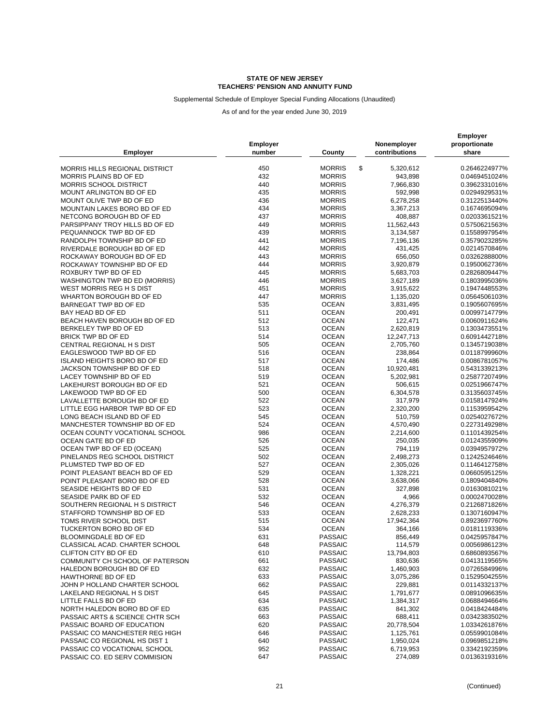Supplemental Schedule of Employer Special Funding Allocations (Unaudited)

| <b>Employer</b>                       | <b>Employer</b><br>number | County              | Nonemployer<br>contributions | <b>Employer</b><br>proportionate<br>share |
|---------------------------------------|---------------------------|---------------------|------------------------------|-------------------------------------------|
| <b>MORRIS HILLS REGIONAL DISTRICT</b> | 450                       | \$<br><b>MORRIS</b> | 5,320,612                    | 0.2646224977%                             |
| MORRIS PLAINS BD OF ED                | 432                       | <b>MORRIS</b>       | 943,898                      | 0.0469451024%                             |
| <b>MORRIS SCHOOL DISTRICT</b>         | 440                       | <b>MORRIS</b>       | 7,966,830                    | 0.3962331016%                             |
| <b>MOUNT ARLINGTON BD OF ED</b>       | 435                       | <b>MORRIS</b>       | 592,998                      | 0.0294929531%                             |
|                                       |                           |                     |                              |                                           |
| MOUNT OLIVE TWP BD OF ED              | 436                       | <b>MORRIS</b>       | 6,278,258                    | 0.3122513440%                             |
| MOUNTAIN LAKES BORO BD OF ED          | 434                       | <b>MORRIS</b>       | 3,367,213                    | 0.1674695094%                             |
| NETCONG BOROUGH BD OF ED              | 437                       | <b>MORRIS</b>       | 408,887                      | 0.0203361521%                             |
| PARSIPPANY TROY HILLS BD OF ED        | 449                       | <b>MORRIS</b>       | 11,562,443                   | 0.5750621563%                             |
| PEQUANNOCK TWP BD OF ED               | 439                       | <b>MORRIS</b>       | 3,134,587                    | 0.1558997954%                             |
| RANDOLPH TOWNSHIP BD OF ED            | 441                       | <b>MORRIS</b>       | 7,196,136                    | 0.3579023285%                             |
| RIVERDALE BOROUGH BD OF ED            | 442                       | <b>MORRIS</b>       | 431,425                      | 0.0214570846%                             |
| ROCKAWAY BOROUGH BD OF ED             | 443                       | <b>MORRIS</b>       | 656,050                      | 0.0326288800%                             |
| ROCKAWAY TOWNSHIP BD OF ED            | 444                       | <b>MORRIS</b>       | 3,920,879                    | 0.1950062736%                             |
| ROXBURY TWP BD OF ED                  | 445                       | <b>MORRIS</b>       | 5,683,703                    | 0.2826809447%                             |
| WASHINGTON TWP BD ED (MORRIS)         | 446                       | <b>MORRIS</b>       | 3,627,189                    | 0.1803995036%                             |
| WEST MORRIS REG H S DIST              | 451                       | <b>MORRIS</b>       | 3,915,622                    | 0.1947448553%                             |
| WHARTON BOROUGH BD OF ED              | 447                       | <b>MORRIS</b>       | 1,135,020                    | 0.0564506103%                             |
| BARNEGAT TWP BD OF ED                 | 535                       | <b>OCEAN</b>        | 3,831,495                    | 0.1905607695%                             |
| BAY HEAD BD OF ED                     | 511                       | <b>OCEAN</b>        | 200,491                      | 0.0099714779%                             |
| BEACH HAVEN BOROUGH BD OF ED          | 512                       | <b>OCEAN</b>        | 122,471                      | 0.0060911624%                             |
| BERKELEY TWP BD OF ED                 | 513                       | <b>OCEAN</b>        | 2,620,819                    | 0.1303473551%                             |
| BRICK TWP BD OF ED                    | 514                       | <b>OCEAN</b>        | 12,247,713                   | 0.6091442718%                             |
| CENTRAL REGIONAL H S DIST             | 505                       | <b>OCEAN</b>        | 2,705,760                    | 0.1345719038%                             |
| EAGLESWOOD TWP BD OF ED               | 516                       | <b>OCEAN</b>        | 238,864                      | 0.0118799960%                             |
| <b>ISLAND HEIGHTS BORO BD OF ED</b>   | 517                       | <b>OCEAN</b>        | 174,486                      | 0.0086781057%                             |
| JACKSON TOWNSHIP BD OF ED             | 518                       | <b>OCEAN</b>        | 10,920,481                   | 0.5431339213%                             |
| LACEY TOWNSHIP BD OF ED               | 519                       | <b>OCEAN</b>        | 5,202,981                    | 0.2587720749%                             |
| LAKEHURST BOROUGH BD OF ED            | 521                       | <b>OCEAN</b>        |                              | 0.0251966747%                             |
|                                       | 500                       | <b>OCEAN</b>        | 506,615                      |                                           |
| LAKEWOOD TWP BD OF ED                 |                           |                     | 6,304,578                    | 0.3135603745%                             |
| LAVALLETTE BOROUGH BD OF ED           | 522                       | <b>OCEAN</b>        | 317,979                      | 0.0158147924%                             |
| LITTLE EGG HARBOR TWP BD OF ED        | 523                       | <b>OCEAN</b>        | 2,320,200                    | 0.1153959542%                             |
| LONG BEACH ISLAND BD OF ED            | 545                       | <b>OCEAN</b>        | 510,759                      | 0.0254027672%                             |
| MANCHESTER TOWNSHIP BD OF ED          | 524                       | <b>OCEAN</b>        | 4,570,490                    | 0.2273149298%                             |
| OCEAN COUNTY VOCATIONAL SCHOOL        | 986                       | <b>OCEAN</b>        | 2,214,600                    | 0.1101439254%                             |
| OCEAN GATE BD OF ED                   | 526                       | <b>OCEAN</b>        | 250,035                      | 0.0124355909%                             |
| OCEAN TWP BD OF ED (OCEAN)            | 525                       | <b>OCEAN</b>        | 794,119                      | 0.0394957972%                             |
| PINELANDS REG SCHOOL DISTRICT         | 502                       | <b>OCEAN</b>        | 2,498,273                    | 0.1242524646%                             |
| PLUMSTED TWP BD OF ED                 | 527                       | <b>OCEAN</b>        | 2,305,026                    | 0.1146412758%                             |
| POINT PLEASANT BEACH BD OF ED         | 529                       | <b>OCEAN</b>        | 1,328,221                    | 0.0660595125%                             |
| POINT PLEASANT BORO BD OF ED          | 528                       | <b>OCEAN</b>        | 3,638,066                    | 0.1809404840%                             |
| SEASIDE HEIGHTS BD OF ED              | 531                       | <b>OCEAN</b>        | 327,898                      | 0.0163081021%                             |
| SEASIDE PARK BD OF ED                 | 532                       | <b>OCEAN</b>        | 4,966                        | 0.0002470028%                             |
| SOUTHERN REGIONAL H S DISTRICT        | 546                       | <b>OCEAN</b>        | 4,276,379                    | 0.2126871826%                             |
| STAFFORD TOWNSHIP BD OF ED            | 533                       | <b>OCEAN</b>        | 2,628,233                    | 0.1307160947%                             |
| TOMS RIVER SCHOOL DIST                | 515                       | <b>OCEAN</b>        | 17,942,364                   | 0.8923697760%                             |
| TUCKERTON BORO BD OF ED               | 534                       | <b>OCEAN</b>        | 364,166                      | 0.0181119336%                             |
| BLOOMINGDALE BD OF ED                 | 631                       | <b>PASSAIC</b>      | 856,449                      | 0.0425957847%                             |
| CLASSICAL ACAD. CHARTER SCHOOL        | 648                       | <b>PASSAIC</b>      | 114,579                      | 0.0056986123%                             |
| CLIFTON CITY BD OF ED                 | 610                       | <b>PASSAIC</b>      | 13,794,803                   | 0.6860893567%                             |
| COMMUNITY CH SCHOOL OF PATERSON       | 661                       | <b>PASSAIC</b>      | 830,636                      | 0.0413119565%                             |
| HALEDON BOROUGH BD OF ED              | 632                       | PASSAIC             | 1,460,903                    | 0.0726584996%                             |
| <b>HAWTHORNE BD OF ED</b>             | 633                       | PASSAIC             | 3,075,286                    | 0.1529504255%                             |
| JOHN P HOLLAND CHARTER SCHOOL         | 662                       | PASSAIC             | 229,881                      | 0.0114332137%                             |
| LAKELAND REGIONAL H S DIST            | 645                       | PASSAIC             | 1,791,677                    | 0.0891096635%                             |
| LITTLE FALLS BD OF ED                 | 634                       | <b>PASSAIC</b>      | 1,384,317                    | 0.0688494664%                             |
| NORTH HALEDON BORO BD OF ED           | 635                       | <b>PASSAIC</b>      | 841,302                      | 0.0418424484%                             |
| PASSAIC ARTS & SCIENCE CHTR SCH       | 663                       | PASSAIC             | 688,411                      | 0.0342383502%                             |
| PASSAIC BOARD OF EDUCATION            | 620                       | PASSAIC             | 20,778,504                   | 1.0334261876%                             |
| PASSAIC CO MANCHESTER REG HIGH        | 646                       | <b>PASSAIC</b>      | 1,125,761                    | 0.0559901084%                             |
| PASSAIC CO REGIONAL HS DIST 1         | 640                       | PASSAIC             | 1,950,024                    | 0.0969851218%                             |
| PASSAIC CO VOCATIONAL SCHOOL          | 952                       | <b>PASSAIC</b>      | 6,719,953                    | 0.3342192359%                             |
| PASSAIC CO. ED SERV COMMISION         | 647                       | <b>PASSAIC</b>      | 274,089                      | 0.0136319316%                             |
|                                       |                           |                     |                              |                                           |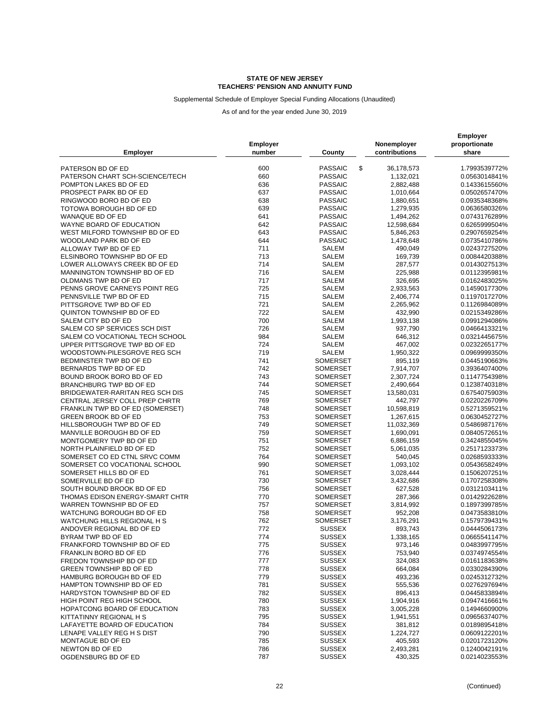### Supplemental Schedule of Employer Special Funding Allocations (Unaudited)

| <b>Employer</b>                  | <b>Employer</b><br>number | County          | Nonemployer<br>contributions | <b>Employer</b><br>proportionate<br>share |
|----------------------------------|---------------------------|-----------------|------------------------------|-------------------------------------------|
| PATERSON BD OF ED                | 600                       | \$<br>PASSAIC   | 36,178,573                   | 1.7993539772%                             |
| PATERSON CHART SCH-SCIENCE/TECH  | 660                       | <b>PASSAIC</b>  | 1,132,021                    | 0.0563014841%                             |
|                                  |                           |                 |                              |                                           |
| POMPTON LAKES BD OF ED           | 636                       | <b>PASSAIC</b>  | 2,882,488                    | 0.1433615560%                             |
| PROSPECT PARK BD OF ED           | 637                       | <b>PASSAIC</b>  | 1,010,664                    | 0.0502657470%                             |
| RINGWOOD BORO BD OF ED           | 638                       | <b>PASSAIC</b>  | 1,880,651                    | 0.0935348368%                             |
| TOTOWA BOROUGH BD OF ED          | 639                       | <b>PASSAIC</b>  | 1,279,935                    | 0.0636580326%                             |
| WANAQUE BD OF ED                 | 641                       | <b>PASSAIC</b>  | 1,494,262                    | 0.0743176289%                             |
| WAYNE BOARD OF EDUCATION         | 642                       | <b>PASSAIC</b>  | 12,598,684                   | 0.6265999504%                             |
| WEST MILFORD TOWNSHIP BD OF ED   | 643                       | <b>PASSAIC</b>  | 5,846,263                    | 0.2907659254%                             |
| WOODLAND PARK BD OF ED           | 644                       | <b>PASSAIC</b>  | 1,478,648                    | 0.0735410786%                             |
| ALLOWAY TWP BD OF ED             | 711                       | <b>SALEM</b>    | 490,049                      | 0.0243727520%                             |
| ELSINBORO TOWNSHIP BD OF ED      | 713                       | SALEM           | 169,739                      | 0.0084420388%                             |
| LOWER ALLOWAYS CREEK BD OF ED    | 714                       | <b>SALEM</b>    | 287,577                      | 0.0143027513%                             |
| MANNINGTON TOWNSHIP BD OF ED     | 716                       | <b>SALEM</b>    | 225,988                      | 0.0112395981%                             |
| OLDMANS TWP BD OF ED             | 717                       | <b>SALEM</b>    | 326,695                      | 0.0162483025%                             |
| PENNS GROVE CARNEYS POINT REG    | 725                       | SALEM           | 2,933,563                    | 0.1459017730%                             |
| PENNSVILLE TWP BD OF ED          | 715                       | <b>SALEM</b>    | 2,406,774                    | 0.1197017270%                             |
| PITTSGROVE TWP BD OF ED          | 721                       | SALEM           | 2,265,962                    | 0.1126984089%                             |
| QUINTON TOWNSHIP BD OF ED        | 722                       | <b>SALEM</b>    | 432,990                      | 0.0215349286%                             |
| SALEM CITY BD OF ED              | 700                       | <b>SALEM</b>    | 1,993,138                    | 0.0991294086%                             |
| SALEM CO SP SERVICES SCH DIST    | 726                       | <b>SALEM</b>    | 937,790                      | 0.0466413321%                             |
| SALEM CO VOCATIONAL TECH SCHOOL  | 984                       | SALEM           | 646,312                      | 0.0321445675%                             |
| UPPER PITTSGROVE TWP BD OF ED    | 724                       | SALEM           | 467,002                      | 0.0232265177%                             |
| WOODSTOWN-PILESGROVE REG SCH     | 719                       | <b>SALEM</b>    | 1,950,322                    | 0.0969999350%                             |
| BEDMINSTER TWP BD OF ED          | 741                       | <b>SOMERSET</b> | 895,119                      | 0.0445190663%                             |
| BERNARDS TWP BD OF ED            | 742                       | <b>SOMERSET</b> | 7,914,707                    | 0.3936407400%                             |
| BOUND BROOK BORO BD OF ED        | 743                       | SOMERSET        | 2,307,724                    | 0.1147754398%                             |
| BRANCHBURG TWP BD OF ED          | 744                       | SOMERSET        | 2,490,664                    | 0.1238740318%                             |
| BRIDGEWATER-RARITAN REG SCH DIS  | 745                       | <b>SOMERSET</b> | 13,580,031                   | 0.6754075903%                             |
| CENTRAL JERSEY COLL PREP CHRTR   | 769                       | <b>SOMERSET</b> | 442,797                      | 0.0220226709%                             |
| FRANKLIN TWP BD OF ED (SOMERSET) | 748                       | <b>SOMERSET</b> | 10,598,819                   | 0.5271359521%                             |
| GREEN BROOK BD OF ED             | 753                       | <b>SOMERSET</b> | 1,267,615                    | 0.0630452727%                             |
| HILLSBOROUGH TWP BD OF ED        | 749                       | <b>SOMERSET</b> | 11,032,369                   | 0.5486987176%                             |
| MANVILLE BOROUGH BD OF ED        | 759                       | <b>SOMERSET</b> | 1,690,091                    | 0.0840572651%                             |
|                                  | 751                       | <b>SOMERSET</b> |                              |                                           |
| MONTGOMERY TWP BD OF ED          |                           |                 | 6,886,159                    | 0.3424855045%                             |
| NORTH PLAINFIELD BD OF ED        | 752                       | <b>SOMERSET</b> | 5,061,035                    | 0.2517123373%                             |
| SOMERSET CO ED CTNL SRVC COMM    | 764                       | <b>SOMERSET</b> | 540,045                      | 0.0268593333%                             |
| SOMERSET CO VOCATIONAL SCHOOL    | 990                       | <b>SOMERSET</b> | 1,093,102                    | 0.0543658249%                             |
| SOMERSET HILLS BD OF ED          | 761                       | <b>SOMERSET</b> | 3,028,444                    | 0.1506207251%                             |
| SOMERVILLE BD OF ED              | 730                       | SOMERSET        | 3,432,686                    | 0.1707258308%                             |
| SOUTH BOUND BROOK BD OF ED       | 756                       | <b>SOMERSET</b> | 627,528                      | 0.0312103411%                             |
| THOMAS EDISON ENERGY-SMART CHTR  | 770                       | <b>SOMERSET</b> | 287,366                      | 0.0142922628%                             |
| WARREN TOWNSHIP BD OF ED         | 757                       | <b>SOMERSET</b> | 3,814,992                    | 0.1897399785%                             |
| WATCHUNG BOROUGH BD OF ED        | 758                       | <b>SOMERSET</b> | 952,208                      | 0.0473583810%                             |
| WATCHUNG HILLS REGIONAL H S      | 762                       | <b>SOMERSET</b> | 3,176,291                    | 0.1579739431%                             |
| ANDOVER REGIONAL BD OF ED        | 772                       | <b>SUSSEX</b>   | 893,743                      | 0.0444506173%                             |
| BYRAM TWP BD OF ED               | 774                       | <b>SUSSEX</b>   | 1,338,165                    | 0.0665541147%                             |
| FRANKFORD TOWNSHIP BD OF ED      | 775                       | <b>SUSSEX</b>   | 973,146                      | 0.0483997795%                             |
| FRANKLIN BORO BD OF ED           | 776                       | <b>SUSSEX</b>   | 753,940                      | 0.0374974554%                             |
| FREDON TOWNSHIP BD OF ED         | 777                       | <b>SUSSEX</b>   | 324,083                      | 0.0161183638%                             |
| GREEN TOWNSHIP BD OF ED          | 778                       | <b>SUSSEX</b>   | 664,084                      | 0.0330284390%                             |
| HAMBURG BOROUGH BD OF ED         | 779                       | <b>SUSSEX</b>   | 493,236                      | 0.0245312732%                             |
| <b>HAMPTON TOWNSHIP BD OF ED</b> | 781                       | <b>SUSSEX</b>   | 555,536                      | 0.0276297694%                             |
| HARDYSTON TOWNSHIP BD OF ED      | 782                       | <b>SUSSEX</b>   | 896,413                      | 0.0445833894%                             |
| HIGH POINT REG HIGH SCHOOL       | 780                       | <b>SUSSEX</b>   | 1,904,916                    | 0.0947416661%                             |
| HOPATCONG BOARD OF EDUCATION     | 783                       | <b>SUSSEX</b>   | 3,005,228                    | 0.1494660900%                             |
| KITTATINNY REGIONAL H S          | 795                       | <b>SUSSEX</b>   | 1,941,551                    | 0.0965637407%                             |
| LAFAYETTE BOARD OF EDUCATION     | 784                       | <b>SUSSEX</b>   | 381,812                      | 0.0189895418%                             |
| LENAPE VALLEY REG H S DIST       | 790                       | <b>SUSSEX</b>   | 1,224,727                    | 0.0609122201%                             |
| MONTAGUE BD OF ED                | 785                       | <b>SUSSEX</b>   | 405,593                      | 0.0201723120%                             |
| NEWTON BD OF ED                  | 786                       | <b>SUSSEX</b>   | 2,493,281                    | 0.1240042191%                             |
| OGDENSBURG BD OF ED              | 787                       | <b>SUSSEX</b>   | 430,325                      | 0.0214023553%                             |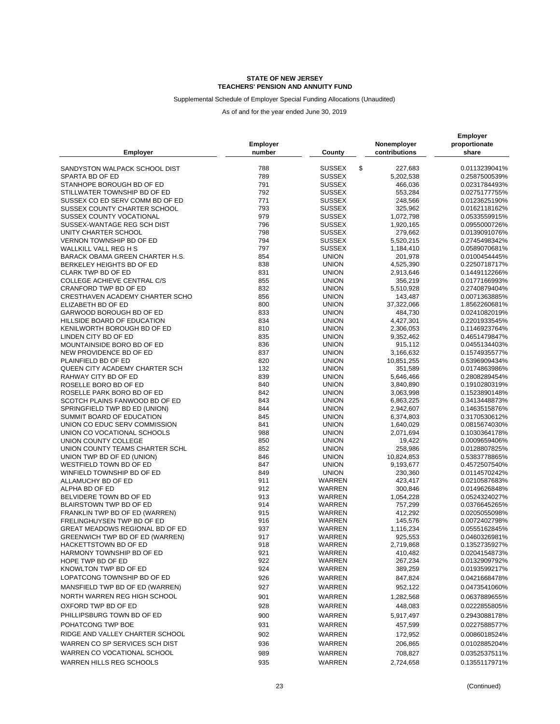### Supplemental Schedule of Employer Special Funding Allocations (Unaudited)

|                                                              |            |                              |                        | <b>Employer</b>                |  |
|--------------------------------------------------------------|------------|------------------------------|------------------------|--------------------------------|--|
|                                                              | Employer   |                              | Nonemployer            | proportionate                  |  |
| <b>Employer</b>                                              | number     | County                       | contributions          | share                          |  |
| SANDYSTON WALPACK SCHOOL DIST                                | 788        | <b>SUSSEX</b>                | \$<br>227,683          | 0.0113239041%                  |  |
| SPARTA BD OF ED                                              | 789        | <b>SUSSEX</b>                | 5,202,538              | 0.2587500539%                  |  |
| STANHOPE BOROUGH BD OF ED                                    | 791        | <b>SUSSEX</b>                | 466,036                | 0.0231784493%                  |  |
| STILLWATER TOWNSHIP BD OF ED                                 | 792        | <b>SUSSEX</b>                | 553,284                | 0.0275177755%                  |  |
| SUSSEX CO ED SERV COMM BD OF ED                              | 771        | <b>SUSSEX</b>                | 248,566                | 0.0123625190%                  |  |
| SUSSEX COUNTY CHARTER SCHOOL                                 | 793        | <b>SUSSEX</b>                | 325,962                | 0.0162118162%                  |  |
| SUSSEX COUNTY VOCATIONAL                                     | 979        | <b>SUSSEX</b>                | 1,072,798              | 0.0533559915%                  |  |
| SUSSEX-WANTAGE REG SCH DIST                                  | 796        | <b>SUSSEX</b>                | 1,920,165              | 0.0955000726%                  |  |
| UNITY CHARTER SCHOOL                                         | 798        | <b>SUSSEX</b>                | 279,662                | 0.0139091076%                  |  |
| VERNON TOWNSHIP BD OF ED                                     | 794        | <b>SUSSEX</b>                | 5,520,215              | 0.2745498342%                  |  |
| WALLKILL VALL REG H S                                        | 797        | <b>SUSSEX</b>                | 1,184,410              | 0.0589070681%                  |  |
| <b>BARACK OBAMA GREEN CHARTER H.S.</b>                       | 854        | <b>UNION</b>                 | 201,978                | 0.0100454445%                  |  |
| BERKELEY HEIGHTS BD OF ED                                    | 838        | <b>UNION</b>                 | 4,525,390              | 0.2250718717%                  |  |
| CLARK TWP BD OF ED                                           | 831        | <b>UNION</b>                 | 2,913,646              | 0.1449112266%                  |  |
| COLLEGE ACHIEVE CENTRAL C/S                                  | 855        | <b>UNION</b>                 | 356,219                | 0.0177166993%                  |  |
| CRANFORD TWP BD OF ED                                        | 832        | <b>UNION</b>                 | 5,510,928              | 0.2740879404%                  |  |
| CRESTHAVEN ACADEMY CHARTER SCHO                              | 856        | <b>UNION</b>                 | 143,487                | 0.0071363885%                  |  |
| ELIZABETH BD OF ED                                           | 800        | <b>UNION</b>                 | 37,322,066             | 1.8562260681%                  |  |
| GARWOOD BOROUGH BD OF ED                                     | 833        | <b>UNION</b>                 | 484,730                | 0.0241082019%                  |  |
| HILLSIDE BOARD OF EDUCATION                                  | 834        | <b>UNION</b>                 | 4,427,301              | 0.2201933545%                  |  |
| KENILWORTH BOROUGH BD OF ED                                  | 810        | <b>UNION</b>                 | 2,306,053              | 0.1146923764%                  |  |
| LINDEN CITY BD OF ED                                         | 835        | <b>UNION</b>                 | 9,352,462              | 0.4651479847%                  |  |
| MOUNTAINSIDE BORO BD OF ED                                   | 836        | <b>UNION</b>                 | 915,112                | 0.0455134403%                  |  |
| NEW PROVIDENCE BD OF ED                                      | 837        | <b>UNION</b>                 | 3,166,632              | 0.1574935577%                  |  |
| PLAINFIELD BD OF ED                                          | 820        | <b>UNION</b>                 | 10,851,255             | 0.5396909434%                  |  |
| QUEEN CITY ACADEMY CHARTER SCH                               | 132        | <b>UNION</b>                 | 351,589                | 0.0174863986%                  |  |
| RAHWAY CITY BD OF ED                                         | 839        | <b>UNION</b>                 | 5,646,466              | 0.2808289454%                  |  |
| ROSELLE BORO BD OF ED                                        | 840        | <b>UNION</b>                 | 3,840,890              | 0.1910280319%                  |  |
| ROSELLE PARK BORO BD OF ED                                   | 842        | <b>UNION</b>                 | 3,063,998              | 0.1523890148%                  |  |
| SCOTCH PLAINS FANWOOD BD OF ED                               | 843        | <b>UNION</b>                 | 6,863,225              | 0.3413448873%                  |  |
| SPRINGFIELD TWP BD ED (UNION)                                | 844        | <b>UNION</b>                 | 2,942,607              | 0.1463515876%                  |  |
| SUMMIT BOARD OF EDUCATION                                    | 845        | <b>UNION</b>                 | 6,374,803              | 0.3170530612%                  |  |
| UNION CO EDUC SERV COMMISSION<br>UNION CO VOCATIONAL SCHOOLS | 841<br>988 | <b>UNION</b><br><b>UNION</b> | 1,640,029<br>2,071,694 | 0.0815674030%<br>0.1030364178% |  |
| UNION COUNTY COLLEGE                                         | 850        | <b>UNION</b>                 | 19,422                 | 0.0009659406%                  |  |
| UNION COUNTY TEAMS CHARTER SCHL                              | 852        | <b>UNION</b>                 | 258,986                | 0.0128807825%                  |  |
| UNION TWP BD OF ED (UNION)                                   | 846        | <b>UNION</b>                 | 10,824,853             | 0.5383778865%                  |  |
| WESTFIELD TOWN BD OF ED                                      | 847        | <b>UNION</b>                 | 9,193,677              | 0.4572507540%                  |  |
| WINFIELD TOWNSHIP BD OF ED                                   | 849        | <b>UNION</b>                 | 230,360                | 0.0114570242%                  |  |
| ALLAMUCHY BD OF ED                                           | 911        | WARREN                       | 423,417                | 0.0210587683%                  |  |
| ALPHA BD OF ED                                               | 912        | WARREN                       | 300,846                | 0.0149626848%                  |  |
| BELVIDERE TOWN BD OF ED                                      | 913        | WARREN                       | 1,054,228              | 0.0524324027%                  |  |
| BLAIRSTOWN TWP BD OF ED                                      | 914        | WARREN                       | 757,299                | 0.0376645265%                  |  |
| FRANKLIN TWP BD OF ED (WARREN)                               | 915        | WARREN                       | 412,292                | 0.0205055098%                  |  |
| FRELINGHUYSEN TWP BD OF ED                                   | 916        | WARREN                       | 145,576                | 0.0072402798%                  |  |
| GREAT MEADOWS REGIONAL BD OF ED                              | 937        | WARREN                       | 1,116,234              | 0.0555162845%                  |  |
| GREENWICH TWP BD OF ED (WARREN)                              | 917        | WARREN                       | 925,553                | 0.0460326981%                  |  |
| HACKETTSTOWN BD OF ED                                        | 918        | WARREN                       | 2,719,868              | 0.1352735927%                  |  |
| HARMONY TOWNSHIP BD OF ED                                    | 921        | WARREN                       | 410,482                | 0.0204154873%                  |  |
| HOPE TWP BD OF ED                                            | 922        | WARREN                       | 267,234                | 0.0132909792%                  |  |
| KNOWLTON TWP BD OF ED                                        | 924        | WARREN                       | 389,259                | 0.0193599217%                  |  |
| LOPATCONG TOWNSHIP BD OF ED                                  | 926        | WARREN                       | 847,824                | 0.0421668478%                  |  |
| MANSFIELD TWP BD OF ED (WARREN)                              | 927        | <b>WARREN</b>                | 952,122                | 0.0473541060%                  |  |
| NORTH WARREN REG HIGH SCHOOL                                 | 901        | WARREN                       | 1,282,568              | 0.0637889655%                  |  |
| OXFORD TWP BD OF ED                                          | 928        | WARREN                       | 448,083                | 0.0222855805%                  |  |
| PHILLIPSBURG TOWN BD OF ED                                   | 900        | WARREN                       | 5,917,497              | 0.2943088178%                  |  |
| POHATCONG TWP BOE                                            |            |                              |                        |                                |  |
|                                                              | 931        | WARREN                       | 457,599                | 0.0227588577%                  |  |
| RIDGE AND VALLEY CHARTER SCHOOL                              | 902        | WARREN                       | 172,952                | 0.0086018524%                  |  |
| WARREN CO SP SERVICES SCH DIST                               | 936        | WARREN                       | 206,865                | 0.0102885204%                  |  |
| WARREN CO VOCATIONAL SCHOOL                                  | 989        | WARREN                       | 708,827                | 0.0352537511%                  |  |
| WARREN HILLS REG SCHOOLS                                     | 935        | WARREN                       | 2,724,658              | 0.1355117971%                  |  |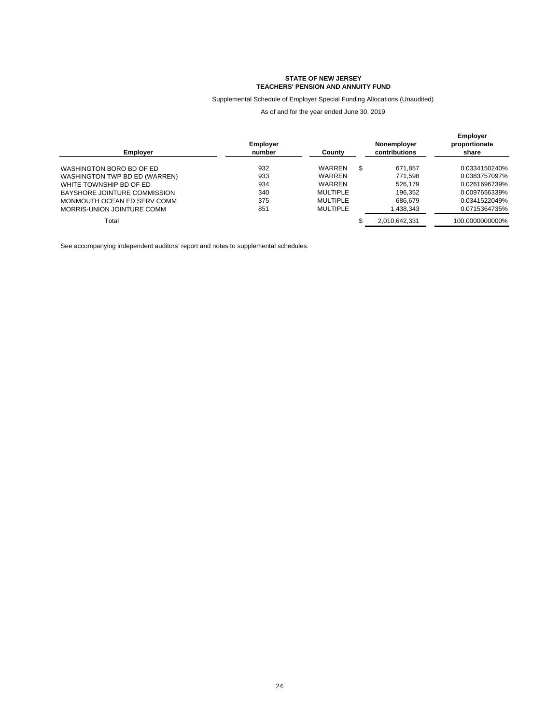Supplemental Schedule of Employer Special Funding Allocations (Unaudited)

As of and for the year ended June 30, 2019

| <b>Employer</b>               | <b>Employer</b><br>number | County          |   | Nonemployer<br>contributions | <b>Employer</b><br>proportionate<br>share |
|-------------------------------|---------------------------|-----------------|---|------------------------------|-------------------------------------------|
| WASHINGTON BORO BD OF ED      | 932                       | WARREN          | S | 671.857                      | 0.0334150240%                             |
| WASHINGTON TWP BD ED (WARREN) | 933                       | WARREN          |   | 771.598                      | 0.0383757097%                             |
| WHITE TOWNSHIP BD OF ED       | 934                       | WARREN          |   | 526.179                      | 0.0261696739%                             |
| BAYSHORE JOINTURE COMMISSION  | 340                       | <b>MULTIPLE</b> |   | 196.352                      | 0.0097656339%                             |
| MONMOUTH OCEAN ED SERV COMM   | 375                       | <b>MULTIPLE</b> |   | 686.679                      | 0.0341522049%                             |
| MORRIS-UNION JOINTURE COMM    | 851                       | MUI TIPI F      |   | 1,438,343                    | 0.0715364735%                             |
| Total                         |                           |                 |   | 2,010,642,331                | 100.0000000000%                           |

See accompanying independent auditors' report and notes to supplemental schedules.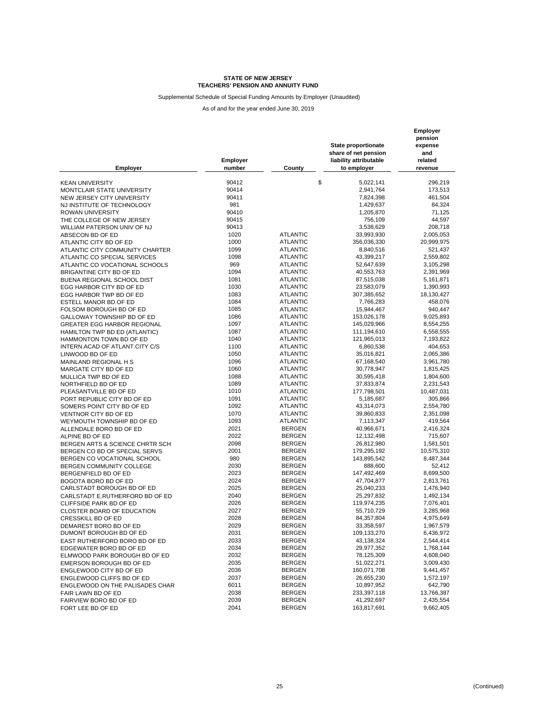Supplemental Schedule of Special Funding Amounts by Employer (Unaudited)

| <b>Employer</b>                    | Employer<br>number | County          | <b>State proportionate</b><br>share of net pension<br>liability attributable<br>to employer | Employer<br>pension<br>expense<br>and<br>related<br>revenue |
|------------------------------------|--------------------|-----------------|---------------------------------------------------------------------------------------------|-------------------------------------------------------------|
|                                    | 90412              |                 | \$<br>5,022,141                                                                             | 296,219                                                     |
| <b>KEAN UNIVERSITY</b>             | 90414              |                 |                                                                                             |                                                             |
| MONTCLAIR STATE UNIVERSITY         |                    |                 | 2,941,764                                                                                   | 173,513                                                     |
| NEW JERSEY CITY UNIVERSITY         | 90411              |                 | 7,824,398                                                                                   | 461,504                                                     |
| NJ INSTITUTE OF TECHNOLOGY         | 981                |                 | 1,429,637                                                                                   | 84,324                                                      |
| <b>ROWAN UNIVERSITY</b>            | 90410              |                 | 1,205,870                                                                                   | 71,125                                                      |
| THE COLLEGE OF NEW JERSEY          | 90415              |                 | 756,109                                                                                     | 44,597                                                      |
| WILLIAM PATERSON UNIV OF NJ        | 90413              |                 | 3,538,629                                                                                   | 208,718                                                     |
| ABSECON BD OF ED                   | 1020               | <b>ATLANTIC</b> | 33,993,930                                                                                  | 2,005,053                                                   |
| ATLANTIC CITY BD OF ED             | 1000               | <b>ATLANTIC</b> | 356,036,330                                                                                 | 20,999,975                                                  |
| ATLANTIC CITY COMMUNITY CHARTER    | 1099               | <b>ATLANTIC</b> | 8,840,516                                                                                   | 521,437                                                     |
| ATLANTIC CO SPECIAL SERVICES       | 1098               | <b>ATLANTIC</b> | 43,399,217                                                                                  | 2,559,802                                                   |
| ATLANTIC CO VOCATIONAL SCHOOLS     | 969                | <b>ATLANTIC</b> | 52,647,639                                                                                  | 3,105,298                                                   |
| BRIGANTINE CITY BD OF ED           | 1094               | <b>ATLANTIC</b> | 40,553,763                                                                                  | 2,391,969                                                   |
| BUENA REGIONAL SCHOOL DIST         | 1081               | <b>ATLANTIC</b> | 87,515,038                                                                                  | 5,161,871                                                   |
| EGG HARBOR CITY BD OF ED           | 1030               | <b>ATLANTIC</b> | 23,583,079                                                                                  | 1,390,993                                                   |
| EGG HARBOR TWP BD OF ED            | 1083               | <b>ATLANTIC</b> | 307,385,652                                                                                 | 18,130,427                                                  |
| ESTELL MANOR BD OF ED              | 1084               | <b>ATLANTIC</b> | 7,766,283                                                                                   | 458,076                                                     |
| FOLSOM BOROUGH BD OF ED            | 1085               | <b>ATLANTIC</b> | 15,944,467                                                                                  | 940,447                                                     |
| GALLOWAY TOWNSHIP BD OF ED         | 1086               | <b>ATLANTIC</b> | 153,026,178                                                                                 | 9,025,893                                                   |
| <b>GREATER EGG HARBOR REGIONAL</b> | 1097               | <b>ATLANTIC</b> | 145,029,966                                                                                 | 8,554,255                                                   |
| HAMILTON TWP BD ED (ATLANTIC)      | 1087               | <b>ATLANTIC</b> | 111,194,610                                                                                 | 6,558,555                                                   |
| HAMMONTON TOWN BD OF ED            | 1040               | <b>ATLANTIC</b> | 121,965,013                                                                                 | 7,193,822                                                   |
| INTERN.ACAD OF ATLANT.CITY C/S     | 1100               | <b>ATLANTIC</b> | 6,860,538                                                                                   | 404,653                                                     |
| LINWOOD BD OF ED                   | 1050               | <b>ATLANTIC</b> | 35,016,821                                                                                  | 2,065,386                                                   |
|                                    | 1096               | <b>ATLANTIC</b> | 67,168,540                                                                                  | 3,961,780                                                   |
| MAINLAND REGIONAL H S              | 1060               | <b>ATLANTIC</b> | 30,778,947                                                                                  | 1,815,425                                                   |
| MARGATE CITY BD OF ED              | 1088               | <b>ATLANTIC</b> |                                                                                             |                                                             |
| MULLICA TWP BD OF ED               | 1089               | <b>ATLANTIC</b> | 30,595,418                                                                                  | 1,804,600<br>2,231,543                                      |
| NORTHFIELD BD OF ED                | 1010               | <b>ATLANTIC</b> | 37,833,874                                                                                  |                                                             |
| PLEASANTVILLE BD OF ED             | 1091               | <b>ATLANTIC</b> | 177,798,501                                                                                 | 10,487,031                                                  |
| PORT REPUBLIC CITY BD OF ED        | 1092               | <b>ATLANTIC</b> | 5,185,687                                                                                   | 305,866                                                     |
| SOMERS POINT CITY BD OF ED         |                    |                 | 43,314,073                                                                                  | 2,554,780                                                   |
| VENTNOR CITY BD OF ED              | 1070               | <b>ATLANTIC</b> | 39,860,833                                                                                  | 2,351,098                                                   |
| WEYMOUTH TOWNSHIP BD OF ED         | 1093               | <b>ATLANTIC</b> | 7,113,347                                                                                   | 419,564                                                     |
| ALLENDALE BORO BD OF ED            | 2021               | <b>BERGEN</b>   | 40,966,671                                                                                  | 2,416,324                                                   |
| ALPINE BD OF ED                    | 2022               | <b>BERGEN</b>   | 12,132,498                                                                                  | 715,607                                                     |
| BERGEN ARTS & SCIENCE CHRTR SCH    | 2098               | <b>BERGEN</b>   | 26,812,980                                                                                  | 1,581,501                                                   |
| BERGEN CO BD OF SPECIAL SERVS      | 2001               | <b>BERGEN</b>   | 179,295,192                                                                                 | 10,575,310                                                  |
| BERGEN CO VOCATIONAL SCHOOL        | 980                | <b>BERGEN</b>   | 143,895,542                                                                                 | 8,487,344                                                   |
| BERGEN COMMUNITY COLLEGE           | 2030               | <b>BERGEN</b>   | 888,600                                                                                     | 52,412                                                      |
| BERGENFIELD BD OF ED               | 2023               | <b>BERGEN</b>   | 147,492,469                                                                                 | 8,699,500                                                   |
| BOGOTA BORO BD OF ED               | 2024               | <b>BERGEN</b>   | 47,704,877                                                                                  | 2,813,761                                                   |
| CARLSTADT BOROUGH BD OF ED         | 2025               | <b>BERGEN</b>   | 25,040,233                                                                                  | 1,476,940                                                   |
| CARLSTADT E.RUTHERFORD BD OF ED    | 2040               | <b>BERGEN</b>   | 25,297,832                                                                                  | 1,492,134                                                   |
| CLIFFSIDE PARK BD OF ED            | 2026               | <b>BERGEN</b>   | 119,974,235                                                                                 | 7,076,401                                                   |
| <b>CLOSTER BOARD OF EDUCATION</b>  | 2027               | <b>BERGEN</b>   | 55,710,729                                                                                  | 3,285,968                                                   |
| <b>CRESSKILL BD OF ED</b>          | 2028               | <b>BERGEN</b>   | 84,357,804                                                                                  | 4,975,649                                                   |
| DEMAREST BORO BD OF ED             | 2029               | <b>BERGEN</b>   | 33,358,597                                                                                  | 1,967,579                                                   |
| DUMONT BOROUGH BD OF ED            | 2031               | <b>BERGEN</b>   | 109,133,270                                                                                 | 6,436,972                                                   |
| EAST RUTHERFORD BORO BD OF ED      | 2033               | <b>BERGEN</b>   | 43,138,324                                                                                  | 2,544,414                                                   |
| EDGEWATER BORO BD OF ED            | 2034               | <b>BERGEN</b>   | 29,977,352                                                                                  | 1,768,144                                                   |
| ELMWOOD PARK BOROUGH BD OF ED      | 2032               | BERGEN          | 78,125,309                                                                                  | 4,608,040                                                   |
| EMERSON BOROUGH BD OF ED           | 2035               | <b>BERGEN</b>   | 51,022,271                                                                                  | 3,009,430                                                   |
| ENGLEWOOD CITY BD OF ED            | 2036               | <b>BERGEN</b>   | 160,071,708                                                                                 | 9,441,457                                                   |
| ENGLEWOOD CLIFFS BD OF ED          | 2037               | <b>BERGEN</b>   | 26,655,230                                                                                  | 1,572,197                                                   |
| ENGLEWOOD ON THE PALISADES CHAR    | 6011               | <b>BERGEN</b>   | 10,897,952                                                                                  | 642,790                                                     |
| FAIR LAWN BD OF ED                 | 2038               | <b>BERGEN</b>   | 233,397,118                                                                                 | 13,766,387                                                  |
| FAIRVIEW BORO BD OF ED             | 2039               | <b>BERGEN</b>   | 41,292,697                                                                                  | 2,435,554                                                   |
| FORT LEE BD OF ED                  | 2041               | <b>BERGEN</b>   | 163,817,691                                                                                 | 9,662,405                                                   |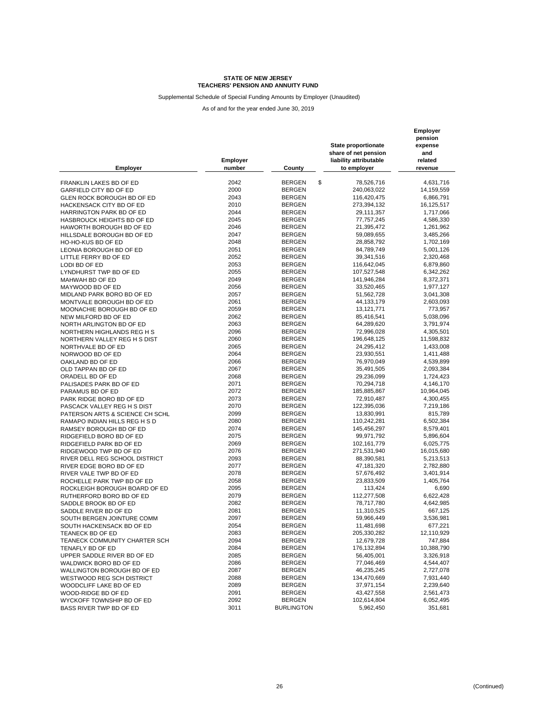Supplemental Schedule of Special Funding Amounts by Employer (Unaudited)

| <b>Employer</b>                 | Employer<br>number | County                         | <b>State proportionate</b><br>share of net pension<br>liability attributable<br>to employer | Employer<br>pension<br>expense<br>and<br>related<br>revenue |
|---------------------------------|--------------------|--------------------------------|---------------------------------------------------------------------------------------------|-------------------------------------------------------------|
|                                 | 2042               | \$<br><b>BERGEN</b>            | 78,526,716                                                                                  | 4,631,716                                                   |
| FRANKLIN LAKES BD OF ED         | 2000               |                                | 240,063,022                                                                                 |                                                             |
| GARFIELD CITY BD OF ED          |                    | <b>BERGEN</b>                  |                                                                                             | 14,159,559                                                  |
| GLEN ROCK BOROUGH BD OF ED      | 2043               | <b>BERGEN</b>                  | 116,420,475                                                                                 | 6,866,791                                                   |
| HACKENSACK CITY BD OF ED        | 2010<br>2044       | <b>BERGEN</b><br><b>BERGEN</b> | 273,394,132                                                                                 | 16,125,517                                                  |
| HARRINGTON PARK BD OF ED        | 2045               |                                | 29,111,357                                                                                  | 1,717,066                                                   |
| HASBROUCK HEIGHTS BD OF ED      |                    | <b>BERGEN</b><br><b>BERGEN</b> | 77,757,245                                                                                  | 4,586,330                                                   |
| HAWORTH BOROUGH BD OF ED        | 2046               |                                | 21,395,472                                                                                  | 1,261,962                                                   |
| HILLSDALE BOROUGH BD OF ED      | 2047               | <b>BERGEN</b>                  | 59,089,655                                                                                  | 3,485,266                                                   |
| HO-HO-KUS BD OF ED              | 2048               | <b>BERGEN</b>                  | 28,858,792                                                                                  | 1,702,169                                                   |
| LEONIA BOROUGH BD OF ED         | 2051               | <b>BERGEN</b>                  | 84,789,749                                                                                  | 5,001,126                                                   |
| LITTLE FERRY BD OF ED           | 2052               | <b>BERGEN</b>                  | 39,341,516                                                                                  | 2,320,468                                                   |
| LODI BD OF ED                   | 2053               | <b>BERGEN</b>                  | 116,642,045                                                                                 | 6,879,860                                                   |
| LYNDHURST TWP BD OF ED          | 2055               | <b>BERGEN</b>                  | 107,527,548                                                                                 | 6,342,262                                                   |
| MAHWAH BD OF ED                 | 2049               | <b>BERGEN</b>                  | 141,946,284                                                                                 | 8,372,371                                                   |
| MAYWOOD BD OF ED                | 2056               | <b>BERGEN</b>                  | 33,520,465                                                                                  | 1,977,127                                                   |
| MIDLAND PARK BORO BD OF ED      | 2057               | <b>BERGEN</b>                  | 51,562,728                                                                                  | 3,041,308                                                   |
| MONTVALE BOROUGH BD OF ED       | 2061               | <b>BERGEN</b>                  | 44,133,179                                                                                  | 2,603,093                                                   |
| MOONACHIE BOROUGH BD OF ED      | 2059               | <b>BERGEN</b>                  | 13,121,771                                                                                  | 773,957                                                     |
| NEW MILFORD BD OF ED            | 2062               | <b>BERGEN</b>                  | 85,416,541                                                                                  | 5,038,096                                                   |
| NORTH ARLINGTON BD OF ED        | 2063               | <b>BERGEN</b>                  | 64,289,620                                                                                  | 3,791,974                                                   |
| NORTHERN HIGHLANDS REG H S      | 2096               | <b>BERGEN</b>                  | 72,996,028                                                                                  | 4,305,501                                                   |
| NORTHERN VALLEY REG H S DIST    | 2060               | <b>BERGEN</b>                  | 196,648,125                                                                                 | 11,598,832                                                  |
| NORTHVALE BD OF ED              | 2065               | <b>BERGEN</b>                  | 24,295,412                                                                                  | 1,433,008                                                   |
| NORWOOD BD OF ED                | 2064               | <b>BERGEN</b>                  | 23,930,551                                                                                  | 1,411,488                                                   |
| OAKLAND BD OF ED                | 2066               | <b>BERGEN</b>                  | 76,970,049                                                                                  | 4,539,899                                                   |
| OLD TAPPAN BD OF ED             | 2067               | <b>BERGEN</b>                  | 35,491,505                                                                                  | 2,093,384                                                   |
| ORADELL BD OF ED                | 2068               | <b>BERGEN</b>                  | 29,236,099                                                                                  | 1,724,423                                                   |
| PALISADES PARK BD OF ED         | 2071               | <b>BERGEN</b>                  | 70,294,718                                                                                  | 4,146,170                                                   |
| PARAMUS BD OF ED                | 2072               | <b>BERGEN</b>                  | 185,885,867                                                                                 | 10,964,045                                                  |
| PARK RIDGE BORO BD OF ED        | 2073               | <b>BERGEN</b>                  | 72,910,487                                                                                  | 4,300,455                                                   |
| PASCACK VALLEY REG H S DIST     | 2070               | <b>BERGEN</b>                  | 122,395,036                                                                                 | 7,219,186                                                   |
| PATERSON ARTS & SCIENCE CH SCHL | 2099               | <b>BERGEN</b>                  | 13,830,991                                                                                  | 815,789                                                     |
| RAMAPO INDIAN HILLS REG H S D   | 2080               | <b>BERGEN</b>                  | 110,242,281                                                                                 | 6,502,384                                                   |
| RAMSEY BOROUGH BD OF ED         | 2074               | <b>BERGEN</b>                  | 145,456,297                                                                                 | 8,579,401                                                   |
| RIDGEFIELD BORO BD OF ED        | 2075               | <b>BERGEN</b>                  | 99,971,792                                                                                  | 5,896,604                                                   |
| RIDGEFIELD PARK BD OF ED        | 2069               | <b>BERGEN</b>                  | 102, 161, 779                                                                               | 6,025,775                                                   |
| RIDGEWOOD TWP BD OF ED          | 2076               | <b>BERGEN</b>                  | 271,531,940                                                                                 | 16,015,680                                                  |
| RIVER DELL REG SCHOOL DISTRICT  | 2093               | <b>BERGEN</b>                  | 88,390,581                                                                                  | 5,213,513                                                   |
| RIVER EDGE BORO BD OF ED        | 2077               | <b>BERGEN</b>                  | 47,181,320                                                                                  | 2,782,880                                                   |
| RIVER VALE TWP BD OF ED         | 2078               | <b>BERGEN</b>                  | 57,676,492                                                                                  | 3,401,914                                                   |
| ROCHELLE PARK TWP BD OF ED      | 2058               | <b>BERGEN</b>                  | 23,833,509                                                                                  | 1,405,764                                                   |
| ROCKLEIGH BOROUGH BOARD OF ED   | 2095               | <b>BERGEN</b>                  | 113,424                                                                                     | 6,690                                                       |
| RUTHERFORD BORO BD OF ED        | 2079               | <b>BERGEN</b>                  | 112,277,508                                                                                 | 6,622,428                                                   |
| SADDLE BROOK BD OF ED           | 2082               | <b>BERGEN</b>                  | 78,717,780                                                                                  | 4,642,985                                                   |
| SADDLE RIVER BD OF ED           | 2081               | <b>BERGEN</b>                  | 11,310,525                                                                                  | 667,125                                                     |
| SOUTH BERGEN JOINTURE COMM      | 2097               | <b>BERGEN</b>                  | 59,966,449                                                                                  | 3,536,981                                                   |
| SOUTH HACKENSACK BD OF ED       | 2054               | <b>BERGEN</b>                  | 11,481,698                                                                                  | 677,221                                                     |
| TEANECK BD OF ED                | 2083               | <b>BERGEN</b>                  | 205,330,282                                                                                 | 12,110,929                                                  |
| TEANECK COMMUNITY CHARTER SCH   | 2094               | <b>BERGEN</b>                  | 12,679,728                                                                                  | 747,884                                                     |
| TENAFLY BD OF ED                | 2084               | <b>BERGEN</b>                  | 176,132,894                                                                                 | 10,388,790                                                  |
| UPPER SADDLE RIVER BD OF ED     | 2085               | <b>BERGEN</b>                  | 56,405,001                                                                                  | 3,326,918                                                   |
| WALDWICK BORO BD OF ED          | 2086               | <b>BERGEN</b>                  | 77,046,469                                                                                  | 4,544,407                                                   |
| WALLINGTON BOROUGH BD OF ED     | 2087               | <b>BERGEN</b>                  | 46,235,245                                                                                  | 2,727,078                                                   |
| WESTWOOD REG SCH DISTRICT       | 2088               | <b>BERGEN</b>                  | 134,470,669                                                                                 | 7,931,440                                                   |
| WOODCLIFF LAKE BD OF ED         | 2089               | <b>BERGEN</b>                  | 37,971,154                                                                                  | 2,239,640                                                   |
| WOOD-RIDGE BD OF ED             | 2091               | <b>BERGEN</b>                  | 43,427,558                                                                                  | 2,561,473                                                   |
| WYCKOFF TOWNSHIP BD OF ED       | 2092               | <b>BERGEN</b>                  | 102,614,804                                                                                 | 6,052,495                                                   |
| BASS RIVER TWP BD OF ED         | 3011               | <b>BURLINGTON</b>              | 5,962,450                                                                                   | 351,681                                                     |
|                                 |                    |                                |                                                                                             |                                                             |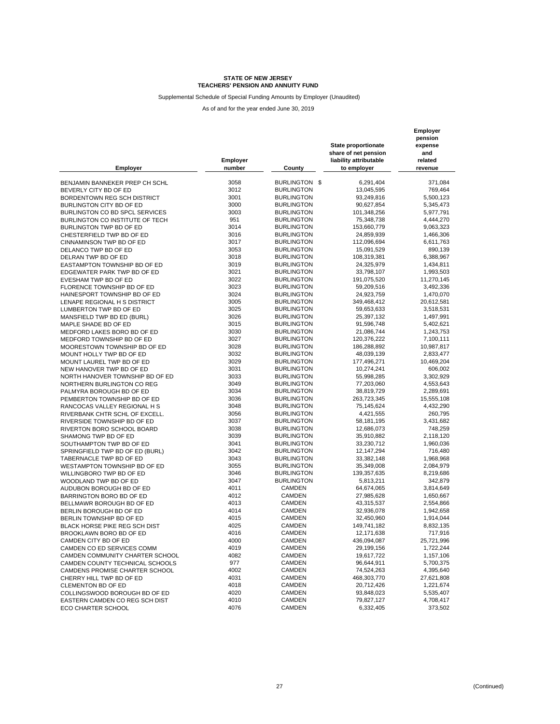Supplemental Schedule of Special Funding Amounts by Employer (Unaudited)

| <b>Employer</b>                      | Employer<br>number | County            | State proportionate<br>share of net pension<br>liability attributable<br>to employer | Employer<br>pension<br>expense<br>and<br>related<br>revenue |
|--------------------------------------|--------------------|-------------------|--------------------------------------------------------------------------------------|-------------------------------------------------------------|
| BENJAMIN BANNEKER PREP CH SCHL       | 3058               | BURLINGTON \$     | 6,291,404                                                                            | 371,084                                                     |
| BEVERLY CITY BD OF ED                | 3012               | <b>BURLINGTON</b> | 13,045,595                                                                           | 769,464                                                     |
| BORDENTOWN REG SCH DISTRICT          | 3001               | <b>BURLINGTON</b> | 93,249,816                                                                           | 5,500,123                                                   |
| BURLINGTON CITY BD OF ED             | 3000               | <b>BURLINGTON</b> | 90,627,854                                                                           | 5,345,473                                                   |
| BURLINGTON CO BD SPCL SERVICES       | 3003               | <b>BURLINGTON</b> | 101,348,256                                                                          | 5,977,791                                                   |
| BURLINGTON CO INSTITUTE OF TECH      | 951                | <b>BURLINGTON</b> | 75,348,738                                                                           | 4,444,270                                                   |
| BURLINGTON TWP BD OF ED              | 3014               | <b>BURLINGTON</b> | 153,660,779                                                                          | 9,063,323                                                   |
| CHESTERFIELD TWP BD OF ED            | 3016               | <b>BURLINGTON</b> | 24,859,939                                                                           | 1,466,306                                                   |
| CINNAMINSON TWP BD OF ED             | 3017               | <b>BURLINGTON</b> | 112,096,694                                                                          | 6,611,763                                                   |
| DELANCO TWP BD OF ED                 | 3053               | <b>BURLINGTON</b> | 15,091,529                                                                           | 890,139                                                     |
| DELRAN TWP BD OF ED                  | 3018               | <b>BURLINGTON</b> | 108,319,381                                                                          | 6,388,967                                                   |
| EASTAMPTON TOWNSHIP BD OF ED         | 3019               | <b>BURLINGTON</b> | 24,325,979                                                                           | 1,434,811                                                   |
| EDGEWATER PARK TWP BD OF ED          | 3021               | <b>BURLINGTON</b> | 33,798,107                                                                           | 1,993,503                                                   |
| EVESHAM TWP BD OF ED                 | 3022               | <b>BURLINGTON</b> | 191,075,520                                                                          | 11,270,145                                                  |
| FLORENCE TOWNSHIP BD OF ED           | 3023               | <b>BURLINGTON</b> | 59,209,516                                                                           | 3,492,336                                                   |
| HAINESPORT TOWNSHIP BD OF ED         | 3024               | <b>BURLINGTON</b> | 24,923,759                                                                           | 1,470,070                                                   |
| LENAPE REGIONAL H S DISTRICT         | 3005               | <b>BURLINGTON</b> | 349,468,412                                                                          | 20,612,581                                                  |
| LUMBERTON TWP BD OF ED               | 3025               | <b>BURLINGTON</b> | 59,653,633                                                                           | 3,518,531                                                   |
| MANSFIELD TWP BD ED (BURL)           | 3026               | <b>BURLINGTON</b> | 25,397,132                                                                           | 1,497,991                                                   |
| MAPLE SHADE BD OF ED                 | 3015               | <b>BURLINGTON</b> | 91,596,748                                                                           | 5,402,621                                                   |
| MEDFORD LAKES BORO BD OF ED          | 3030               | <b>BURLINGTON</b> | 21,086,744                                                                           | 1,243,753                                                   |
| MEDFORD TOWNSHIP BD OF ED            | 3027               | <b>BURLINGTON</b> | 120,376,222                                                                          | 7,100,111                                                   |
| MOORESTOWN TOWNSHIP BD OF ED         | 3028               | <b>BURLINGTON</b> | 186,288,892                                                                          | 10,987,817                                                  |
| MOUNT HOLLY TWP BD OF ED             | 3032               | <b>BURLINGTON</b> | 48,039,139                                                                           | 2,833,477                                                   |
| MOUNT LAUREL TWP BD OF ED            | 3029               | <b>BURLINGTON</b> | 177,496,271                                                                          | 10,469,204                                                  |
| NEW HANOVER TWP BD OF ED             | 3031               | <b>BURLINGTON</b> | 10,274,241                                                                           | 606,002                                                     |
| NORTH HANOVER TOWNSHIP BD OF ED      | 3033               | <b>BURLINGTON</b> | 55,998,285                                                                           | 3,302,929                                                   |
| NORTHERN BURLINGTON CO REG           | 3049               | <b>BURLINGTON</b> | 77,203,060                                                                           | 4,553,643                                                   |
| PALMYRA BOROUGH BD OF ED             | 3034               | <b>BURLINGTON</b> | 38,819,729                                                                           | 2,289,691                                                   |
| PEMBERTON TOWNSHIP BD OF ED          | 3036               | <b>BURLINGTON</b> | 263,723,345                                                                          | 15,555,108                                                  |
| RANCOCAS VALLEY REGIONAL H S         | 3048               | <b>BURLINGTON</b> | 75,145,624                                                                           | 4,432,290                                                   |
| RIVERBANK CHTR SCHL OF EXCELL.       | 3056               | <b>BURLINGTON</b> | 4,421,555                                                                            | 260,795                                                     |
| RIVERSIDE TOWNSHIP BD OF ED          | 3037               | <b>BURLINGTON</b> | 58,181,195                                                                           | 3,431,682                                                   |
| RIVERTON BORO SCHOOL BOARD           | 3038               | <b>BURLINGTON</b> | 12,686,073                                                                           | 748,259                                                     |
| SHAMONG TWP BD OF ED                 | 3039               | <b>BURLINGTON</b> | 35,910,882                                                                           | 2,118,120                                                   |
| SOUTHAMPTON TWP BD OF ED             | 3041               | <b>BURLINGTON</b> | 33,230,712                                                                           | 1,960,036                                                   |
| SPRINGFIELD TWP BD OF ED (BURL)      | 3042               | <b>BURLINGTON</b> | 12,147,294                                                                           | 716,480                                                     |
| TABERNACLE TWP BD OF ED              | 3043               | <b>BURLINGTON</b> | 33,382,148                                                                           | 1,968,968                                                   |
| WESTAMPTON TOWNSHIP BD OF ED         | 3055               | <b>BURLINGTON</b> | 35,349,008                                                                           | 2,084,979                                                   |
| WILLINGBORO TWP BD OF ED             | 3046               | <b>BURLINGTON</b> | 139, 357, 635                                                                        | 8,219,686                                                   |
| WOODLAND TWP BD OF ED                | 3047               | <b>BURLINGTON</b> | 5,813,211                                                                            | 342,879                                                     |
| AUDUBON BOROUGH BD OF ED             | 4011               | <b>CAMDEN</b>     | 64,674,065                                                                           | 3,814,649                                                   |
| BARRINGTON BORO BD OF ED             | 4012               | <b>CAMDEN</b>     | 27,985,628                                                                           | 1,650,667                                                   |
| BELLMAWR BOROUGH BD OF ED            | 4013               | <b>CAMDEN</b>     | 43,315,537                                                                           | 2,554,866                                                   |
| BERLIN BOROUGH BD OF ED              | 4014               | <b>CAMDEN</b>     | 32,936,078                                                                           | 1,942,658                                                   |
| BERLIN TOWNSHIP BD OF ED             | 4015               | <b>CAMDEN</b>     | 32,450,960                                                                           | 1,914,044                                                   |
| <b>BLACK HORSE PIKE REG SCH DIST</b> | 4025               | <b>CAMDEN</b>     | 149,741,182                                                                          | 8,832,135                                                   |
| BROOKLAWN BORO BD OF ED              | 4016               | CAMDEN            | 12,171,638                                                                           | 717,916                                                     |
| CAMDEN CITY BD OF ED                 | 4000               | CAMDEN            | 436,094,087                                                                          | 25,721,996                                                  |
| CAMDEN CO ED SERVICES COMM           | 4019               | CAMDEN            | 29,199,156                                                                           | 1,722,244                                                   |
| CAMDEN COMMUNITY CHARTER SCHOOL      | 4082               | CAMDEN            | 19,617,722                                                                           | 1,157,106                                                   |
| CAMDEN COUNTY TECHNICAL SCHOOLS      | 977                | <b>CAMDEN</b>     | 96,644,911                                                                           | 5,700,375                                                   |
| CAMDENS PROMISE CHARTER SCHOOL       | 4002               | CAMDEN            | 74,524,263                                                                           | 4,395,640                                                   |
| CHERRY HILL TWP BD OF ED             | 4031               | CAMDEN            | 468,303,770                                                                          | 27,621,808                                                  |
| <b>CLEMENTON BD OF ED</b>            | 4018               | CAMDEN            | 20,712,426                                                                           | 1,221,674                                                   |
| COLLINGSWOOD BOROUGH BD OF ED        | 4020               | <b>CAMDEN</b>     | 93,848,023                                                                           | 5,535,407                                                   |
| EASTERN CAMDEN CO REG SCH DIST       | 4010               | CAMDEN            | 79,827,127                                                                           | 4,708,417                                                   |
| ECO CHARTER SCHOOL                   | 4076               | CAMDEN            | 6,332,405                                                                            | 373,502                                                     |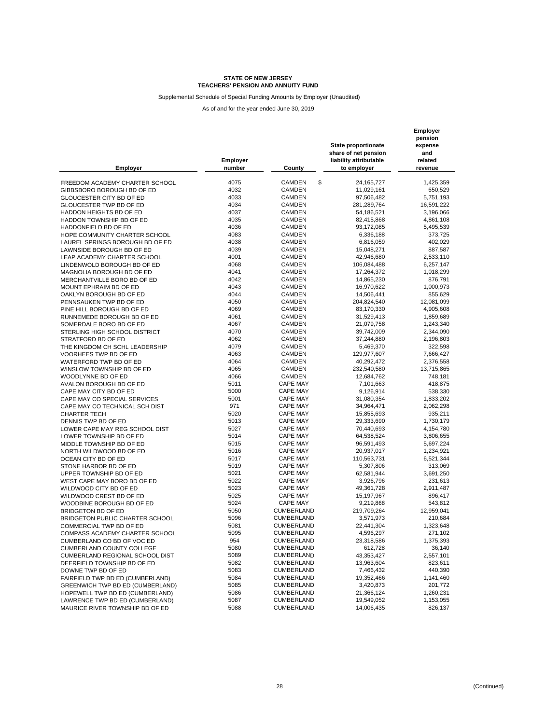Supplemental Schedule of Special Funding Amounts by Employer (Unaudited)

| <b>Employer</b>                        | Employer<br>number | County                  | <b>State proportionate</b><br>share of net pension<br>liability attributable<br>to employer | Employer<br>pension<br>expense<br>and<br>related<br>revenue |
|----------------------------------------|--------------------|-------------------------|---------------------------------------------------------------------------------------------|-------------------------------------------------------------|
| FREEDOM ACADEMY CHARTER SCHOOL         | 4075               | \$<br><b>CAMDEN</b>     | 24,165,727                                                                                  | 1,425,359                                                   |
|                                        | 4032               | <b>CAMDEN</b>           | 11,029,161                                                                                  | 650,529                                                     |
| GIBBSBORO BOROUGH BD OF ED             | 4033               |                         |                                                                                             |                                                             |
| GLOUCESTER CITY BD OF ED               |                    | CAMDEN                  | 97,506,482                                                                                  | 5,751,193                                                   |
| GLOUCESTER TWP BD OF ED                | 4034<br>4037       | <b>CAMDEN</b><br>CAMDEN | 281,289,764                                                                                 | 16,591,222                                                  |
| HADDON HEIGHTS BD OF ED                |                    |                         | 54,186,521                                                                                  | 3,196,066                                                   |
| HADDON TOWNSHIP BD OF ED               | 4035               | <b>CAMDEN</b>           | 82,415,868                                                                                  | 4,861,108                                                   |
| HADDONFIELD BD OF ED                   | 4036               | <b>CAMDEN</b>           | 93,172,085                                                                                  | 5,495,539                                                   |
| HOPE COMMUNITY CHARTER SCHOOL          | 4083               | <b>CAMDEN</b>           | 6,336,188                                                                                   | 373,725                                                     |
| LAUREL SPRINGS BOROUGH BD OF ED        | 4038               | CAMDEN                  | 6,816,059                                                                                   | 402,029                                                     |
| LAWNSIDE BOROUGH BD OF ED              | 4039               | CAMDEN                  | 15,048,271                                                                                  | 887,587                                                     |
| LEAP ACADEMY CHARTER SCHOOL            | 4001               | <b>CAMDEN</b>           | 42,946,680                                                                                  | 2,533,110                                                   |
| LINDENWOLD BOROUGH BD OF ED            | 4068               | <b>CAMDEN</b>           | 106,084,488                                                                                 | 6,257,147                                                   |
| MAGNOLIA BOROUGH BD OF ED              | 4041               | CAMDEN                  | 17,264,372                                                                                  | 1,018,299                                                   |
| MERCHANTVILLE BORO BD OF ED            | 4042               | CAMDEN                  | 14,865,230                                                                                  | 876,791                                                     |
| MOUNT EPHRAIM BD OF ED                 | 4043               | CAMDEN                  | 16,970,622                                                                                  | 1,000,973                                                   |
| OAKLYN BOROUGH BD OF ED                | 4044               | <b>CAMDEN</b>           | 14,506,441                                                                                  | 855,629                                                     |
| PENNSAUKEN TWP BD OF ED                | 4050               | CAMDEN                  | 204,824,540                                                                                 | 12,081,099                                                  |
| PINE HILL BOROUGH BD OF ED             | 4069               | <b>CAMDEN</b>           | 83,170,330                                                                                  | 4,905,608                                                   |
| RUNNEMEDE BOROUGH BD OF ED             | 4061               | <b>CAMDEN</b>           | 31,529,413                                                                                  | 1,859,689                                                   |
| SOMERDALE BORO BD OF ED                | 4067               | <b>CAMDEN</b>           | 21,079,758                                                                                  | 1,243,340                                                   |
| STERLING HIGH SCHOOL DISTRICT          | 4070               | <b>CAMDEN</b>           | 39,742,009                                                                                  | 2,344,090                                                   |
| STRATFORD BD OF ED                     | 4062               | <b>CAMDEN</b>           | 37,244,880                                                                                  | 2,196,803                                                   |
| THE KINGDOM CH SCHL LEADERSHIP         | 4079               | <b>CAMDEN</b>           | 5,469,370                                                                                   | 322,598                                                     |
| <b>VOORHEES TWP BD OF ED</b>           | 4063               | <b>CAMDEN</b>           | 129,977,607                                                                                 | 7,666,427                                                   |
| WATERFORD TWP BD OF ED                 | 4064               | CAMDEN                  | 40,292,472                                                                                  | 2,376,558                                                   |
| WINSLOW TOWNSHIP BD OF ED              | 4065               | CAMDEN                  | 232,540,580                                                                                 | 13,715,865                                                  |
| WOODLYNNE BD OF ED                     | 4066               | <b>CAMDEN</b>           | 12,684,762                                                                                  | 748,181                                                     |
| AVALON BOROUGH BD OF ED                | 5011               | <b>CAPE MAY</b>         | 7,101,663                                                                                   | 418,875                                                     |
| CAPE MAY CITY BD OF ED                 | 5000               | <b>CAPE MAY</b>         | 9,126,914                                                                                   | 538,330                                                     |
| CAPE MAY CO SPECIAL SERVICES           | 5001               | <b>CAPE MAY</b>         | 31,080,354                                                                                  | 1,833,202                                                   |
| CAPE MAY CO TECHNICAL SCH DIST         | 971                | <b>CAPE MAY</b>         | 34,964,471                                                                                  | 2,062,298                                                   |
| <b>CHARTER TECH</b>                    | 5020               | <b>CAPE MAY</b>         | 15,855,693                                                                                  | 935,211                                                     |
| DENNIS TWP BD OF ED                    | 5013               | <b>CAPE MAY</b>         | 29,333,690                                                                                  | 1,730,179                                                   |
| LOWER CAPE MAY REG SCHOOL DIST         | 5027               | <b>CAPE MAY</b>         | 70,440,693                                                                                  | 4,154,780                                                   |
| LOWER TOWNSHIP BD OF ED                | 5014               | <b>CAPE MAY</b>         | 64,538,524                                                                                  | 3,806,655                                                   |
| MIDDLE TOWNSHIP BD OF ED               | 5015               | <b>CAPE MAY</b>         | 96,591,493                                                                                  | 5,697,224                                                   |
| NORTH WILDWOOD BD OF ED                | 5016               | <b>CAPE MAY</b>         | 20,937,017                                                                                  | 1,234,921                                                   |
| OCEAN CITY BD OF ED                    | 5017               | <b>CAPE MAY</b>         | 110,563,731                                                                                 | 6,521,344                                                   |
| STONE HARBOR BD OF ED                  | 5019               | <b>CAPE MAY</b>         | 5,307,806                                                                                   | 313,069                                                     |
| UPPER TOWNSHIP BD OF ED                | 5021               | <b>CAPE MAY</b>         | 62,581,944                                                                                  | 3,691,250                                                   |
| WEST CAPE MAY BORO BD OF ED            | 5022               | <b>CAPE MAY</b>         | 3,926,796                                                                                   | 231,613                                                     |
| WILDWOOD CITY BD OF ED                 | 5023               | <b>CAPE MAY</b>         | 49,361,728                                                                                  | 2,911,487                                                   |
| WILDWOOD CREST BD OF ED                | 5025               | <b>CAPE MAY</b>         | 15,197,967                                                                                  | 896,417                                                     |
| WOODBINE BOROUGH BD OF ED              | 5024               | <b>CAPE MAY</b>         | 9,219,868                                                                                   | 543,812                                                     |
| BRIDGETON BD OF ED                     | 5050               | <b>CUMBERLAND</b>       | 219,709,264                                                                                 | 12,959,041                                                  |
| <b>BRIDGETON PUBLIC CHARTER SCHOOL</b> | 5096               | <b>CUMBERLAND</b>       | 3,571,973                                                                                   | 210,684                                                     |
| COMMERCIAL TWP BD OF ED                | 5081               | <b>CUMBERLAND</b>       | 22,441,304                                                                                  | 1,323,648                                                   |
| COMPASS ACADEMY CHARTER SCHOOL         | 5095               | CUMBERLAND              | 4,596,297                                                                                   | 271,102                                                     |
| CUMBERLAND CO BD OF VOC ED             | 954                | CUMBERLAND              | 23,318,586                                                                                  | 1,375,393                                                   |
| CUMBERLAND COUNTY COLLEGE              | 5080               | <b>CUMBERLAND</b>       | 612,728                                                                                     | 36,140                                                      |
| <b>CUMBERLAND REGIONAL SCHOOL DIST</b> | 5089               | <b>CUMBERLAND</b>       | 43,353,427                                                                                  | 2,557,101                                                   |
| DEERFIELD TOWNSHIP BD OF ED            | 5082               | <b>CUMBERLAND</b>       | 13,963,604                                                                                  | 823,611                                                     |
| DOWNE TWP BD OF ED                     | 5083               | <b>CUMBERLAND</b>       | 7,466,432                                                                                   | 440,390                                                     |
| FAIRFIELD TWP BD ED (CUMBERLAND)       | 5084               | CUMBERLAND              | 19,352,466                                                                                  | 1,141,460                                                   |
| GREENWICH TWP BD ED (CUMBERLAND)       | 5085               | CUMBERLAND              | 3,420,873                                                                                   | 201,772                                                     |
| HOPEWELL TWP BD ED (CUMBERLAND)        | 5086               | <b>CUMBERLAND</b>       | 21,366,124                                                                                  | 1,260,231                                                   |
| LAWRENCE TWP BD ED (CUMBERLAND)        | 5087               | <b>CUMBERLAND</b>       | 19,549,052                                                                                  | 1,153,055                                                   |
| MAURICE RIVER TOWNSHIP BD OF ED        | 5088               | CUMBERLAND              | 14,006,435                                                                                  | 826,137                                                     |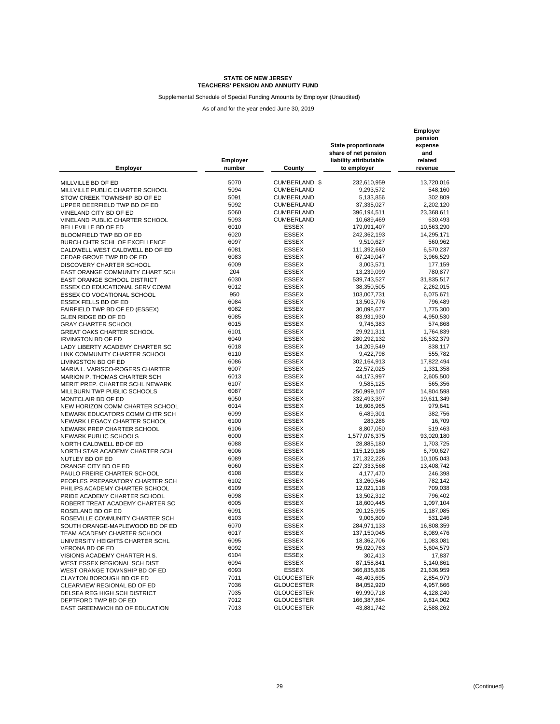Supplemental Schedule of Special Funding Amounts by Employer (Unaudited)

| <b>Employer</b>                   | Employer<br>number | County            | <b>State proportionate</b><br>share of net pension<br>liability attributable<br>to employer | Employer<br>pension<br>expense<br>and<br>related<br>revenue |
|-----------------------------------|--------------------|-------------------|---------------------------------------------------------------------------------------------|-------------------------------------------------------------|
| MILLVILLE BD OF ED                | 5070               | CUMBERLAND \$     | 232,610,959                                                                                 | 13,720,016                                                  |
| MILLVILLE PUBLIC CHARTER SCHOOL   | 5094               | <b>CUMBERLAND</b> | 9,293,572                                                                                   | 548,160                                                     |
|                                   | 5091               |                   |                                                                                             |                                                             |
| STOW CREEK TOWNSHIP BD OF ED      |                    | CUMBERLAND        | 5,133,856                                                                                   | 302,809                                                     |
| UPPER DEERFIELD TWP BD OF ED      | 5092               | <b>CUMBERLAND</b> | 37,335,027                                                                                  | 2,202,120                                                   |
| VINELAND CITY BD OF ED            | 5060               | CUMBERLAND        | 396,194,511                                                                                 | 23,368,611                                                  |
| VINELAND PUBLIC CHARTER SCHOOL    | 5093               | <b>CUMBERLAND</b> | 10,689,469                                                                                  | 630,493                                                     |
| BELLEVILLE BD OF ED               | 6010               | <b>ESSEX</b>      | 179,091,407                                                                                 | 10,563,290                                                  |
| BLOOMFIELD TWP BD OF ED           | 6020               | <b>ESSEX</b>      | 242,362,193                                                                                 | 14,295,171                                                  |
| BURCH CHTR SCHL OF EXCELLENCE     | 6097               | <b>ESSEX</b>      | 9,510,627                                                                                   | 560,962                                                     |
| CALDWELL WEST CALDWELL BD OF ED   | 6081               | <b>ESSEX</b>      | 111,392,660                                                                                 | 6,570,237                                                   |
| CEDAR GROVE TWP BD OF ED          | 6083               | <b>ESSEX</b>      | 67,249,047                                                                                  | 3,966,529                                                   |
| DISCOVERY CHARTER SCHOOL          | 6009               | <b>ESSEX</b>      | 3,003,571                                                                                   | 177,159                                                     |
| EAST ORANGE COMMUNITY CHART SCH   | 204                | <b>ESSEX</b>      | 13,239,099                                                                                  | 780,877                                                     |
| EAST ORANGE SCHOOL DISTRICT       | 6030               | <b>ESSEX</b>      | 539,743,527                                                                                 | 31,835,517                                                  |
| ESSEX CO EDUCATIONAL SERV COMM    | 6012               | <b>ESSEX</b>      | 38,350,505                                                                                  | 2,262,015                                                   |
| <b>ESSEX CO VOCATIONAL SCHOOL</b> | 950                | <b>ESSEX</b>      | 103,007,731                                                                                 | 6,075,671                                                   |
| ESSEX FELLS BD OF ED              | 6084               | <b>ESSEX</b>      | 13,503,776                                                                                  | 796,489                                                     |
| FAIRFIELD TWP BD OF ED (ESSEX)    | 6082               | <b>ESSEX</b>      | 30,098,677                                                                                  | 1,775,300                                                   |
| <b>GLEN RIDGE BD OF ED</b>        | 6085               | <b>ESSEX</b>      | 83,931,930                                                                                  | 4,950,530                                                   |
| <b>GRAY CHARTER SCHOOL</b>        | 6015               | <b>ESSEX</b>      | 9,746,383                                                                                   | 574,868                                                     |
| <b>GREAT OAKS CHARTER SCHOOL</b>  | 6101               | <b>ESSEX</b>      | 29,921,311                                                                                  | 1,764,839                                                   |
| <b>IRVINGTON BD OF ED</b>         | 6040               | <b>ESSEX</b>      | 280,292,132                                                                                 | 16,532,379                                                  |
| LADY LIBERTY ACADEMY CHARTER SC   | 6018               | <b>ESSEX</b>      | 14,209,549                                                                                  | 838,117                                                     |
| LINK COMMUNITY CHARTER SCHOOL     | 6110               | <b>ESSEX</b>      | 9,422,798                                                                                   | 555,782                                                     |
| LIVINGSTON BD OF ED               | 6086               | <b>ESSEX</b>      | 302,164,913                                                                                 | 17,822,494                                                  |
| MARIA L. VARISCO-ROGERS CHARTER   | 6007               | <b>ESSEX</b>      | 22,572,025                                                                                  | 1,331,358                                                   |
| MARION P. THOMAS CHARTER SCH      | 6013               | <b>ESSEX</b>      | 44,173,997                                                                                  | 2,605,500                                                   |
| MERIT PREP. CHARTER SCHL NEWARK   | 6107               | <b>ESSEX</b>      | 9,585,125                                                                                   | 565,356                                                     |
|                                   | 6087               | <b>ESSEX</b>      |                                                                                             |                                                             |
| MILLBURN TWP PUBLIC SCHOOLS       | 6050               | <b>ESSEX</b>      | 250,999,107                                                                                 | 14,804,598                                                  |
| MONTCLAIR BD OF ED                |                    | <b>ESSEX</b>      | 332,493,397                                                                                 | 19,611,349                                                  |
| NEW HORIZON COMM CHARTER SCHOOL   | 6014               |                   | 16,608,965                                                                                  | 979,641                                                     |
| NEWARK EDUCATORS COMM CHTR SCH    | 6099               | <b>ESSEX</b>      | 6,489,301                                                                                   | 382,756                                                     |
| NEWARK LEGACY CHARTER SCHOOL      | 6100               | <b>ESSEX</b>      | 283,286                                                                                     | 16,709                                                      |
| NEWARK PREP CHARTER SCHOOL        | 6106               | <b>ESSEX</b>      | 8,807,050                                                                                   | 519,463                                                     |
| NEWARK PUBLIC SCHOOLS             | 6000               | <b>ESSEX</b>      | 1,577,076,375                                                                               | 93,020,180                                                  |
| NORTH CALDWELL BD OF ED           | 6088               | <b>ESSEX</b>      | 28,885,180                                                                                  | 1,703,725                                                   |
| NORTH STAR ACADEMY CHARTER SCH    | 6006               | <b>ESSEX</b>      | 115,129,186                                                                                 | 6,790,627                                                   |
| NUTLEY BD OF ED                   | 6089               | <b>ESSEX</b>      | 171,322,226                                                                                 | 10,105,043                                                  |
| ORANGE CITY BD OF ED              | 6060               | <b>ESSEX</b>      | 227,333,568                                                                                 | 13,408,742                                                  |
| PAULO FREIRE CHARTER SCHOOL       | 6108               | <b>ESSEX</b>      | 4,177,470                                                                                   | 246,398                                                     |
| PEOPLES PREPARATORY CHARTER SCH   | 6102               | <b>ESSEX</b>      | 13,260,546                                                                                  | 782,142                                                     |
| PHILIPS ACADEMY CHARTER SCHOOL    | 6109               | <b>ESSEX</b>      | 12,021,118                                                                                  | 709,038                                                     |
| PRIDE ACADEMY CHARTER SCHOOL      | 6098               | <b>ESSEX</b>      | 13,502,312                                                                                  | 796,402                                                     |
| ROBERT TREAT ACADEMY CHARTER SC   | 6005               | <b>ESSEX</b>      | 18,600,445                                                                                  | 1,097,104                                                   |
| ROSELAND BD OF ED                 | 6091               | <b>ESSEX</b>      | 20,125,995                                                                                  | 1,187,085                                                   |
| ROSEVILLE COMMUNITY CHARTER SCH   | 6103               | <b>ESSEX</b>      | 9,006,809                                                                                   | 531,246                                                     |
| SOUTH ORANGE-MAPLEWOOD BD OF ED   | 6070               | <b>ESSEX</b>      | 284,971,133                                                                                 | 16,808,359                                                  |
| TEAM ACADEMY CHARTER SCHOOL       | 6017               | <b>ESSEX</b>      | 137,150,045                                                                                 | 8,089,476                                                   |
| UNIVERSITY HEIGHTS CHARTER SCHL   | 6095               | <b>ESSEX</b>      | 18,362,706                                                                                  | 1,083,081                                                   |
| VERONA BD OF ED                   | 6092               | <b>ESSEX</b>      | 95,020,763                                                                                  | 5,604,579                                                   |
| VISIONS ACADEMY CHARTER H.S.      | 6104               | <b>ESSEX</b>      | 302,413                                                                                     | 17,837                                                      |
| WEST ESSEX REGIONAL SCH DIST      | 6094               | ESSEX             | 87,158,841                                                                                  | 5,140,861                                                   |
| WEST ORANGE TOWNSHIP BD OF ED     | 6093               | <b>ESSEX</b>      | 366,835,836                                                                                 | 21,636,959                                                  |
| CLAYTON BOROUGH BD OF ED          | 7011               | <b>GLOUCESTER</b> | 48,403,695                                                                                  | 2,854,979                                                   |
| CLEARVIEW REGIONAL BD OF ED       | 7036               | <b>GLOUCESTER</b> | 84,052,920                                                                                  | 4,957,666                                                   |
|                                   |                    |                   | 69,990,718                                                                                  |                                                             |
| DELSEA REG HIGH SCH DISTRICT      | 7035               | <b>GLOUCESTER</b> |                                                                                             | 4,128,240                                                   |
| DEPTFORD TWP BD OF ED             | 7012               | <b>GLOUCESTER</b> | 166,387,884                                                                                 | 9,814,002                                                   |
| EAST GREENWICH BD OF EDUCATION    | 7013               | <b>GLOUCESTER</b> | 43,881,742                                                                                  | 2,588,262                                                   |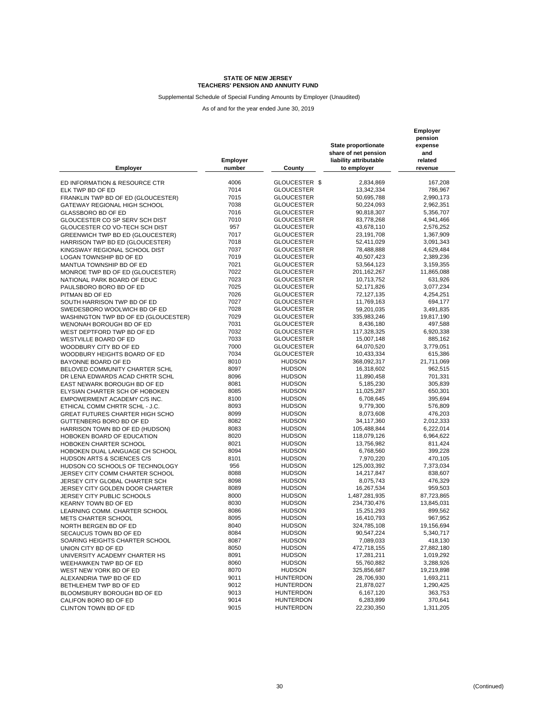Supplemental Schedule of Special Funding Amounts by Employer (Unaudited)

| <b>Employer</b>                        | Employer<br>number | County            | State proportionate<br>share of net pension<br>liability attributable<br>to employer | Employer<br>pension<br>expense<br>and<br>related<br>revenue |
|----------------------------------------|--------------------|-------------------|--------------------------------------------------------------------------------------|-------------------------------------------------------------|
| ED INFORMATION & RESOURCE CTR          | 4006               | GLOUCESTER \$     | 2,834,869                                                                            | 167,208                                                     |
| ELK TWP BD OF ED                       | 7014               | <b>GLOUCESTER</b> | 13,342,334                                                                           | 786,967                                                     |
| FRANKLIN TWP BD OF ED (GLOUCESTER)     | 7015               | <b>GLOUCESTER</b> | 50,695,788                                                                           | 2,990,173                                                   |
| GATEWAY REGIONAL HIGH SCHOOL           | 7038               | <b>GLOUCESTER</b> | 50,224,093                                                                           | 2,962,351                                                   |
| <b>GLASSBORO BD OF ED</b>              | 7016               | <b>GLOUCESTER</b> | 90,818,307                                                                           | 5,356,707                                                   |
| GLOUCESTER CO SP SERV SCH DIST         | 7010               | <b>GLOUCESTER</b> | 83,778,268                                                                           | 4,941,466                                                   |
| GLOUCESTER CO VO-TECH SCH DIST         | 957                | <b>GLOUCESTER</b> | 43,678,110                                                                           | 2,576,252                                                   |
| GREENWICH TWP BD ED (GLOUCESTER)       | 7017               | <b>GLOUCESTER</b> | 23.191.708                                                                           |                                                             |
|                                        | 7018               | GLOUCESTER        | 52,411,029                                                                           | 1,367,909<br>3,091,343                                      |
| HARRISON TWP BD ED (GLOUCESTER)        | 7037               | <b>GLOUCESTER</b> |                                                                                      |                                                             |
| KINGSWAY REGIONAL SCHOOL DIST          | 7019               | <b>GLOUCESTER</b> | 78,488,888                                                                           | 4,629,484                                                   |
| LOGAN TOWNSHIP BD OF ED                |                    |                   | 40,507,423                                                                           | 2,389,236                                                   |
| MANTUA TOWNSHIP BD OF ED               | 7021<br>7022       | <b>GLOUCESTER</b> | 53,564,123                                                                           | 3,159,355                                                   |
| MONROE TWP BD OF ED (GLOUCESTER)       |                    | <b>GLOUCESTER</b> | 201, 162, 267                                                                        | 11,865,088                                                  |
| NATIONAL PARK BOARD OF EDUC            | 7023               | <b>GLOUCESTER</b> | 10,713,752                                                                           | 631,926                                                     |
| PAULSBORO BORO BD OF ED                | 7025               | <b>GLOUCESTER</b> | 52,171,826                                                                           | 3,077,234                                                   |
| PITMAN BD OF ED                        | 7026               | <b>GLOUCESTER</b> | 72,127,135                                                                           | 4,254,251                                                   |
| SOUTH HARRISON TWP BD OF ED            | 7027               | <b>GLOUCESTER</b> | 11,769,163                                                                           | 694,177                                                     |
| SWEDESBORO WOOLWICH BD OF ED           | 7028               | <b>GLOUCESTER</b> | 59,201,035                                                                           | 3,491,835                                                   |
| WASHINGTON TWP BD OF ED (GLOUCESTER)   | 7029               | <b>GLOUCESTER</b> | 335,983,246                                                                          | 19,817,190                                                  |
| WENONAH BOROUGH BD OF ED               | 7031               | <b>GLOUCESTER</b> | 8,436,180                                                                            | 497,588                                                     |
| WEST DEPTFORD TWP BD OF ED             | 7032               | <b>GLOUCESTER</b> | 117,328,325                                                                          | 6,920,338                                                   |
| WESTVILLE BOARD OF ED                  | 7033               | <b>GLOUCESTER</b> | 15,007,148                                                                           | 885,162                                                     |
| WOODBURY CITY BD OF ED                 | 7000               | <b>GLOUCESTER</b> | 64,070,520                                                                           | 3,779,051                                                   |
| WOODBURY HEIGHTS BOARD OF ED           | 7034               | <b>GLOUCESTER</b> | 10.433.334                                                                           | 615,386                                                     |
| BAYONNE BOARD OF ED                    | 8010               | <b>HUDSON</b>     | 368,092,317                                                                          | 21,711,069                                                  |
| BELOVED COMMUNITY CHARTER SCHL         | 8097               | <b>HUDSON</b>     | 16,318,602                                                                           | 962,515                                                     |
| DR LENA EDWARDS ACAD CHRTR SCHL        | 8096               | <b>HUDSON</b>     | 11,890,458                                                                           | 701,331                                                     |
| EAST NEWARK BOROUGH BD OF ED           | 8081               | <b>HUDSON</b>     | 5,185,230                                                                            | 305,839                                                     |
| ELYSIAN CHARTER SCH OF HOBOKEN         | 8085               | <b>HUDSON</b>     | 11,025,287                                                                           | 650,301                                                     |
| EMPOWERMENT ACADEMY C/S INC.           | 8100               | <b>HUDSON</b>     | 6,708,645                                                                            | 395,694                                                     |
| ETHICAL COMM CHRTR SCHL - J.C.         | 8093               | <b>HUDSON</b>     | 9,779,300                                                                            | 576,809                                                     |
| <b>GREAT FUTURES CHARTER HIGH SCHO</b> | 8099               | <b>HUDSON</b>     | 8,073,608                                                                            | 476,203                                                     |
| GUTTENBERG BORO BD OF ED               | 8082               | <b>HUDSON</b>     | 34,117,360                                                                           | 2,012,333                                                   |
| HARRISON TOWN BD OF ED (HUDSON)        | 8083               | <b>HUDSON</b>     | 105,488,844                                                                          | 6,222,014                                                   |
| HOBOKEN BOARD OF EDUCATION             | 8020               | <b>HUDSON</b>     | 118,079,126                                                                          | 6,964,622                                                   |
| HOBOKEN CHARTER SCHOOL                 | 8021               | <b>HUDSON</b>     | 13,756,982                                                                           | 811,424                                                     |
| HOBOKEN DUAL LANGUAGE CH SCHOOL        | 8094               | <b>HUDSON</b>     | 6,768,560                                                                            | 399,228                                                     |
| HUDSON ARTS & SCIENCES C/S             | 8101               | <b>HUDSON</b>     | 7,970,220                                                                            | 470,105                                                     |
| HUDSON CO SCHOOLS OF TECHNOLOGY        | 956                | <b>HUDSON</b>     | 125,003,392                                                                          | 7,373,034                                                   |
| JERSEY CITY COMM CHARTER SCHOOL        | 8088               | <b>HUDSON</b>     | 14,217,847                                                                           | 838,607                                                     |
| JERSEY CITY GLOBAL CHARTER SCH         | 8098               | <b>HUDSON</b>     | 8,075,743                                                                            | 476,329                                                     |
| JERSEY CITY GOLDEN DOOR CHARTER        | 8089               | <b>HUDSON</b>     | 16,267,534                                                                           | 959,503                                                     |
| JERSEY CITY PUBLIC SCHOOLS             | 8000               | <b>HUDSON</b>     | 1,487,281,935                                                                        | 87,723,865                                                  |
| <b>KEARNY TOWN BD OF ED</b>            | 8030               | <b>HUDSON</b>     | 234,730,476                                                                          | 13,845,031                                                  |
| LEARNING COMM. CHARTER SCHOOL          | 8086               | <b>HUDSON</b>     | 15,251,293                                                                           | 899,562                                                     |
| <b>METS CHARTER SCHOOL</b>             | 8095               | <b>HUDSON</b>     | 16,410,793                                                                           | 967,952                                                     |
| NORTH BERGEN BD OF ED                  | 8040               | <b>HUDSON</b>     | 324,785,108                                                                          | 19,156,694                                                  |
| SECAUCUS TOWN BD OF ED                 | 8084               | <b>HUDSON</b>     | 90,547,224                                                                           | 5,340,717                                                   |
| SOARING HEIGHTS CHARTER SCHOOL         | 8087               | <b>HUDSON</b>     | 7,089,033                                                                            | 418,130                                                     |
| UNION CITY BD OF ED                    | 8050               | <b>HUDSON</b>     | 472,718,155                                                                          | 27,882,180                                                  |
| UNIVERSITY ACADEMY CHARTER HS          | 8091               | <b>HUDSON</b>     | 17,281,211                                                                           | 1,019,292                                                   |
| WEEHAWKEN TWP BD OF ED                 | 8060               | <b>HUDSON</b>     | 55,760,882                                                                           | 3,288,926                                                   |
| WEST NEW YORK BD OF ED                 | 8070               | <b>HUDSON</b>     | 325,856,687                                                                          | 19,219,898                                                  |
| ALEXANDRIA TWP BD OF ED                | 9011               | <b>HUNTERDON</b>  | 28,706,930                                                                           | 1,693,211                                                   |
| BETHLEHEM TWP BD OF ED                 | 9012               | <b>HUNTERDON</b>  | 21,878,027                                                                           | 1,290,425                                                   |
| BLOOMSBURY BOROUGH BD OF ED            | 9013               | <b>HUNTERDON</b>  | 6,167,120                                                                            | 363,753                                                     |
| CALIFON BORO BD OF ED                  | 9014               | <b>HUNTERDON</b>  | 6,283,899                                                                            | 370,641                                                     |
| CLINTON TOWN BD OF ED                  | 9015               | <b>HUNTERDON</b>  | 22,230,350                                                                           | 1,311,205                                                   |
|                                        |                    |                   |                                                                                      |                                                             |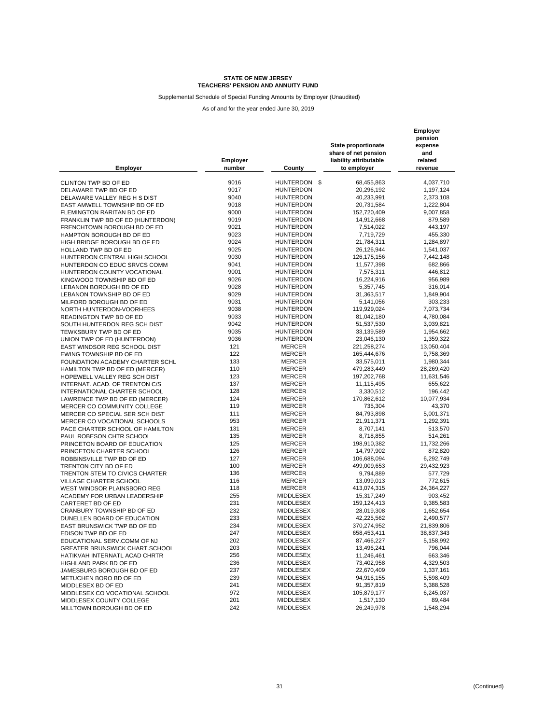Supplemental Schedule of Special Funding Amounts by Employer (Unaudited)

| <b>Employer</b>                                         | <b>Employer</b><br>number | County           | State proportionate<br>share of net pension<br>liability attributable<br>to employer | Employer<br>pension<br>expense<br>and<br>related<br>revenue |
|---------------------------------------------------------|---------------------------|------------------|--------------------------------------------------------------------------------------|-------------------------------------------------------------|
|                                                         | 9016                      | HUNTERDON \$     | 68,455,863                                                                           | 4,037,710                                                   |
| CLINTON TWP BD OF ED<br>DELAWARE TWP BD OF ED           | 9017                      | <b>HUNTERDON</b> | 20,296,192                                                                           | 1,197,124                                                   |
| DELAWARE VALLEY REG H S DIST                            | 9040                      | <b>HUNTERDON</b> | 40,233,991                                                                           | 2,373,108                                                   |
| EAST AMWELL TOWNSHIP BD OF ED                           | 9018                      | <b>HUNTERDON</b> | 20,731,584                                                                           | 1,222,804                                                   |
| FLEMINGTON RARITAN BD OF ED                             | 9000                      | <b>HUNTERDON</b> | 152,720,409                                                                          | 9,007,858                                                   |
|                                                         | 9019                      | <b>HUNTERDON</b> | 14,912,668                                                                           | 879,589                                                     |
| FRANKLIN TWP BD OF ED (HUNTERDON)                       | 9021                      | <b>HUNTERDON</b> | 7,514,022                                                                            | 443,197                                                     |
| FRENCHTOWN BOROUGH BD OF ED<br>HAMPTON BOROUGH BD OF ED | 9023                      | <b>HUNTERDON</b> | 7,719,729                                                                            | 455,330                                                     |
| HIGH BRIDGE BOROUGH BD OF ED                            | 9024                      | <b>HUNTERDON</b> | 21,784,311                                                                           | 1,284,897                                                   |
| HOLLAND TWP BD OF ED                                    | 9025                      | <b>HUNTERDON</b> | 26,126,944                                                                           | 1,541,037                                                   |
| HUNTERDON CENTRAL HIGH SCHOOL                           | 9030                      | <b>HUNTERDON</b> | 126, 175, 156                                                                        | 7,442,148                                                   |
| HUNTERDON CO EDUC SRVCS COMM                            | 9041                      | <b>HUNTERDON</b> | 11,577,398                                                                           | 682,866                                                     |
| HUNTERDON COUNTY VOCATIONAL                             | 9001                      | <b>HUNTERDON</b> | 7,575,311                                                                            | 446,812                                                     |
| KINGWOOD TOWNSHIP BD OF ED                              | 9026                      | <b>HUNTERDON</b> | 16,224,916                                                                           | 956,989                                                     |
| LEBANON BOROUGH BD OF ED                                | 9028                      | <b>HUNTERDON</b> | 5,357,745                                                                            | 316,014                                                     |
| LEBANON TOWNSHIP BD OF ED                               | 9029                      | <b>HUNTERDON</b> | 31,363,517                                                                           | 1,849,904                                                   |
| MILFORD BOROUGH BD OF ED                                | 9031                      | <b>HUNTERDON</b> | 5,141,056                                                                            | 303,233                                                     |
| NORTH HUNTERDON-VOORHEES                                | 9038                      | <b>HUNTERDON</b> | 119,929,024                                                                          | 7,073,734                                                   |
| READINGTON TWP BD OF ED                                 | 9033                      | <b>HUNTERDON</b> | 81,042,180                                                                           | 4,780,084                                                   |
| SOUTH HUNTERDON REG SCH DIST                            | 9042                      | <b>HUNTERDON</b> | 51,537,530                                                                           | 3,039,821                                                   |
| TEWKSBURY TWP BD OF ED                                  | 9035                      | <b>HUNTERDON</b> | 33,139,589                                                                           | 1,954,662                                                   |
| UNION TWP OF ED (HUNTERDON)                             | 9036                      | <b>HUNTERDON</b> | 23,046,130                                                                           | 1,359,322                                                   |
| EAST WINDSOR REG SCHOOL DIST                            | 121                       | <b>MERCER</b>    | 221,258,274                                                                          | 13,050,404                                                  |
| EWING TOWNSHIP BD OF ED                                 | 122                       | <b>MERCER</b>    | 165,444,676                                                                          | 9,758,369                                                   |
| FOUNDATION ACADEMY CHARTER SCHL                         | 133                       | MERCER           | 33,575,011                                                                           | 1,980,344                                                   |
| HAMILTON TWP BD OF ED (MERCER)                          | 110                       | MERCER           | 479,283,449                                                                          | 28,269,420                                                  |
| HOPEWELL VALLEY REG SCH DIST                            | 123                       | <b>MERCER</b>    | 197,202,768                                                                          | 11,631,546                                                  |
| INTERNAT, ACAD, OF TRENTON C/S                          | 137                       | <b>MERCER</b>    | 11,115,495                                                                           | 655,622                                                     |
| INTERNATIONAL CHARTER SCHOOL                            | 128                       | MERCER           | 3,330,512                                                                            | 196,442                                                     |
| LAWRENCE TWP BD OF ED (MERCER)                          | 124                       | MERCER           | 170,862,612                                                                          | 10,077,934                                                  |
| MERCER CO COMMUNITY COLLEGE                             | 119                       | <b>MERCER</b>    | 735,304                                                                              | 43,370                                                      |
| MERCER CO SPECIAL SER SCH DIST                          | 111                       | <b>MERCER</b>    | 84,793,898                                                                           | 5,001,371                                                   |
| MERCER CO VOCATIONAL SCHOOLS                            | 953                       | <b>MERCER</b>    | 21,911,371                                                                           | 1,292,391                                                   |
| PACE CHARTER SCHOOL OF HAMILTON                         | 131                       | <b>MERCER</b>    | 8,707,141                                                                            | 513,570                                                     |
| PAUL ROBESON CHTR SCHOOL                                | 135                       | MERCER           | 8,718,855                                                                            | 514,261                                                     |
| PRINCETON BOARD OF EDUCATION                            | 125                       | MERCER           | 198,910,382                                                                          | 11,732,266                                                  |
| PRINCETON CHARTER SCHOOL                                | 126                       | <b>MERCER</b>    | 14,797,902                                                                           | 872,820                                                     |
| ROBBINSVILLE TWP BD OF ED                               | 127                       | MERCER           | 106,688,094                                                                          | 6,292,749                                                   |
| TRENTON CITY BD OF ED                                   | 100                       | MERCER           | 499,009,653                                                                          | 29,432,923                                                  |
| TRENTON STEM TO CIVICS CHARTER                          | 136                       | MERCER           | 9,794,889                                                                            | 577,729                                                     |
| <b>VILLAGE CHARTER SCHOOL</b>                           | 116                       | MERCER           | 13,099,013                                                                           | 772,615                                                     |
| WEST WINDSOR PLAINSBORO REG                             | 118                       | MERCER           | 413,074,315                                                                          | 24,364,227                                                  |
| ACADEMY FOR URBAN LEADERSHIP                            | 255                       | MIDDLESEX        | 15,317,249                                                                           | 903,452                                                     |
| CARTERET BD OF ED                                       | 231                       | MIDDLESEX        | 159,124,413                                                                          | 9,385,583                                                   |
| CRANBURY TOWNSHIP BD OF ED                              | 232                       | <b>MIDDLESEX</b> | 28,019,308                                                                           | 1,652,654                                                   |
| DUNELLEN BOARD OF EDUCATION                             | 233                       | MIDDLESEX        | 42,225,562                                                                           | 2,490,577                                                   |
| EAST BRUNSWICK TWP BD OF ED                             | 234                       | <b>MIDDLESEX</b> | 370,274,952                                                                          | 21,839,806                                                  |
| EDISON TWP BD OF ED                                     | 247                       | MIDDLESEX        | 658,453,411                                                                          | 38,837,343                                                  |
| EDUCATIONAL SERV.COMM OF NJ                             | 202                       | MIDDLESEX        | 87,466,227                                                                           | 5,158,992                                                   |
| GREATER BRUNSWICK CHART.SCHOOL                          | 203                       | MIDDLESEX        | 13,496,241                                                                           | 796,044                                                     |
| HATIKVAH INTERNATL ACAD CHRTR                           | 256                       | MIDDLESEX        | 11,246,461                                                                           | 663,346                                                     |
| HIGHLAND PARK BD OF ED                                  | 236                       | MIDDLESEX        | 73,402,958                                                                           | 4,329,503                                                   |
| JAMESBURG BOROUGH BD OF ED                              | 237                       | MIDDLESEX        | 22,670,409                                                                           | 1,337,161                                                   |
| METUCHEN BORO BD OF ED                                  | 239                       | <b>MIDDLESEX</b> | 94,916,155                                                                           | 5,598,409                                                   |
| MIDDLESEX BD OF ED                                      | 241                       | MIDDLESEX        | 91,357,819                                                                           | 5,388,528                                                   |
| MIDDLESEX CO VOCATIONAL SCHOOL                          | 972                       | MIDDLESEX        | 105,879,177                                                                          | 6,245,037                                                   |
| MIDDLESEX COUNTY COLLEGE                                | 201                       | MIDDLESEX        | 1,517,130                                                                            | 89,484                                                      |
| MILLTOWN BOROUGH BD OF ED                               | 242                       | MIDDLESEX        | 26,249,978                                                                           | 1,548,294                                                   |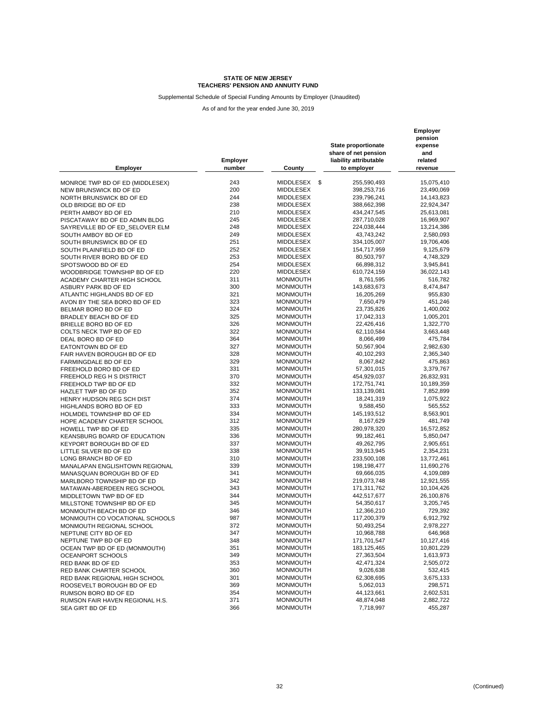Supplemental Schedule of Special Funding Amounts by Employer (Unaudited)

| <b>Employer</b>                                           | Employer<br>number | County                             | State proportionate<br>share of net pension<br>liability attributable<br>to employer | Employer<br>pension<br>expense<br>and<br>related<br>revenue |
|-----------------------------------------------------------|--------------------|------------------------------------|--------------------------------------------------------------------------------------|-------------------------------------------------------------|
|                                                           | 243                | MIDDLESEX<br>\$                    | 255,590,493                                                                          | 15,075,410                                                  |
| MONROE TWP BD OF ED (MIDDLESEX)<br>NEW BRUNSWICK BD OF ED | 200                | <b>MIDDLESEX</b>                   | 398,253,716                                                                          | 23,490,069                                                  |
| NORTH BRUNSWICK BD OF ED                                  | 244                | <b>MIDDLESEX</b>                   | 239,796,241                                                                          | 14, 143, 823                                                |
| OLD BRIDGE BD OF ED                                       | 238                | <b>MIDDLESEX</b>                   | 388,662,398                                                                          | 22,924,347                                                  |
| PERTH AMBOY BD OF ED                                      | 210                | MIDDLESEX                          | 434,247,545                                                                          | 25,613,081                                                  |
|                                                           | 245                | MIDDLESEX                          | 287,710,028                                                                          | 16,969,907                                                  |
| PISCATAWAY BD OF ED ADMN BLDG                             | 248                | <b>MIDDLESEX</b>                   | 224,038,444                                                                          | 13,214,386                                                  |
| SAYREVILLE BD OF ED_SELOVER ELM                           | 249                | MIDDLESEX                          | 43.743.242                                                                           |                                                             |
| SOUTH AMBOY BD OF ED<br>SOUTH BRUNSWICK BD OF ED          | 251                | MIDDLESEX                          | 334,105,007                                                                          | 2,580,093<br>19,706,406                                     |
|                                                           | 252                | MIDDLESEX                          | 154,717,959                                                                          | 9,125,679                                                   |
| SOUTH PLAINFIELD BD OF ED                                 | 253                | MIDDLESEX                          | 80,503,797                                                                           |                                                             |
| SOUTH RIVER BORO BD OF ED                                 | 254                | <b>MIDDLESEX</b>                   |                                                                                      | 4,748,329                                                   |
| SPOTSWOOD BD OF ED                                        | 220                | <b>MIDDLESEX</b>                   | 66,898,312                                                                           | 3,945,841                                                   |
| WOODBRIDGE TOWNSHIP BD OF ED                              | 311                |                                    | 610,724,159                                                                          | 36,022,143                                                  |
| ACADEMY CHARTER HIGH SCHOOL                               | 300                | <b>MONMOUTH</b>                    | 8,761,595                                                                            | 516,782                                                     |
| ASBURY PARK BD OF ED                                      | 321                | <b>MONMOUTH</b>                    | 143,683,673                                                                          | 8,474,847                                                   |
| ATLANTIC HIGHLANDS BD OF ED                               |                    | <b>MONMOUTH</b>                    | 16,205,269                                                                           | 955,830                                                     |
| AVON BY THE SEA BORO BD OF ED                             | 323<br>324         | <b>MONMOUTH</b>                    | 7,650,479                                                                            | 451,246                                                     |
| BELMAR BORO BD OF ED                                      |                    | <b>MONMOUTH</b>                    | 23,735,826                                                                           | 1,400,002                                                   |
| BRADLEY BEACH BD OF ED                                    | 325                | <b>MONMOUTH</b>                    | 17,042,313                                                                           | 1,005,201                                                   |
| BRIELLE BORO BD OF ED                                     | 326                | <b>MONMOUTH</b>                    | 22,426,416                                                                           | 1,322,770                                                   |
| COLTS NECK TWP BD OF ED                                   | 322                | <b>MONMOUTH</b>                    | 62,110,584                                                                           | 3,663,448                                                   |
| DEAL BORO BD OF ED                                        | 364                | <b>MONMOUTH</b>                    | 8,066,499                                                                            | 475,784                                                     |
| EATONTOWN BD OF ED                                        | 327                | <b>MONMOUTH</b>                    | 50,567,904                                                                           | 2,982,630                                                   |
| FAIR HAVEN BOROUGH BD OF ED                               | 328                | <b>MONMOUTH</b>                    | 40,102,293                                                                           | 2,365,340                                                   |
| FARMINGDALE BD OF ED                                      | 329                | <b>MONMOUTH</b>                    | 8,067,842                                                                            | 475,863                                                     |
| FREEHOLD BORO BD OF ED                                    | 331                | <b>MONMOUTH</b>                    | 57,301,015                                                                           | 3,379,767                                                   |
| FREEHOLD REG H S DISTRICT                                 | 370                | <b>MONMOUTH</b>                    | 454,929,037                                                                          | 26,832,931                                                  |
| FREEHOLD TWP BD OF ED                                     | 332                | <b>MONMOUTH</b>                    | 172,751,741                                                                          | 10,189,359                                                  |
| HAZLET TWP BD OF ED                                       | 352<br>374         | <b>MONMOUTH</b>                    | 133,139,081                                                                          | 7,852,899                                                   |
| HENRY HUDSON REG SCH DIST                                 | 333                | <b>MONMOUTH</b>                    | 18,241,319                                                                           | 1,075,922                                                   |
| HIGHLANDS BORO BD OF ED                                   |                    | <b>MONMOUTH</b>                    | 9,588,450                                                                            | 565,552                                                     |
| HOLMDEL TOWNSHIP BD OF ED                                 | 334                | <b>MONMOUTH</b>                    | 145, 193, 512                                                                        | 8,563,901                                                   |
| HOPE ACADEMY CHARTER SCHOOL                               | 312<br>335         | <b>MONMOUTH</b>                    | 8,167,629                                                                            | 481,749                                                     |
| HOWELL TWP BD OF ED                                       |                    | <b>MONMOUTH</b>                    | 280,978,320                                                                          | 16,572,852                                                  |
| KEANSBURG BOARD OF EDUCATION                              | 336                | <b>MONMOUTH</b>                    | 99,182,461                                                                           | 5,850,047                                                   |
| KEYPORT BOROUGH BD OF ED                                  | 337                | <b>MONMOUTH</b>                    | 49,262,795                                                                           | 2,905,651                                                   |
| LITTLE SILVER BD OF ED                                    | 338                | <b>MONMOUTH</b>                    | 39,913,945                                                                           | 2,354,231                                                   |
| LONG BRANCH BD OF ED                                      | 310<br>339         | MONMOUTH                           | 233,500,108                                                                          | 13,772,461                                                  |
| MANALAPAN ENGLISHTOWN REGIONAL                            | 341                | <b>MONMOUTH</b><br><b>MONMOUTH</b> | 198,198,477                                                                          | 11,690,276                                                  |
| MANASQUAN BOROUGH BD OF ED<br>MARLBORO TOWNSHIP BD OF ED  | 342                |                                    | 69,666,035                                                                           | 4,109,089                                                   |
|                                                           | 343                | <b>MONMOUTH</b><br><b>MONMOUTH</b> | 219,073,748<br>171,311,762                                                           | 12,921,555<br>10,104,426                                    |
| MATAWAN-ABERDEEN REG SCHOOL<br>MIDDLETOWN TWP BD OF ED    | 344                | <b>MONMOUTH</b>                    | 442,517,677                                                                          |                                                             |
|                                                           | 345                |                                    |                                                                                      | 26,100,876                                                  |
| MILLSTONE TOWNSHIP BD OF ED                               | 346                | <b>MONMOUTH</b><br><b>MONMOUTH</b> | 54,350,617<br>12,366,210                                                             | 3,205,745<br>729,392                                        |
| MONMOUTH BEACH BD OF ED                                   | 987                | <b>MONMOUTH</b>                    | 117,200,379                                                                          | 6,912,792                                                   |
| MONMOUTH CO VOCATIONAL SCHOOLS                            | 372                | <b>MONMOUTH</b>                    | 50,493,254                                                                           | 2,978,227                                                   |
| MONMOUTH REGIONAL SCHOOL                                  | 347                |                                    |                                                                                      |                                                             |
| NEPTUNE CITY BD OF ED                                     |                    | <b>MONMOUTH</b>                    | 10,968,788                                                                           | 646,968                                                     |
| NEPTUNE TWP BD OF ED                                      | 348<br>351         | <b>MONMOUTH</b><br><b>MONMOUTH</b> | 171,701,547<br>183, 125, 465                                                         | 10,127,416                                                  |
| OCEAN TWP BD OF ED (MONMOUTH)                             | 349                |                                    | 27,363,504                                                                           | 10,801,229                                                  |
| OCEANPORT SCHOOLS                                         |                    | <b>MONMOUTH</b>                    |                                                                                      | 1,613,973                                                   |
| RED BANK BD OF ED                                         | 353                | <b>MONMOUTH</b><br><b>MONMOUTH</b> | 42,471,324                                                                           | 2,505,072                                                   |
| RED BANK CHARTER SCHOOL                                   | 360                | <b>MONMOUTH</b>                    | 9,026,638                                                                            | 532,415<br>3,675,133                                        |
| RED BANK REGIONAL HIGH SCHOOL                             | 301<br>369         |                                    | 62,308,695                                                                           |                                                             |
| ROOSEVELT BOROUGH BD OF ED                                | 354                | <b>MONMOUTH</b>                    | 5,062,013                                                                            | 298,571                                                     |
| RUMSON BORO BD OF ED<br>RUMSON FAIR HAVEN REGIONAL H.S.   | 371                | <b>MONMOUTH</b><br><b>MONMOUTH</b> | 44,123,661                                                                           | 2,602,531                                                   |
|                                                           |                    |                                    | 48,874,048                                                                           | 2,882,722                                                   |
| SEA GIRT BD OF ED                                         | 366                | <b>MONMOUTH</b>                    | 7,718,997                                                                            | 455,287                                                     |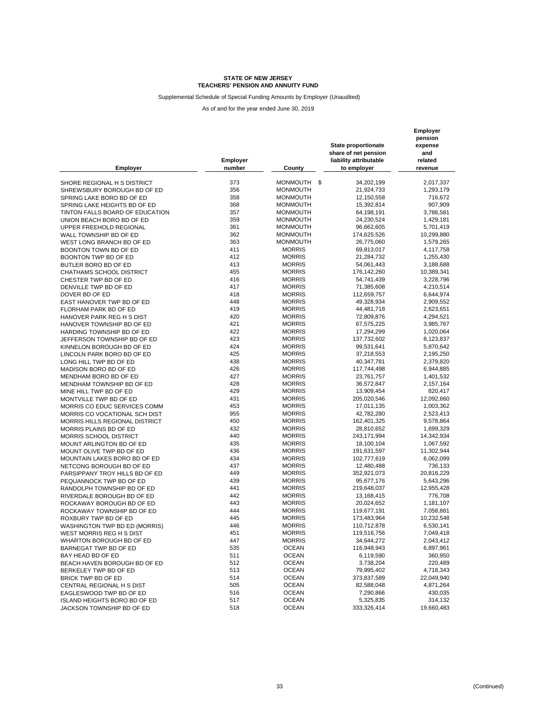Supplemental Schedule of Special Funding Amounts by Employer (Unaudited)

| 373<br><b>MONMOUTH</b><br>\$<br>34,202,199<br>2,017,337<br>SHORE REGIONAL H S DISTRICT<br>356<br><b>MONMOUTH</b><br>21,924,733<br>1,293,179<br>SHREWSBURY BOROUGH BD OF ED<br>358<br>SPRING LAKE BORO BD OF ED<br><b>MONMOUTH</b><br>12,150,558<br>716,672<br>368<br>907,909<br>SPRING LAKE HEIGHTS BD OF ED<br><b>MONMOUTH</b><br>15,392,814<br>357<br><b>MONMOUTH</b><br>64,198,191<br>3,786,581<br>TINTON FALLS BOARD OF EDUCATION<br>359<br><b>MONMOUTH</b><br>24,230,524<br>1,429,181<br>UNION BEACH BORO BD OF ED<br>361<br><b>MONMOUTH</b><br>96,662,605<br>5,701,419<br>UPPER FREEHOLD REGIONAL<br>362<br>174,625,526<br>10,299,880<br><b>MONMOUTH</b><br>363<br><b>MONMOUTH</b><br>26,775,060<br>1,579,265<br>WEST LONG BRANCH BD OF ED<br>BOONTON TOWN BD OF ED<br>411<br><b>MORRIS</b><br>69,813,017<br>4,117,758<br>412<br>BOONTON TWP BD OF ED<br><b>MORRIS</b><br>21,284,732<br>1,255,430<br>413<br><b>MORRIS</b><br>54,061,443<br>3,188,688<br>455<br><b>MORRIS</b><br>176,142,260<br>10,389,341<br>CHATHAMS SCHOOL DISTRICT<br>416<br><b>MORRIS</b><br>54,741,439<br>3,228,796<br>CHESTER TWP BD OF ED<br>417<br><b>MORRIS</b><br>DENVILLE TWP BD OF ED<br>71,385,608<br>4,210,514<br>418<br><b>MORRIS</b><br>DOVER BD OF ED<br>112,659,757<br>6,644,974<br>448<br><b>MORRIS</b><br>49,328,934<br>2,909,552<br>EAST HANOVER TWP BD OF ED<br>419<br><b>MORRIS</b><br>44,481,718<br>2,623,651<br>FLORHAM PARK BD OF ED<br>420<br><b>MORRIS</b><br>HANOVER PARK REG H S DIST<br>72,809,876<br>4,294,521<br>421<br><b>MORRIS</b><br>3,985,767<br>HANOVER TOWNSHIP BD OF ED<br>67,575,225<br>422<br><b>MORRIS</b><br>1,020,064<br>HARDING TOWNSHIP BD OF ED<br>17,294,299<br>423<br><b>MORRIS</b><br>137,732,602<br>8,123,837<br>JEFFERSON TOWNSHIP BD OF ED<br>424<br><b>MORRIS</b><br>99,531,641<br>5,870,642<br>KINNELON BOROUGH BD OF ED<br>425<br><b>MORRIS</b><br>LINCOLN PARK BORO BD OF ED<br>37,218,553<br>2,195,250<br>438<br><b>MORRIS</b><br>40,347,781<br>2,379,820<br>LONG HILL TWP BD OF ED<br>426<br><b>MORRIS</b><br>117,744,498<br>6,944,885<br>MADISON BORO BD OF ED<br>427<br><b>MORRIS</b><br>23,761,757<br>1,401,532<br>MENDHAM BORO BD OF ED<br>428<br><b>MORRIS</b><br>36,572,847<br>2,157,164<br>MENDHAM TOWNSHIP BD OF ED<br>429<br><b>MORRIS</b><br>13,909,454<br>820,417<br>MINE HILL TWP BD OF ED<br>431<br><b>MORRIS</b><br>205,020,546<br>12,092,660<br>MONTVILLE TWP BD OF ED<br>453<br><b>MORRIS</b><br>MORRIS CO EDUC SERVICES COMM<br>17,011,135<br>1,003,362<br>955<br><b>MORRIS</b><br>42,782,280<br>2,523,413<br>MORRIS CO VOCATIONAL SCH DIST<br>450<br><b>MORRIS</b><br>162,401,325<br>MORRIS HILLS REGIONAL DISTRICT<br>9,578,864<br>432<br><b>MORRIS</b><br>28,810,652<br>1,699,329<br>MORRIS PLAINS BD OF ED<br>440<br><b>MORRIS</b><br>243,171,994<br>14,342,934<br><b>MORRIS SCHOOL DISTRICT</b><br>435<br><b>MORRIS</b><br>18,100,104<br>1,067,592<br>MOUNT ARLINGTON BD OF ED<br>436<br>MOUNT OLIVE TWP BD OF ED<br><b>MORRIS</b><br>191,631,597<br>11,302,944<br>434<br><b>MORRIS</b><br>102,777,619<br>6,062,099<br>MOUNTAIN LAKES BORO BD OF ED<br>437<br><b>MORRIS</b><br>NETCONG BOROUGH BD OF ED<br>12,480,488<br>736,133<br>449<br><b>MORRIS</b><br>PARSIPPANY TROY HILLS BD OF ED<br>352,921,073<br>20,816,229<br>439<br><b>MORRIS</b><br>95,677,176<br>5,643,296<br>PEQUANNOCK TWP BD OF ED<br>441<br><b>MORRIS</b><br>219,648,037<br>12,955,428<br>RANDOLPH TOWNSHIP BD OF ED<br>442<br><b>MORRIS</b><br>13,168,415<br>776,708<br>RIVERDALE BOROUGH BD OF ED<br>443<br><b>MORRIS</b><br>ROCKAWAY BOROUGH BD OF ED<br>20,024,652<br>1,181,107<br>444<br><b>MORRIS</b><br>7,058,881<br>ROCKAWAY TOWNSHIP BD OF ED<br>119,677,191<br>445<br><b>MORRIS</b><br>10,232,548<br>ROXBURY TWP BD OF ED<br>173,483,964<br>446<br><b>MORRIS</b><br>6,530,141<br>WASHINGTON TWP BD ED (MORRIS)<br>110,712,878<br>451<br><b>MORRIS</b><br>119,516,756<br>7,049,418<br>WEST MORRIS REG H S DIST<br>447<br><b>MORRIS</b><br>34,644,272<br>2,043,412<br>535<br><b>OCEAN</b><br>116,948,943<br>6,897,961<br><b>OCEAN</b><br>511<br>6,119,590<br>360,950<br>512<br><b>OCEAN</b><br>3,738,204<br>220,489<br>BEACH HAVEN BOROUGH BD OF ED<br><b>OCEAN</b><br>513<br>79,995,402<br>4,718,343<br><b>OCEAN</b><br>514<br>373,837,589<br>22,049,940<br><b>OCEAN</b><br>505<br>82,588,048<br>4,871,264<br>CENTRAL REGIONAL H S DIST<br><b>OCEAN</b><br>EAGLESWOOD TWP BD OF ED<br>516<br>7,290,866<br>430,035<br><b>OCEAN</b><br>517<br>5,325,835<br>314,132<br><b>OCEAN</b><br>518<br>333,326,414<br>19,660,483 | <b>Employer</b>              | Employer<br>number | County | <b>State proportionate</b><br>share of net pension<br>liability attributable<br>to employer | Employer<br>pension<br>expense<br>and<br>related<br>revenue |
|------------------------------------------------------------------------------------------------------------------------------------------------------------------------------------------------------------------------------------------------------------------------------------------------------------------------------------------------------------------------------------------------------------------------------------------------------------------------------------------------------------------------------------------------------------------------------------------------------------------------------------------------------------------------------------------------------------------------------------------------------------------------------------------------------------------------------------------------------------------------------------------------------------------------------------------------------------------------------------------------------------------------------------------------------------------------------------------------------------------------------------------------------------------------------------------------------------------------------------------------------------------------------------------------------------------------------------------------------------------------------------------------------------------------------------------------------------------------------------------------------------------------------------------------------------------------------------------------------------------------------------------------------------------------------------------------------------------------------------------------------------------------------------------------------------------------------------------------------------------------------------------------------------------------------------------------------------------------------------------------------------------------------------------------------------------------------------------------------------------------------------------------------------------------------------------------------------------------------------------------------------------------------------------------------------------------------------------------------------------------------------------------------------------------------------------------------------------------------------------------------------------------------------------------------------------------------------------------------------------------------------------------------------------------------------------------------------------------------------------------------------------------------------------------------------------------------------------------------------------------------------------------------------------------------------------------------------------------------------------------------------------------------------------------------------------------------------------------------------------------------------------------------------------------------------------------------------------------------------------------------------------------------------------------------------------------------------------------------------------------------------------------------------------------------------------------------------------------------------------------------------------------------------------------------------------------------------------------------------------------------------------------------------------------------------------------------------------------------------------------------------------------------------------------------------------------------------------------------------------------------------------------------------------------------------------------------------------------------------------------------------------------------------------------------------------------------------------------------------------------------------------------------------------------------------------------------------------------------------------------------------------------------------------------------------------------------------------------------------------------------------------------------------------------------------------------------------------------------------------------------------------------------------------------------------|------------------------------|--------------------|--------|---------------------------------------------------------------------------------------------|-------------------------------------------------------------|
|                                                                                                                                                                                                                                                                                                                                                                                                                                                                                                                                                                                                                                                                                                                                                                                                                                                                                                                                                                                                                                                                                                                                                                                                                                                                                                                                                                                                                                                                                                                                                                                                                                                                                                                                                                                                                                                                                                                                                                                                                                                                                                                                                                                                                                                                                                                                                                                                                                                                                                                                                                                                                                                                                                                                                                                                                                                                                                                                                                                                                                                                                                                                                                                                                                                                                                                                                                                                                                                                                                                                                                                                                                                                                                                                                                                                                                                                                                                                                                                                                                                                                                                                                                                                                                                                                                                                                                                                                                                                                                                                                            |                              |                    |        |                                                                                             |                                                             |
|                                                                                                                                                                                                                                                                                                                                                                                                                                                                                                                                                                                                                                                                                                                                                                                                                                                                                                                                                                                                                                                                                                                                                                                                                                                                                                                                                                                                                                                                                                                                                                                                                                                                                                                                                                                                                                                                                                                                                                                                                                                                                                                                                                                                                                                                                                                                                                                                                                                                                                                                                                                                                                                                                                                                                                                                                                                                                                                                                                                                                                                                                                                                                                                                                                                                                                                                                                                                                                                                                                                                                                                                                                                                                                                                                                                                                                                                                                                                                                                                                                                                                                                                                                                                                                                                                                                                                                                                                                                                                                                                                            |                              |                    |        |                                                                                             |                                                             |
|                                                                                                                                                                                                                                                                                                                                                                                                                                                                                                                                                                                                                                                                                                                                                                                                                                                                                                                                                                                                                                                                                                                                                                                                                                                                                                                                                                                                                                                                                                                                                                                                                                                                                                                                                                                                                                                                                                                                                                                                                                                                                                                                                                                                                                                                                                                                                                                                                                                                                                                                                                                                                                                                                                                                                                                                                                                                                                                                                                                                                                                                                                                                                                                                                                                                                                                                                                                                                                                                                                                                                                                                                                                                                                                                                                                                                                                                                                                                                                                                                                                                                                                                                                                                                                                                                                                                                                                                                                                                                                                                                            |                              |                    |        |                                                                                             |                                                             |
|                                                                                                                                                                                                                                                                                                                                                                                                                                                                                                                                                                                                                                                                                                                                                                                                                                                                                                                                                                                                                                                                                                                                                                                                                                                                                                                                                                                                                                                                                                                                                                                                                                                                                                                                                                                                                                                                                                                                                                                                                                                                                                                                                                                                                                                                                                                                                                                                                                                                                                                                                                                                                                                                                                                                                                                                                                                                                                                                                                                                                                                                                                                                                                                                                                                                                                                                                                                                                                                                                                                                                                                                                                                                                                                                                                                                                                                                                                                                                                                                                                                                                                                                                                                                                                                                                                                                                                                                                                                                                                                                                            |                              |                    |        |                                                                                             |                                                             |
|                                                                                                                                                                                                                                                                                                                                                                                                                                                                                                                                                                                                                                                                                                                                                                                                                                                                                                                                                                                                                                                                                                                                                                                                                                                                                                                                                                                                                                                                                                                                                                                                                                                                                                                                                                                                                                                                                                                                                                                                                                                                                                                                                                                                                                                                                                                                                                                                                                                                                                                                                                                                                                                                                                                                                                                                                                                                                                                                                                                                                                                                                                                                                                                                                                                                                                                                                                                                                                                                                                                                                                                                                                                                                                                                                                                                                                                                                                                                                                                                                                                                                                                                                                                                                                                                                                                                                                                                                                                                                                                                                            |                              |                    |        |                                                                                             |                                                             |
|                                                                                                                                                                                                                                                                                                                                                                                                                                                                                                                                                                                                                                                                                                                                                                                                                                                                                                                                                                                                                                                                                                                                                                                                                                                                                                                                                                                                                                                                                                                                                                                                                                                                                                                                                                                                                                                                                                                                                                                                                                                                                                                                                                                                                                                                                                                                                                                                                                                                                                                                                                                                                                                                                                                                                                                                                                                                                                                                                                                                                                                                                                                                                                                                                                                                                                                                                                                                                                                                                                                                                                                                                                                                                                                                                                                                                                                                                                                                                                                                                                                                                                                                                                                                                                                                                                                                                                                                                                                                                                                                                            |                              |                    |        |                                                                                             |                                                             |
|                                                                                                                                                                                                                                                                                                                                                                                                                                                                                                                                                                                                                                                                                                                                                                                                                                                                                                                                                                                                                                                                                                                                                                                                                                                                                                                                                                                                                                                                                                                                                                                                                                                                                                                                                                                                                                                                                                                                                                                                                                                                                                                                                                                                                                                                                                                                                                                                                                                                                                                                                                                                                                                                                                                                                                                                                                                                                                                                                                                                                                                                                                                                                                                                                                                                                                                                                                                                                                                                                                                                                                                                                                                                                                                                                                                                                                                                                                                                                                                                                                                                                                                                                                                                                                                                                                                                                                                                                                                                                                                                                            |                              |                    |        |                                                                                             |                                                             |
|                                                                                                                                                                                                                                                                                                                                                                                                                                                                                                                                                                                                                                                                                                                                                                                                                                                                                                                                                                                                                                                                                                                                                                                                                                                                                                                                                                                                                                                                                                                                                                                                                                                                                                                                                                                                                                                                                                                                                                                                                                                                                                                                                                                                                                                                                                                                                                                                                                                                                                                                                                                                                                                                                                                                                                                                                                                                                                                                                                                                                                                                                                                                                                                                                                                                                                                                                                                                                                                                                                                                                                                                                                                                                                                                                                                                                                                                                                                                                                                                                                                                                                                                                                                                                                                                                                                                                                                                                                                                                                                                                            |                              |                    |        |                                                                                             |                                                             |
|                                                                                                                                                                                                                                                                                                                                                                                                                                                                                                                                                                                                                                                                                                                                                                                                                                                                                                                                                                                                                                                                                                                                                                                                                                                                                                                                                                                                                                                                                                                                                                                                                                                                                                                                                                                                                                                                                                                                                                                                                                                                                                                                                                                                                                                                                                                                                                                                                                                                                                                                                                                                                                                                                                                                                                                                                                                                                                                                                                                                                                                                                                                                                                                                                                                                                                                                                                                                                                                                                                                                                                                                                                                                                                                                                                                                                                                                                                                                                                                                                                                                                                                                                                                                                                                                                                                                                                                                                                                                                                                                                            | WALL TOWNSHIP BD OF ED       |                    |        |                                                                                             |                                                             |
|                                                                                                                                                                                                                                                                                                                                                                                                                                                                                                                                                                                                                                                                                                                                                                                                                                                                                                                                                                                                                                                                                                                                                                                                                                                                                                                                                                                                                                                                                                                                                                                                                                                                                                                                                                                                                                                                                                                                                                                                                                                                                                                                                                                                                                                                                                                                                                                                                                                                                                                                                                                                                                                                                                                                                                                                                                                                                                                                                                                                                                                                                                                                                                                                                                                                                                                                                                                                                                                                                                                                                                                                                                                                                                                                                                                                                                                                                                                                                                                                                                                                                                                                                                                                                                                                                                                                                                                                                                                                                                                                                            |                              |                    |        |                                                                                             |                                                             |
|                                                                                                                                                                                                                                                                                                                                                                                                                                                                                                                                                                                                                                                                                                                                                                                                                                                                                                                                                                                                                                                                                                                                                                                                                                                                                                                                                                                                                                                                                                                                                                                                                                                                                                                                                                                                                                                                                                                                                                                                                                                                                                                                                                                                                                                                                                                                                                                                                                                                                                                                                                                                                                                                                                                                                                                                                                                                                                                                                                                                                                                                                                                                                                                                                                                                                                                                                                                                                                                                                                                                                                                                                                                                                                                                                                                                                                                                                                                                                                                                                                                                                                                                                                                                                                                                                                                                                                                                                                                                                                                                                            |                              |                    |        |                                                                                             |                                                             |
|                                                                                                                                                                                                                                                                                                                                                                                                                                                                                                                                                                                                                                                                                                                                                                                                                                                                                                                                                                                                                                                                                                                                                                                                                                                                                                                                                                                                                                                                                                                                                                                                                                                                                                                                                                                                                                                                                                                                                                                                                                                                                                                                                                                                                                                                                                                                                                                                                                                                                                                                                                                                                                                                                                                                                                                                                                                                                                                                                                                                                                                                                                                                                                                                                                                                                                                                                                                                                                                                                                                                                                                                                                                                                                                                                                                                                                                                                                                                                                                                                                                                                                                                                                                                                                                                                                                                                                                                                                                                                                                                                            |                              |                    |        |                                                                                             |                                                             |
|                                                                                                                                                                                                                                                                                                                                                                                                                                                                                                                                                                                                                                                                                                                                                                                                                                                                                                                                                                                                                                                                                                                                                                                                                                                                                                                                                                                                                                                                                                                                                                                                                                                                                                                                                                                                                                                                                                                                                                                                                                                                                                                                                                                                                                                                                                                                                                                                                                                                                                                                                                                                                                                                                                                                                                                                                                                                                                                                                                                                                                                                                                                                                                                                                                                                                                                                                                                                                                                                                                                                                                                                                                                                                                                                                                                                                                                                                                                                                                                                                                                                                                                                                                                                                                                                                                                                                                                                                                                                                                                                                            | BUTLER BORO BD OF ED         |                    |        |                                                                                             |                                                             |
|                                                                                                                                                                                                                                                                                                                                                                                                                                                                                                                                                                                                                                                                                                                                                                                                                                                                                                                                                                                                                                                                                                                                                                                                                                                                                                                                                                                                                                                                                                                                                                                                                                                                                                                                                                                                                                                                                                                                                                                                                                                                                                                                                                                                                                                                                                                                                                                                                                                                                                                                                                                                                                                                                                                                                                                                                                                                                                                                                                                                                                                                                                                                                                                                                                                                                                                                                                                                                                                                                                                                                                                                                                                                                                                                                                                                                                                                                                                                                                                                                                                                                                                                                                                                                                                                                                                                                                                                                                                                                                                                                            |                              |                    |        |                                                                                             |                                                             |
|                                                                                                                                                                                                                                                                                                                                                                                                                                                                                                                                                                                                                                                                                                                                                                                                                                                                                                                                                                                                                                                                                                                                                                                                                                                                                                                                                                                                                                                                                                                                                                                                                                                                                                                                                                                                                                                                                                                                                                                                                                                                                                                                                                                                                                                                                                                                                                                                                                                                                                                                                                                                                                                                                                                                                                                                                                                                                                                                                                                                                                                                                                                                                                                                                                                                                                                                                                                                                                                                                                                                                                                                                                                                                                                                                                                                                                                                                                                                                                                                                                                                                                                                                                                                                                                                                                                                                                                                                                                                                                                                                            |                              |                    |        |                                                                                             |                                                             |
|                                                                                                                                                                                                                                                                                                                                                                                                                                                                                                                                                                                                                                                                                                                                                                                                                                                                                                                                                                                                                                                                                                                                                                                                                                                                                                                                                                                                                                                                                                                                                                                                                                                                                                                                                                                                                                                                                                                                                                                                                                                                                                                                                                                                                                                                                                                                                                                                                                                                                                                                                                                                                                                                                                                                                                                                                                                                                                                                                                                                                                                                                                                                                                                                                                                                                                                                                                                                                                                                                                                                                                                                                                                                                                                                                                                                                                                                                                                                                                                                                                                                                                                                                                                                                                                                                                                                                                                                                                                                                                                                                            |                              |                    |        |                                                                                             |                                                             |
|                                                                                                                                                                                                                                                                                                                                                                                                                                                                                                                                                                                                                                                                                                                                                                                                                                                                                                                                                                                                                                                                                                                                                                                                                                                                                                                                                                                                                                                                                                                                                                                                                                                                                                                                                                                                                                                                                                                                                                                                                                                                                                                                                                                                                                                                                                                                                                                                                                                                                                                                                                                                                                                                                                                                                                                                                                                                                                                                                                                                                                                                                                                                                                                                                                                                                                                                                                                                                                                                                                                                                                                                                                                                                                                                                                                                                                                                                                                                                                                                                                                                                                                                                                                                                                                                                                                                                                                                                                                                                                                                                            |                              |                    |        |                                                                                             |                                                             |
|                                                                                                                                                                                                                                                                                                                                                                                                                                                                                                                                                                                                                                                                                                                                                                                                                                                                                                                                                                                                                                                                                                                                                                                                                                                                                                                                                                                                                                                                                                                                                                                                                                                                                                                                                                                                                                                                                                                                                                                                                                                                                                                                                                                                                                                                                                                                                                                                                                                                                                                                                                                                                                                                                                                                                                                                                                                                                                                                                                                                                                                                                                                                                                                                                                                                                                                                                                                                                                                                                                                                                                                                                                                                                                                                                                                                                                                                                                                                                                                                                                                                                                                                                                                                                                                                                                                                                                                                                                                                                                                                                            |                              |                    |        |                                                                                             |                                                             |
|                                                                                                                                                                                                                                                                                                                                                                                                                                                                                                                                                                                                                                                                                                                                                                                                                                                                                                                                                                                                                                                                                                                                                                                                                                                                                                                                                                                                                                                                                                                                                                                                                                                                                                                                                                                                                                                                                                                                                                                                                                                                                                                                                                                                                                                                                                                                                                                                                                                                                                                                                                                                                                                                                                                                                                                                                                                                                                                                                                                                                                                                                                                                                                                                                                                                                                                                                                                                                                                                                                                                                                                                                                                                                                                                                                                                                                                                                                                                                                                                                                                                                                                                                                                                                                                                                                                                                                                                                                                                                                                                                            |                              |                    |        |                                                                                             |                                                             |
|                                                                                                                                                                                                                                                                                                                                                                                                                                                                                                                                                                                                                                                                                                                                                                                                                                                                                                                                                                                                                                                                                                                                                                                                                                                                                                                                                                                                                                                                                                                                                                                                                                                                                                                                                                                                                                                                                                                                                                                                                                                                                                                                                                                                                                                                                                                                                                                                                                                                                                                                                                                                                                                                                                                                                                                                                                                                                                                                                                                                                                                                                                                                                                                                                                                                                                                                                                                                                                                                                                                                                                                                                                                                                                                                                                                                                                                                                                                                                                                                                                                                                                                                                                                                                                                                                                                                                                                                                                                                                                                                                            |                              |                    |        |                                                                                             |                                                             |
|                                                                                                                                                                                                                                                                                                                                                                                                                                                                                                                                                                                                                                                                                                                                                                                                                                                                                                                                                                                                                                                                                                                                                                                                                                                                                                                                                                                                                                                                                                                                                                                                                                                                                                                                                                                                                                                                                                                                                                                                                                                                                                                                                                                                                                                                                                                                                                                                                                                                                                                                                                                                                                                                                                                                                                                                                                                                                                                                                                                                                                                                                                                                                                                                                                                                                                                                                                                                                                                                                                                                                                                                                                                                                                                                                                                                                                                                                                                                                                                                                                                                                                                                                                                                                                                                                                                                                                                                                                                                                                                                                            |                              |                    |        |                                                                                             |                                                             |
|                                                                                                                                                                                                                                                                                                                                                                                                                                                                                                                                                                                                                                                                                                                                                                                                                                                                                                                                                                                                                                                                                                                                                                                                                                                                                                                                                                                                                                                                                                                                                                                                                                                                                                                                                                                                                                                                                                                                                                                                                                                                                                                                                                                                                                                                                                                                                                                                                                                                                                                                                                                                                                                                                                                                                                                                                                                                                                                                                                                                                                                                                                                                                                                                                                                                                                                                                                                                                                                                                                                                                                                                                                                                                                                                                                                                                                                                                                                                                                                                                                                                                                                                                                                                                                                                                                                                                                                                                                                                                                                                                            |                              |                    |        |                                                                                             |                                                             |
|                                                                                                                                                                                                                                                                                                                                                                                                                                                                                                                                                                                                                                                                                                                                                                                                                                                                                                                                                                                                                                                                                                                                                                                                                                                                                                                                                                                                                                                                                                                                                                                                                                                                                                                                                                                                                                                                                                                                                                                                                                                                                                                                                                                                                                                                                                                                                                                                                                                                                                                                                                                                                                                                                                                                                                                                                                                                                                                                                                                                                                                                                                                                                                                                                                                                                                                                                                                                                                                                                                                                                                                                                                                                                                                                                                                                                                                                                                                                                                                                                                                                                                                                                                                                                                                                                                                                                                                                                                                                                                                                                            |                              |                    |        |                                                                                             |                                                             |
|                                                                                                                                                                                                                                                                                                                                                                                                                                                                                                                                                                                                                                                                                                                                                                                                                                                                                                                                                                                                                                                                                                                                                                                                                                                                                                                                                                                                                                                                                                                                                                                                                                                                                                                                                                                                                                                                                                                                                                                                                                                                                                                                                                                                                                                                                                                                                                                                                                                                                                                                                                                                                                                                                                                                                                                                                                                                                                                                                                                                                                                                                                                                                                                                                                                                                                                                                                                                                                                                                                                                                                                                                                                                                                                                                                                                                                                                                                                                                                                                                                                                                                                                                                                                                                                                                                                                                                                                                                                                                                                                                            |                              |                    |        |                                                                                             |                                                             |
|                                                                                                                                                                                                                                                                                                                                                                                                                                                                                                                                                                                                                                                                                                                                                                                                                                                                                                                                                                                                                                                                                                                                                                                                                                                                                                                                                                                                                                                                                                                                                                                                                                                                                                                                                                                                                                                                                                                                                                                                                                                                                                                                                                                                                                                                                                                                                                                                                                                                                                                                                                                                                                                                                                                                                                                                                                                                                                                                                                                                                                                                                                                                                                                                                                                                                                                                                                                                                                                                                                                                                                                                                                                                                                                                                                                                                                                                                                                                                                                                                                                                                                                                                                                                                                                                                                                                                                                                                                                                                                                                                            |                              |                    |        |                                                                                             |                                                             |
|                                                                                                                                                                                                                                                                                                                                                                                                                                                                                                                                                                                                                                                                                                                                                                                                                                                                                                                                                                                                                                                                                                                                                                                                                                                                                                                                                                                                                                                                                                                                                                                                                                                                                                                                                                                                                                                                                                                                                                                                                                                                                                                                                                                                                                                                                                                                                                                                                                                                                                                                                                                                                                                                                                                                                                                                                                                                                                                                                                                                                                                                                                                                                                                                                                                                                                                                                                                                                                                                                                                                                                                                                                                                                                                                                                                                                                                                                                                                                                                                                                                                                                                                                                                                                                                                                                                                                                                                                                                                                                                                                            |                              |                    |        |                                                                                             |                                                             |
|                                                                                                                                                                                                                                                                                                                                                                                                                                                                                                                                                                                                                                                                                                                                                                                                                                                                                                                                                                                                                                                                                                                                                                                                                                                                                                                                                                                                                                                                                                                                                                                                                                                                                                                                                                                                                                                                                                                                                                                                                                                                                                                                                                                                                                                                                                                                                                                                                                                                                                                                                                                                                                                                                                                                                                                                                                                                                                                                                                                                                                                                                                                                                                                                                                                                                                                                                                                                                                                                                                                                                                                                                                                                                                                                                                                                                                                                                                                                                                                                                                                                                                                                                                                                                                                                                                                                                                                                                                                                                                                                                            |                              |                    |        |                                                                                             |                                                             |
|                                                                                                                                                                                                                                                                                                                                                                                                                                                                                                                                                                                                                                                                                                                                                                                                                                                                                                                                                                                                                                                                                                                                                                                                                                                                                                                                                                                                                                                                                                                                                                                                                                                                                                                                                                                                                                                                                                                                                                                                                                                                                                                                                                                                                                                                                                                                                                                                                                                                                                                                                                                                                                                                                                                                                                                                                                                                                                                                                                                                                                                                                                                                                                                                                                                                                                                                                                                                                                                                                                                                                                                                                                                                                                                                                                                                                                                                                                                                                                                                                                                                                                                                                                                                                                                                                                                                                                                                                                                                                                                                                            |                              |                    |        |                                                                                             |                                                             |
|                                                                                                                                                                                                                                                                                                                                                                                                                                                                                                                                                                                                                                                                                                                                                                                                                                                                                                                                                                                                                                                                                                                                                                                                                                                                                                                                                                                                                                                                                                                                                                                                                                                                                                                                                                                                                                                                                                                                                                                                                                                                                                                                                                                                                                                                                                                                                                                                                                                                                                                                                                                                                                                                                                                                                                                                                                                                                                                                                                                                                                                                                                                                                                                                                                                                                                                                                                                                                                                                                                                                                                                                                                                                                                                                                                                                                                                                                                                                                                                                                                                                                                                                                                                                                                                                                                                                                                                                                                                                                                                                                            |                              |                    |        |                                                                                             |                                                             |
|                                                                                                                                                                                                                                                                                                                                                                                                                                                                                                                                                                                                                                                                                                                                                                                                                                                                                                                                                                                                                                                                                                                                                                                                                                                                                                                                                                                                                                                                                                                                                                                                                                                                                                                                                                                                                                                                                                                                                                                                                                                                                                                                                                                                                                                                                                                                                                                                                                                                                                                                                                                                                                                                                                                                                                                                                                                                                                                                                                                                                                                                                                                                                                                                                                                                                                                                                                                                                                                                                                                                                                                                                                                                                                                                                                                                                                                                                                                                                                                                                                                                                                                                                                                                                                                                                                                                                                                                                                                                                                                                                            |                              |                    |        |                                                                                             |                                                             |
|                                                                                                                                                                                                                                                                                                                                                                                                                                                                                                                                                                                                                                                                                                                                                                                                                                                                                                                                                                                                                                                                                                                                                                                                                                                                                                                                                                                                                                                                                                                                                                                                                                                                                                                                                                                                                                                                                                                                                                                                                                                                                                                                                                                                                                                                                                                                                                                                                                                                                                                                                                                                                                                                                                                                                                                                                                                                                                                                                                                                                                                                                                                                                                                                                                                                                                                                                                                                                                                                                                                                                                                                                                                                                                                                                                                                                                                                                                                                                                                                                                                                                                                                                                                                                                                                                                                                                                                                                                                                                                                                                            |                              |                    |        |                                                                                             |                                                             |
|                                                                                                                                                                                                                                                                                                                                                                                                                                                                                                                                                                                                                                                                                                                                                                                                                                                                                                                                                                                                                                                                                                                                                                                                                                                                                                                                                                                                                                                                                                                                                                                                                                                                                                                                                                                                                                                                                                                                                                                                                                                                                                                                                                                                                                                                                                                                                                                                                                                                                                                                                                                                                                                                                                                                                                                                                                                                                                                                                                                                                                                                                                                                                                                                                                                                                                                                                                                                                                                                                                                                                                                                                                                                                                                                                                                                                                                                                                                                                                                                                                                                                                                                                                                                                                                                                                                                                                                                                                                                                                                                                            |                              |                    |        |                                                                                             |                                                             |
|                                                                                                                                                                                                                                                                                                                                                                                                                                                                                                                                                                                                                                                                                                                                                                                                                                                                                                                                                                                                                                                                                                                                                                                                                                                                                                                                                                                                                                                                                                                                                                                                                                                                                                                                                                                                                                                                                                                                                                                                                                                                                                                                                                                                                                                                                                                                                                                                                                                                                                                                                                                                                                                                                                                                                                                                                                                                                                                                                                                                                                                                                                                                                                                                                                                                                                                                                                                                                                                                                                                                                                                                                                                                                                                                                                                                                                                                                                                                                                                                                                                                                                                                                                                                                                                                                                                                                                                                                                                                                                                                                            |                              |                    |        |                                                                                             |                                                             |
|                                                                                                                                                                                                                                                                                                                                                                                                                                                                                                                                                                                                                                                                                                                                                                                                                                                                                                                                                                                                                                                                                                                                                                                                                                                                                                                                                                                                                                                                                                                                                                                                                                                                                                                                                                                                                                                                                                                                                                                                                                                                                                                                                                                                                                                                                                                                                                                                                                                                                                                                                                                                                                                                                                                                                                                                                                                                                                                                                                                                                                                                                                                                                                                                                                                                                                                                                                                                                                                                                                                                                                                                                                                                                                                                                                                                                                                                                                                                                                                                                                                                                                                                                                                                                                                                                                                                                                                                                                                                                                                                                            |                              |                    |        |                                                                                             |                                                             |
|                                                                                                                                                                                                                                                                                                                                                                                                                                                                                                                                                                                                                                                                                                                                                                                                                                                                                                                                                                                                                                                                                                                                                                                                                                                                                                                                                                                                                                                                                                                                                                                                                                                                                                                                                                                                                                                                                                                                                                                                                                                                                                                                                                                                                                                                                                                                                                                                                                                                                                                                                                                                                                                                                                                                                                                                                                                                                                                                                                                                                                                                                                                                                                                                                                                                                                                                                                                                                                                                                                                                                                                                                                                                                                                                                                                                                                                                                                                                                                                                                                                                                                                                                                                                                                                                                                                                                                                                                                                                                                                                                            |                              |                    |        |                                                                                             |                                                             |
|                                                                                                                                                                                                                                                                                                                                                                                                                                                                                                                                                                                                                                                                                                                                                                                                                                                                                                                                                                                                                                                                                                                                                                                                                                                                                                                                                                                                                                                                                                                                                                                                                                                                                                                                                                                                                                                                                                                                                                                                                                                                                                                                                                                                                                                                                                                                                                                                                                                                                                                                                                                                                                                                                                                                                                                                                                                                                                                                                                                                                                                                                                                                                                                                                                                                                                                                                                                                                                                                                                                                                                                                                                                                                                                                                                                                                                                                                                                                                                                                                                                                                                                                                                                                                                                                                                                                                                                                                                                                                                                                                            |                              |                    |        |                                                                                             |                                                             |
|                                                                                                                                                                                                                                                                                                                                                                                                                                                                                                                                                                                                                                                                                                                                                                                                                                                                                                                                                                                                                                                                                                                                                                                                                                                                                                                                                                                                                                                                                                                                                                                                                                                                                                                                                                                                                                                                                                                                                                                                                                                                                                                                                                                                                                                                                                                                                                                                                                                                                                                                                                                                                                                                                                                                                                                                                                                                                                                                                                                                                                                                                                                                                                                                                                                                                                                                                                                                                                                                                                                                                                                                                                                                                                                                                                                                                                                                                                                                                                                                                                                                                                                                                                                                                                                                                                                                                                                                                                                                                                                                                            |                              |                    |        |                                                                                             |                                                             |
|                                                                                                                                                                                                                                                                                                                                                                                                                                                                                                                                                                                                                                                                                                                                                                                                                                                                                                                                                                                                                                                                                                                                                                                                                                                                                                                                                                                                                                                                                                                                                                                                                                                                                                                                                                                                                                                                                                                                                                                                                                                                                                                                                                                                                                                                                                                                                                                                                                                                                                                                                                                                                                                                                                                                                                                                                                                                                                                                                                                                                                                                                                                                                                                                                                                                                                                                                                                                                                                                                                                                                                                                                                                                                                                                                                                                                                                                                                                                                                                                                                                                                                                                                                                                                                                                                                                                                                                                                                                                                                                                                            |                              |                    |        |                                                                                             |                                                             |
|                                                                                                                                                                                                                                                                                                                                                                                                                                                                                                                                                                                                                                                                                                                                                                                                                                                                                                                                                                                                                                                                                                                                                                                                                                                                                                                                                                                                                                                                                                                                                                                                                                                                                                                                                                                                                                                                                                                                                                                                                                                                                                                                                                                                                                                                                                                                                                                                                                                                                                                                                                                                                                                                                                                                                                                                                                                                                                                                                                                                                                                                                                                                                                                                                                                                                                                                                                                                                                                                                                                                                                                                                                                                                                                                                                                                                                                                                                                                                                                                                                                                                                                                                                                                                                                                                                                                                                                                                                                                                                                                                            |                              |                    |        |                                                                                             |                                                             |
|                                                                                                                                                                                                                                                                                                                                                                                                                                                                                                                                                                                                                                                                                                                                                                                                                                                                                                                                                                                                                                                                                                                                                                                                                                                                                                                                                                                                                                                                                                                                                                                                                                                                                                                                                                                                                                                                                                                                                                                                                                                                                                                                                                                                                                                                                                                                                                                                                                                                                                                                                                                                                                                                                                                                                                                                                                                                                                                                                                                                                                                                                                                                                                                                                                                                                                                                                                                                                                                                                                                                                                                                                                                                                                                                                                                                                                                                                                                                                                                                                                                                                                                                                                                                                                                                                                                                                                                                                                                                                                                                                            |                              |                    |        |                                                                                             |                                                             |
|                                                                                                                                                                                                                                                                                                                                                                                                                                                                                                                                                                                                                                                                                                                                                                                                                                                                                                                                                                                                                                                                                                                                                                                                                                                                                                                                                                                                                                                                                                                                                                                                                                                                                                                                                                                                                                                                                                                                                                                                                                                                                                                                                                                                                                                                                                                                                                                                                                                                                                                                                                                                                                                                                                                                                                                                                                                                                                                                                                                                                                                                                                                                                                                                                                                                                                                                                                                                                                                                                                                                                                                                                                                                                                                                                                                                                                                                                                                                                                                                                                                                                                                                                                                                                                                                                                                                                                                                                                                                                                                                                            |                              |                    |        |                                                                                             |                                                             |
|                                                                                                                                                                                                                                                                                                                                                                                                                                                                                                                                                                                                                                                                                                                                                                                                                                                                                                                                                                                                                                                                                                                                                                                                                                                                                                                                                                                                                                                                                                                                                                                                                                                                                                                                                                                                                                                                                                                                                                                                                                                                                                                                                                                                                                                                                                                                                                                                                                                                                                                                                                                                                                                                                                                                                                                                                                                                                                                                                                                                                                                                                                                                                                                                                                                                                                                                                                                                                                                                                                                                                                                                                                                                                                                                                                                                                                                                                                                                                                                                                                                                                                                                                                                                                                                                                                                                                                                                                                                                                                                                                            |                              |                    |        |                                                                                             |                                                             |
|                                                                                                                                                                                                                                                                                                                                                                                                                                                                                                                                                                                                                                                                                                                                                                                                                                                                                                                                                                                                                                                                                                                                                                                                                                                                                                                                                                                                                                                                                                                                                                                                                                                                                                                                                                                                                                                                                                                                                                                                                                                                                                                                                                                                                                                                                                                                                                                                                                                                                                                                                                                                                                                                                                                                                                                                                                                                                                                                                                                                                                                                                                                                                                                                                                                                                                                                                                                                                                                                                                                                                                                                                                                                                                                                                                                                                                                                                                                                                                                                                                                                                                                                                                                                                                                                                                                                                                                                                                                                                                                                                            |                              |                    |        |                                                                                             |                                                             |
|                                                                                                                                                                                                                                                                                                                                                                                                                                                                                                                                                                                                                                                                                                                                                                                                                                                                                                                                                                                                                                                                                                                                                                                                                                                                                                                                                                                                                                                                                                                                                                                                                                                                                                                                                                                                                                                                                                                                                                                                                                                                                                                                                                                                                                                                                                                                                                                                                                                                                                                                                                                                                                                                                                                                                                                                                                                                                                                                                                                                                                                                                                                                                                                                                                                                                                                                                                                                                                                                                                                                                                                                                                                                                                                                                                                                                                                                                                                                                                                                                                                                                                                                                                                                                                                                                                                                                                                                                                                                                                                                                            |                              |                    |        |                                                                                             |                                                             |
|                                                                                                                                                                                                                                                                                                                                                                                                                                                                                                                                                                                                                                                                                                                                                                                                                                                                                                                                                                                                                                                                                                                                                                                                                                                                                                                                                                                                                                                                                                                                                                                                                                                                                                                                                                                                                                                                                                                                                                                                                                                                                                                                                                                                                                                                                                                                                                                                                                                                                                                                                                                                                                                                                                                                                                                                                                                                                                                                                                                                                                                                                                                                                                                                                                                                                                                                                                                                                                                                                                                                                                                                                                                                                                                                                                                                                                                                                                                                                                                                                                                                                                                                                                                                                                                                                                                                                                                                                                                                                                                                                            |                              |                    |        |                                                                                             |                                                             |
|                                                                                                                                                                                                                                                                                                                                                                                                                                                                                                                                                                                                                                                                                                                                                                                                                                                                                                                                                                                                                                                                                                                                                                                                                                                                                                                                                                                                                                                                                                                                                                                                                                                                                                                                                                                                                                                                                                                                                                                                                                                                                                                                                                                                                                                                                                                                                                                                                                                                                                                                                                                                                                                                                                                                                                                                                                                                                                                                                                                                                                                                                                                                                                                                                                                                                                                                                                                                                                                                                                                                                                                                                                                                                                                                                                                                                                                                                                                                                                                                                                                                                                                                                                                                                                                                                                                                                                                                                                                                                                                                                            |                              |                    |        |                                                                                             |                                                             |
|                                                                                                                                                                                                                                                                                                                                                                                                                                                                                                                                                                                                                                                                                                                                                                                                                                                                                                                                                                                                                                                                                                                                                                                                                                                                                                                                                                                                                                                                                                                                                                                                                                                                                                                                                                                                                                                                                                                                                                                                                                                                                                                                                                                                                                                                                                                                                                                                                                                                                                                                                                                                                                                                                                                                                                                                                                                                                                                                                                                                                                                                                                                                                                                                                                                                                                                                                                                                                                                                                                                                                                                                                                                                                                                                                                                                                                                                                                                                                                                                                                                                                                                                                                                                                                                                                                                                                                                                                                                                                                                                                            |                              |                    |        |                                                                                             |                                                             |
|                                                                                                                                                                                                                                                                                                                                                                                                                                                                                                                                                                                                                                                                                                                                                                                                                                                                                                                                                                                                                                                                                                                                                                                                                                                                                                                                                                                                                                                                                                                                                                                                                                                                                                                                                                                                                                                                                                                                                                                                                                                                                                                                                                                                                                                                                                                                                                                                                                                                                                                                                                                                                                                                                                                                                                                                                                                                                                                                                                                                                                                                                                                                                                                                                                                                                                                                                                                                                                                                                                                                                                                                                                                                                                                                                                                                                                                                                                                                                                                                                                                                                                                                                                                                                                                                                                                                                                                                                                                                                                                                                            |                              |                    |        |                                                                                             |                                                             |
|                                                                                                                                                                                                                                                                                                                                                                                                                                                                                                                                                                                                                                                                                                                                                                                                                                                                                                                                                                                                                                                                                                                                                                                                                                                                                                                                                                                                                                                                                                                                                                                                                                                                                                                                                                                                                                                                                                                                                                                                                                                                                                                                                                                                                                                                                                                                                                                                                                                                                                                                                                                                                                                                                                                                                                                                                                                                                                                                                                                                                                                                                                                                                                                                                                                                                                                                                                                                                                                                                                                                                                                                                                                                                                                                                                                                                                                                                                                                                                                                                                                                                                                                                                                                                                                                                                                                                                                                                                                                                                                                                            |                              |                    |        |                                                                                             |                                                             |
|                                                                                                                                                                                                                                                                                                                                                                                                                                                                                                                                                                                                                                                                                                                                                                                                                                                                                                                                                                                                                                                                                                                                                                                                                                                                                                                                                                                                                                                                                                                                                                                                                                                                                                                                                                                                                                                                                                                                                                                                                                                                                                                                                                                                                                                                                                                                                                                                                                                                                                                                                                                                                                                                                                                                                                                                                                                                                                                                                                                                                                                                                                                                                                                                                                                                                                                                                                                                                                                                                                                                                                                                                                                                                                                                                                                                                                                                                                                                                                                                                                                                                                                                                                                                                                                                                                                                                                                                                                                                                                                                                            |                              |                    |        |                                                                                             |                                                             |
|                                                                                                                                                                                                                                                                                                                                                                                                                                                                                                                                                                                                                                                                                                                                                                                                                                                                                                                                                                                                                                                                                                                                                                                                                                                                                                                                                                                                                                                                                                                                                                                                                                                                                                                                                                                                                                                                                                                                                                                                                                                                                                                                                                                                                                                                                                                                                                                                                                                                                                                                                                                                                                                                                                                                                                                                                                                                                                                                                                                                                                                                                                                                                                                                                                                                                                                                                                                                                                                                                                                                                                                                                                                                                                                                                                                                                                                                                                                                                                                                                                                                                                                                                                                                                                                                                                                                                                                                                                                                                                                                                            | WHARTON BOROUGH BD OF ED     |                    |        |                                                                                             |                                                             |
|                                                                                                                                                                                                                                                                                                                                                                                                                                                                                                                                                                                                                                                                                                                                                                                                                                                                                                                                                                                                                                                                                                                                                                                                                                                                                                                                                                                                                                                                                                                                                                                                                                                                                                                                                                                                                                                                                                                                                                                                                                                                                                                                                                                                                                                                                                                                                                                                                                                                                                                                                                                                                                                                                                                                                                                                                                                                                                                                                                                                                                                                                                                                                                                                                                                                                                                                                                                                                                                                                                                                                                                                                                                                                                                                                                                                                                                                                                                                                                                                                                                                                                                                                                                                                                                                                                                                                                                                                                                                                                                                                            | BARNEGAT TWP BD OF ED        |                    |        |                                                                                             |                                                             |
|                                                                                                                                                                                                                                                                                                                                                                                                                                                                                                                                                                                                                                                                                                                                                                                                                                                                                                                                                                                                                                                                                                                                                                                                                                                                                                                                                                                                                                                                                                                                                                                                                                                                                                                                                                                                                                                                                                                                                                                                                                                                                                                                                                                                                                                                                                                                                                                                                                                                                                                                                                                                                                                                                                                                                                                                                                                                                                                                                                                                                                                                                                                                                                                                                                                                                                                                                                                                                                                                                                                                                                                                                                                                                                                                                                                                                                                                                                                                                                                                                                                                                                                                                                                                                                                                                                                                                                                                                                                                                                                                                            | BAY HEAD BD OF ED            |                    |        |                                                                                             |                                                             |
|                                                                                                                                                                                                                                                                                                                                                                                                                                                                                                                                                                                                                                                                                                                                                                                                                                                                                                                                                                                                                                                                                                                                                                                                                                                                                                                                                                                                                                                                                                                                                                                                                                                                                                                                                                                                                                                                                                                                                                                                                                                                                                                                                                                                                                                                                                                                                                                                                                                                                                                                                                                                                                                                                                                                                                                                                                                                                                                                                                                                                                                                                                                                                                                                                                                                                                                                                                                                                                                                                                                                                                                                                                                                                                                                                                                                                                                                                                                                                                                                                                                                                                                                                                                                                                                                                                                                                                                                                                                                                                                                                            |                              |                    |        |                                                                                             |                                                             |
|                                                                                                                                                                                                                                                                                                                                                                                                                                                                                                                                                                                                                                                                                                                                                                                                                                                                                                                                                                                                                                                                                                                                                                                                                                                                                                                                                                                                                                                                                                                                                                                                                                                                                                                                                                                                                                                                                                                                                                                                                                                                                                                                                                                                                                                                                                                                                                                                                                                                                                                                                                                                                                                                                                                                                                                                                                                                                                                                                                                                                                                                                                                                                                                                                                                                                                                                                                                                                                                                                                                                                                                                                                                                                                                                                                                                                                                                                                                                                                                                                                                                                                                                                                                                                                                                                                                                                                                                                                                                                                                                                            | BERKELEY TWP BD OF ED        |                    |        |                                                                                             |                                                             |
|                                                                                                                                                                                                                                                                                                                                                                                                                                                                                                                                                                                                                                                                                                                                                                                                                                                                                                                                                                                                                                                                                                                                                                                                                                                                                                                                                                                                                                                                                                                                                                                                                                                                                                                                                                                                                                                                                                                                                                                                                                                                                                                                                                                                                                                                                                                                                                                                                                                                                                                                                                                                                                                                                                                                                                                                                                                                                                                                                                                                                                                                                                                                                                                                                                                                                                                                                                                                                                                                                                                                                                                                                                                                                                                                                                                                                                                                                                                                                                                                                                                                                                                                                                                                                                                                                                                                                                                                                                                                                                                                                            | BRICK TWP BD OF ED           |                    |        |                                                                                             |                                                             |
|                                                                                                                                                                                                                                                                                                                                                                                                                                                                                                                                                                                                                                                                                                                                                                                                                                                                                                                                                                                                                                                                                                                                                                                                                                                                                                                                                                                                                                                                                                                                                                                                                                                                                                                                                                                                                                                                                                                                                                                                                                                                                                                                                                                                                                                                                                                                                                                                                                                                                                                                                                                                                                                                                                                                                                                                                                                                                                                                                                                                                                                                                                                                                                                                                                                                                                                                                                                                                                                                                                                                                                                                                                                                                                                                                                                                                                                                                                                                                                                                                                                                                                                                                                                                                                                                                                                                                                                                                                                                                                                                                            |                              |                    |        |                                                                                             |                                                             |
|                                                                                                                                                                                                                                                                                                                                                                                                                                                                                                                                                                                                                                                                                                                                                                                                                                                                                                                                                                                                                                                                                                                                                                                                                                                                                                                                                                                                                                                                                                                                                                                                                                                                                                                                                                                                                                                                                                                                                                                                                                                                                                                                                                                                                                                                                                                                                                                                                                                                                                                                                                                                                                                                                                                                                                                                                                                                                                                                                                                                                                                                                                                                                                                                                                                                                                                                                                                                                                                                                                                                                                                                                                                                                                                                                                                                                                                                                                                                                                                                                                                                                                                                                                                                                                                                                                                                                                                                                                                                                                                                                            |                              |                    |        |                                                                                             |                                                             |
|                                                                                                                                                                                                                                                                                                                                                                                                                                                                                                                                                                                                                                                                                                                                                                                                                                                                                                                                                                                                                                                                                                                                                                                                                                                                                                                                                                                                                                                                                                                                                                                                                                                                                                                                                                                                                                                                                                                                                                                                                                                                                                                                                                                                                                                                                                                                                                                                                                                                                                                                                                                                                                                                                                                                                                                                                                                                                                                                                                                                                                                                                                                                                                                                                                                                                                                                                                                                                                                                                                                                                                                                                                                                                                                                                                                                                                                                                                                                                                                                                                                                                                                                                                                                                                                                                                                                                                                                                                                                                                                                                            | ISLAND HEIGHTS BORO BD OF ED |                    |        |                                                                                             |                                                             |
|                                                                                                                                                                                                                                                                                                                                                                                                                                                                                                                                                                                                                                                                                                                                                                                                                                                                                                                                                                                                                                                                                                                                                                                                                                                                                                                                                                                                                                                                                                                                                                                                                                                                                                                                                                                                                                                                                                                                                                                                                                                                                                                                                                                                                                                                                                                                                                                                                                                                                                                                                                                                                                                                                                                                                                                                                                                                                                                                                                                                                                                                                                                                                                                                                                                                                                                                                                                                                                                                                                                                                                                                                                                                                                                                                                                                                                                                                                                                                                                                                                                                                                                                                                                                                                                                                                                                                                                                                                                                                                                                                            | JACKSON TOWNSHIP BD OF ED    |                    |        |                                                                                             |                                                             |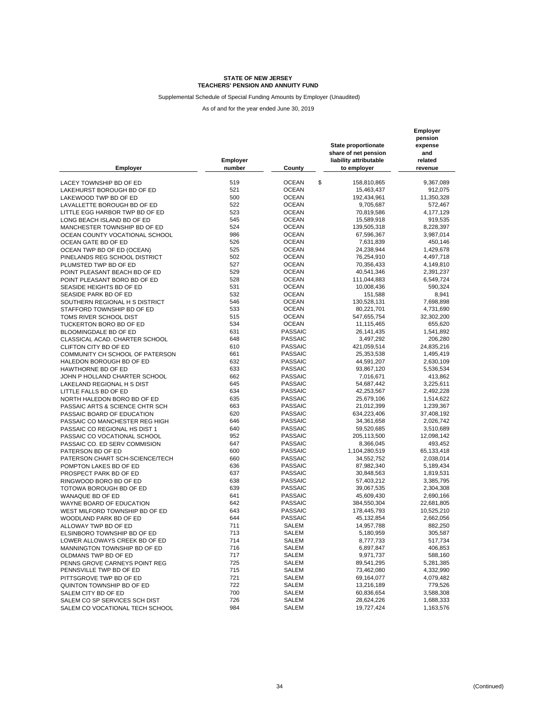Supplemental Schedule of Special Funding Amounts by Employer (Unaudited)

| <b>Employer</b>                                     | Employer<br>number | County                           | <b>State proportionate</b><br>share of net pension<br>liability attributable<br>to employer | Employer<br>pension<br>expense<br>and<br>related<br>revenue |
|-----------------------------------------------------|--------------------|----------------------------------|---------------------------------------------------------------------------------------------|-------------------------------------------------------------|
| LACEY TOWNSHIP BD OF ED                             | 519                | <b>OCEAN</b>                     | \$<br>158,810,865                                                                           | 9,367,089                                                   |
| LAKEHURST BOROUGH BD OF ED                          | 521                | <b>OCEAN</b>                     | 15,463,437                                                                                  | 912,075                                                     |
|                                                     | 500                | <b>OCEAN</b>                     |                                                                                             |                                                             |
| LAKEWOOD TWP BD OF ED                               |                    |                                  | 192,434,961                                                                                 | 11,350,328                                                  |
| LAVALLETTE BOROUGH BD OF ED                         | 522                | <b>OCEAN</b>                     | 9,705,687                                                                                   | 572,467                                                     |
| LITTLE EGG HARBOR TWP BD OF ED                      | 523                | <b>OCEAN</b>                     | 70,819,586                                                                                  | 4,177,129                                                   |
| LONG BEACH ISLAND BD OF ED                          | 545                | <b>OCEAN</b>                     | 15,589,918                                                                                  | 919,535                                                     |
| MANCHESTER TOWNSHIP BD OF ED                        | 524                | <b>OCEAN</b>                     | 139,505,318                                                                                 | 8,228,397                                                   |
| OCEAN COUNTY VOCATIONAL SCHOOL                      | 986                | <b>OCEAN</b>                     | 67,596,367                                                                                  | 3,987,014                                                   |
| OCEAN GATE BD OF ED                                 | 526                | <b>OCEAN</b>                     | 7,631,839                                                                                   | 450,146                                                     |
| OCEAN TWP BD OF ED (OCEAN)                          | 525                | <b>OCEAN</b>                     | 24,238,944                                                                                  | 1,429,678                                                   |
| PINELANDS REG SCHOOL DISTRICT                       | 502                | <b>OCEAN</b>                     | 76,254,910                                                                                  | 4,497,718                                                   |
| PLUMSTED TWP BD OF ED                               | 527                | <b>OCEAN</b>                     | 70,356,433                                                                                  | 4,149,810                                                   |
| POINT PLEASANT BEACH BD OF ED                       | 529                | <b>OCEAN</b>                     | 40,541,346                                                                                  | 2,391,237                                                   |
| POINT PLEASANT BORO BD OF ED                        | 528                | <b>OCEAN</b>                     | 111,044,883                                                                                 | 6,549,724                                                   |
| SEASIDE HEIGHTS BD OF ED                            | 531                | <b>OCEAN</b>                     | 10,008,436                                                                                  | 590,324                                                     |
| SEASIDE PARK BD OF ED                               | 532                | <b>OCEAN</b>                     | 151,588                                                                                     | 8,941                                                       |
| SOUTHERN REGIONAL H S DISTRICT                      | 546                | <b>OCEAN</b>                     | 130,528,131                                                                                 | 7,698,898                                                   |
| STAFFORD TOWNSHIP BD OF ED                          | 533                | <b>OCEAN</b>                     | 80,221,701                                                                                  | 4,731,690                                                   |
| TOMS RIVER SCHOOL DIST                              | 515                | <b>OCEAN</b>                     | 547,655,754                                                                                 | 32,302,200                                                  |
| TUCKERTON BORO BD OF ED                             | 534                | <b>OCEAN</b>                     | 11,115,465                                                                                  | 655,620                                                     |
| <b>BLOOMINGDALE BD OF ED</b>                        | 631                | <b>PASSAIC</b>                   | 26,141,435                                                                                  | 1,541,892                                                   |
| CLASSICAL ACAD. CHARTER SCHOOL                      | 648                | <b>PASSAIC</b>                   | 3,497,292                                                                                   | 206,280                                                     |
| CLIFTON CITY BD OF ED                               | 610                | <b>PASSAIC</b>                   | 421,059,514                                                                                 | 24,835,216                                                  |
| COMMUNITY CH SCHOOL OF PATERSON                     | 661                | <b>PASSAIC</b>                   | 25,353,538                                                                                  | 1,495,419                                                   |
| HALEDON BOROUGH BD OF ED                            | 632                | <b>PASSAIC</b>                   | 44,591,207                                                                                  | 2,630,109                                                   |
|                                                     | 633                | <b>PASSAIC</b>                   | 93,867,120                                                                                  |                                                             |
| HAWTHORNE BD OF ED<br>JOHN P HOLLAND CHARTER SCHOOL | 662                | <b>PASSAIC</b>                   | 7,016,671                                                                                   | 5,536,534<br>413,862                                        |
| LAKELAND REGIONAL H S DIST                          | 645                | <b>PASSAIC</b>                   |                                                                                             |                                                             |
|                                                     |                    |                                  | 54,687,442                                                                                  | 3,225,611                                                   |
| LITTLE FALLS BD OF ED                               | 634<br>635         | <b>PASSAIC</b><br><b>PASSAIC</b> | 42,253,567                                                                                  | 2,492,228                                                   |
| NORTH HALEDON BORO BD OF ED                         |                    |                                  | 25,679,106                                                                                  | 1,514,622                                                   |
| PASSAIC ARTS & SCIENCE CHTR SCH                     | 663                | <b>PASSAIC</b>                   | 21,012,399                                                                                  | 1,239,367                                                   |
| PASSAIC BOARD OF EDUCATION                          | 620                | <b>PASSAIC</b>                   | 634,223,406                                                                                 | 37,408,192                                                  |
| PASSAIC CO MANCHESTER REG HIGH                      | 646                | <b>PASSAIC</b>                   | 34,361,658                                                                                  | 2,026,742                                                   |
| PASSAIC CO REGIONAL HS DIST 1                       | 640                | <b>PASSAIC</b>                   | 59,520,685                                                                                  | 3,510,689                                                   |
| PASSAIC CO VOCATIONAL SCHOOL                        | 952                | PASSAIC                          | 205,113,500                                                                                 | 12,098,142                                                  |
| PASSAIC CO. ED SERV COMMISION                       | 647                | <b>PASSAIC</b>                   | 8,366,045                                                                                   | 493,452                                                     |
| PATERSON BD OF ED                                   | 600                | <b>PASSAIC</b>                   | 1,104,280,519                                                                               | 65,133,418                                                  |
| PATERSON CHART SCH-SCIENCE/TECH                     | 660                | PASSAIC                          | 34,552,752                                                                                  | 2,038,014                                                   |
| POMPTON LAKES BD OF ED                              | 636                | <b>PASSAIC</b>                   | 87,982,340                                                                                  | 5,189,434                                                   |
| PROSPECT PARK BD OF ED                              | 637                | <b>PASSAIC</b>                   | 30,848,563                                                                                  | 1,819,531                                                   |
| RINGWOOD BORO BD OF ED                              | 638                | <b>PASSAIC</b>                   | 57,403,212                                                                                  | 3,385,795                                                   |
| TOTOWA BOROUGH BD OF ED                             | 639                | <b>PASSAIC</b>                   | 39,067,535                                                                                  | 2,304,308                                                   |
| WANAQUE BD OF ED                                    | 641                | <b>PASSAIC</b>                   | 45,609,430                                                                                  | 2,690,166                                                   |
| WAYNE BOARD OF EDUCATION                            | 642                | <b>PASSAIC</b>                   | 384,550,304                                                                                 | 22,681,805                                                  |
| WEST MILFORD TOWNSHIP BD OF ED                      | 643                | <b>PASSAIC</b>                   | 178,445,793                                                                                 | 10,525,210                                                  |
| WOODLAND PARK BD OF ED                              | 644                | <b>PASSAIC</b>                   | 45,132,854                                                                                  | 2,662,056                                                   |
| ALLOWAY TWP BD OF ED                                | 711                | <b>SALEM</b>                     | 14,957,788                                                                                  | 882,250                                                     |
| ELSINBORO TOWNSHIP BD OF ED                         | 713                | <b>SALEM</b>                     | 5,180,959                                                                                   | 305,587                                                     |
| LOWER ALLOWAYS CREEK BD OF ED                       | 714                | SALEM                            | 8,777,733                                                                                   | 517,734                                                     |
| MANNINGTON TOWNSHIP BD OF ED                        | 716                | SALEM                            | 6,897,847                                                                                   | 406,853                                                     |
| OLDMANS TWP BD OF ED                                | 717                | SALEM                            | 9,971,737                                                                                   | 588,160                                                     |
| PENNS GROVE CARNEYS POINT REG                       | 725                | SALEM                            | 89,541,295                                                                                  | 5,281,385                                                   |
| PENNSVILLE TWP BD OF ED                             | 715                | SALEM                            | 73,462,080                                                                                  | 4,332,990                                                   |
| PITTSGROVE TWP BD OF ED                             | 721                | SALEM                            | 69,164,077                                                                                  | 4,079,482                                                   |
| QUINTON TOWNSHIP BD OF ED                           | 722                | SALEM                            | 13,216,189                                                                                  | 779,526                                                     |
| SALEM CITY BD OF ED                                 | 700                | SALEM                            | 60,836,654                                                                                  | 3,588,308                                                   |
| SALEM CO SP SERVICES SCH DIST                       | 726                | SALEM                            | 28,624,226                                                                                  | 1,688,333                                                   |
| SALEM CO VOCATIONAL TECH SCHOOL                     | 984                | SALEM                            | 19,727,424                                                                                  | 1,163,576                                                   |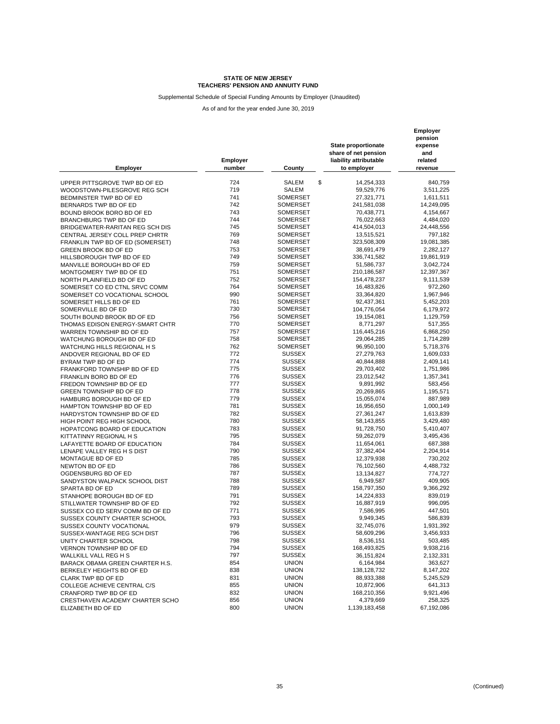Supplemental Schedule of Special Funding Amounts by Employer (Unaudited)

| <b>Employer</b>                  | <b>Employer</b><br>number | County                             | <b>State proportionate</b><br>share of net pension<br>liability attributable<br>to employer | Employer<br>pension<br>expense<br>and<br>related<br>revenue |
|----------------------------------|---------------------------|------------------------------------|---------------------------------------------------------------------------------------------|-------------------------------------------------------------|
| UPPER PITTSGROVE TWP BD OF ED    | 724                       | \$<br>SALEM                        | 14,254,333                                                                                  | 840,759                                                     |
|                                  | 719                       | <b>SALEM</b>                       | 59,529,776                                                                                  |                                                             |
| WOODSTOWN-PILESGROVE REG SCH     | 741                       |                                    |                                                                                             | 3,511,225                                                   |
| BEDMINSTER TWP BD OF ED          | 742                       | <b>SOMERSET</b>                    | 27,321,771                                                                                  | 1,611,511                                                   |
| BERNARDS TWP BD OF ED            | 743                       | <b>SOMERSET</b><br><b>SOMERSET</b> | 241,581,038<br>70,438,771                                                                   | 14,249,095<br>4,154,667                                     |
| BOUND BROOK BORO BD OF ED        | 744                       |                                    |                                                                                             |                                                             |
| BRANCHBURG TWP BD OF ED          | 745                       | <b>SOMERSET</b><br><b>SOMERSET</b> | 76,022,663                                                                                  | 4,484,020                                                   |
| BRIDGEWATER-RARITAN REG SCH DIS  |                           |                                    | 414,504,013                                                                                 | 24,448,556                                                  |
| CENTRAL JERSEY COLL PREP CHRTR   | 769                       | <b>SOMERSET</b>                    | 13,515,521                                                                                  | 797,182                                                     |
| FRANKLIN TWP BD OF ED (SOMERSET) | 748                       | SOMERSET                           | 323,508,309                                                                                 | 19,081,385                                                  |
| GREEN BROOK BD OF ED             | 753                       | <b>SOMERSET</b>                    | 38,691,479                                                                                  | 2,282,127                                                   |
| HILLSBOROUGH TWP BD OF ED        | 749                       | <b>SOMERSET</b>                    | 336,741,582                                                                                 | 19,861,919                                                  |
| MANVILLE BOROUGH BD OF ED        | 759                       | <b>SOMERSET</b>                    | 51,586,737                                                                                  | 3,042,724                                                   |
| MONTGOMERY TWP BD OF ED          | 751                       | <b>SOMERSET</b>                    | 210,186,587                                                                                 | 12,397,367                                                  |
| NORTH PLAINFIELD BD OF ED        | 752                       | <b>SOMERSET</b>                    | 154,478,237                                                                                 | 9,111,539                                                   |
| SOMERSET CO ED CTNL SRVC COMM    | 764                       | <b>SOMERSET</b>                    | 16,483,826                                                                                  | 972,260                                                     |
| SOMERSET CO VOCATIONAL SCHOOL    | 990                       | <b>SOMERSET</b>                    | 33,364,820                                                                                  | 1,967,946                                                   |
| SOMERSET HILLS BD OF ED          | 761                       | <b>SOMERSET</b>                    | 92,437,361                                                                                  | 5,452,203                                                   |
| SOMERVILLE BD OF ED              | 730                       | <b>SOMERSET</b>                    | 104,776,054                                                                                 | 6,179,972                                                   |
| SOUTH BOUND BROOK BD OF ED       | 756                       | <b>SOMERSET</b>                    | 19,154,081                                                                                  | 1,129,759                                                   |
| THOMAS EDISON ENERGY-SMART CHTR  | 770                       | <b>SOMERSET</b>                    | 8,771,297                                                                                   | 517,355                                                     |
| WARREN TOWNSHIP BD OF ED         | 757                       | <b>SOMERSET</b>                    | 116,445,216                                                                                 | 6,868,250                                                   |
| WATCHUNG BOROUGH BD OF ED        | 758                       | <b>SOMERSET</b>                    | 29,064,285                                                                                  | 1,714,289                                                   |
| WATCHUNG HILLS REGIONAL H S      | 762                       | <b>SOMERSET</b>                    | 96,950,100                                                                                  | 5,718,376                                                   |
| ANDOVER REGIONAL BD OF ED        | 772                       | <b>SUSSEX</b>                      | 27,279,763                                                                                  | 1,609,033                                                   |
| BYRAM TWP BD OF ED               | 774                       | <b>SUSSEX</b>                      | 40,844,888                                                                                  | 2,409,141                                                   |
| FRANKFORD TOWNSHIP BD OF ED      | 775                       | <b>SUSSEX</b>                      | 29,703,402                                                                                  | 1,751,986                                                   |
| FRANKLIN BORO BD OF ED           | 776                       | <b>SUSSEX</b>                      | 23,012,542                                                                                  | 1,357,341                                                   |
| FREDON TOWNSHIP BD OF ED         | 777                       | <b>SUSSEX</b>                      | 9,891,992                                                                                   | 583,456                                                     |
| <b>GREEN TOWNSHIP BD OF ED</b>   | 778                       | <b>SUSSEX</b>                      | 20,269,865                                                                                  | 1,195,571                                                   |
| HAMBURG BOROUGH BD OF ED         | 779                       | <b>SUSSEX</b>                      | 15,055,074                                                                                  | 887,989                                                     |
| HAMPTON TOWNSHIP BD OF ED        | 781                       | <b>SUSSEX</b>                      | 16,956,650                                                                                  | 1,000,149                                                   |
| HARDYSTON TOWNSHIP BD OF ED      | 782                       | <b>SUSSEX</b>                      | 27,361,247                                                                                  | 1,613,839                                                   |
| HIGH POINT REG HIGH SCHOOL       | 780                       | <b>SUSSEX</b>                      | 58,143,855                                                                                  | 3,429,480                                                   |
| HOPATCONG BOARD OF EDUCATION     | 783                       | <b>SUSSEX</b>                      | 91,728,750                                                                                  | 5,410,407                                                   |
| KITTATINNY REGIONAL H S          | 795                       | <b>SUSSEX</b>                      | 59,262,079                                                                                  | 3,495,436                                                   |
| LAFAYETTE BOARD OF EDUCATION     | 784                       | <b>SUSSEX</b>                      | 11,654,061                                                                                  | 687,388                                                     |
| LENAPE VALLEY REG H S DIST       | 790                       | <b>SUSSEX</b>                      | 37,382,404                                                                                  | 2,204,914                                                   |
| MONTAGUE BD OF ED                | 785                       | <b>SUSSEX</b>                      | 12,379,938                                                                                  | 730,202                                                     |
| NEWTON BD OF ED                  | 786                       | <b>SUSSEX</b>                      | 76,102,560                                                                                  | 4,488,732                                                   |
| OGDENSBURG BD OF ED              | 787                       | <b>SUSSEX</b>                      | 13,134,827                                                                                  | 774,727                                                     |
| SANDYSTON WALPACK SCHOOL DIST    | 788                       | <b>SUSSEX</b>                      | 6,949,587                                                                                   | 409,905                                                     |
| SPARTA BD OF ED                  | 789                       | <b>SUSSEX</b>                      | 158,797,350                                                                                 | 9,366,292                                                   |
| STANHOPE BOROUGH BD OF ED        | 791                       | <b>SUSSEX</b>                      | 14,224,833                                                                                  | 839,019                                                     |
| STILLWATER TOWNSHIP BD OF ED     | 792                       | <b>SUSSEX</b>                      | 16,887,919                                                                                  | 996,095                                                     |
| SUSSEX CO ED SERV COMM BD OF ED  | 771                       | <b>SUSSEX</b>                      | 7,586,995                                                                                   | 447,501                                                     |
| SUSSEX COUNTY CHARTER SCHOOL     | 793                       | <b>SUSSEX</b>                      | 9,949,345                                                                                   | 586,839                                                     |
| SUSSEX COUNTY VOCATIONAL         | 979                       | <b>SUSSEX</b>                      | 32,745,076                                                                                  | 1,931,392                                                   |
| SUSSEX-WANTAGE REG SCH DIST      | 796                       | SUSSEX                             | 58,609,296                                                                                  | 3,456,933                                                   |
| UNITY CHARTER SCHOOL             | 798                       | <b>SUSSEX</b>                      | 8,536,151                                                                                   | 503,485                                                     |
| VERNON TOWNSHIP BD OF ED         | 794                       | <b>SUSSEX</b>                      | 168,493,825                                                                                 | 9,938,216                                                   |
| WALLKILL VALL REG H S            | 797                       | SUSSEX                             | 36,151,824                                                                                  | 2,132,331                                                   |
| BARACK OBAMA GREEN CHARTER H.S.  | 854                       | <b>UNION</b>                       | 6,164,984                                                                                   | 363,627                                                     |
| BERKELEY HEIGHTS BD OF ED        | 838                       | <b>UNION</b>                       | 138, 128, 732                                                                               | 8,147,202                                                   |
| <b>CLARK TWP BD OF ED</b>        | 831                       | <b>UNION</b>                       | 88,933,388                                                                                  | 5,245,529                                                   |
| COLLEGE ACHIEVE CENTRAL C/S      | 855                       | <b>UNION</b>                       | 10,872,906                                                                                  | 641,313                                                     |
| CRANFORD TWP BD OF ED            | 832                       | <b>UNION</b>                       | 168,210,356                                                                                 | 9,921,496                                                   |
| CRESTHAVEN ACADEMY CHARTER SCHO  | 856                       | <b>UNION</b>                       | 4,379,669                                                                                   | 258,325                                                     |
| ELIZABETH BD OF ED               | 800                       | <b>UNION</b>                       | 1,139,183,458                                                                               | 67,192,086                                                  |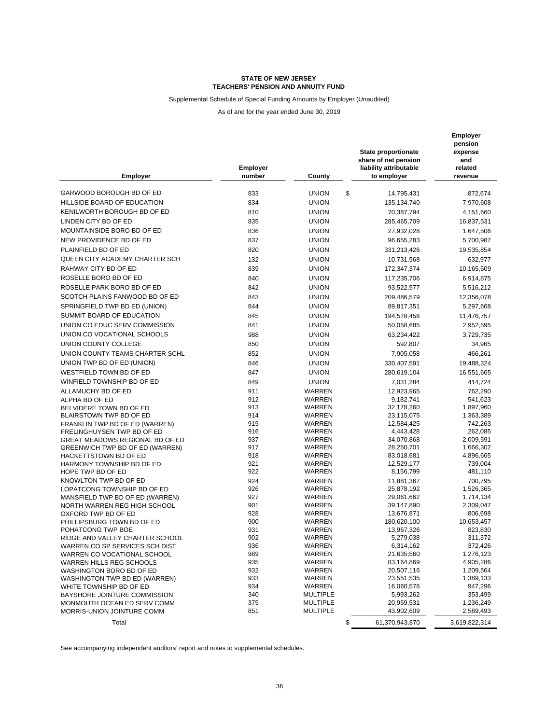### Supplemental Schedule of Special Funding Amounts by Employer (Unaudited)

As of and for the year ended June 30, 2019

| <b>Employer</b>                                                   | <b>Employer</b><br>number | County             | <b>State proportionate</b><br>share of net pension<br>liability attributable<br>to employer | <b>Employer</b><br>pension<br>expense<br>and<br>related<br>revenue |
|-------------------------------------------------------------------|---------------------------|--------------------|---------------------------------------------------------------------------------------------|--------------------------------------------------------------------|
|                                                                   |                           |                    |                                                                                             |                                                                    |
| GARWOOD BOROUGH BD OF ED                                          | 833                       | \$<br><b>UNION</b> | 14,795,431                                                                                  | 872,674                                                            |
| HILLSIDE BOARD OF EDUCATION                                       | 834                       | <b>UNION</b>       | 135, 134, 740                                                                               | 7,970,608                                                          |
| KENILWORTH BOROUGH BD OF ED                                       | 810                       | <b>UNION</b>       | 70,387,794                                                                                  | 4,151,660                                                          |
| LINDEN CITY BD OF ED                                              | 835                       | <b>UNION</b>       | 285,465,709                                                                                 | 16,837,531                                                         |
| MOUNTAINSIDE BORO BD OF ED                                        | 836                       | <b>UNION</b>       | 27,932,028                                                                                  | 1,647,506                                                          |
| NEW PROVIDENCE BD OF ED                                           | 837                       | <b>UNION</b>       | 96,655,283                                                                                  | 5,700,987                                                          |
| PLAINFIELD BD OF ED                                               | 820                       | <b>UNION</b>       | 331,213,426                                                                                 | 19,535,854                                                         |
| QUEEN CITY ACADEMY CHARTER SCH                                    | 132                       | <b>UNION</b>       | 10,731,568                                                                                  | 632,977                                                            |
| RAHWAY CITY BD OF ED                                              | 839                       | <b>UNION</b>       | 172,347,374                                                                                 | 10,165,509                                                         |
| ROSELLE BORO BD OF ED                                             | 840                       | <b>UNION</b>       | 117,235,706                                                                                 | 6,914,875                                                          |
| ROSELLE PARK BORO BD OF ED                                        | 842                       | <b>UNION</b>       | 93,522,577                                                                                  | 5,516,212                                                          |
| SCOTCH PLAINS FANWOOD BD OF ED                                    | 843                       | <b>UNION</b>       | 209,486,579                                                                                 | 12,356,078                                                         |
| SPRINGFIELD TWP BD ED (UNION)                                     | 844                       | <b>UNION</b>       | 89,817,351                                                                                  | 5,297,668                                                          |
| SUMMIT BOARD OF EDUCATION                                         | 845                       | <b>UNION</b>       | 194,578,456                                                                                 | 11,476,757                                                         |
| UNION CO EDUC SERV COMMISSION                                     | 841                       | <b>UNION</b>       | 50,058,685                                                                                  | 2,952,595                                                          |
| UNION CO VOCATIONAL SCHOOLS                                       | 988                       | <b>UNION</b>       | 63,234,422                                                                                  | 3,729,735                                                          |
| UNION COUNTY COLLEGE                                              | 850                       | <b>UNION</b>       | 592,807                                                                                     | 34,965                                                             |
| UNION COUNTY TEAMS CHARTER SCHL                                   | 852                       | <b>UNION</b>       | 7,905,058                                                                                   | 466,261                                                            |
| UNION TWP BD OF ED (UNION)                                        | 846                       | <b>UNION</b>       | 330,407,591                                                                                 | 19,488,324                                                         |
| WESTFIELD TOWN BD OF ED                                           | 847                       | <b>UNION</b>       | 280,619,104                                                                                 | 16,551,665                                                         |
| WINFIELD TOWNSHIP BD OF ED                                        | 849                       | <b>UNION</b>       | 7,031,284                                                                                   | 414,724                                                            |
| ALLAMUCHY BD OF ED                                                | 911                       | WARREN             | 12,923,965                                                                                  | 762,290                                                            |
| ALPHA BD OF ED                                                    | 912                       | WARREN             | 9,182,741                                                                                   | 541,623                                                            |
| BELVIDERE TOWN BD OF ED                                           | 913                       | WARREN             | 32,178,260                                                                                  | 1,897,960                                                          |
| BLAIRSTOWN TWP BD OF ED                                           | 914                       | WARREN             | 23,115,075                                                                                  | 1,363,389                                                          |
| FRANKLIN TWP BD OF ED (WARREN)                                    | 915                       | WARREN             | 12,584,425                                                                                  | 742,263                                                            |
| FRELINGHUYSEN TWP BD OF ED                                        | 916                       | WARREN             | 4,443,428                                                                                   | 262,085                                                            |
| GREAT MEADOWS REGIONAL BD OF ED                                   | 937                       | WARREN             | 34,070,868                                                                                  | 2,009,591                                                          |
| GREENWICH TWP BD OF ED (WARREN)                                   | 917<br>918                | WARREN<br>WARREN   | 28,250,701                                                                                  | 1,666,302                                                          |
| HACKETTSTOWN BD OF ED<br>HARMONY TOWNSHIP BD OF ED                | 921                       | WARREN             | 83,018,681<br>12,529,177                                                                    | 4,896,665<br>739,004                                               |
| HOPE TWP BD OF ED                                                 | 922                       | WARREN             | 8,156,799                                                                                   | 481,110                                                            |
| KNOWLTON TWP BD OF ED                                             | 924                       | WARREN             | 11,881,367                                                                                  | 700,795                                                            |
| LOPATCONG TOWNSHIP BD OF ED                                       | 926                       | WARREN             | 25,878,192                                                                                  | 1,526,365                                                          |
| MANSFIELD TWP BD OF ED (WARREN)                                   | 927                       | WARREN             | 29,061,662                                                                                  | 1,714,134                                                          |
| NORTH WARREN REG HIGH SCHOOL                                      | 901                       | WARREN             | 39,147,890                                                                                  | 2,309,047                                                          |
| OXFORD TWP BD OF ED                                               | 928                       | WARREN             | 13,676,871                                                                                  | 806,698                                                            |
| PHILLIPSBURG TOWN BD OF ED                                        | 900                       | WARREN             | 180,620,100                                                                                 | 10,653,457                                                         |
| POHATCONG TWP BOE                                                 | 931                       | <b>WARREN</b>      | 13,967,326                                                                                  | 823,830                                                            |
| RIDGE AND VALLEY CHARTER SCHOOL<br>WARREN CO SP SERVICES SCH DIST | 902<br>936                | WARREN<br>WARREN   | 5,279,038                                                                                   | 311,372                                                            |
| WARREN CO VOCATIONAL SCHOOL                                       | 989                       | WARREN             | 6,314,162<br>21,635,560                                                                     | 372,426<br>1,276,123                                               |
| WARREN HILLS REG SCHOOLS                                          | 935                       | WARREN             | 83,164,869                                                                                  | 4,905,286                                                          |
| WASHINGTON BORO BD OF ED                                          | 932                       | WARREN             | 20,507,116                                                                                  | 1,209,564                                                          |
| WASHINGTON TWP BD ED (WARREN)                                     | 933                       | WARREN             | 23,551,535                                                                                  | 1,389,133                                                          |
| WHITE TOWNSHIP BD OF ED                                           | 934                       | WARREN             | 16,060,576                                                                                  | 947,296                                                            |
| BAYSHORE JOINTURE COMMISSION                                      | 340                       | <b>MULTIPLE</b>    | 5,993,262                                                                                   | 353,499                                                            |
| MONMOUTH OCEAN ED SERV COMM                                       | 375                       | <b>MULTIPLE</b>    | 20,959,531                                                                                  | 1,236,249                                                          |
| MORRIS-UNION JOINTURE COMM                                        | 851                       | <b>MULTIPLE</b>    | 43,902,609                                                                                  | 2,589,493                                                          |
| Total                                                             |                           | \$                 | 61,370,943,870                                                                              | 3,619,822,314                                                      |

See accompanying independent auditors' report and notes to supplemental schedules.